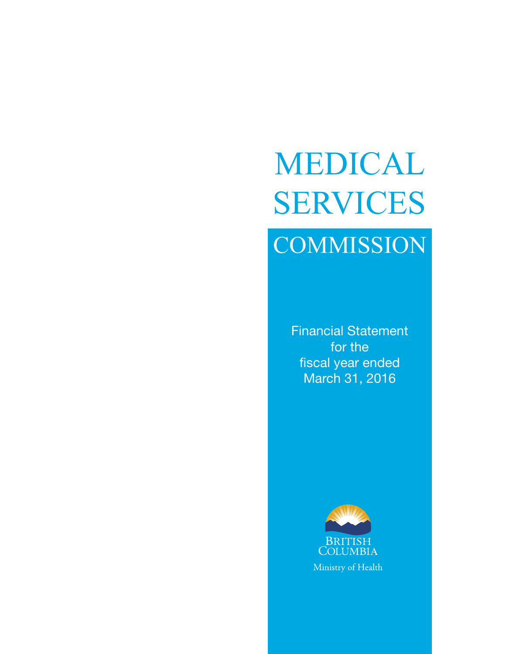# **COMMISSION** MEDICAL SERVICES

Financial Statement for the fiscal year ended March 31, 2016

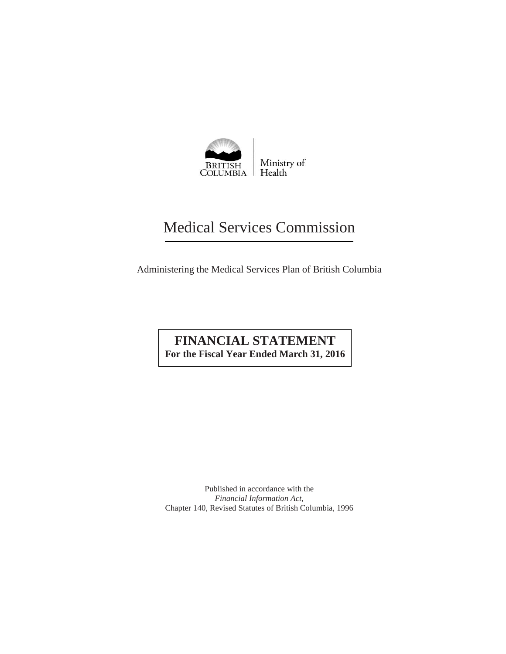

# Medical Services Commission

Administering the Medical Services Plan of British Columbia

# **FINANCIAL STATEMENT For the Fiscal Year Ended March 31, 2016**

Published in accordance with the *Financial Information Act,*  Chapter 140, Revised Statutes of British Columbia, 1996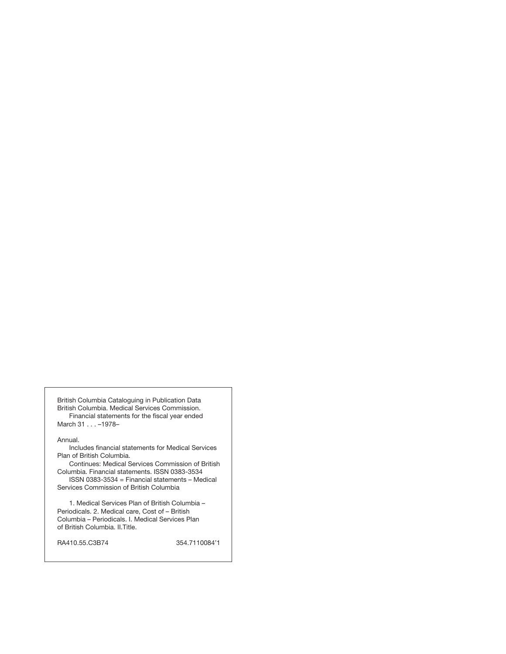British Columbia Cataloguing in Publication Data British Columbia. Medical Services Commission. Financial statements for the fiscal year ended March 31 . . . –1978–

#### Annual.

Includes financial statements for Medical Services Plan of British Columbia.

Continues: Medical Services Commission of British Columbia. Financial statements. ISSN 0383-3534 ISSN 0383-3534 = Financial statements – Medical

Services Commission of British Columbia

1. Medical Services Plan of British Columbia – Periodicals. 2. Medical care, Cost of – British Columbia – Periodicals. I. Medical Services Plan of British Columbia. II.Title.

RA410.55.C3B74 354.7110084'1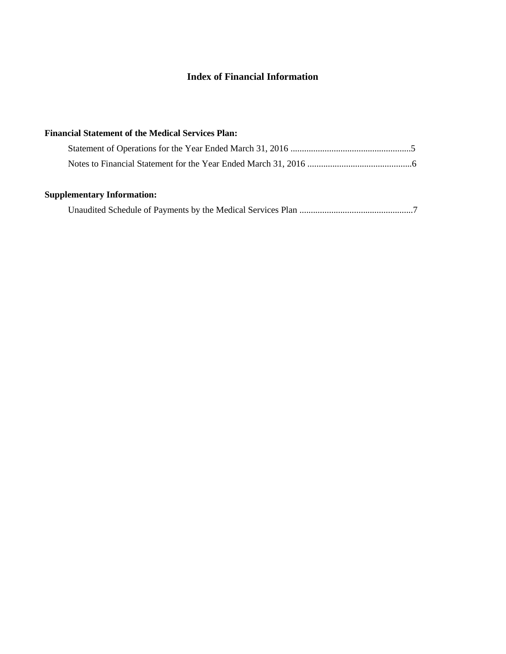## **Index of Financial Information**

# **Financial Statement of the Medical Services Plan:** Statement of Operations for the Year Ended March 31, 2016 .....................................................5 Notes to Financial Statement for the Year Ended March 31, 2016 ..............................................6

## **Supplementary Information:**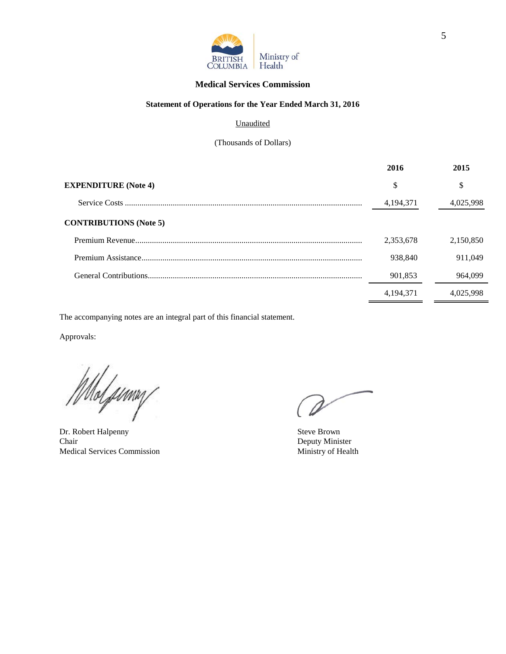

#### **Medical Services Commission**

#### **Statement of Operations for the Year Ended March 31, 2016**

#### **Unaudited**

(Thousands of Dollars)

|                               | 2016        | 2015      |
|-------------------------------|-------------|-----------|
| <b>EXPENDITURE</b> (Note 4)   | \$          | \$        |
|                               | 4, 194, 371 | 4,025,998 |
| <b>CONTRIBUTIONS</b> (Note 5) |             |           |
|                               | 2,353,678   | 2,150,850 |
|                               | 938,840     | 911.049   |
|                               | 901,853     | 964.099   |
|                               | 4, 194, 371 | 4.025.998 |

The accompanying notes are an integral part of this financial statement.

Approvals:

Molpumy

Dr. Robert Halpenny Steve Brown<br>
Chair Beputy Minis Medical Services Commission Ministry of Health

Deputy Minister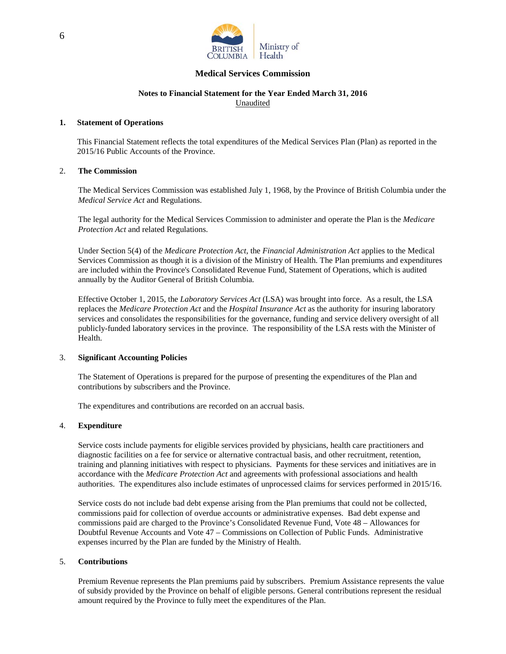

#### **Medical Services Commission**

#### **Notes to Financial Statement for the Year Ended March 31, 2016** Unaudited

#### **1. Statement of Operations**

This Financial Statement reflects the total expenditures of the Medical Services Plan (Plan) as reported in the 2015/16 Public Accounts of the Province.

#### 2. **The Commission**

The Medical Services Commission was established July 1, 1968, by the Province of British Columbia under the *Medical Service Act* and Regulations.

The legal authority for the Medical Services Commission to administer and operate the Plan is the *Medicare Protection Act* and related Regulations.

Under Section 5(4) of the *Medicare Protection Act*, the *Financial Administration Act* applies to the Medical Services Commission as though it is a division of the Ministry of Health. The Plan premiums and expenditures are included within the Province's Consolidated Revenue Fund, Statement of Operations, which is audited annually by the Auditor General of British Columbia.

Effective October 1, 2015, the *Laboratory Services Act* (LSA) was brought into force. As a result, the LSA replaces the *Medicare Protection Act* and the *Hospital Insurance Act* as the authority for insuring laboratory services and consolidates the responsibilities for the governance, funding and service delivery oversight of all publicly-funded laboratory services in the province. The responsibility of the LSA rests with the Minister of Health.

#### 3. **Significant Accounting Policies**

The Statement of Operations is prepared for the purpose of presenting the expenditures of the Plan and contributions by subscribers and the Province.

The expenditures and contributions are recorded on an accrual basis.

#### 4. **Expenditure**

Service costs include payments for eligible services provided by physicians, health care practitioners and diagnostic facilities on a fee for service or alternative contractual basis, and other recruitment, retention, training and planning initiatives with respect to physicians. Payments for these services and initiatives are in accordance with the *Medicare Protection Act* and agreements with professional associations and health authorities. The expenditures also include estimates of unprocessed claims for services performed in 2015/16.

Service costs do not include bad debt expense arising from the Plan premiums that could not be collected, commissions paid for collection of overdue accounts or administrative expenses. Bad debt expense and commissions paid are charged to the Province's Consolidated Revenue Fund, Vote 48 – Allowances for Doubtful Revenue Accounts and Vote 47 – Commissions on Collection of Public Funds. Administrative expenses incurred by the Plan are funded by the Ministry of Health.

#### 5. **Contributions**

Premium Revenue represents the Plan premiums paid by subscribers. Premium Assistance represents the value of subsidy provided by the Province on behalf of eligible persons. General contributions represent the residual amount required by the Province to fully meet the expenditures of the Plan.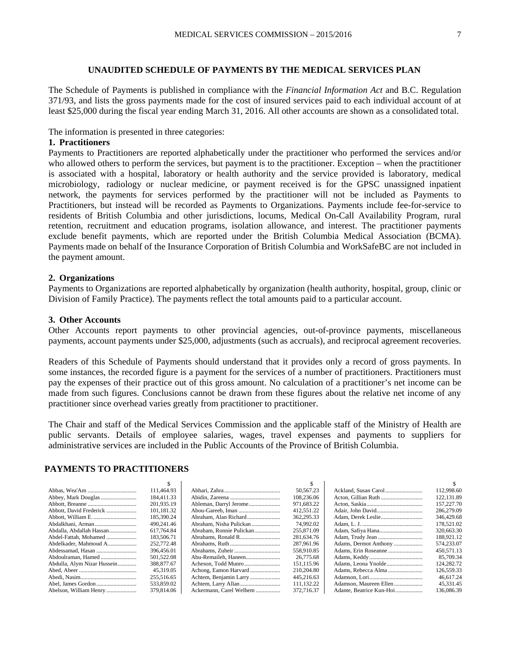#### **UNAUDITED SCHEDULE OF PAYMENTS BY THE MEDICAL SERVICES PLAN**

The Schedule of Payments is published in compliance with the *Financial Information Act* and B.C. Regulation 371/93, and lists the gross payments made for the cost of insured services paid to each individual account of at least \$25,000 during the fiscal year ending March 31, 2016. All other accounts are shown as a consolidated total.

The information is presented in three categories:

#### **1. Practitioners**

Payments to Practitioners are reported alphabetically under the practitioner who performed the services and/or who allowed others to perform the services, but payment is to the practitioner. Exception – when the practitioner is associated with a hospital, laboratory or health authority and the service provided is laboratory, medical microbiology, radiology or nuclear medicine, or payment received is for the GPSC unassigned inpatient network, the payments for services performed by the practitioner will not be included as Payments to Practitioners, but instead will be recorded as Payments to Organizations. Payments include fee-for-service to residents of British Columbia and other jurisdictions, locums, Medical On-Call Availability Program, rural retention, recruitment and education programs, isolation allowance, and interest. The practitioner payments exclude benefit payments, which are reported under the British Columbia Medical Association (BCMA). Payments made on behalf of the Insurance Corporation of British Columbia and WorkSafeBC are not included in the payment amount.

#### **2. Organizations**

Payments to Organizations are reported alphabetically by organization (health authority, hospital, group, clinic or Division of Family Practice). The payments reflect the total amounts paid to a particular account.

#### **3. Other Accounts**

Other Accounts report payments to other provincial agencies, out-of-province payments, miscellaneous payments, account payments under \$25,000, adjustments (such as accruals), and reciprocal agreement recoveries.

Readers of this Schedule of Payments should understand that it provides only a record of gross payments. In some instances, the recorded figure is a payment for the services of a number of practitioners. Practitioners must pay the expenses of their practice out of this gross amount. No calculation of a practitioner's net income can be made from such figures. Conclusions cannot be drawn from these figures about the relative net income of any practitioner since overhead varies greatly from practitioner to practitioner.

The Chair and staff of the Medical Services Commission and the applicable staff of the Ministry of Health are public servants. Details of employee salaries, wages, travel expenses and payments to suppliers for administrative services are included in the Public Accounts of the Province of British Columbia.

#### **PAYMENTS TO PRACTITIONERS**

|                             | 111,464.93 |                          | 50,567.23  |                        | 112,998.60  |
|-----------------------------|------------|--------------------------|------------|------------------------|-------------|
|                             | 184,411.33 |                          | 108,236.06 |                        | 122, 131.89 |
|                             | 201.935.19 |                          | 971,683.22 |                        | 157,227.70  |
| Abbott, David Frederick     | 101,181.32 |                          | 412,551.22 |                        | 286,279.09  |
|                             | 185,390.24 | Abraham, Alan Richard    | 362,295.33 |                        | 346,429.68  |
|                             | 490.241.46 |                          | 74,992.02  |                        | 178,521.02  |
| Abdalla, Abdallah Hassan    | 617.764.84 | Abraham, Ronnie Pulickan | 255,871.09 |                        | 320,663.30  |
| Abdel-Fattah, Mohamed       | 183,506.71 | Abrahams, Ronald R       | 281,634.76 |                        | 188,921.12  |
| Abdelkader, Mahmoud A       | 252,772.48 |                          | 287,961.96 | Adams, Dermot Anthony  | 574,233.07  |
|                             | 396,456.01 |                          | 558,910.85 |                        | 450,571.13  |
|                             | 501,522.08 |                          | 26,775.68  |                        | 85,709.34   |
| Abdulla, Alym Nizar Hussein | 388,877.67 | Acheson, Todd Munro      | 151.115.96 |                        | 124,282.72  |
|                             | 45.319.05  |                          | 210,204.80 |                        | 126,559.33  |
|                             | 255,516.65 | Achtem, Benjamin Larry   | 445.216.63 |                        | 46.617.24   |
|                             | 533,859.02 |                          | 111,132.22 | Adamson, Maureen Ellen | 45,331.45   |
| Abelson, William Henry      | 379,814.06 | Ackermann, Carel Welhem  | 372,716.37 |                        | 136,086.39  |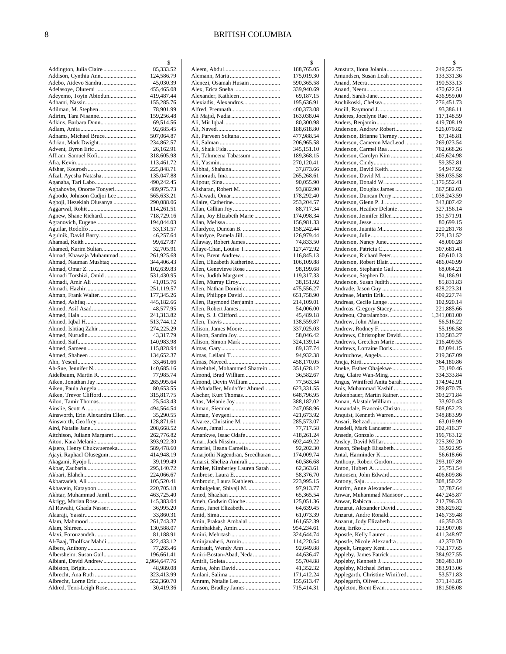$\mathcal{S}$ 

|                                                   | \$                       |
|---------------------------------------------------|--------------------------|
| Addington, Julia Claire                           | 85,333.52                |
| Addison, Cynthia Ann                              | 124,586.79               |
| Adebo, Aidevo Sandra<br>Adelasoye, Oluremi        | 45,030.39<br>455,465.08  |
| Adeyemo, Toyin Abiodun                            | 419,487.44               |
|                                                   | 155,285.76               |
| Adilman, M. Stephen                               | 78,901.99                |
| Adirim, Tara Nisanne                              | 159,256.48               |
| Adkins, Barbara Donn                              | 69,514.56                |
|                                                   | 92,685.45                |
| Adnams, Michael Bruce                             | 507,064.87               |
| Adrian, Mark Dwight                               | 234,862.57               |
| Affram, Samuel Kofi                               | 26,162.91<br>318,605.98  |
|                                                   | 113,461.72               |
|                                                   | 225,848.71               |
| Afzal, Ayesha Natasha                             | 135,047.88               |
| Aganaba, Tari Labo                                | 490,242.45               |
| Agbahovbe, Onome Tonyeri                          | 489,975.73               |
| Agbodo, Johnson Cudjoi Lee                        | 565,633.21               |
| Agboji, Hezekiah Olusanya                         | 290,088.06               |
|                                                   | 114,261.51               |
| Agnew, Shane Richard                              | 718,729.16<br>194,044.03 |
|                                                   | 53,131.57                |
| Agulnik, David Barry                              | 46,257.64                |
|                                                   | 99,627.87                |
| Ahamed, Karim Sultan                              | 32,705.91                |
| Ahmad, Khawaja Muhammad                           | 261,925.68               |
| Ahmad, Nauman Mushtaq                             | 344,406.43               |
|                                                   | 102,639.83               |
| Ahmadi Torshizi, Omid                             | 531,430.95               |
| Ahmadi, Amir Ali                                  | 41,015.76                |
|                                                   | 251,119.57<br>177,345.26 |
| Ahman, Frank Walter                               | 445,182.66               |
|                                                   | 48,577.95                |
|                                                   | 241,313.82               |
|                                                   | 513,744.12               |
|                                                   | 274,225.29               |
|                                                   | 43,317.79                |
|                                                   | 140,983.98               |
|                                                   | 115,828.94               |
|                                                   | 134,652.37               |
|                                                   | 33,461.66<br>140,685.16  |
| Aidelbaum, Martin R.                              | 77,985.74                |
| Aiken, Jonathan Jay                               | 265,995.64               |
| Aiken, Paula Angela                               | 80,653.55                |
| Aiken, Trevor Clifford                            | 315,817.75               |
| Ailon, Tamir Thomas                               | 25,543.43                |
|                                                   | 494,564.54               |
| Ainsworth, Erin Alexandra Ellen                   | 35,290.55                |
| Ainsworth, Geoffrey                               | 128,871.61               |
| Aird, Natalie Jane<br>Aitchison, Juliann Margaret | 208,668.52               |
| Aiton, Kara Melanie                               | 262,776.82<br>393,922.30 |
| Ajaero, Henry Chukwuemeka                         | 589,478.60               |
| Ajayi, Raphael Olusegum                           | 414,948.19               |
| Akagami, Ryojo I.                                 | 39,199.49                |
|                                                   | 295,140.72               |
|                                                   | 224,066.67               |
|                                                   | 105,520.41               |
| Akhavein, Katayoon                                | 220,705.18               |
| Akhtar, Muhammad Jamil                            | 463,725.40               |
| Akrigg, Marian Rose                               | 145,383.04               |
| Al Rawahi, Ghada Nasser                           | 36,995.20<br>33,860.31   |
|                                                   | 261,743.37               |
|                                                   | 130,588.07               |
| Alavi, Forouzandeh                                | 81,188.91                |
| Al-Baaj, Tholfkar Mahdi                           | 322,433.12               |
|                                                   | 77,265.46                |
| Albersheim, Susan Gail                            | 196,661.41               |
| Albiani, David Andrew                             | 2,964,647.76             |
|                                                   | 48,989.08                |
|                                                   | 323,413.99               |
| Aldred, Terri-Leigh Rose                          | 552,360.70<br>30,419.36  |
|                                                   |                          |

|                                                   | 188,765.05               |
|---------------------------------------------------|--------------------------|
|                                                   | 175,019.30               |
| Alenezi, Osamah Husain                            | 590,365.58<br>339,940.69 |
| Alexander, Kathleen                               | 69,187.15                |
| Alexiadis, Alexandros                             | 195,636.91               |
|                                                   | 400,373.08               |
|                                                   | 163,038.04               |
|                                                   | 80,300.98                |
|                                                   | 188,618.80               |
| Ali, Parveen Sultana                              | 477,988.54               |
|                                                   | 206,965.58<br>345,151.10 |
| Ali, Tahmeena Tabassum                            | 189,368.15               |
|                                                   | 270,120.41               |
|                                                   | 37,873.66                |
|                                                   | 265,268.61               |
|                                                   | 90,055.90                |
| Alisharan, Robert M.                              | 93,882.90                |
| Al-Jawadi, Omar                                   | 178,292.40               |
|                                                   | 253,204.57<br>88,717.34  |
| Allan, Joy Elizabeth Marie                        | 174,098.34               |
|                                                   | 156,981.33               |
| Allardyce, Duncan B.                              | 158,242.44               |
| Allardyce, Pamela Jill                            | 126,979.44               |
| Allaway, Robert James                             | 74,833.50                |
| Allaye-Chan, Louise T                             | 127,472.92               |
| Allen, Brent Andrew<br>Allen, Elizabeth Katherine | 116,845.13               |
| Allen, Genevieve Rose                             | 106,109.88<br>98,199.68  |
| Allen, Judith Margaret                            | 119,317.33               |
|                                                   | 38,151.92                |
| Allen, Nathan Dominic                             | 475,556.27               |
| Allen, Philippe David                             | 651,758.90               |
| Allen, Raymond Benjamin                           | 214,109.01               |
|                                                   | 54,006.00                |
|                                                   | 45,489.18<br>138,559.87  |
| Allison, James Moore                              | 337,025.03               |
|                                                   | 58,046.42                |
| Allison, Simon Mark                               | 324,139.14               |
|                                                   | 89,137.74                |
|                                                   | 94,932.38                |
| Almehthel, Mohammed Shatrein                      | 458,170.05<br>351,628.12 |
| Almond, Brad William                              | 36,582.67                |
| Almond, Devin William                             | 77,563.34                |
| Al-Mudaffer, Mudaffer Ahmed                       | 623,331.55               |
| Alscher, Kurt Thomas                              | 648,796.95               |
|                                                   | 388,182.02               |
|                                                   | 247,058.96               |
|                                                   | 421,673.92               |
|                                                   | 285,573.07<br>77,717.58  |
|                                                   |                          |
|                                                   |                          |
| Amankwe, Isaac Odafe                              | 418,261.24<br>692,449.22 |
| Amariei, Ileana Camelia                           | 92,202.30                |
| Amarjothi Nagendran, Sreedharan                   | 174,009.74               |
| Amarsi, Sheliza Amirali                           | 60,586.68                |
| Ambler, Kimberley Lauren Sarah                    | 62,363.61                |
|                                                   | 58,376.70                |
| Ambrozic, Laura Kathleen                          | 223,995.15               |
| Ambulgekar, Shivaji M.                            | 97,913.77                |
| Ameh, Godwin Oloche                               | 65,365.54<br>125,051.36  |
| Ames, Janet Elizabeth                             | 64,639.45                |
|                                                   | 61,073.39                |
| Amin, Prakash Ambalal                             | 161,652.39               |
| Aminbakhsh, Amin                                  | 954,234.61               |
|                                                   | 324,644.74               |
| Aminjavaheri, Armin                               | 114,220.54<br>92,649.88  |
| Amirault, Wendy Ann<br>Amiri-Bostan-Abad, Neda    | 44,636.47                |
|                                                   | 55,704.88                |
|                                                   | 41,352.32                |
|                                                   | 171,412.24               |
| Amram, Natalie Lea<br>Amson, Bradley James        | 155,613.47<br>715,414.31 |

|                                                      | \$                         |
|------------------------------------------------------|----------------------------|
| Amstutz, Ilona Jolania                               | 249,522.75                 |
| Amundsen, Susan Leah                                 | 133,331.36<br>190,533.13   |
|                                                      | 470,622.51                 |
|                                                      | 436,959.00                 |
| Anchikoski, Chelsea                                  | 276,451.73                 |
| Anderes, Jocelyne Rae                                | 93,386.11                  |
|                                                      | 117,148.59<br>419,708.19   |
| Anderson, Andrew Robert                              | 526,079.82                 |
| Anderson, Brianne Tierney                            | 87,148.81                  |
| Anderson, Cameron MacLeod                            | 269,023.54                 |
| Anderson, Carmel Rea<br>Anderson, Carolyn Kim        | 762,668.26<br>1,405,624.98 |
|                                                      | 59,352.81                  |
| Anderson, David Keith                                | 54,947.92                  |
| Anderson, David M.<br>Anderson, Donald W             | 388,035.58                 |
| Anderson, Douglas James                              | 1,176,552.41<br>367,582.03 |
| Anderson, Duncan Perry                               | 1,038,243.59               |
| Anderson, Glenn P. J                                 | 343,807.42                 |
| Anderson, Heather Delanie                            | 327,156.14                 |
| Anderson, Jennifer Ellen                             | 151,571.91<br>80,699.15    |
|                                                      | 220,281.78                 |
|                                                      | 228,131.52                 |
| Anderson, Nancy June                                 | 48,000.28                  |
| Anderson, Patricia C<br>Anderson, Richard Peter      | 307,681.41<br>60,610.13    |
| Anderson, Robert Blair                               | 486,040.99                 |
| Anderson, Stephanie Gail                             | 68,064.21                  |
| Anderson, Stephen D                                  | 94,186.91                  |
| Anderson, Susan Judith<br>Andrade, Jason Guy         | 85,831.83                  |
| Andreae, Martin Erik                                 | 828,223.31<br>409,227.74   |
| Andreas, Cecile Lange                                | 102,920.14                 |
| Andreas, Gregory Stacey                              | 221,885.66                 |
| Andreou, Charalambos                                 | 1,341,081.00               |
|                                                      | 56,516.22<br>55,196.58     |
| Andrews, Christopher David                           | 130,583.27                 |
| Andrews, Gretchen Marie                              | 216,409.55                 |
| Andrews, Lorraine Doris                              | 82,094.15                  |
|                                                      | 219,367.09<br>364,180.86   |
| Aneke, Esther Ohajekwe                               | 70,190.46                  |
|                                                      | 334,333.84                 |
| Angus, Winifred Anita Sarah<br>Anis, Muhammad Kashif | 174,942.91                 |
| Ankenbauer, Martin Rainer                            | 289,870.75<br>303,271.84   |
| Annan, Alastair William                              | 33,920.43                  |
| Annandale, Francois Christo                          | 508,052.23                 |
| Anquist, Kenneth Warren                              | 348,883.99<br>63,019.99    |
| Ansdell, Mark Lancaster                              | 202,416.37                 |
|                                                      | 196,763.12                 |
| Ansley, David Millar                                 | 225,392.20                 |
| Anson, Shelagh Elisabeth<br>Antal, Harminder K       | 36,922.95<br>56,618.66     |
| Anthony, Robert Gordon                               | 293,107.89                 |
|                                                      | 25,751.54                  |
| Antonsen, John Edward                                | 406,609.86                 |
| Antrim, Anne Alexander                               | 308,150.22<br>37,787.64    |
| Anwar, Muhammad Mansoor                              | 447,245.87                 |
|                                                      | 212,796.33                 |
| Anzarut, Alexander David                             | 386,829.82                 |
| Anzarut, Andre Ronald<br>Anzarut, Jody Elizabeth     | 146,739.48<br>46,350.33    |
|                                                      | 123,907.08                 |
| Apostle, Kelly Lauren                                | 411,348.97                 |
| Apostle, Nicole Alexandra                            | 42,370.70                  |
| Appelt, Gregory Kent<br>Appleby, James Patrick       | 732,177.65<br>384,927.55   |
|                                                      | 380,483.10                 |
| Appleby, Michael Brian                               | 383,913.06                 |
| Applegarth, Christine Winifred                       | 53,571.83<br>371,143.85    |
| Appleton, Brent Evan                                 | 181,508.08                 |
|                                                      |                            |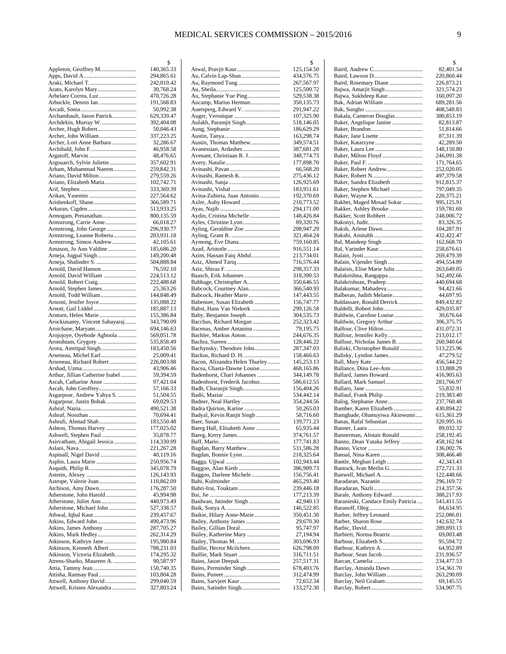|                                             | 2          |
|---------------------------------------------|------------|
| Appleton, Geoffrey M                        | 140,365.33 |
|                                             | 294,865.61 |
| Araki, Michael T.                           | 242,010.42 |
|                                             | 30,768.24  |
| Arbelaez Correa, Luz                        | 470,726.28 |
| Arbuckle, Dennis Ian                        | 191,568.83 |
|                                             | 50,992.38  |
| Archambault, Jason Patrick                  | 629,339.47 |
| Archdekin, Murray W.                        | 392,404.08 |
|                                             |            |
| Archer, Hugh Robert                         | 50,046.43  |
| Archer, John William                        | 337,223.25 |
| Archer, Lori Anne Barbara                   | 32,286.67  |
|                                             | 46,958.58  |
| Argatoff, Marvin                            | 48,476.65  |
| Argouarch, Sylvie Juliette                  | 357,602.91 |
| Arham, Muhammad Naeem                       | 259,842.31 |
| Ariano, David Milton                        | 279,559.26 |
| Ariano, Elizabeth Maria                     | 102,742.71 |
|                                             | 333,369.39 |
|                                             | 227,564.62 |
|                                             | 366,589.71 |
|                                             | 513,933.25 |
| Armogam, Preianathan                        | 800,135.59 |
| Armstrong, Carrie Anne                      | 66,018.27  |
|                                             |            |
| Armstrong, John George                      | 296,930.77 |
| Armstrong, Leanne Roberta                   | 203,931.18 |
| Armstrong, Simon Andrew                     | 42,105.61  |
| Arnason, Jo Ann Valdine                     | 185,686.20 |
| Arneja, Jugpal Singh                        | 149,200.48 |
| Arneja, Shalinder S.                        | 504,888.84 |
| Arnold, David Hanson                        | 76,592.10  |
| Arnold, David William                       | 224,513.12 |
| Arnold, Robert Craig                        | 222,488.68 |
| Arnold, Stephen James                       | 25,363.26  |
| Arnold, Todd William                        | 144,848.49 |
|                                             | 135,088.22 |
| Arnott, Gail Liddel                         | 185,887.13 |
| Arntsen, Helen Marie                        | 155,386.84 |
| Arockiasamy, Vincent Sahayaraj              | 343,790.09 |
|                                             | 694,146.63 |
| Arojojoye, Oyebode Agboola                  | 569,051.78 |
|                                             | 535,858.49 |
| Aronshtam, Grygory<br>Arora, Amritpal Singh |            |
|                                             | 183,450.56 |
| Arseneau, Michel Earl                       | 25,009.41  |
| Arseneau, Richard Robert                    | 226,003.88 |
|                                             | 43,906.46  |
| Arthur, Jillian Catherine Isabel            | 59,394.59  |
| Ascah, Catharine Anne                       | 97,421.04  |
| Ascah, John Geoffrey                        | 57,166.33  |
| Asgarpour, Andrew Yahya S.                  | 51,504.55  |
| Asgarpour, Justin Bobak                     | 69,029.53  |
|                                             | 490,521.38 |
|                                             | 70,694.41  |
| Ashrafi, Ahmad Shah                         | 183,550.48 |
| Ashton, Thomas Harvey                       | 177,025.02 |
| Ashwell, Stephen Paul                       | 35,878.77  |
| Asirvatham, Abigail Jessica                 | 114,330.09 |
|                                             | 221,267.28 |
| Aspinall, Nigel David                       | 40,119.16  |
|                                             | 250,956.74 |
|                                             | 345,078.79 |
|                                             |            |
|                                             | 126,143.93 |
| Astrope, Valerie Joan                       | 110,862.09 |
| Atchison, Amy Dawn                          | 176,287.50 |
| Atherstone, John Harold                     | 45,994.98  |
|                                             | 440,973.49 |
| Atherstone, Michael John                    | 527,338.57 |
| Athwal, Iqbal Kaur                          | 239,457.67 |
| Atkins, Edward John                         | 490,473.96 |
| Atkins, James Anthony                       | 287,705.27 |
| Atkins, Mark Hedley                         | 262,314.29 |
| Atkinson, Kathryn Jane                      | 195,980.84 |
| Atkinson, Kenneth Albert                    | 788,231.03 |
| Atkinson, Victoria Elizabeth                | 174,295.32 |
| Atrens-Sharko, Maureen A.                   | 90,587.97  |
|                                             | 150,740.35 |
| Attisha, Ramsay Paul                        | 103,804.28 |
| Attwell, Anthony David                      | 299,040.59 |
| Attwell, Kristen Alexandra                  | 327,803.24 |
|                                             |            |

|                                                   | \$                       |
|---------------------------------------------------|--------------------------|
| Atwal, Pravjit Kaur                               | 125,154.50               |
| Au, Calvin Lap-Shun<br>Au, Raymond Tung           | 434,576.75               |
|                                                   | 267,567.97<br>125,500.72 |
| Au, Stephanie Yue Ping                            | 529,538.38               |
| Aucamp, Marius Herman                             | 350,135.73               |
| Auersperg, Edward V.                              | 291,947.22               |
|                                                   | 107,325.90               |
| Aulakh, Paramjit Singh                            | 518,146.05               |
|                                                   | 186,629.29               |
|                                                   | 163,298.74               |
| Austin, Thomas Matthew                            | 349,574.51               |
| Avenant, Christiaan R. J.                         | 387,681.28<br>348,774.73 |
|                                                   | 177,898.70               |
|                                                   | 66,568.20                |
| Avinashi, Ramesh K.                               | 275,436.12               |
|                                                   | 126,925.69               |
|                                                   | 183,951.61               |
| Avina-Zubieta, Juan Antonio                       | 192,370.69               |
| Axler, Auby Howard                                | 210,773.52               |
|                                                   | 294,171.00               |
| Aydin, Cristina Michelle                          | 148,426.84<br>89,320.76  |
|                                                   | 208,947.29               |
|                                                   | 321,464.24               |
|                                                   | 759,160.85               |
|                                                   | 916,551.14               |
| Azim, Hassan Faiq Abdul                           | 213,734.01               |
|                                                   | 716,576.44               |
|                                                   | 298,357.33               |
| Baasch, Erik Johannes                             | 318,390.53               |
| Babbage, Christopher A<br>Babcock, Courtney Alan  | 350,646.55<br>366,540.93 |
| Babcock, Heather Marie                            | 147,443.55               |
| Babensee, Susan Elizabeth                         | 156,747.77               |
| Babst, Hans Van Niekerk                           | 299,126.58               |
| Baby, Benjamin Joseph                             | 304,535.73               |
| Bacchus, Richard Morgan                           | 252,323.42               |
| Bacenas, Amber Antanina                           | 79,195.75                |
| Bachler, Markus Anton                             | 244,676.35               |
|                                                   | 128,446.22               |
| Bachynsky, Theodore John<br>Backus, Richard D. H. | 287,347.03<br>158,466.63 |
| Bacon, Alixandra Helen Thurley                    | 145,253.13               |
| Bacsu, Chasta-Dawne Louise                        | 468,165.86               |
| Badenhorst, Charl Johannes                        | 344,149.78               |
| Badenhorst, Frederik Jacobus                      | 586,612.55               |
|                                                   | 156,404.26               |
|                                                   | 534,442.14               |
| Badner, Neal Hartley                              | 354,244.56               |
|                                                   | 50,265.03                |
| Badyal, Kevin Ranjit Singh                        | 58,716.60                |
| Baerg Hall, Elisabeth Anne                        | 139,771.23<br>65,935.44  |
| Baerg, Kerry James                                | 374,761.57               |
|                                                   | 177,741.83               |
| Bagdan, Barry Matthew                             | 531,586.28               |
| Bagdan, Bonnie Lynn                               | 218,325.64               |
|                                                   | 102,943.44               |
| Baggoo, Alan Kieth                                | 386,909.73               |
| Baggoo, Darlene Michele                           | 156,756.41               |
| Bahri-Irai, Touktam                               | 465,293.40               |
|                                                   | 239,446.18<br>177,213.39 |
| Baidwan, Jatinder Singh                           | 42,940.13                |
|                                                   | 146,522.85               |
| Baikie, Hilary Anne-Marie                         | 350,451.30               |
| Bailey, Anthony James                             | 29,670.30                |
| Bailey, Gillian Doral                             | 95,747.97                |
| Bailey, Katherine Mary                            | 27,194.94                |
| Bailey, Thomas M.                                 | 303,696.93               |
| Baillie, Hector Mcilchere                         | 626,798.09               |
|                                                   | 316,711.51<br>257,517.31 |
| Bains, Perminder Singh                            | 678,403.76               |
|                                                   | 312,474.99               |
|                                                   | 72,652.34                |
|                                                   | 133,272.30               |
|                                                   |                          |

|                                                         | \$                       |
|---------------------------------------------------------|--------------------------|
|                                                         | 82,401.54                |
| Baird, Rosemary Diane                                   | 220,860.44<br>226,873.21 |
| Bajwa, Amarjit Singh                                    | 321,574.23               |
| Bajwa, Sukhdeep Kaur                                    | 160,097.20               |
| Bak, Adrian William                                     | 689,281.56<br>408,548.83 |
| Bakala, Cameron Douglas                                 | 380,853.19               |
| Baker, Angelique Janine                                 | 82,813.87                |
|                                                         | 51,814.66                |
|                                                         | 87,311.39<br>42,289.50   |
|                                                         | 148,150.80               |
| Baker, Milton Floyd                                     | 246,091.38               |
| Baker, Robert Andrew                                    | 171,764.65<br>252,020.05 |
|                                                         | 497,379.58               |
| Baker, Sandra Elizabeth                                 | 912,815.37               |
| Baker, Stephen Michael                                  | 797,049.35               |
| Bakhet, Maged Mosad Sokar                               | 220,375.21<br>995,125.91 |
| Bakker, Ashley Brooke                                   | 159,781.69               |
| Bakker, Scott Robbert                                   | 248,006.72               |
|                                                         | 83,326.35                |
| Baksh, Arlene Dawn                                      | 104,287.91<br>432,422.47 |
|                                                         | 162,668.70               |
| Bal, Varinder Kaur                                      | 258,676.61               |
| Balain, Vijender Singh                                  | 269,479.39<br>494,554.89 |
| Balaisis, Elise Marie Julia                             | 263,649.05               |
| Balakrishna, Rangappa                                   | 342,492.66               |
| Balakrishnan, Pradeep                                   | 440,694.68               |
| Balakumar, Mahadeva<br>Balberan, Judith Melanie         | 94,421.66<br>44,697.95   |
| Baldassare, Ronald Derrick                              | 849,432.82               |
|                                                         | 429,035.87               |
| Baldwin, Caroline Louise                                | 30,676.64                |
| Baldwin, Gregory Arthur<br>Balfour, Clive Hilton        | 306,375.75<br>431,072.31 |
|                                                         | 213,012.17               |
| Balfour, Nicholas James B.                              | 260,940.64               |
| Baliski, Christopher Ronald<br>Balisky, Lyndon James    | 513,225.96<br>47,279.52  |
|                                                         | 456,544.22               |
| Ballance, Dina Lee-Ann                                  | 133,888.29               |
| Ballard, James Howard                                   | 416,905.63               |
| Ballard, Mark Samuel                                    | 283,766.97<br>55,832.91  |
| Ballauf, Frank Philip                                   | 219,383.40               |
| Balog, Stephanie Anne                                   | 237,760.48               |
| Bamber, Karen Elizabeth<br>Bamgbade, Olumuyiwa Akinwumi | 430,894.22<br>615,361.29 |
| Banas, Rafal Sebastian                                  | 320,995.16               |
|                                                         | 89,032.32                |
| Bannerman, Alistair Ronald                              | 258,192.45               |
| Banno, Dean Yutaka Jeffrey                              | 458,162.94<br>136,002.76 |
| Bansal, Nina-Karen                                      | 308,466.48               |
|                                                         | 42,343.43                |
| Bantock, Ivan Merlin G<br>Banwell, Michael A            | 272,721.33<br>122,448.66 |
| Baradaran, Nazanin                                      | 296,169.72               |
| Baradaran, Nazli                                        | 214,357.56               |
| Barale, Anthony Edward                                  | 388,217.93               |
| Baranieski, Candace Emily Patricia                      | 543,411.55<br>84,634.95  |
| Barber, Jeffrey Leonard                                 | 252,086.01               |
|                                                         | 142,632.74               |
| Barbieri, Norma Beatriz                                 | 289,893.13<br>69,003.48  |
| Barbour, Elizabeth S                                    | 95,594.72                |
|                                                         | 64,952.89                |
|                                                         | 231,936.57               |
| Barclay, Amanda Dawn                                    | 234,477.53<br>154,361.70 |
| Barclay, John William                                   | 263,290.09               |
| Barclay, Neil Graham                                    | 69,145.55                |
|                                                         | 534,907.75               |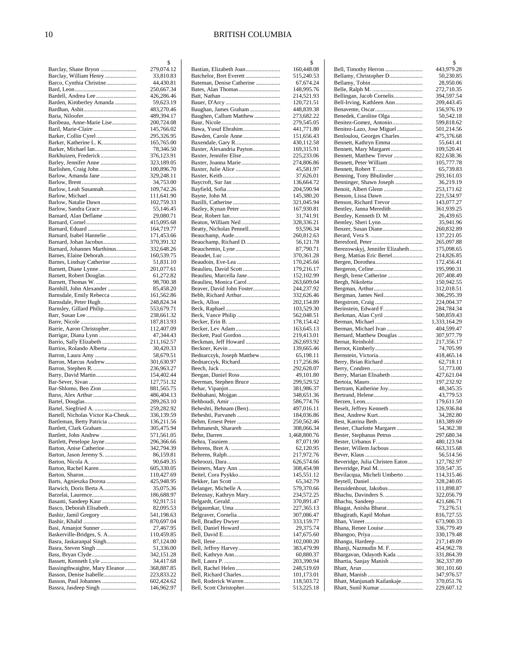#### 10 BRITISH COLUMBIA

|                                                                | \$                       |
|----------------------------------------------------------------|--------------------------|
| Barclay, Shane Bryon                                           | 279,074.12               |
| Barclay, William Henry                                         | 33,810.83                |
| Barco, Cynthia Christine                                       | 44,430.81                |
| Bardell, Andrea Lee                                            | 250,667.34<br>426,286.46 |
| Barden, Kimberley Amanda                                       | 59,623.19                |
|                                                                | 483,270.46               |
|                                                                | 489,394.17               |
| Baribeau, Anne-Marie Lise                                      | 200,724.08               |
| Baril, Marie-Claire                                            | 145,766.02               |
| Barker, Collin Cyrel                                           | 295,326.95               |
| Barker, Katherine L. K                                         | 165,765.00               |
| Barker, Michael Ian                                            | 78,346.50                |
| Barkhuizen, Frederick                                          | 376,123.91               |
| Barley, Jennifer Anne                                          | 323,189.05               |
| Barlishen, Craig John<br>Barlow, Amanda Jane                   | 100,896.70<br>329,248.11 |
|                                                                | 34,753.00                |
| Barlow, Leah Susannah                                          | 109,742.26               |
|                                                                | 111,641.90               |
| Barlow, Natalie Dawn                                           | 102,759.33               |
| Barlow, Sandra Grace                                           | 55,146.45                |
| Barnard, Alan Deflame                                          | 29,080.71                |
|                                                                | 415,095.68               |
| Barnard, Eduard                                                | 164,719.77               |
| Barnard, Isabel Hannelie                                       | 171,453.66<br>370,391.32 |
| Barnard, Johan Jacobus<br>Barnard, Johannes Marthinus          | 332,648.26               |
| Barnes, Elaine Deborah                                         | 160,539.75               |
| Barnes, Lindsay Catherine                                      | 51,831.10                |
| Barnett, Diane Lynne                                           | 201,077.61               |
| Barnett, Robert Douglas                                        | 61,272.82                |
| Barnett, Thomas W.                                             | 98,700.38                |
| Barnhill, John Alexander                                       | 85,458.20                |
| Barnsdale, Emily Rebecca                                       | 161,562.86               |
| Barnsdale, Peter Hugh                                          | 248,824.34               |
| Barnsley, Gillard Philip                                       | 553,679.71<br>238,661.32 |
|                                                                | 187,813.93               |
| Barrie, Aaron Christopher                                      | 112,407.09               |
| Barrigar, Diana Lynn                                           | 47,344.43                |
| Barrio, Sally Elizabeth                                        | 211,162.57               |
| Barrios, Rolando Alberta                                       | 30,420.33                |
| Barron, Laura Amy<br>Barron, Marcus Andrew                     | 58,679.51<br>301,630.97  |
|                                                                | 236,963.27               |
| Barry, David Martin                                            | 154,402.44               |
|                                                                | 127,751.32               |
| Bar-Shlomo, Ben Zion                                           | 881,565.75               |
| Barss, Alex Arthur                                             | 486,404.13               |
|                                                                | 289,263.10               |
|                                                                | 259,282.92               |
| Bartell, Nicholas Victor Ka-Cheuk<br>Bartleman, Betty Patricia | 336,139.59<br>136,211.56 |
| Bartlett, Clark Graham                                         | 305,475.94               |
| Bartlett, John Andrew                                          | 571,561.05               |
| Bartlett, Penelope Jayne                                       | 296,366.66               |
| Barton, Anise Catherine                                        | 342,794.39               |
| Barton, Jason Jeremy S.                                        | 86,159.81                |
|                                                                | 90,649.35                |
| Barton, Rachel Karen                                           | 605,330.05               |
| Barts, Agnieszka Dorota                                        | 110,427.69<br>425,948.95 |
| Barwich, Doris Berta A                                         | 35,075.36                |
|                                                                | 186,688.97               |
| Basanti, Sandeep Kaur                                          | 92,917.51                |
| Basco, Deborah Elisabeth                                       | 82,095.53                |
| Bashir, Jamil Gregory                                          | 541,198.63               |
| Basi, Amanjot Sunner                                           | 870,697.04               |
| Baskerville-Bridges, S. A                                      | 27,467.95<br>110,459.85  |
| Basra, Jaskaranpal Singh                                       | 87,124.00                |
|                                                                | 51,336.00                |
| Bass, Bryan Clyde                                              | 342,151.28               |
| Bassett, Kenneth Lyle                                          | 34,417.68                |
| Bassingthwaighte, Mary Eleanor                                 | 368,887.85               |
| Basson, Denise Isabelle<br>Basson, Paul Johannes               | 223,833.22               |
| Bassra, Jasdeep Singh                                          | 602,424.62<br>146,962.97 |
|                                                                |                          |

|                                                   | \$                       |
|---------------------------------------------------|--------------------------|
| Bastian, Elizabeth Joan                           | 160,448.08               |
| Bateman, Denise Catherine                         | 515,240.53               |
|                                                   | 67,674.24<br>148,995.76  |
|                                                   | 214,521.93               |
|                                                   | 120,721.51               |
| Baughan, James Graham                             | 448,839.38               |
| Baughen, Callum Matthew                           | 273,682.22               |
|                                                   | 279,545.05               |
| Bawa, Yusuf Ebrahim                               | 441,771.80               |
|                                                   | 151,656.43               |
|                                                   | 430,112.58               |
| Baxter, Alexandria Payton                         | 169,315.91<br>225,233.06 |
| Baxter, Joanna Marie                              | 274,806.86               |
| Baxter, Julie Alice                               | 45,581.97                |
|                                                   | 37,626.01                |
|                                                   | 136,664.72               |
|                                                   | 204,590.94               |
|                                                   | 145,380.20               |
|                                                   | 321,045.94               |
|                                                   | 167,930.81               |
|                                                   | 31,741.91                |
| Beaton, William Neil                              | 328,336.21               |
| Beatty, Nicholas Pennell                          | 93,596.34                |
|                                                   | 260,812.63               |
| Beauchamp, Richard D                              | 56,121.78                |
| Beauchemin, Lyne                                  | 87,790.71                |
|                                                   | 370,361.28<br>170,245.66 |
| Beaulieu, David Scott                             | 179,216.17               |
| Beaulieu, Marcella Jane                           | 152,102.99               |
| Beaulieu, Monica Carol                            | 263,609.04               |
| Beaver, David John Foster                         | 244,237.92               |
| Bebb, Richard Arthur                              | 332,626.46               |
|                                                   | 202,154.89               |
|                                                   | 103,529.30               |
| Beck, Vance Philip                                | 562,048.51               |
|                                                   | 178,154.42               |
| Becker, Lev Adam                                  | 163,645.13               |
|                                                   | 219,413.01               |
| Beckman, Jeff Howard                              | 262,693.92               |
|                                                   | 139,665.46               |
| Bednarczyk, Joseph Matthew<br>Bednarczyk, Richard | 65,198.11                |
|                                                   | 117,256.86<br>292,628.07 |
|                                                   | 49,101.80                |
| Beerman, Stephen Bruce                            | 299,529.52               |
|                                                   | 381,986.37               |
| Behbahani, Mojgan                                 | 348,651.36               |
|                                                   | 586,774.76               |
| Beheshti, Behnam (Ben)                            | 497,016.11               |
| Beheshti, Parvaneh                                | 184,036.86               |
|                                                   | 250,562.46               |
| Behmanesh, Sharareh                               | 308,066.34               |
|                                                   | 1,468,800.76             |
|                                                   | 87,071.90                |
|                                                   | 62,120.95<br>217,972.76  |
|                                                   | 626,574.66               |
|                                                   | 308,454.98               |
| Beitel, Cora Pyykko                               | 145,551.12               |
|                                                   | 65,342.79                |
| Belanger, Michelle A                              | 579,370.66               |
| Beleznay, Kathryn Mary                            | 234,572.25               |
|                                                   | 370,891.47               |
| Belgaumkar, Uma                                   | 227,365.13               |
|                                                   | 307,086.47               |
| Bell, Bradley Dwyer                               | 333,159.77               |
| Bell, Daniel Howard                               | 29,375.74                |
|                                                   | 147,675.60               |
| Bell, Jeffrey Harvey                              | 102,000.20               |
|                                                   | 383,479.99<br>60,880.37  |
|                                                   | 203,390.94               |
| Bell, Rachel Helen                                | 248,519.69               |
| Bell, Richard Charles                             | 101,173.01               |
| Bell, Roderick Warren                             | 118,503.72               |
| Bell, Scott Christopher                           | 513,225.18               |
|                                                   |                          |

|                                                        | \$                       |
|--------------------------------------------------------|--------------------------|
| Bell, Timothy Herron                                   | 443,979.28               |
| Bellamy, Christopher D                                 | 50,230.85                |
|                                                        | 28,950.06                |
| Bellingan, Jacob Cornelis                              | 272,710.35<br>394,597.54 |
| Bell-Irving, Kathleen Ann                              | 209,443.45               |
|                                                        | 156,976.19               |
| Benedek, Caroline Olga                                 | 50,542.18                |
| Benitez-Gomez, Antonio                                 | 599,818.62               |
| Benitez-Lazo, Jose Miguel                              | 501,214.56               |
| Benloulou, Georges Charles                             | 475,376.68               |
| Bennett, Kathryn Emma                                  | 55,641.41                |
| Bennett, Mary Margaret<br>Bennett, Matthew Trevor      | 109,520.41<br>822,638.36 |
| Bennett, Peter William                                 | 105,777.78               |
|                                                        | 65,739.83                |
| Benning, Tony Bhulinder                                | 293,161.03               |
| Benninger, Shawn Joseph                                | 36,219.19                |
| Benoit, Albert Glenn                                   | 253,171.62               |
|                                                        | 221,534.97               |
| Benson, Richard Trevor                                 | 143,077.27               |
| Bentley, Janna Meredith                                | 361,939.25               |
| Bentley, Kenneth D. M<br>Bentley, Sheri Lynn           | 26,439.65<br>35,941.96   |
| Benzer, Susan Diane                                    | 260,832.89               |
|                                                        | 137,221.05               |
|                                                        | 265,097.88               |
| Berezowskyj, Jennifer Elizabeth                        | 175,098.65               |
| Berg, Mattias Eric Bertel                              | 214,826.85               |
|                                                        | 172,456.41               |
|                                                        | 195,990.31               |
| Bergh, Irene Catherine                                 | 207,408.49               |
|                                                        | 150,942.55<br>312,018.51 |
|                                                        | 306,295.39               |
|                                                        | 224,004.37               |
| Berinstein, Edward F                                   | 284,784.34               |
| Berkman, Alan Cyril                                    | 500,859.43               |
| Berman, Michael                                        | 1,333,164.29             |
| Berman, Michael Ivan                                   | 404,599.47               |
| Bernard, Matthew Douglas                               | 307,977.79               |
|                                                        | 217,356.17<br>74,705.99  |
|                                                        | 418,465.14               |
| Berry, Brian Richard                                   | 62,718.11                |
|                                                        | 51,773.00                |
| Berry, Marian Elisabeth                                | 427,621.04               |
|                                                        | 197,232.92               |
| Bertram, Katherine Joy                                 | 48,345.35                |
|                                                        | 43,779.53                |
|                                                        |                          |
|                                                        | 179,611.50               |
| Beselt, Jeffrey Kenneth                                | 126,936.84               |
|                                                        | 34,282.80                |
| Best, Katrina Beth                                     | 183,389.69               |
| Bester, Charlotte Margaret<br>Bester, Stephanus Petrus | 54,362.38<br>297,680.34  |
|                                                        | 480,123.94               |
| Bester, Willem Jacbous                                 | 663,315.68               |
|                                                        | 56,514.56                |
| Beveridge, Julia Christen Eaton                        | 127,782.97               |
| Beveridge, Paul M                                      | 359,547.35               |
| Bevilacqua, Micheli Umberto                            | 114,315.46               |
| Bezuidenhout, Jakobus                                  | 328,240.05<br>111,898.87 |
| Bhachu, Davinders S.                                   | 322,056.79               |
|                                                        | 421,686.71               |
| Bhagat, Anisha Bharat                                  | 73,276.51                |
| Bhagirath, Kapil Mohan                                 | 816,727.55               |
|                                                        | 673,900.33               |
|                                                        | 336,779.49               |
|                                                        | 330,179.48<br>217,149.09 |
| Bhanji, Nazmudin M. F.                                 | 454,962.78               |
| Bhargavan, Odayoth Kada                                | 331,864.39               |
| Bhartia, Sanjay Manish                                 | 362,337.89               |
|                                                        | 301,101.60               |
|                                                        | 347,976.57               |
| Bhatt, Manjunath Kailankaje                            | 370,051.76<br>229,607.12 |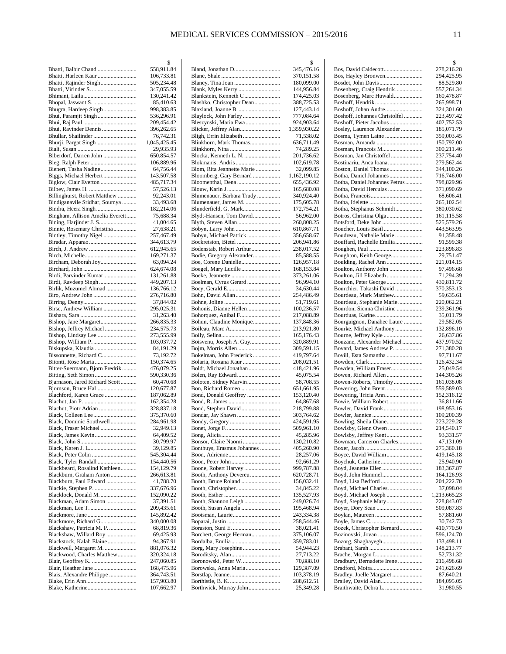|                                                    | \$                       |
|----------------------------------------------------|--------------------------|
| Bhatti, Balbir Chand                               | 558,911.84               |
| Bhatti, Harleen Kaur                               | 106,733.81               |
| Bhatti, Rajinder Singh                             | 505,234.48               |
|                                                    | 347,055.59               |
|                                                    | 130,241.42               |
| Bhugra, Hardeep Singh                              | 85,410.63                |
|                                                    | 998,383.85<br>536,296.91 |
|                                                    | 209,454.42               |
| Bhui, Ravinder Dennis                              | 396,262.65               |
|                                                    | 76,742.31                |
|                                                    | 1,045,425.45             |
|                                                    | 29,935.93                |
| Biberdorf, Darren John                             | 650,854.57               |
|                                                    | 106,889.96               |
| Bienert, Tasha Nadine                              | 64,756.44                |
| Biggs, Michael Herbert                             | 143,507.58               |
| Biglow, Clair Everton                              | 485,717.34               |
|                                                    | 57,526.13                |
| Billinghurst, Robert Matthew                       | 92,243.01                |
| Bindiganavile Sridhar, Soumya                      | 33,493.68                |
|                                                    | 182,214.06               |
| Bingham, Allison Amelia Everett                    | 75,688.34<br>41,004.65   |
| Binnie, Rosemary Christina                         | 27,638.21                |
| Bintley, Timothy Nigel                             | 257,467.49               |
|                                                    | 344,613.79               |
|                                                    | 612,945.65               |
|                                                    | 169,271.37               |
| Bircham, Deborah Joy                               | 63,094.24                |
|                                                    | 624,674.08               |
| Birdi, Parvinder Kumar                             | 131,261.88               |
|                                                    | 449,207.13               |
| Birlik, Muzumel Ahmad                              | 136,766.12               |
| Biro, Andrew John                                  | 276,716.80               |
|                                                    | 37,844.02                |
| Birse, Andrew William                              | 295,025.31               |
|                                                    | 31,263.40                |
|                                                    | 266,835.33               |
| Bishop, Jeffrey Michael                            | 234,575.73               |
| Bishop, Lindsay Lee<br>Bishop, William P.          | 273,555.99<br>103,037.72 |
| Biskupska, Klaudia                                 | 84,191.29                |
| Bissonnette, Richard C                             | 73,192.72                |
| Bitonti, Rose Maria                                | 150,374.65               |
| Bitter-Suermann, Bjorn Fredrik                     | 476,079.25               |
|                                                    | 590,330.36               |
| Bjarnason, Jared Richard Scott                     | 60,470.68                |
| Bjornson, Bruce Hal                                | 120,677.87               |
| Blachford, Karen Grace                             | 187,062.89               |
|                                                    | 162,354.28               |
| Blachut, Piotr Adrian                              | 328,837.18               |
|                                                    | 375,370.60               |
| Black, Dominic Southwell                           | 284,961.98               |
| Black, Fraser Michael                              | 32,949.13                |
|                                                    | 64,409.52<br>30,799.97   |
|                                                    | 39,129.85                |
|                                                    | 545,304.44               |
| Black, Tyler Randall                               | 154,440.56               |
| Blackbeard, Rosalind Kathleen                      | 154,129.79               |
| Blackburn, Graham Anton                            | 266,613.81               |
| Blackburn, Paul Edward                             | 41,788.70                |
| Blackie, Stephen P.                                | 337,676.96               |
| Blacklock, Donald M.                               | 152,090.22               |
| Blackman, Adam Simon                               | 37,391.51                |
|                                                    | 209,435.61               |
|                                                    | 145,892.42               |
| Blackmore, Richard G                               | 340,000.08               |
| Blackshaw, Patricia M. P.                          | 68,819.36                |
| Blackshaw, Willard Roy<br>Blackstock, Kalah Elaine | 69,425.93<br>94,367.91   |
| Blackwell, Margaret M.                             | 881,076.32               |
| Blackwood, Charles Matthew                         | 320,324.18               |
|                                                    | 247,060.85               |
|                                                    | 168,475.96               |
| Blais, Alexandre Philippe                          | 364,743.51               |
|                                                    | 157,903.80               |
|                                                    | 107,662.97               |

|                                               | \$                       |
|-----------------------------------------------|--------------------------|
| Bland, Jonathan D                             | 345,476.16               |
|                                               | 370,151.58               |
|                                               | 180,099.00               |
| Blank, Myles Kerry                            | 144,956.84               |
| Blankstein, Kenneth C                         | 174,425.03               |
| Blashko, Christopher Dean                     | 388,725.53               |
|                                               | 127,443.14               |
| Blaylock, John Farley                         | 777,084.64               |
| Bleszynski, Maria Ewa                         | 924,903.64               |
| Blicker, Jeffrey Alan                         | 1,359,930.22             |
|                                               | 71,538.02                |
| Blinkhorn, Mark Thomas                        | 636,711.49               |
|                                               | 74,289.25                |
| Blocka, Kenneth L. N.                         |                          |
|                                               | 201,736.62               |
|                                               | 102,619.78               |
| Blom, Rita Jeannette Marie                    | 32,099.85                |
| Bloomberg, Gary Bernard                       | 1,162,190.12             |
|                                               | 655,436.92               |
|                                               | 165,680.08               |
| Blumenauer, Barbara Trudy                     | 340,924.40               |
| Blumenauer, James M.                          | 175,605.78               |
| Blunderfield, G. Mark                         | 172,754.21               |
| Blydt-Hansen, Tom David                       | 56,962.00                |
|                                               | 260,808.25               |
| Bobyn, Larry John                             | 610,867.71               |
| Bobyn, Michael Patrick                        | 356,658.67               |
|                                               | 206,941.86               |
| Bodenstab, Robert Arthur                      | 238,017.52               |
| Bodie, Gregory Alexander                      | 85,588.55                |
|                                               | 126,957.18               |
| Boegel, Mary Lucille                          | 168,153.84               |
|                                               | 373,261.06               |
| Boelman, Cyrus Gerard                         | 96,994.10                |
|                                               | 34,630.44                |
|                                               |                          |
|                                               | 254,486.49               |
|                                               | 51,719.61                |
| Bohonis, Dianne Hellen                        | 100,236.57               |
|                                               | 217,088.89               |
| Bohun, Claudine Monique                       | 137,848.36               |
|                                               | 213,921.80               |
|                                               | 165,176.43               |
| Boisvenu, Joseph A. Guy                       | 320,889.91               |
| Bojm, Morris Allen                            | 309,591.15               |
| Bokelman, John Frederick                      | 419,797.64               |
| Bolaria, Roxana Kaur                          | 208,021.51               |
| Boldt, Michael Jonathan                       | 418,421.96               |
| Bolen, Ray Edward                             | 45,075.54                |
| Boloten, Sidney Marvin                        | 58,708.55                |
| Bon, Richard Romeo                            | 651,661.95               |
| Bond, Donald Geoffrey                         | 153,120.40               |
|                                               | 64,867.68                |
|                                               | 218,799.88               |
|                                               | 303,764.62               |
|                                               | 424,591.95               |
|                                               | 509,961.10               |
|                                               | 45,285.96                |
| Bonsor, Claire Naomi                          | 130,210.82               |
| Bonthuys, Erasmus Johannes                    | 405,260.90               |
|                                               | 28,257.06                |
|                                               | 92,661.29                |
| Boone, Robert Harvey                          | 999,787.88               |
|                                               |                          |
| Booth, Anthony Devereu<br>Booth, Bruce Roland | 620,728.71<br>156,032.41 |
|                                               |                          |
|                                               | 34,845.22                |
|                                               | 135,527.93               |
|                                               | 249,026.74               |
| Booth, Susan Angela                           | 195,468.94               |
|                                               | 243,334.38               |
|                                               | 258,544.46               |
|                                               | 38,021.41                |
| Borchert, George Herman                       | 375,106.07               |
|                                               | 359,783.01               |
| Borg, Mary Josephine                          | 54,944.23                |
|                                               | 27,713.22                |
| Boronowski, Peter W                           | 70,888.10                |
| Borowska, Anna Maria                          | 129,387.09               |
|                                               | 103,378.19               |
|                                               | 288,612.51               |
| Borthwick, Murray John                        | 25,349.28                |
|                                               |                          |

|                                              | \$                      |
|----------------------------------------------|-------------------------|
|                                              | 278,216.28              |
| Bos, Hayley Bronwen                          | 294,425.95              |
| Bosdet, John Davis                           | 88,529.80               |
| Bosenberg, Craig Hendrik                     | 557,264.34              |
| Bosenberg, Marc Huwald                       | 160,478.87              |
|                                              | 265,998.71              |
|                                              | 324,301.60              |
| Boshoff, Johannes Christolfel                | 223,497.42              |
| Boshoff, Pieter Jacobus                      | 402,752.53              |
| Bosley, Laurence Alexander                   | 185,071.79              |
|                                              | 359,003.45              |
| Bosman, Amanda                               | 150,792.00              |
|                                              |                         |
|                                              | 300,211.46              |
| Bosman, Jan Christoffel                      | 237,754.40              |
| Bostinariu, Anca Ioana                       | 279,562.44              |
| Boston, Daniel Thomas                        | 344,100.26              |
| Botha, Daniel Johannes                       | 716,746.00              |
| Botha, Daniel Johannes Petrus                | 798,829.96              |
| Botha, David Herculas                        | 371,090.69              |
|                                              | 68,606.41               |
|                                              | 265,102.54              |
| Botha, Stephanus Schmidt                     | 380,030.62              |
| Botros, Christina Olga                       | 161,115.58              |
|                                              | 525,579.26              |
| Boucher, Louis Basil                         | 443,563.95              |
| Boudreau, Nathalie Marie                     | 91,358.48               |
| Bouffard, Rachelle Emilia                    | 91,599.38               |
|                                              | 223,896.83              |
| Boughton, Keith George                       | 29,751.47               |
|                                              | 221,014.15              |
| Boulton, Anthony John                        | 97,496.68               |
| Boulton, Jill Elizabeth                      | 71,294.39               |
|                                              | 430,811.72              |
| Bourchier, Takashi David                     |                         |
|                                              | 370,353.13              |
| Bourdeau, Mark Matthew                       | 59,635.61               |
| Bourdeau, Stephanie Marie                    | 220,062.21              |
| Bourdon, Sienna Christine                    | 239,361.96              |
|                                              | 35,011.79               |
| Bourguignon, Danahee Laure                   | 29,582.05               |
| Bourke, Michael Anthony                      | 132,896.10              |
|                                              | 26,637.86               |
| Bouzane, Alexander Michael                   | 437,970.52              |
| Bovard, James Andrew P.                      | 271,380.28              |
| Bovill, Esta Samantha                        | 97,711.67               |
|                                              | 126,432.34              |
| Bowden, William Fraser                       | 25,049.54               |
| Bowen, Richard Allen                         | 144,305.26              |
| Bowen-Roberts, Timothy                       | 161,038.08              |
|                                              | 559,589.03              |
| Bowering, Tricia Ann                         | 152,316.12              |
| Bowie, William Robert                        | 36,811.66               |
|                                              | 198,953.16              |
|                                              |                         |
|                                              |                         |
|                                              | 109,200.39              |
|                                              | 223,229.28              |
| Bowlsby, Glenn Owen                          | 214,540.17              |
| Bowlsby, Jeffrey Kent                        | 93,331.57               |
| Bowman, Cameron Charles                      | 47,131.09               |
|                                              | 275,360.18              |
| Boyce, David William                         | 419,145.18              |
| Boychuk, Catherine                           | 25,940.90               |
| Boyd, Jeanette Ellen                         | 183,367.87              |
| Boyd, John Hummel                            | 164,126.93              |
| Boyd, Lisa Bedford                           | 204,222.70              |
| Boyd, Michael Charles                        | 37,098.04               |
| Boyd, Michael Joseph                         | 1,213,665.23            |
| Boyd, Stephanie Mary                         | 228,843.07              |
|                                              | 509,087.83              |
|                                              | 57,881.60               |
|                                              | 30,742.73               |
| Bozek, Christopher Bernard                   | 410,770.50              |
|                                              | 596,124.70              |
|                                              |                         |
| Bozorg, Shaghayegh                           | 133,498.11              |
|                                              | 148,213.77              |
|                                              | 52,731.32               |
| Bradbury, Bernadette Irene                   | 216,498.68              |
|                                              | 241,626.69              |
| Bradley, Joelle Margaret                     | 87,640.21               |
| Brailey, David Alan<br>Braithwaite, Debra L. | 184,095.05<br>31,980.55 |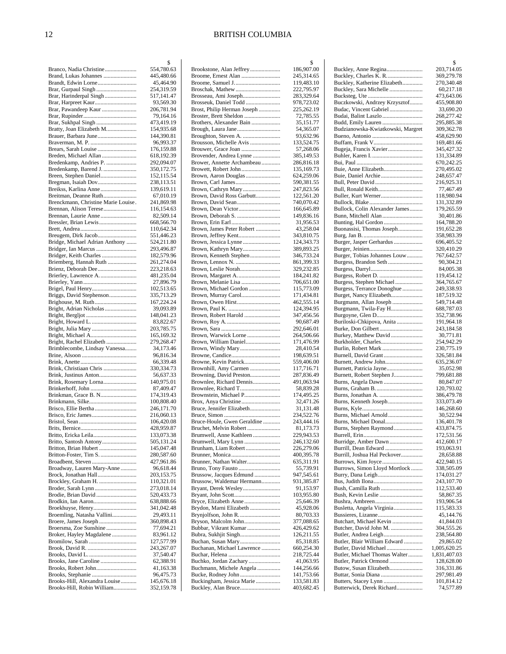|                                                             | \$                       |
|-------------------------------------------------------------|--------------------------|
| Branco, Nadia Christine                                     | 554,780.63               |
| Brand, Lukas Johannes                                       | 445,480.66               |
| Brandt, Edwin Lorne                                         | 45,464.90                |
| Brar, Gurpaul Singh                                         | 254,319.59               |
| Brar, Harinderpal Singh                                     | 517,141.47<br>93,569.30  |
| Brar, Harpreet Kaur<br>Brar, Pawandeep Kaur                 | 206,781.94               |
|                                                             | 79,164.16                |
| Brar, Sukhpal Singh                                         | 473,419.19               |
| Bratty, Joan Elizabeth M                                    | 154,935.68               |
| Brauer, Barbara June                                        | 144,390.81               |
|                                                             | 96,993.37                |
| Brears, Sarah Louise                                        | 176,159.88               |
| Breden, Michael Allan                                       | 618,192.39               |
| Bredenkamp, Andries P.                                      | 292,094.07               |
| Bredenkamp, Barend J.                                       | 350,172.75               |
| Breen, Stephen Daniel                                       | 152,115.54               |
|                                                             | 238,113.51               |
| Breikss, Karlina Anne                                       | 139,619.11               |
| Breitman, Deanne Ruth                                       | 67,010.19                |
| Brenckmann, Christine Marie Louise.                         | 241,869.98               |
| Brennan, Alison Terese<br>Brennan, Laurie Anne              | 116,154.63               |
|                                                             | 82,509.14<br>668,566.70  |
|                                                             | 110,642.34               |
| Breugem, Dirk Jacob                                         | 551,446.23               |
| Bridge, Michael Adrian Anthony                              | 524,211.80               |
| Bridger, Ian Marcus                                         | 293,496.87               |
| Bridger, Keith Charles                                      | 182,579.96               |
| Briemberg, Hannah Ruth                                      | 261,274.04               |
| Brienz, Deborah Dee                                         | 223,218.63               |
| Brierley, Lawrence A                                        | 481,235.04               |
|                                                             | 27,896.79                |
|                                                             | 102,513.65               |
| Briggs, David Stephenson                                    | 335,713.29               |
| Brighouse, M. Ruth                                          | 167,224.24               |
| Bright, Adrian Nicholas                                     | 39,093.89                |
|                                                             | 148,041.23               |
|                                                             | 83,822.67                |
| Bright, Michael A                                           | 203,785.75<br>165,169.32 |
| Bright, Rachel Elizabeth                                    | 279,268.47               |
| Brimblecombe, Lindsay Vanessa                               | 34,173.46                |
|                                                             | 96,816.34                |
|                                                             | 66,339.48                |
| Brink, Christiaan Chris                                     | 330,334.73               |
|                                                             | 56,637.33                |
| Brink, Rosemary Lorna                                       | 140,975.01               |
|                                                             | 87,409.47                |
|                                                             | 174,319.43               |
| Brinkmann, Silke                                            | 100,808.40               |
| Brisco, Ellie Bertha                                        | 246,171.70               |
|                                                             | 216,060.13               |
|                                                             | 106,420.08               |
| Britto, Ericka Leila                                        | 428,959.87               |
| Britto, Santosh Antony                                      | 133,073.38<br>505,131.24 |
| Britton, Brian Hubert                                       | 145,047.48               |
| Britton-Foster, Tim S.                                      | 280,587.60               |
| Broadbent, Steven                                           | 427,961.86               |
| Broadway, Lauren Mary-Anne                                  | 96,618.44                |
| Brock, Jonathan Hall                                        | 203,153.75               |
| Brockley, Graham H.                                         | 110,321.01               |
| Broder, Sarah Lynn                                          | 273,018.14               |
|                                                             | 520,433.73               |
| Brodkin, Ian Aaron                                          | 638,888.66               |
| Broekhuyse, Henry                                           | 341,042.48               |
| Broemling, Natasha Vallini                                  | 29,493.11                |
| Broere, James Joseph                                        | 360,898.43               |
| Broersma, Zoe Sunshine                                      | 77,694.21                |
| Broker, Hayley Magdalene                                    | 83,961.12<br>127,577.99  |
|                                                             | 243,267.07               |
|                                                             | 37,540.47                |
| Brooks, Jane Caroline                                       | 62,388.91                |
| Brooks, Robert John                                         | 41,163.38                |
|                                                             |                          |
|                                                             | 96,475.73                |
| Brooks-Hill, Alexandra Louise<br>Brooks-Hill, Robin William | 145,676.18<br>352,159.78 |

|                                                    | \$                       |
|----------------------------------------------------|--------------------------|
|                                                    | 186,907.00<br>245,314.65 |
| Broome, Ernest Alan<br>Broome, Samuel J            | 119,483.10               |
| Broschak, Mathew                                   | 222,795.97               |
| Brosseau, Ami Joseph                               | 283,329.64               |
| Brosseuk, Daniel Todd                              | 978,723.02               |
| Brost, Philip Herman Joseph                        | 225,262.19               |
| Broster, Brett Sheldon<br>Brothers, Alexander Bain | 72,785.55<br>35,151.77   |
| Brough, Laura Jane                                 | 54,365.07                |
|                                                    | 93,632.96                |
| Brousson, Michelle Avis                            | 133,524.75               |
| Brouwer, Grace Joan                                | 57,268.06                |
| Brovender, Andrea Lynne                            | 385,149.53               |
| Brower, Annette Archambeau<br>Browett, Robert John | 286,816.18<br>135,169.73 |
| Brown, Aaron Douglas                               | 624,259.06               |
|                                                    | 590,381.55               |
| Brown, Cathryn Mary                                | 247,823.56               |
| Brown, David Ross Garbutt                          | 122,561.20               |
| Brown, David Sean                                  | 740,070.42               |
|                                                    | 166,645.89               |
|                                                    | 149,836.16<br>31,956.53  |
| Brown, James Peter Robert                          | 43,258.04                |
| Brown, Jeffrey Kent                                | 343,810.75               |
|                                                    | 124,343.73               |
| Brown, Kathryn Mary                                | 389,893.25               |
| Brown, Kenneth Stephen                             | 346,733.24               |
|                                                    | 861,399.33               |
| Brown, Margaret A.                                 | 329,232.85<br>184,241.82 |
|                                                    | 706,651.00               |
| Brown, Michael Gordon                              | 115,773.09               |
| Brown, Murray Carol                                | 171,434.81               |
|                                                    | 462,555.14               |
|                                                    | 124,394.95               |
| Brown, Robert Harold                               | 347,456.56<br>90,687.49  |
|                                                    | 292,646.01               |
| Brown, Warwick Lorne                               | 264,506.66               |
| Brown, William Daniel                              | 171,476.99               |
| Brown, Windy Mary                                  | 28,410.54                |
|                                                    | 198,639.51               |
| Browne, Kevin Patrick<br>Brownhill, Amy Carmen     | 559,406.00<br>117,716.71 |
| Browning, David Preston                            | 287,836.49               |
| Brownlee, Richard Dennis                           | 491,063.94               |
|                                                    | 58,839.28                |
| Brownstein, Michael P                              | 174,495.25               |
| Brox, Anya Christine                               | 32,471.26                |
| Bruce, Jennifer Elizabeth                          | 31,131.48<br>234,522.76  |
| Bruce-Houle, Gwen Geraldine                        | 243,444.16               |
| Bruchet, Melvin Robert                             | 81,173.73                |
| Brumwell, Anne Kathleen                            | 229,943.53               |
| Brumwell, Mary Lynn                                | 246,132.60               |
| Brunham, Liam Robert                               | 226,279.06               |
| Brunner, Nathan Walter                             | 400,395.78<br>635,311.91 |
| Bruno, Tony Fausto                                 | 55,739.91                |
| Brussow, Jacques Edmund                            | 947,545.61               |
| Brussow, Waldemar Hermann                          | 931,385.87               |
| Bryant, Derek Wesley                               | 91,153.97                |
|                                                    | 103,955.80               |
| Bryce, Elizabeth Anne<br>Brydon, Marni Elizabeth   | 25,646.39<br>45,928.06   |
| Brynjolfson, John R.                               | 80,703.33                |
| Bryson, Malcolm John                               | 377,088.65               |
| Bubbar, Vikrant Kumar                              | 426,429.62               |
| Bubra, Sukhjit Singh                               | 126,211.55               |
| Buchan, Susan Mary                                 | 85,318.85                |
| Buchanan, Michael Lawrence                         | 660,254.30               |
| Buchko, Jordan Zachary                             | 218,725.44<br>41,063.95  |
| Buchmann, Michele Angela                           | 144,256.66               |
|                                                    | 141,753.66               |
| Buckingham, Jessica Marie                          | 133,581.83               |
| Buckley, Alan Bruce                                | 403,682.45               |

|                                                         | \$                         |
|---------------------------------------------------------|----------------------------|
| Buckley, Anne Regina                                    | 203,714.05                 |
| Buckley, Charles K. R.                                  | 369,279.78                 |
| Buckley, Katherine Elizabeth<br>Buckley, Sara Michelle  | 270,340.48<br>60,217.18    |
|                                                         | 473,643.06                 |
| Buczkowski, Andrzey Krzysztof                           | 455,908.80                 |
| Budac, Vincent Gabriel                                  | 33,690.20                  |
| Budai, Balint Laszlo                                    | 268,277.42<br>295,885.38   |
| Budzianowska-Kwiatkowski, Margret                       | 309,362.78                 |
|                                                         | 458,629.90                 |
| Buffam, Frank V                                         | 169,481.66                 |
| Bugeja, Francis Xavier                                  | 345,427.32<br>131,334.89   |
|                                                         | 670,242.25                 |
| Buie, Anne Elizabeth                                    | 270,495.02                 |
| Buie, Daniel Archie                                     | 248,657.47                 |
|                                                         | 216,925.31                 |
| Bull, Ronald Keith                                      | 77,467.49<br>118,980.94    |
|                                                         | 131,332.89                 |
| Bullock, Colin Alexander James                          | 179,265.59                 |
| Bunn, Mitchell Alan                                     | 30,401.86                  |
| Bunting, Hal Gordon<br>Buonassisi, Thomas Joseph        | 164,788.20<br>191,652.28   |
|                                                         | 358,983.39                 |
| Burger, Jasper Gerhardus                                | 696,405.52                 |
|                                                         | 320,410.29                 |
| Burger, Tobias Johannes Louw                            | 767,642.57<br>90,304.21    |
| Burgess, Brandon Seth                                   | 84,005.38                  |
|                                                         | 119,454.12                 |
| Burgess, Stephen Michael                                | 364,765.67                 |
| Burgess, Terrance Donoghue                              | 249,338.93                 |
| Burget, Nancy Elizabeth<br>Burgmann, Allan Joseph       | 187,519.32<br>549,714.48   |
| Burgmann, Twila-Fay H                                   | 688,787.03                 |
| Burgoyne, Glen D                                        | 352,738.96                 |
| Buriloski-Chkipova, Anita                               | 191,964.18                 |
| Burke, Don Gilbert<br>Burkey, Matthew David             | 243,184.58<br>30,771.81    |
| Burkholder, Charles                                     | 254,942.29                 |
| Burlin, Robert Mark                                     | 230,775.19                 |
| Burnell, David Grant<br>Burnett, Andrew John            | 326,581.84                 |
|                                                         | 635,236.07<br>35,052.98    |
| Burnett, Robert Stephen J                               | 799,681.88                 |
| Burns, Angela Dawn                                      | 80,847.07                  |
| Burns, Graham B                                         | 120,793.02                 |
| Burns, Kenneth Joseph                                   | 386,479.78<br>333,073.49   |
|                                                         | 146,268.60                 |
| Burns, Michael Arnold                                   | 30,522.94                  |
| Burns, Michael Donal<br>Burns, Stephen Raymond          | 136,401.78<br>433,874.75   |
|                                                         | 172,531.56                 |
| Burridge, Amber Dawn                                    | 412,600.17                 |
| Burrill, Dean Edward                                    | 193,063.91                 |
| Burrill, Joshua Hal Peckover                            | 28,658.88<br>422,940.15    |
| Burrows, Simon Lloyd Mortlock                           | 338,505.09                 |
| Burry, Dana Leigh                                       | 174,031.27                 |
|                                                         | 243,107.70                 |
| Bush, Camilla Ruth                                      | 112,533.40<br>58,867.35    |
|                                                         | 193,906.54                 |
| Busletta, Angela Virginia                               | 115,583.33                 |
|                                                         | 45,144.76                  |
| Butchart, Michael Kevin<br>Butcher, David John M.       | 41,844.03<br>304,555.26    |
| Butler, Andrea Leigh                                    | 238,564.80                 |
| Butler, Blair William Edward                            | 29,865.02                  |
| Butler, David Michael                                   | 1,005,620.25               |
| Butler, Michael Thomas Walter<br>Butler, Patrick Ormond | 1,831,407.03<br>128,628.00 |
| Butow, Susan Elizabeth                                  | 316,331.86                 |
|                                                         | 297,981.49                 |
|                                                         | 101,814.12                 |
| Butterwick, Derek Richard                               | 74,577.89                  |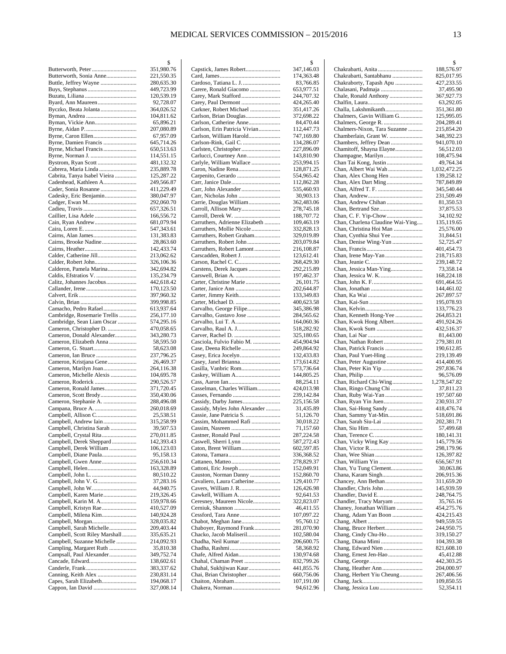|                                                     | \$                       |
|-----------------------------------------------------|--------------------------|
|                                                     | 351,980.76               |
| Butterworth, Sonia Anne                             | 221,550.35               |
| Buttle, Jeffrey Wayne                               | 280,635.30<br>449,723.99 |
|                                                     | 120,539.19               |
| Byard, Ann Maureen                                  | 92,728.07                |
| Byczko, Beata Jolanta                               | 364,026.52               |
|                                                     | 104,811.62               |
| Byman, Vickie Ann                                   | 65,896.21                |
|                                                     | 207,080.89               |
| Byrne, Caron Ellen                                  | 67,957.09                |
| Byrne, Damien Francis                               | 645,714.26               |
|                                                     | 650,513.63<br>114,551.15 |
|                                                     | 481,132.32               |
| Cabrera, Maria Linda                                | 235,889.78               |
| Cabrita, Tanya Isabel Vieira                        | 125,287.22               |
| Cadenhead, Kathleen A                               | 249,566.87               |
| Cader, Sonia Rosanne                                | 411,229.49               |
| Cadesky, Eric Benjamin                              | 380,047.97               |
|                                                     | 292,060.70               |
|                                                     | 657,326.51               |
| Caillier, Lisa Adele                                | 166,556.72               |
|                                                     | 681,079.94<br>547,343.61 |
|                                                     | 131,383.83               |
| Cairns, Brooke Nadine                               | 28,863.60                |
|                                                     | 142,433.74               |
| Calder, Catherine Jill                              | 213,062.62               |
|                                                     | 326,106.36               |
| Calderon, Pamela Marina                             | 342,694.82               |
| Caldis, Efstratios V.                               | 135,234.79               |
| Calitz, Johannes Jacobus                            | 442,618.42               |
|                                                     | 170,123.50               |
|                                                     | 397,960.32<br>399,998.85 |
| Camacho, Pedro Rafael                               | 613,937.64               |
| Cambridge, Rosemarie Trellis                        | 256,177.10               |
| Cambridge, Sean Liam Oscar                          | 574,295.16               |
| Cameron, Christopher D.                             | 470,058.65               |
| Cameron, Donald Alexander                           | 343,280.73               |
| Cameron, Elizabeth Anna                             | 58,595.50                |
|                                                     | 58,623.08                |
|                                                     | 237,796.25               |
| Cameron, Kristjana Gene<br>Cameron, Marilyn Joan    | 26,469.37<br>264,116.38  |
| Cameron, Michelle Alexis                            | 104,695.78               |
|                                                     | 290,526.57               |
| Cameron, Ronald James                               | 371,720.45               |
|                                                     | 350,430.06               |
| Cameron, Stephanie A.                               | 288,496.08               |
| Campana, Bruce A.                                   | 260,018.69               |
| Campbell, Allison C                                 | 25,538.51                |
| Campbell, Andrew Iain                               | 315,258.99               |
| Campbell, Christina Sarah<br>Campbell, Crystal Rita | 39,507.53<br>270,011.85  |
| Campbell, Derek Sheppard                            | 142,393.43               |
| Campbell, Derek William                             | 106,123.03               |
| Campbell, Diane Paula                               | 95,158.13                |
| Campbell, Gwen Anne                                 | 256,610.34               |
|                                                     | 163,328.89               |
| Campbell, John L.                                   | 80,510.22                |
|                                                     | 37,283.16                |
| Campbell, John W                                    | 44,940.75                |
| Campbell, Karen Marie                               | 219,326.45               |
| Campbell, Karin M. A<br>Campbell, Kristyn Rae       | 159,978.66<br>410,527.09 |
| Campbell, Milena Kim                                | 140,924.28               |
|                                                     | 328,035.82               |
| Campbell, Sarah Michelle                            | 209,403.44               |
| Campbell, Scott Riley Marshall                      | 335,635.21               |
| Campbell, Suzanne Michelle                          | 214,092.93               |
| Campling, Margaret Ruth                             | 35,810.38                |
| Campsall, Paul Alexander                            | 349,752.74               |
| Cancade, Edward                                     | 138,602.61<br>383,337.62 |
|                                                     | 230,831.14               |
| Capes, Sarah Elizabeth                              | 194,068.17               |
| Cappon, Ian David                                   | 327,008.14               |

|                                                  | \$                       |
|--------------------------------------------------|--------------------------|
| Capstick, James Robert                           | 347,146.03               |
|                                                  | 174,363.48               |
| Cardoso, Tatiana L. J.                           | 83,766.85                |
| Carere, Ronald Giacomo                           | 653,977.51               |
|                                                  | 244,707.32               |
| Carey, Paul Dermont                              | 424,265.40               |
| Carkner, Robert Michael                          | 351,417.26               |
| Carlson, Brian Douglas                           | 372,698.22               |
| Carlson, Catherine Anne                          | 84,470.44                |
| Carlson, Erin Patricia Vivian                    | 112,447.73               |
| Carlson, William Harold<br>Carlson-Rink, Gail C. | 747,169.80<br>134,286.07 |
|                                                  | 227,896.09               |
|                                                  | 143,810.90               |
| Carlyle, William Wallace                         | 253,994.15               |
| Caron, Nadine Rena                               | 128,871.25               |
|                                                  | 554,965.42               |
|                                                  | 112,862.28               |
| Carr, John Alexander                             | 535,460.93               |
|                                                  | 30,903.13                |
| Carrie, Douglas William                          | 362,483.06               |
|                                                  | 278,745.18               |
|                                                  | 188,707.72               |
| Carruthers, Adrienne Elizabeth                   | 109,463.19               |
| Carruthers, Mollie Nicole                        | 332,828.13               |
| Carruthers, Robert Graham                        | 329,019.89               |
| Carruthers, Robert John                          | 203,079.84               |
| Carruthers, Robert Lamont                        | 216,108.87               |
| Carscadden, Robert J.                            | 123,612.41               |
|                                                  | 268,429.30               |
| Carstens, Derek Jacques                          | 292,215.89               |
|                                                  | 197,462.37               |
| Carter, Christine Marie                          | 26,101.75                |
|                                                  | 202,644.87               |
| Carter, Jimmy Keith                              | 133,349.83               |
|                                                  | 400,623.58               |
| Carvalho, George Filipe                          | 345,386.98               |
| Carvalho, Gustavo Jose                           | 284,565.62               |
|                                                  | 164,060.36               |
| Carvalho, Raul A. J                              | 518,282.92               |
|                                                  | 325,180.65               |
| Casciola, Fulvio Fabio M.                        | 454,904.94               |
|                                                  | 249,864.92               |
|                                                  | 132,433.83               |
| Casey, Janel Brianna                             | 173,614.82               |
| Casilla, Vanbric Rom<br>Caskey, William A        | 573,736.64               |
|                                                  | 144,805.25               |
| Casselman, Charles William                       | 88,254.11<br>424,013.98  |
|                                                  | 239,142.84               |
| Cassidy, Darby James                             | 225,156.58               |
| Cassidy, Myles John Alexander                    | 31,435.89                |
| Cassie, Jane Patricia S.                         | 51,126.70                |
| Cassim, Mohammed Rafi                            | 30,018.22                |
|                                                  | 71,157.60                |
| Castner, Ronald Paul                             | 287,224.58               |
| Caswell, Sherri Lynn                             | 587,272.43               |
|                                                  | 602,597.85               |
|                                                  | 336,368.52               |
|                                                  | 278,829.37               |
|                                                  | 152,049.91               |
| Causton, Norman Danny                            | 152,860.70               |
| Cavaliero, Laura Catherine                       | 129,410.77               |
|                                                  | 126,426.98               |
|                                                  | 92,641.53                |
| Ceresney, Maureen Nicole                         | 322,823.07               |
|                                                  | 46,411.55                |
|                                                  | 107,097.22               |
| Chabot, Meghan Jane                              | 95,760.12                |
| Chaboyer, Raymond Frank                          | 281,070.90               |
| Chacko, Jacob Maliseril                          | 102,580.04               |
| Chadha, Neil Kumar                               | 206,600.75               |
|                                                  | 58,368.92                |
|                                                  | 130,974.68               |
| Chahal, Chaman Preet                             | 832,799.26               |
| Chahal, Sukhjiwan Kaur                           | 441,855.76               |
| Chai, Brian Christopher                          | 660,756.06               |
| Chaiton, Abraham                                 | 107,191.00               |
|                                                  | 94,612.96                |

|                                                       | \$                       |
|-------------------------------------------------------|--------------------------|
| Chakrabarti, Anita                                    | 188,576.97               |
| Chakrabarti, Santabhanu                               | 825,017.95               |
| Chakraborty, Tapash Apu<br>Chalasani, Padmaja         | 427,233.55<br>37,495.90  |
| Chale, Ronald Anthony                                 | 367,927.73               |
|                                                       | 63,292.05                |
| Challa, Lakshmikanth                                  | 351,361.80               |
| Chalmers, Gavin William G                             | 125,995.05               |
| Chalmers, George R.                                   | 204,289.41               |
| Chalmers-Nixon, Tara Suzanne<br>Chamberlain, Grant W. | 215,854.20<br>348,392.23 |
| Chambers, Jeffrey Dean                                | 941,070.10               |
| Chamitoff, Shayna Elayne                              | 56,512.03                |
| Champagne, Marilyn                                    | 108,475.94               |
| Chan Tai Kong, Justin                                 | 49,764.34                |
| Chan, Albert Wai Wah                                  | 1,032,472.25             |
|                                                       | 139,258.12<br>787,849.89 |
|                                                       | 345,540.44               |
|                                                       | 231,509.49               |
| Chan, Andrew Chihan                                   | 81,350.53                |
|                                                       | 37,875.53                |
| Chan, Charlena Claudine Wai-Ying                      | 34,102.92<br>135,119.65  |
| Chan, Christina Hoi Man                               | 25,576.00                |
| Chan, Cynthia Shui Yee                                | 31,844.51                |
| Chan, Denise Wing-Yun                                 | 52,725.47                |
|                                                       | 401,454.73               |
|                                                       | 218,715.83<br>239,148.72 |
| Chan, Jessica Man-Ying                                | 73,358.14                |
|                                                       | 168,224.18               |
|                                                       | 691,464.55               |
|                                                       | 144,461.02               |
|                                                       | 267,897.57<br>195,078.93 |
|                                                       | 133,776.23               |
| Chan, Kenneth Hong-Yee                                | 264,853.21               |
| Chan, Kwok Hong Albert                                | 491,924.26               |
|                                                       | 432,516.37<br>81,443.00  |
|                                                       | 279,381.01               |
|                                                       | 190,612.85               |
|                                                       | 219,139.49               |
|                                                       | 414,400.95<br>297,836.74 |
|                                                       | 96,576.09                |
| Chan, Richard Chi-Wing                                | 1,278,547.82             |
| Chan, Ringo Chung Chi                                 | 37,811.23                |
|                                                       | 197,507.60<br>230,931.37 |
| Chan, Sai-Hong Sandy                                  | 418,476.74               |
| Chan, Sammy Yat-Min                                   | 518,691.86               |
| Chan, Sarah Siu-Lai                                   | 202,381.71               |
| Chan, Siu Him                                         | 57,499.68                |
| Chan, Vicky Wing Kay                                  | 180,141.31<br>145,779.56 |
|                                                       | 298,179.96               |
|                                                       | 126,397.82               |
| Chan, William Yin                                     | 656,567.91               |
| Chan, Yu Tung Clement<br>Chana, Karam Singh           | 30,063.86<br>206,915.36  |
|                                                       | 311,659.20               |
|                                                       | 145,939.59               |
| Chandler, David E.                                    | 248,764.75               |
| Chandler, Tracy Maryam<br>Chaney, Jonathan William    | 35,765.16<br>454,275.76  |
| Chang, Adam Yan Boon                                  | 424,215.43               |
|                                                       | 949,559.55               |
|                                                       | 244,950.75               |
| Chang, Cindy Chu-Ho<br>Chang, Diana Mimi              | 319,150.27<br>104,393.38 |
| Chang, Edward Nien                                    | 821,608.10               |
|                                                       | 45,412.88                |
|                                                       | 442,303.25               |
|                                                       | 204,000.97<br>267,406.56 |
| Chang, Herbert Yiu Cheung                             | 109,850.55               |
|                                                       | 52,354.11                |
|                                                       |                          |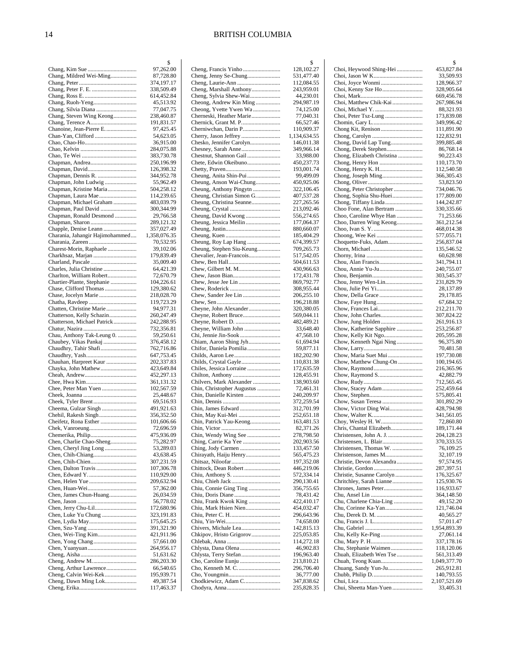|                                                     | \$                       |
|-----------------------------------------------------|--------------------------|
|                                                     | 97,262.00                |
| Chang, Mildred Wei-Ming                             | 87,728.80<br>374,197.17  |
|                                                     | 338,509.49               |
|                                                     | 614,452.84               |
| Chang, Ruoh-Yeng                                    | 45,513.92                |
| Chang, Silvia Diana                                 | 77,047.75                |
| Chang, Steven Wing Keong                            | 238,460.87               |
| Chang, Terence A<br>Chanoine, Jean-Pierre E.        | 191,831.57<br>97,425.45  |
|                                                     | 54,623.05                |
|                                                     | 36,915.00                |
|                                                     | 284,075.88               |
|                                                     | 383,730.78               |
|                                                     | 250,196.99<br>126,398.32 |
| Chapman, Dennis R.                                  | 344,952.78               |
| Chapman, John Ludwig                                | 55,962.49                |
| Chapman, Kristine Maria                             | 504,258.12               |
| Chapman, Laura Mae                                  | 114,239.65               |
| Chapman, Michael Graham                             | 483,039.79               |
| Chapman, Paul David<br>Chapman, Ronald Desmond      | 300,344.99               |
|                                                     | 29,766.58<br>289,121.32  |
| Chapple, Denise Leann                               | 357,027.49               |
| Charania, Jahangir Hajimohammed                     | 1,358,076.35             |
|                                                     | 70,532.95                |
| Charest-Morin, Raphaele                             | 39,102.06                |
| Charkhsaz, Marjan                                   | 179,839.49<br>35,009.40  |
| Charles, Julia Christine                            | 64,421.39                |
| Charlton, William Robert                            | 72,670.79                |
| Chartier-Plante, Stephanie                          | 104,226.61               |
| Chase, Clifford Thomas                              | 129,380.62               |
|                                                     | 218,028.70<br>119,723.29 |
| Chatten, Christine Marie                            | 94,977.31                |
| Chatterson, Kelly Schazin                           | 260,247.49               |
| Chatterson, Michael Patrick                         | 242,288.95               |
|                                                     | 732,356.81               |
| Chau, Anthony Tak-Leung 0.<br>Chaubey, Vikas Pankaj | 59,250.61<br>376,458.12  |
| Chaudhry, Tahir Shafi                               | 762,716.86               |
|                                                     | 647,753.45               |
| Chauhan, Harpreet Kaur                              | 202,337.83               |
| Chayka, John Mathew                                 | 423,649.84<br>452,297.13 |
|                                                     | 361,131.32               |
| Chee, Peter Man Yuen                                | 102,567.59               |
|                                                     | 25,448.67                |
| Cheek, Tyler Brent                                  | 69,516.93<br>491,921.63  |
| Chehil, Rakesh Singh                                | 356,352.50               |
| Cheifetz, Rona Esther                               | 101,606.66               |
|                                                     | 72,696.59                |
| Chemerika, Philip                                   | 475,936.09               |
| Chen, Charlie Chao-Sheng                            | 75,282.97<br>53,289.03   |
|                                                     | 43,638.45                |
|                                                     | 307,231.59               |
|                                                     | 107,306.78               |
|                                                     | 110,929.00<br>209,632.94 |
|                                                     | 57,362.00                |
| Chen, James Chun-Huang                              | 26,034.59                |
|                                                     | 56,778.02                |
|                                                     | 172,680.96               |
|                                                     | 323,191.83<br>175,645.25 |
|                                                     | 391,321.90               |
|                                                     | 421,911.96               |
|                                                     | 57,661.00                |
|                                                     | 264,956.17<br>51,631.62  |
|                                                     | 286,203.30               |
| Cheng, Arthur Lawrence                              | 66,540.65                |
| Cheng, Calvin Wei-Kek                               | 195,939.71               |
| Cheng, Dawn Ming Lok                                | 49,387.54                |
|                                                     | 117,463.37               |

|                                               | \$                       |
|-----------------------------------------------|--------------------------|
|                                               | 128,102.27               |
|                                               | 531,477.40               |
| Cheng, Marshall Anthony                       | 112,084.55<br>243,959.01 |
| Cheng, Sylvia Shew-Wai                        | 44,230.01                |
| Cheong, Andrew Kin Ming                       | 294,987.19               |
| Cheong, Yvette Ywen Wa                        | 74,125.00                |
| Cherneski, Heather Marie                      | 77,040.31                |
| Chernick, Grant M. P                          | 66,527.46                |
| Cherniwchan, Darin P                          | 110,909.37               |
|                                               | 1,134,634.55             |
| Chesko, Jennifer Carolyn                      | 146,011.38               |
| Chesney, Sarah Anne<br>Chestnut, Shannon Gail | 349,966.14<br>33,988.00  |
| Chete, Edwin Okeibuno                         | 450,237.73               |
|                                               | 193,001.74               |
| Cheung, Anita Shin-Pui                        | 99,499.09                |
| Cheung, Anson Wai-Chung                       | 450,925.06               |
| Cheung, Anthony Pingytn                       | 322,106.45               |
| Cheung, Christian Simon G                     | 407,537.28               |
| Cheung, Christina Seanne                      | 227,265.56               |
|                                               | 213,092.46               |
| Cheung, David Kwong                           | 556,274.65<br>177,064.37 |
|                                               | 880,660.07               |
|                                               | 185,404.29               |
| Cheung, Roy Lap Hang                          | 674,399.57               |
| Cheung, Stephen Siu-Keung                     | 709,265.73               |
| Chevalier, Jean-Francois                      | 517,542.05               |
|                                               | 504,611.53               |
| Chew, Gilbert M. M                            | 430,966.63               |
|                                               | 172,431.78               |
|                                               | 869,792.77<br>308,955.44 |
| Chew, Sander Jee Lin                          | 206,255.10               |
|                                               | 196,218.88               |
| Cheyne, John Alexander                        | 320,380.05               |
| Cheyne, Robert Bruce                          | 569,044.11               |
|                                               | 482,489.21               |
|                                               | 33,648.40                |
|                                               | 47,568.10                |
| Chiam, Aaron Shing Jyh                        | 61,694.94                |
| Chifor, Daniela Pomilia                       | 59,877.11<br>182,202.90  |
|                                               | 110,831.38               |
|                                               | 172,635.59               |
|                                               | 128,455.91               |
| Chilvers, Mark Alexander                      | 138,903.60               |
| Chin, Christopher Augustus                    | 72,461.31                |
| Chin, Danielle Kirsten                        | 240,209.97               |
|                                               | 372,259.54               |
|                                               | 312,701.99               |
|                                               | 252,651.18               |
| Chin, Patrick Yau-Keong                       | 163,481.53<br>82,371.26  |
| Chin, Wendy Wing See                          | 278,798.50               |
|                                               | 202,903.56               |
|                                               | 133,457.50               |
| Chirayath, Haiju Henry                        | 565,475.23               |
|                                               | 197,352.08               |
| Chittock, Dean Robert                         | 446,219.06               |
|                                               | 572,334.14               |
|                                               | 290,130.41               |
| Chiu, Connie Ging Ting                        | 356,755.65<br>78,431.42  |
| Chiu, Frank Kwok King                         | 422,410.17               |
| Chiu, Mark Hsien Nien                         | 454,032.47               |
|                                               | 296,643.96               |
|                                               | 74,658.00                |
|                                               | 142,815.13               |
| Chkipov, Hristo Grigorov                      | 225,053.85               |
|                                               | 114,272.18               |
| Chlysta, Dana Olena                           | 46,902.83                |
| Chlysta, Terry Stefan                         | 196,963.40               |
|                                               | 213,810.21<br>296,706.40 |
|                                               | 36,777.00                |
| Chodkiewicz, Adam C                           | 347,838.62               |
|                                               | 235,828.35               |
|                                               |                          |

|                                                       | \$                         |
|-------------------------------------------------------|----------------------------|
| Choi, Heywood Shing-Hei                               | 453,827.84                 |
|                                                       | 33,509.93                  |
| Choi, Joyce Wonmi                                     | 128,966.37<br>328,905.64   |
|                                                       | 669,456.78                 |
| Choi, Matthew Chik-Kai                                | 267,986.94                 |
|                                                       | 88,321.93                  |
|                                                       | 173,839.08                 |
|                                                       | 349,996.42<br>111,891.90   |
|                                                       | 122,832.91                 |
| Chong, David Lap Tung                                 | 399,885.48                 |
| Chong, Derek Stephen                                  | 86,768.14                  |
| Chong, Elizabeth Christina<br>Chong, Henry Hon        | 90,223.43<br>110,173.70    |
| Chong, Henry K. H                                     | 112,540.58                 |
| Chong, Joseph Ming                                    | 366, 305. 43               |
|                                                       | 53,823.50                  |
| Chong, Peter Christopher<br>Chong, Sophia Shu-Huei    | 734,046.76<br>177,809.00   |
| Chong, Tiffany Linda                                  | 144,242.87                 |
| Choo Fone, Alan Bertram                               | 330,335.66                 |
| Choo, Caroline Whye Han                               | 71,253.66                  |
| Choo, Darren Wing Keong                               | 361,212.54                 |
|                                                       | 468,014.38<br>577,055.71   |
| Choquette-Fuks, Adam                                  | 256,837.04                 |
|                                                       | 135,546.52                 |
|                                                       | 60,628.98                  |
|                                                       | 341,794.11<br>240,755.07   |
|                                                       | 303,545.37                 |
|                                                       | 231,829.79                 |
|                                                       | 28,137.89                  |
| Chow, Della Grace                                     | 29,178.85                  |
| Chow, Faye Hung                                       | 67,684.32<br>212,211.70    |
| Chow, John Charles                                    | 307,824.22                 |
|                                                       | 261,916.13                 |
| Chow, Katherine Sapphire                              | 253,256.87                 |
| Chow, Kelly Kit Ngo<br>Chow, Kenneth Ngai Ning        | 205,595.28<br>96,375.80    |
|                                                       | 70,481.58                  |
| Chow, Maria Suet Mui                                  | 197,730.08                 |
| Chow, Matthew Chung-On                                | 100,194.65                 |
| Chow, Raymond S                                       | 216,365.96<br>42,882.79    |
|                                                       | 712,565.45                 |
|                                                       | 252,459.64                 |
|                                                       | 575,805.41                 |
| Chow, Victor Ding Wai                                 | 301,892.29<br>428,794.98   |
|                                                       | 341,561.05                 |
| Choy, Wesley H. W                                     | 72,860.80                  |
|                                                       | 189, 171.44                |
|                                                       | 204,128.23                 |
| Christensen, Thomas W.                                | 370,333.55<br>76,109.25    |
| Christenson, James M                                  | 32,107.19                  |
| Christie, Devon Alexandra                             | 97,574.95                  |
|                                                       | 287,397.51                 |
| Christie, Susanne Carolyn<br>Chritchley, Sarah Lianne | 176,325.67<br>125,930.76   |
| Chrones, James Peter                                  | 116,933.67                 |
|                                                       | 364,148.50                 |
| Chu, Charlene Chia-Ling                               | 49,152.20                  |
|                                                       | 121,746.04<br>40,565.27    |
|                                                       | 57,011.47                  |
|                                                       | 1,954,893.39               |
|                                                       | 27,061.14                  |
|                                                       | 337,178.16<br>118,120.06   |
| Chu, Stephanie Waimen<br>Chuah, Elizabeth Wen Tse     | 561,313.49                 |
| Chuah, Teong Kuan                                     | 1,049,377.70               |
| Chuang, Sandy Yun-Ju                                  | 265,912.81                 |
|                                                       | 140,793.55<br>2,107,521.69 |
| Chui, Sheetta Man-Yuen                                | 33,405.31                  |
|                                                       |                            |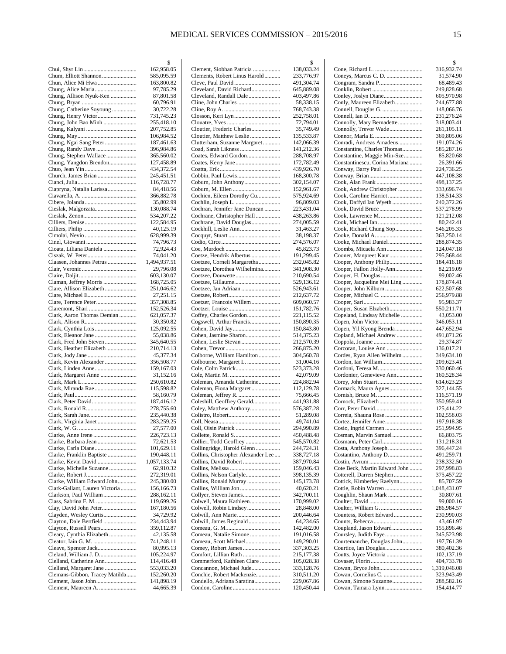|                                                          | \$                        |
|----------------------------------------------------------|---------------------------|
|                                                          | 162,958.05                |
| Chum, Elliott Shannon                                    | 585,095.59                |
|                                                          | 163,800.82                |
|                                                          | 97,785.29                 |
| Chung, Allison Nyuk-Ken                                  | 87,801.58<br>60,796.91    |
| Chung, Catherine Soyoung                                 | 30,722.28                 |
|                                                          | 731,745.23                |
| Chung, John Bao Minh                                     | 255,418.10                |
|                                                          | 207,752.85                |
|                                                          | 106,984.52                |
| Chung, Ngai Sang Peter                                   | 187,461.63                |
| Chung, Randy Dave                                        | 396,984.86                |
| Chung, Stephen Wallace                                   | 365,560.02                |
| Chung, Yangdon Brendon                                   | 127,458.89                |
|                                                          | 434,372.54<br>245,451.51  |
| Church, James Brian                                      | 116,728.77                |
| Ciapryna, Natalia Larissa                                | 84,418.56                 |
|                                                          | 366,882.78                |
|                                                          | 35,802.99                 |
| Cieslak, Malgorzata                                      | 130,088.74                |
|                                                          | 534,207.22                |
|                                                          | 122,584.95                |
|                                                          | 40,125.19                 |
|                                                          | 628,999.39                |
|                                                          | 74,796.73                 |
| Cioata, Liliana Daniela                                  | 72,924.43                 |
| Claasen, Johannes Petrus                                 | 74,041.20<br>1,494,937.51 |
|                                                          | 29,796.08                 |
|                                                          | 603,130.07                |
| Claman, Jeffrey Morris                                   | 168,725.05                |
| Clare, Allison Elizabeth                                 | 251,046.62                |
|                                                          | 27,251.15                 |
|                                                          | 357,308.85                |
|                                                          | 152,526.34                |
| Clark, Aaron Thomas Demian                               | 621,057.37<br>30,350.82   |
|                                                          | 125,092.55                |
|                                                          | 55,038.86                 |
| Clark, Fred John Steven                                  | 345,640.55                |
| Clark, Heather Elizabeth                                 | 210,714.13                |
|                                                          | 45,377.34                 |
| Clark, Kevin Alexander                                   | 356,508.77                |
| Clark, Linden Anne                                       | 159,167.03<br>31,152.16   |
|                                                          | 250,610.82                |
| Clark, Miranda Rae                                       | 115,598.82                |
|                                                          | 58,160.79                 |
|                                                          | 187,416.12                |
|                                                          | 278,755.60                |
|                                                          | 235,440.38                |
| Clark, Virginia Janet                                    | 283,259.25                |
|                                                          | 27,577.00<br>226,723.13   |
| Clarke, Barbara Jean                                     | 72,621.53                 |
|                                                          | 101,629.11                |
| Clarke, Franklin Baptiste                                | 190,448.11                |
| Clarke, Kevin David                                      | 1,057,133.74              |
| Clarke, Michelle Suzanne                                 | 62,910.32                 |
|                                                          | 272,319.01                |
| Clarke, William Edward John                              | 245,380.00                |
| Clark-Gallant, Lauren Victoria<br>Clarkson, Paul William | 156,166.73<br>288,162.11  |
| Class, Sabrina F. M.                                     | 119,699.26                |
| Clay, David John Peter                                   | 167,180.56                |
| Clayden, Wesley Curtis                                   | 34,729.92                 |
| Clayton, Dale Bertfield                                  | 234,443.94                |
| Clayton, Russell Pears                                   | 359,112.87                |
| Cleary, Cynthia Elizabeth                                | 42,135.58                 |
|                                                          | 741,248.11                |
| Cleland, William J. D                                    | 80,995.13<br>105,224.97   |
| Clelland, Catherine Ann                                  | 114,416.48                |
| Clelland, Margaret Jane                                  | 553,033.20                |
| Clemans-Gibbon, Tracey Matilda                           | 152,260.20                |
|                                                          | 141,898.19                |
| Clement, Maureen A.                                      | 44,665.39                 |

|                                                         | \$                       |
|---------------------------------------------------------|--------------------------|
| Clement, Siobhan Patricia                               | 138,033.24               |
| Clements, Robert Linus Harold                           | 233,776.97<br>491,304.74 |
| Cleveland, David Richard                                | 645,889.08               |
| Cleveland, Randall Dale                                 | 403,497.86               |
|                                                         | 58,338.15                |
|                                                         | 768,743.38               |
|                                                         | 252,758.01<br>72,794.01  |
| Cloutier, Frederic Charles                              | 35,749.49                |
| Cloutier, Matthew Leslie                                | 135,533.87               |
| Clutterham, Suzanne Margaret                            | 142,066.39               |
|                                                         | 141,212.36               |
| Coates, Edward Gordon                                   | 288,708.97<br>172,782.49 |
|                                                         | 439,926.70               |
| Cobbin, Paul Lewis                                      | 168,300.78               |
| Coburn, John Anthony                                    | 302,154.07               |
|                                                         | 152,961.67               |
| Cochien, Eileen Dorothy Cu                              | 575,924.69               |
| Cochran, Jennifer Jane Duncan                           | 96,809.03<br>223,431.04  |
| Cochrane, Christopher Hall                              | 438,263.86               |
| Cochrane, David Douglas                                 | 274,005.59               |
|                                                         | 31,463.27                |
|                                                         | 38,198.37                |
|                                                         | 274,576.07               |
|                                                         | 45,823.73                |
| Coetze, Hendrik Albertus<br>Coetzee, Corneli Margaretha | 191,299.45<br>232,045.82 |
| Coetzee, Dorothea Wilhelmina                            | 341,908.30               |
| Coetzee, Douwette                                       | 210,690.54               |
|                                                         | 529,136.12               |
| Coetzee, Jan Adriaan                                    | 526,943.61               |
|                                                         | 212,637.72               |
| Coetzer, Francois Willem                                | 609,060.57               |
| Coffey, Charles Gordon                                  | 151,782.76<br>221,115.52 |
| Cogswell, Arthur Francis                                | 150,890.35               |
|                                                         | 150,843.80               |
| Cohen, Jasmine Sharon                                   | 514,375.23               |
|                                                         | 212,570.39               |
|                                                         | 266,875.20               |
| Colborne, William Hamilton<br>Colbourne, Margaret L.    | 304,560.78<br>31,004.16  |
|                                                         | 523,373.28               |
|                                                         | 42,079.09                |
| Coleman, Amanda Catherine                               | 224,882.94               |
| Coleman, Fiona Margaret                                 | 112,129.78               |
| Coleshill, Geoffrey Gerald                              | 75,666.45<br>441,931.88  |
| Coley, Matthew Anthony                                  | 576,387.28               |
|                                                         | 51,289.08                |
|                                                         | 49,741.04                |
|                                                         | 294,990.89               |
|                                                         | 450,488.48               |
| Collier, Todd Geoffrey<br>Collingridge, Harold Glenn    | 545,570.82<br>244,724.31 |
| Collins, Christopher Alexander Lee                      | 338,727.18               |
| Collins, David Robert                                   | 387,970.84               |
|                                                         | 159,046.43               |
|                                                         | 398,135.39               |
| Collins, Ronald Murray                                  | 145, 173. 78             |
|                                                         | 40,620.21<br>342,700.11  |
| Colwell, Maura Kathleen                                 | 170,999.02               |
| Colwell, Robin Lindsey                                  | 28,848.00                |
|                                                         | 200,446.64               |
| Colwill, James Reginald                                 | 64,234.65                |
|                                                         | 142,482.00               |
| Comeau, Natalie Simone<br>Comeau, Scott Michael         | 191,016.58<br>149,290.01 |
|                                                         | 337,303.25               |
| Comfort, Lillian Ruth                                   | 215,177.38               |
| Commerford, Kathleen Clare                              | 105,028.38               |
| Concannon, Michael Jude                                 | 333,128.76               |
| Conchie, Robert Mackenzie<br>Condello, Adriana Saratina | 310,511.20<br>229,067.86 |
|                                                         | 120,450.44               |
|                                                         |                          |

|                                                         | \$                       |
|---------------------------------------------------------|--------------------------|
|                                                         | 316,932.74               |
| Coneys, Marcus C. D.                                    | 31,574.90                |
|                                                         | 68,489.43                |
|                                                         | 249,828.68               |
| Conley, Joslyn Diane                                    | 605,970.98               |
| Conly, Maureen Elizabeth                                | 244,677.88               |
|                                                         | 148,066.76               |
|                                                         | 231,276.24               |
| Connolly, Mary Bernadette                               | 318,003.41               |
| Connolly, Trevor Wade                                   | 261,105.11               |
|                                                         | 369,805.06               |
| Conradi, Andreas Amadeus<br>Constantine, Charles Thomas | 191,074.26<br>585,287.16 |
| Constantine, Maggie Min-Sze                             | 85,820.68                |
| Constantinescu, Corina Mariana                          | 26,391.66                |
| Conway, Barry Paul                                      | 224,736.25               |
|                                                         | 447,108.38               |
|                                                         | 498,137.25               |
| Cook, Andrew Christopher                                | 333,696.74               |
| Cook, Caroline Harriet                                  | 138,514.33               |
| Cook, Daffyd Ian Wyeth                                  | 240,372.26               |
|                                                         | 537,278.99               |
| Cook, Lawrence M.                                       | 121,212.08               |
|                                                         | 80,242.41                |
| Cook, Richard Chung Sop                                 | 546,205.33               |
| Cooke, Donald A                                         | 363,250.14               |
| Cooke, Michael Daniel                                   | 288,874.35               |
| Coombs, Micaela Ann                                     | 124,047.18               |
| Cooner, Manpreet Kaur                                   | 295,568.44               |
| Cooper, Anthony Philip                                  | 184,416.18               |
| Cooper, Fallon Holly-Ann                                | 82,219.09                |
| Cooper, H. Douglas                                      | 99,002.46                |
| Cooper, Jacqueline Mei Ling                             | 178,874.41               |
| Cooper, John Kilburn                                    | 622,507.68               |
|                                                         | 256,979.88               |
|                                                         | 95,983.37                |
| Cooper, Susan Elzabeth                                  | 550,211.71               |
| Copeland, Lindsay Michelle                              | 43,053.00                |
|                                                         | 346,053.11               |
| Copen, Yil Kyong Brenda                                 | 447,652.94               |
| Copland, Michael Andrew                                 | 491,871.26               |
|                                                         | 29,374.87                |
| Corcoran, Louise Ann                                    | 136,017.21               |
| Cordes, Ryan Allen Wilhelm                              | 349,634.10               |
| Cordon, Ian William                                     | 209,623.41               |
| Cordoni, Teresa M                                       | 330,060.46               |
| Cordonier, Genevieve Ann                                | 160,528.34               |
|                                                         | 614,623.23               |
| Cormack, Maura Agnes                                    | 327,144.55               |
| Cornock, Elizabeth                                      | 116,571.19               |
|                                                         | 350,959.41               |
|                                                         | 125,414.22<br>102,558.03 |
| Correia, Shauna Rose<br>Cortez, Jennifer Anne           | 197,918.38               |
|                                                         | 251,994.95               |
| Cosman, Marvin Samuel                                   | 66,803.75                |
|                                                         | 131,218.31               |
| Costa, Anthony Joseph                                   | 396,447.24               |
| Costantino, Anthony D                                   | 491,259.71               |
|                                                         | 238,332.50               |
| Cote Beck, Martin Edward John                           | 297,998.83               |
| Cotterell, Darren Stephen                               | 375,457.22               |
| Cottick, Kimberley Raelynn                              | 85,707.59                |
|                                                         | 1,048,431.07             |
| Coughlin, Shaun Mark                                    | 30,807.61                |
|                                                         | 99,000.16                |
|                                                         | 286,984.57               |
| Countess, Robert Edward                                 | 230,990.03               |
|                                                         | 43,461.97                |
| Coupland, Jason Edward                                  | 155,896.46               |
| Coursley, Judith Faye                                   | 345,523.98               |
| Courtemanche, Douglas John                              | 197,761.39               |
| Courtice, Ian Douglas                                   | 380,402.36               |
|                                                         | 102,137.19               |
|                                                         | 404,733.78               |
|                                                         | 1,319,046.08             |
|                                                         |                          |
|                                                         | 323,943.49               |
| Cowan, Simone Suzanne<br>Cowan, Tamara Lynn             | 288,582.16<br>154,414.77 |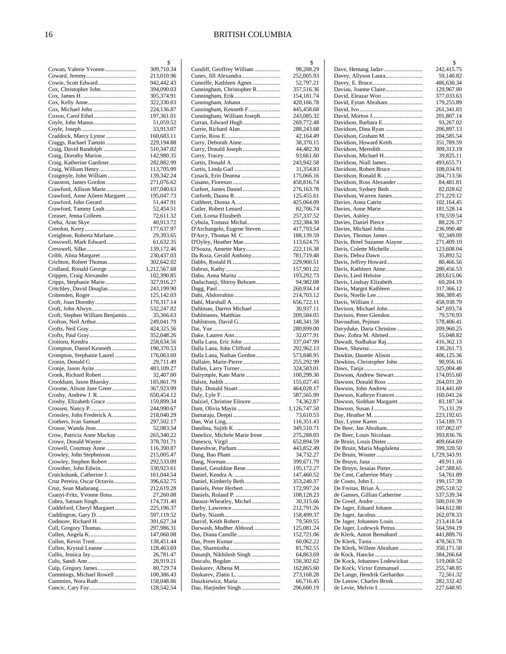|                                                           | 2                        |
|-----------------------------------------------------------|--------------------------|
| Cowan, Valerie Yvonne                                     | 309,710.34<br>213,010.96 |
| Cowie, Scott Edward                                       | 942,442.43               |
| Cox, Christopher John                                     | 394,090.03               |
|                                                           | 305,374.91               |
|                                                           | 322,330.03               |
|                                                           | 224,136.87<br>197,361.01 |
|                                                           | 51,059.52                |
|                                                           | 33,913.07                |
| Craddock, Marcy Lynne                                     | 160,683.11               |
| Craggs, Rachael Tamsin                                    | 229,194.88               |
| Craig, David Randolph                                     | 510,347.02<br>142,980.35 |
| Craig, Katherine Gardiner                                 | 282,882.99               |
|                                                           | 113,705.99               |
| Craigmyle, John William                                   | 139,342.24               |
| Cranston, James Gordon                                    | 271,076.62               |
| Crawford, Allison Marie<br>Crawford, Anne Aileen Margaret | 107,040.63               |
| Crawford, John Gerard                                     | 195,047.73<br>51,447.91  |
| Crawford, Tammy Leah                                      | 52,454.51                |
| Creaser, Jenna Colleen                                    | 72,611.32                |
|                                                           | 40,913.72                |
|                                                           | 177,637.97               |
| Creighton, Roberta Marlane<br>Cresswell, Mark Edward      | 29,393.65                |
|                                                           | 61,632.35<br>139,172.46  |
| Cribb, Alina Margaret                                     | 230,437.03               |
| Crichton, Robert Thomas                                   | 302,642.02               |
| Cridland, Ronald George                                   | 1,212,567.68             |
| Crippen, Craig Alexander                                  | 102,390.85               |
| Cripps, Stephanie Marie<br>Critchley, David Douglas       | 327,916.27<br>243,199.90 |
|                                                           | 125,142.03               |
|                                                           | 170,317.14               |
| Croft, John Alwyn                                         | 532,247.82               |
| Croft, Stephen William Benjamin                           | 35,366.63                |
| Crofton, Neil Arthur                                      | 249,041.79               |
|                                                           | 424,325.56<br>352,048.26 |
|                                                           | 258,634.56               |
| Crompton, Daniel Kenneth                                  | 190,370.53               |
| Crompton, Stephanie Laurel                                | 176,063.69               |
|                                                           | 29,711.49                |
| Cronk, Richard Robert                                     | 483,109.27<br>32,407.00  |
| Crookham, Jason Bluesky                                   | 185,861.79               |
| Croome, Alison Jane Greer                                 | 367,923.99               |
| Crosby, Andrew J. R.                                      | 650,454.12               |
| Crosby, Elizabeth Grace                                   | 159,899.34               |
| Crossley, John Frederick A.                               | 244,990.67<br>218,040.29 |
| Crothers, Ivan Samuel                                     | 297,502.17               |
| Crouse, Wanda Jean                                        | 52,083.54                |
| Crow, Patricia Anne Mackay                                | 265,340.22               |
| Crowe, Donald Wayne                                       | 378,701.71               |
| Crowell, Courtnay Anne<br>Crowley, John Stephenson        | 116,390.87<br>215,005.47 |
| Crowley, Stephen Robert                                   | 292,533.09               |
| Crowther, John Edwin                                      | 330,923.61               |
| Cruickshank, Catherine J.                                 | 161,044.54               |
| Cruz Pereira, Oscar Octavio                               | 396,632.75               |
|                                                           | 212,619.28               |
| Csanyi-Fritz, Yvonne Ilona                                | 27,260.08<br>174,731.40  |
| Cuddeford, Cheryl Margaret                                | 225,196.37               |
| Cuddington, Gary D.                                       | 597,119.52               |
| Cudmore, Richard H.                                       | 391,627.34               |
|                                                           | 297,986.31               |
| Cullen, Kevin Trent                                       | 147,060.08               |
| Cullen, Krystal Leanne                                    | 138,451.44<br>128,463.69 |
|                                                           | 26,781.47                |
|                                                           | 28,919.21                |
|                                                           | 80,729.74                |
| Cummings, Michael Rowell<br>Cummins, Nora Ruth            | 100,386.43               |
|                                                           | 158,048.86<br>128,542.54 |
|                                                           |                          |

|                                                     | \$                        |
|-----------------------------------------------------|---------------------------|
| Cundiff, Geoffrey William<br>Cunes, Jill Alexandra  | 98,288.29<br>252,005.93   |
| Cunniffe, Kathleen Agnes                            | 52,797.21                 |
| Cunningham, Christopher R.                          | 357,516.36                |
|                                                     | 154,181.74                |
| Cunningham, Johann                                  | 420,166.78                |
| Cunningham, Kenneth F<br>Cunningham, William Joseph | 445,458.68<br>243,085.32  |
| Curran, Edward Hugh                                 | 269,772.48                |
| Currie, Richard Alan                                | 288,243.68                |
|                                                     | 42,164.49                 |
| Curry, Deborah Anne                                 | 38,370.15                 |
| Curry, Donald Joseph                                | 44,482.30<br>93,661.60    |
|                                                     | 243,942.58                |
|                                                     | 31,354.83                 |
| Cusack, Erin Deanna                                 | 175,066.16                |
|                                                     | 458,816.74                |
| Cutfeet, James Daniel<br>Cutforth, Dauna R          | 276,163.78<br>125,455.61  |
| Cuthbert, Donna A                                   | 425,064.09                |
| Cutler, Robert Lenard                               | 82,706.74                 |
| Cutt, Lorna Elizabeth                               | 257,337.52                |
| Cybula, Tomasz Michal                               | 232,384.30                |
| D'Archangelo, Eugene Steven                         | 417,793.54<br>188,139.59  |
| D'Arcy, Thomas M. C<br>D'Oyley, Heather Mae         | 113,624.75                |
| D'Souza, Annette Mary                               | 222,116.38                |
| Da Roza, Gerald Anthony                             | 781,719.48                |
|                                                     | 229,960.51                |
|                                                     | 157,901.22                |
| Dabu, Anna Marita<br>Dadachanji, Shiroy Behram      | 193,292.73<br>94,982.08   |
|                                                     | 260,934.14                |
| Dahi, Abdorrahim                                    | 214,703.12                |
|                                                     | 656,722.11                |
| Dahlman, Darren Michael                             | 30,937.11                 |
| Dahlmanns, Matthias<br>Dahlstrom, David G           | 209,584.05<br>148,341.58  |
|                                                     | 280,899.00                |
|                                                     | 32,077.91                 |
| Dalla Lana, Eric John                               | 337,047.99                |
| Dalla Lana, John Clifford                           | 292,962.13                |
| Dalla Lana, Nathan Gordon<br>Dallaire, Marie-Pierre | 573,848.95<br>255,292.99  |
| Dallen, Larry Turner                                | 324,583.01                |
| Dalrymple, Kate Marie                               | 100,299.30                |
|                                                     | 155,027.45                |
|                                                     | 464,028.17                |
|                                                     | 587,565.99                |
| Dalziel, Christine Elinore<br>Dam, Olivia Mayin     | 74,362.87<br>1,126,747.50 |
|                                                     | 73,610.55                 |
|                                                     | 116,351.43                |
| Dandina, Sujith K.                                  | 349,510.71                |
| Danelice, Michele Marie Irene                       | 275,288.03<br>652,894.59  |
|                                                     | 443,852.49                |
|                                                     | 34,732.27                 |
|                                                     | 399,671.79                |
| Daniel, Geraldine Rene                              | 195,172.27                |
|                                                     | 147,460.52                |
| Daniel, Kimberly Beth<br>Daniels, Peter Herbert     | 353,240.37<br>172,997.24  |
|                                                     | 108,128.23                |
| Daoust-Wheatley, Michel                             | 30,315.66                 |
|                                                     | 212,791.26                |
|                                                     | 158,499.37                |
| Darcel, Keith Robert<br>Darwash, Mudher Abbood      | 79,569.55<br>125,081.24   |
|                                                     | 152,721.06                |
|                                                     | 60,062.22                 |
|                                                     | 81,782.55                 |
| Dasanjh, Nikhilesh Singh                            | 64,863.69                 |
| Dascalu, Bogdan<br>Daskarev, Albena M.              | 156,302.62                |
|                                                     | 162,865.60<br>273,168.28  |
| Daszkiewicz, Maria                                  | 66,716.45                 |
| Dau, Harjinder Singh                                | 296,660.19                |
|                                                     |                           |

|                                                         | \$                       |
|---------------------------------------------------------|--------------------------|
| Dave, Hemang Jadav                                      | 242,415.75               |
| Davey, Allyson Laura                                    | 59,140.82                |
| Daviau, Joanne Claire                                   | 486,630.34<br>129,967.80 |
| David, Eleazar Woo                                      | 377,033.63               |
| David, Eytan Abraham                                    | 179,255.89               |
|                                                         | 261,341.83               |
| Davidson, Barbara E                                     | 201,807.14               |
| Davidson, Dina Ryan                                     | 93,267.02<br>206,897.13  |
| Davidson, Graham M.                                     | 204,585.54               |
| Davidson, Howard Keith                                  | 351,789.59               |
| Davidson, Meredith                                      | 309,313.19               |
| Davidson, Michael H                                     | 39,825.11<br>493,655.71  |
| Davidson, Robert Bruce                                  | 108,034.91               |
| Davidson, Ronald R.                                     | 204,713.56               |
| Davidson, Ross Alexander                                | 84,481.81                |
| Davidson, Sydney Beth                                   | 82,028.62                |
| Davidson, Warren James<br>Davies, Anna Catrin           | 271,229.12<br>102,164.45 |
|                                                         | 181,528.14               |
|                                                         | 170,559.54               |
| Davies, Daniel Pierce                                   | 88,226.37                |
| Davies, Michael John                                    | 236,990.48               |
| Davies, Thomas James<br>Davis, Breel Suzanne Alayne     | 92,349.09<br>271,409.10  |
| Davis, Colette Michelle                                 | 123,608.04               |
|                                                         | 35,892.52                |
| Davis, Jeffrey Howard                                   | 80,466.56                |
| Davis, Kathleen Anne                                    | 280,456.53               |
| Davis, Liesl Heloise<br>Davis, Lindsay Elizabeth        | 283,615.06<br>60,204.19  |
| Davis, Margot Kathleen                                  | 317,366.12               |
|                                                         | 306,389.45               |
|                                                         | 458,938.79               |
|                                                         | 347,693.74               |
| Davison, Peter Glendon<br>Davoudian, Pejman             | 79,570.93<br>578,406.41  |
| Davyduke, Daria Christine                               | 209,960.25               |
| Daw, Zohra M. Ahmed                                     | 55,048.82                |
| Dawadi, Sudhakar Raj                                    | 416,362.13               |
| Dawkin, Danette Alison                                  | 130,261.73<br>406,125.36 |
| Dawkins, Christopher John                               | 90,956.16                |
|                                                         | 325,004.48               |
| Dawson, Andrew Stewart                                  | 174,055.60               |
| Dawson, Donald Ross                                     | 264,031.20               |
| Dawson, John Andrew<br>Dawson, Kathryn Frances          | 314,441.69<br>160,041.24 |
| Dawson, Siobhan Margaret                                | 83,187.34                |
|                                                         | 75,131.29                |
|                                                         | 223,192.65               |
| De Beer, Jan Abraham                                    | 154,189.73<br>107,062.07 |
| De Beer, Louis Nicolaas                                 | 393,836.76               |
| de Bruin, Louis Dieter                                  | 409,664.69               |
| De Bruin, Maria Magdalena                               | 399,320.50               |
|                                                         | 1,729,343.91             |
| De Bruyn, Jesaias Pieter                                | 49,911.16<br>247,588.65  |
| De Cent, Catherine Mary                                 | 54,761.89                |
|                                                         | 199,157.39               |
| De Freitas, Brian A                                     | 295,518.52               |
| de Gannes, Gillian Catherine                            | 537,539.34               |
| De Jager, Eduard Johann                                 | 500,010.39<br>344,612.80 |
|                                                         | 262,078.33               |
| De Jager, Johannes Louis                                | 213,418.54               |
| De Jager, Lodewyk Petrus                                | 564,594.19               |
| de Klerk, Anton Bernahard                               | 441,889.70<br>478,563.78 |
| De Klerk, Willem Abraham                                | 350,171.50               |
|                                                         | 384,266.64               |
| De Kock, Johannes Lodewickus                            | 519,068.52               |
| De Kock, Victor Emmanuel<br>De Lange, Hendrik Gerhardus | 255,748.85<br>72,561.32  |
| De Leeuw, Charles Brink                                 | 282,332.42               |
|                                                         | 227,648.95               |
|                                                         |                          |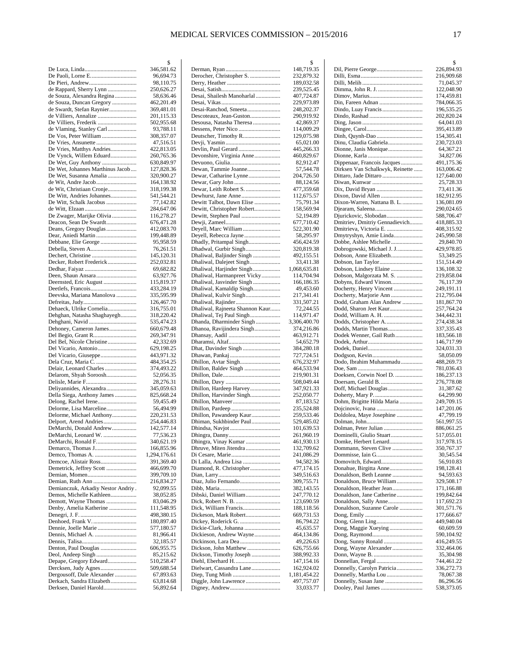|                                    | \$           |
|------------------------------------|--------------|
|                                    | 346,581.62   |
|                                    | 96,694.73    |
|                                    | 98,110.75    |
| de Rappard, Sherry Lynn            | 250,626.27   |
| de Souza, Alexandra Regina         | 58,636.46    |
| de Souza, Duncan Gregory           | 462,201.49   |
|                                    |              |
| de Swardt, Stefan Raynier          | 369,481.01   |
|                                    | 201,115.33   |
| De Villiers, Frederik              | 502,955.68   |
| de Vlaming, Stanley Carl           | 93,788.11    |
| De Vos, Peter William              | 308,357.07   |
|                                    | 47,516.51    |
| De Vries, Matthys Andries          | 422,813.05   |
| De Vynck, Willem Eduard            | 260,765.36   |
| De Wet, Guy Anthony                | 630,849.97   |
| De Wet, Johannes Marthinus Jacob   | 127,828.36   |
| De Wet, Susanna Amalia             | 320,900.27   |
|                                    | 164,138.92   |
| de Wit, Christiaan Cronje          | 318,199.38   |
| De Witt, Andries Johannes          | 541,544.21   |
| De Witt, Schalk Jacobus            | 77,142.82    |
|                                    | 284,647.06   |
|                                    |              |
| De Zwager, Marijke Olivia          | 116,278.27   |
| Deacon, Sean De Swardt             | 676,471.28   |
| Deans, Gregory Douglas             | 412,083.70   |
|                                    | 199,448.89   |
| Debbane, Elie George               | 95,958.59    |
| Debella, Steven A                  | 76,261.51    |
| Dechert, Christine                 | 145,120.31   |
| Decker, Robert Frederick           | 252,032.81   |
|                                    | 69,682.82    |
| Deen, Shaun Ansara                 | 63,927.76    |
| Deernsted, Eric August             | 115,819.37   |
|                                    | 433,284.19   |
| Deevska, Mariana Manolova          | 335,595.99   |
|                                    | 126,467.70   |
| Dehaeck, Ulrike Cornelia           | 316,755.01   |
| Dehghan, Natasha Shaghayegh        | 318,220.42   |
| Dehghani, Navid                    | 535,474.23   |
| Dehoney, Cameron James             | 660,679.48   |
| Del Begio, Grant R                 | 269,347.91   |
| Del Bel, Nicole Christine          | 42,332.69    |
| Del Vicario, Antonio               | 629,198.25   |
| Del Vicario, Giuseppe              | 443,971.32   |
| Dela Cruz, Maria C.                | 484,354.25   |
| Delair, Leonard Charles            | 374,493.22   |
| Delarom, Shyah Soroosh             | 52,056.35    |
|                                    |              |
|                                    | 28,276.31    |
| Deliyannides, Alexandra            | 345,059.63   |
| Della Siega, Anthony James         | 825,668.24   |
| Delong, Rachel Irene               | 59,455.49    |
| Delorme, Lisa Marceline            | 56,494.99    |
| Delorme, Michael Anthony           | 220,231.53   |
| Delport, Arend Andries             | 254,446.83   |
| DeMarchi, Donald Andrew            | 142,577.14   |
| DeMarchi, Leonard W.               | 77,536.23    |
| DeMarchi, Ronald F                 | 340,621.19   |
| Demarco, Thomas J                  | 166,855.96   |
| Demco, Thomas A.                   | 1,294,176.61 |
| Demcoe, Alistair Ross              | 391,369.40   |
| Demetrick, Jeffrey Scott           | 466,699.70   |
|                                    | 399,709.10   |
| Demian, Ruth Ann                   | 216,834.27   |
| Demianczuk, Arkadiy Nestor Andriy. | 92,099.55    |
| Demos, Michelle Kathleen           | 38,052.85    |
| Demott, Wayne Thomas               | 83,046.29    |
| Denby, Amelia Katherine            | 111,548.95   |
|                                    | 498,380.15   |
| Denhoed, Frank V.                  | 180,897.40   |
| Dennie, Joelle Marie               | 577,180.57   |
|                                    | 81,966.41    |
|                                    | 32,185.57    |
| Denton, Paul Douglas               | 606,955.75   |
|                                    | 85,215.62    |
| Depape, Gregory Edward             | 510,258.47   |
| Dercksen, Judy Agnes               | 509,688.54   |
| Dergousoff, Dale Alexander         | 67,893.63    |
| Derkach, Sandra Elizabeth          | 63,814.68    |
| Derksen, Daniel Harold             | 56,892.64    |
|                                    |              |

|                                                       | \$                         |
|-------------------------------------------------------|----------------------------|
| Derocher, Christopher S.                              | 148,719.35<br>232,879.32   |
|                                                       | 189,032.58                 |
|                                                       | 239,525.45                 |
| Desai, Shailesh Manoharlal                            | 407,724.87                 |
| Desai-Ranchod, Smeeta                                 | 229,973.89<br>248,202.37   |
| Descoteaux, Jean-Guston                               | 290,919.92                 |
| Desousa, Natasha Theresa                              | 42,869.37                  |
| Dessens, Peter Nico                                   | 114,009.29                 |
| Deutscher, Timothy R                                  | 129,075.98<br>65,021.00    |
| Devlin, Paul Gerard                                   | 445,266.33                 |
| Devonshire, Virginia Anne                             | 460,829.67                 |
|                                                       | 82,912.47                  |
| Dewan, Tammie Joanne                                  | 57,544.78                  |
| Dewar, Catharine Lynne                                | 204,726.50<br>88,124.56    |
| Dewar, Leith Robert S.                                | 477,359.68                 |
| Dewhurst, Jane Anne                                   | 112,675.57                 |
| Dewitt Talbot, Dawn Elise                             | 75,791.34                  |
| Dewitt, Christopher Robert                            | 158,569.94                 |
| Dewitt, Stephen Paul                                  | 52,194.89<br>677,710.42    |
| Deyell, Marc William                                  | 522,301.90                 |
| Deyell, Rebecca Jayne                                 | 58,295.97                  |
| Dhadly, Pritampal Singh                               | 456,424.59                 |
| Dhadwal, Gurbir Singh<br>Dhaliwal, Baljinder Singh    | 320,819.38<br>492,155.51   |
| Dhaliwal, Dalejeet Singh                              | 33,411.38                  |
| Dhaliwal, Harjinder Singh                             | 1,068,635.81               |
| Dhaliwal, Harmanpreet Vicky                           | 114,704.94                 |
| Dhaliwal, Jasvinder Singh<br>Dhaliwal, Kamaldip Singh | 166,186.35<br>49,453.60    |
| Dhaliwal, Kulvir Singh                                | 217,341.41                 |
|                                                       | 331,507.21                 |
| Dhaliwal, Rajneeta Shannon Kaur                       | 72,244.55                  |
| Dhaliwal, Tej Paul Singh                              | 114,971.47                 |
| Dhanda, Dharminder Singh<br>Dhanoa, Ravijindera Singh | 3,306,400.70<br>374,216.86 |
|                                                       | 463,912.71                 |
|                                                       | 54,652.79                  |
| Dhat, Davinder Singh                                  | 384,280.18                 |
| Dhillon, Avtar Singh                                  | 727,724.51<br>676,232.97   |
| Dhillon, Baldev Singh                                 | 464,533.94                 |
|                                                       | 219,901.31                 |
|                                                       | 508,049.44                 |
| Dhillon, Hardeep Harvey                               | 347,921.33                 |
| Dhillon, Harvinder Singh                              | 252,050.77<br>87,183.52    |
|                                                       | 235,524.88                 |
| Dhillon, Pawandeep Kaur                               | 259,533.46                 |
| Dhiman, Sukhbinder Paul                               | 529,485.02                 |
|                                                       | 101,639.53<br>261,960.19   |
| Dhingra, Vinay Kumar                                  | 461,930.13                 |
| Dhruve, Miten Jitendra                                | 132,709.62                 |
|                                                       | 241,086.29                 |
| Di Lalla, Andrea Lisa<br>Diamond, R. Christopher      | 94,582.36<br>477,174.15    |
|                                                       | 349,516.63                 |
| Diaz, Julio Fernando                                  | 309,755.71                 |
|                                                       | 382,143.55                 |
| Dibski, Daniel William                                | 247,770.12<br>123,690.59   |
| Dick, William Francis                                 | 188,118.56                 |
| Dickeson, Mark Robert                                 | 669,731.53                 |
|                                                       | 86,794.22                  |
| Dickie-Clark, Johanna<br>Dickieson, Andrew Wayne      | 45,635.57<br>464,134.86    |
|                                                       | 49,226.63                  |
| Dickson, John Matthew                                 | 626,755.66                 |
| Dickson, Timothy Joseph                               | 388,992.33                 |
| Diehl, Eberhard H.                                    | 147,154.16                 |
| Dielwart, Cassandra Lane                              | 162,924.02<br>1,181,454.22 |
|                                                       | 497,757.07                 |
|                                                       | 33,033.77                  |
|                                                       |                            |

|                                                         | \$                       |
|---------------------------------------------------------|--------------------------|
|                                                         | 226,894.93               |
|                                                         | 216,909.68               |
|                                                         | 71,045.37                |
|                                                         | 122,048.90               |
|                                                         | 174,459.81               |
| Din, Fareen Adnan                                       | 784,066.35               |
|                                                         | 196,535.25               |
|                                                         | 202,820.24               |
|                                                         | 64,041.03                |
|                                                         | 395,413.89               |
|                                                         | 154,305.41               |
| Dinu, Claudia Gabriela                                  | 230,723.03               |
|                                                         | 64,367.21                |
|                                                         | 34,827.06                |
| Dippenaar, Francois Jacques                             | 491,175.36               |
| Dirksen Van Schalkwyk, Reinette                         | 163,006.42               |
| Dittaro, Jade Dittaro                                   | 127,640.00               |
|                                                         | 25,728.33                |
| Dixon, David Allen                                      | 73,411.36                |
|                                                         | 182,912.95               |
| Dixon-Warren, Nattana B. L.                             | 136,081.09               |
|                                                         | 290,024.65               |
| Djurickovic, Slobodan<br>Dmitriev, Dmitriy Gennadievich | 588,706.47               |
| Dmitrieva, Victoria E.                                  | 418,885.33               |
| Dmytryshyn, Amie Linda                                  | 408,315.92<br>245,990.58 |
| Dobbe, Ashlee Michelle                                  | 29,840.70                |
|                                                         |                          |
| Dobrogowski, Michael J. J                               | 429,978.85               |
| Dobson, Anne Elizabeth                                  | 53,349.25<br>151,514.49  |
| Dobson, Lindsey Elaine                                  | 136,108.32               |
|                                                         | 219,858.04               |
| Dobson, Malgorzata M. S.<br>Dobyns, Edward Vinson       | 76,117.39                |
| Docherty, Henry Vincent                                 | 249,191.11               |
| Docherty, Marjorie Ann                                  | 212,795.04               |
| Dodd, Graham Alan Andrew                                | 181,867.70               |
| Dodd, Sharon Jeet Kaur                                  |                          |
|                                                         | 257,764.24<br>344,442.31 |
| Dodds, Christopher A                                    | 274,438.34               |
| Dodds, Martin Thomas                                    | 337,335.43               |
| Dodek Wenner, Gail Ruth                                 | 183,566.18               |
|                                                         | 146,717.99               |
|                                                         | 324,031.33               |
|                                                         | 58,050.09                |
| Dodo, Ibrahim Muhammadu                                 | 488,269.73               |
|                                                         | 781,036.43               |
| Doeksen, Corwin Noel D.                                 | 186,237.13               |
|                                                         | 276,778.08               |
|                                                         | 31,387.62                |
|                                                         | 64,299.90                |
| Dohm, Brigitte Hilda Maria                              | 249,709.15               |
|                                                         | 147,201.06               |
| Doldolea, Maye Josephine                                | 47,799.19                |
|                                                         | 561,997.55               |
| Dolman. Peter Julian                                    | 886,061.25               |
| Dominelli, Giulio Stuart                                | 517,055.01               |
| Domke, Herbert Lenard                                   | 317,978.15               |
| Dommann, Steven Clive                                   | 350,767.37               |
| Dommisse, Iain G                                        | 30,545.54                |
| Domovitch, Edward                                       | 56,910.83                |
| Donahue, Birgitta Anne                                  | 198,128.41               |
| Donaldson, Beth Leanne                                  | 94,593.63                |
| Donaldson, Bruce William                                | 329,508.17               |
| Donaldson, Heather Jean                                 | 171,166.88               |
| Donaldson, Jane Catherine                               | 199,842.64               |
| Donaldson, Sally Anne                                   | 117,692.23               |
| Donaldson, Suzanne Carole                               | 301,571.76               |
|                                                         | 177,666.67               |
|                                                         | 449,940.04               |
| Dong, Maggie Xueying                                    | 60,609.59                |
|                                                         | 590,104.92               |
|                                                         | 416,249.55               |
| Dong, Wayne Alexander                                   | 332,464.06<br>35,304.98  |
| Donnellan, Fergal                                       | 744,461.22               |
|                                                         |                          |
|                                                         |                          |
| Donnelly, Carolyn Patricia                              | 336,272.73               |
| Donnelly, Martha Lou                                    | 78,067.38                |
| Dooley, Paul James                                      | 86,296.56<br>538,373.05  |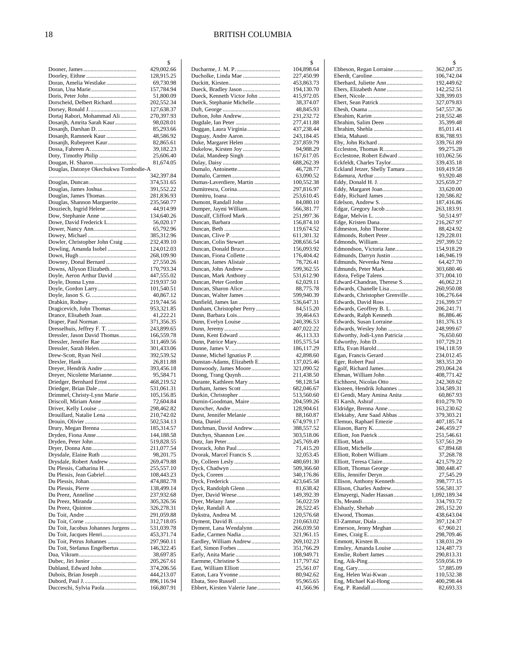|                                                           | \$                       |
|-----------------------------------------------------------|--------------------------|
|                                                           | 429,002.66               |
|                                                           | 128,915.25               |
| Doran, Amelia Westlake                                    | 69,730.98                |
| Doran, Una Marie                                          | 157,784.94               |
|                                                           | 51,800.09                |
| Dorscheid, Delbert Richard                                | 202,552.34<br>127,638.37 |
| Dortaj Rabori, Mohammad Ali                               | 270,397.93               |
| Dosanjh, Amrita Sarah Kaur                                | 98,028.01                |
| Dosanjh, Darshan D.                                       | 85,293.66                |
| Dosanjh, Ramneek Kaur                                     | 48,586.92                |
| Dosanjh, Rubepreet Kaur                                   | 82,865.61                |
|                                                           | 39,182.23                |
| Doty, Timothy Philip                                      | 25,606.40                |
| Dougan, H. Sharon                                         | 81,674.05                |
| Douglas, Datonye Okechukwu Tombodie-A                     |                          |
|                                                           | 342,397.84               |
| Douglas, James Joshua                                     | 374,531.65<br>391,552.22 |
| Douglas, James Thomas                                     | 281,836.93               |
| Douglas, Shannon Marguerite                               | 235,560.77               |
| Douziech, Ingrid Helene                                   | 44,914.99                |
|                                                           | 134,640.26               |
| Dowe, David Frederick L                                   | 56,020.17                |
|                                                           | 65,792.96                |
| Dowey, Michael                                            | 385,312.96               |
| Dowler, Christopher John Craig                            | 232,439.10               |
| Dowling, Amanda Isobel                                    | 124,012.03               |
| Downey, Donal Bernard                                     | 268,109.90<br>27,550.26  |
| Downs, Allyson Elizabeth                                  | 170,793.34               |
| Doyle, Aeron Arthur David                                 | 447,555.02               |
| Doyle, Donna Lynn                                         | 219,937.50               |
| Doyle, Gordon Larry                                       | 101,540.51               |
|                                                           | 40,867.12                |
|                                                           | 219,744.56               |
| Dragicevich, John Thomas                                  | 953,321.85               |
| Drance, Elisabeth Joan<br>Draper, Paul Norman             | 41,222.21<br>371,356.35  |
| Dresselhuis, Jeffrey F. T.                                | 243,899.65               |
| Dressler, Jason David Thomas                              | 166,559.78               |
| Dressler, Jennifer Rae                                    | 311,469.56               |
| Dressler, Sarah Helen                                     | 301,433.06               |
| Drew-Scott, Ryan Neil                                     | 392,539.52               |
|                                                           | 26,811.88                |
| Dreyer, Hendrik Andre<br>Dreyer, Nicolette Marianne       | 393,456.18<br>95,584.71  |
| Driedger, Bernhard Ernst                                  | 468,219.52               |
| Driedger, Brian Dale                                      | 531,061.31               |
| Drimmel, Christy-Lynn Marie                               | 105,156.85               |
| Driscoll, Miriam Anne                                     | 72,604.84                |
|                                                           | 298,462.82               |
| Drouillard, Natalie Lena                                  | 210,742.02               |
|                                                           | 502,534.13<br>185.314.57 |
| Drury, Megan Brenna<br>Dryden, Fiona Anne                 | 144,188.58               |
| Dryden, Peter John                                        | 519,828.55               |
|                                                           | 211,077.54               |
| Drysdale, Elaine Ruth                                     | 98,201.75                |
| Drysdale, Robert Andrew                                   | 269,479.88               |
| Du Plessis, Catharina H.                                  | 255,557.10               |
| Du Plessis, Jean Gabriel                                  | 108,443.23               |
|                                                           | 474,882.78               |
| Du Preez, Anneline                                        | 138,499.14<br>237,932.68 |
| Du Preez, Miranda                                         | 305,326.56               |
|                                                           | 326,278.31               |
|                                                           | 291,059.88               |
|                                                           | 312,718.05               |
| Du Toit, Jacobus Johannes Jurgens                         | 531,039.78               |
| Du Toit, Jacques Henri                                    | 453,371.74               |
| Du Toit, Petrus Johannes<br>Du Toit, Stefanus Engelbertus | 297,960.11<br>146,322.45 |
|                                                           | 38,697.85                |
|                                                           | 205,267.61               |
| Dubland, Edward John                                      | 374,206.56               |
|                                                           | 444,213.07               |
|                                                           | 896,116.94               |
| Ducceschi, Sylvia Paola                                   | 166,807.91               |

|                                                     | \$                       |
|-----------------------------------------------------|--------------------------|
| Ducholke, Linda Mae                                 | 104,898.64               |
|                                                     | 227,450.99<br>453,863.73 |
| Dueck, Bradley Jason                                | 194,130.70               |
| Dueck, Kenneth Victor John                          | 415,972.05               |
| Dueck, Stephanie Michelle                           | 38,374.07                |
|                                                     | 48,845.93                |
| Dufton, John Andrew                                 | 231,232.72<br>277,411.88 |
| Duggan, Laura Virginia                              | 437,238.44               |
| Duguay, Andre Aaron                                 | 243,184.45               |
| Duke, Margaret Helen                                | 237,859.79               |
| Dukelow, Kirsten Joy                                | 94,988.29                |
| Dulai, Mandeep Singh                                | 167,617.05               |
| Dumalo, Antoinette                                  | 688,262.39<br>46,728.77  |
|                                                     | 63,090.52                |
| Dumas-Laverdiere, Martin                            | 100,552.38               |
| Dumitrescu, Corina                                  | 297,816.97               |
|                                                     | 253,610.45               |
| Dumont, Randall John                                | 84,080.10                |
| Dumper, Jaymi William<br>Duncalf, Clifford Mark     | 566,381.77<br>251,997.36 |
|                                                     | 156,874.10               |
|                                                     | 119,674.52               |
|                                                     | 611,301.32               |
| Duncan, Colin Stewart                               | 208,656.54               |
| Duncan, Donald Bruce<br>Duncan, Fiona Collette      | 156,093.92<br>176,404.42 |
| Duncan, James Alistair                              | 78,726.41                |
| Duncan, John Andrew                                 | 599,362.55               |
| Duncan, Mark Anthony                                | 531,612.90               |
| Duncan, Peter Gordon                                | 62,029.11                |
| Duncan, Walter James                                | 88,775.78<br>599,940.39  |
|                                                     | 536,647.31               |
| Dunham, Christopher Perry                           | 84,515.20                |
|                                                     | 39,464.63                |
|                                                     | 240,396.53               |
|                                                     | 407,022.22<br>46,113.33  |
|                                                     | 105,575.54               |
|                                                     | 186,117.29               |
| Dunne, Michel Ignatius P.                           | 42,898.60                |
| Dunstan-Adams, Elizabeth E<br>Dunwoody, James Moore | 137,025.46<br>321,090.52 |
| Duong, Trang Quynh                                  | 211,438.50               |
| Durante, Kathleen Mary                              | 98,128.54                |
|                                                     | 682,046.67               |
| Durnin-Goodman, Maire                               | 513,560.60<br>204,599.26 |
|                                                     | 128,904.61               |
| Durst, Jennifer Melanie                             | 88,160.87                |
|                                                     | 674,979.17               |
| Dutchman, David Andrew<br>Dutchyn, Shannon Lee      | 388,557.52<br>303,518.06 |
|                                                     | 245,769.49               |
| Dvorack, John Paul                                  | 71,415.20                |
| Dvorak, Marcel Francis S                            | 32,053.45                |
|                                                     | 480,691.30<br>509,366.60 |
|                                                     | 340,176.86               |
|                                                     | 423,645.58               |
| Dyck, Randolph Glenn                                | 81,638.42                |
|                                                     | 149,392.39               |
|                                                     | 56,022.59<br>28,522.45   |
| Dykstra, Andrea M.                                  | 120,576.68               |
|                                                     | 210,663.02               |
| Dyment, Lana Wendalynn                              | 266,039.50               |
| Eadie, Carmen Nadia<br>Eardley, William Andrew      | 321,961.15<br>269,102.23 |
|                                                     | 351,766.29               |
|                                                     | 108,949.71               |
| Earmme, Christine S                                 | 117,797.62               |
| East, William Elliott                               | 25,561.07<br>80,942.62   |
| Ebata, Steo Russell                                 | 95,965.65                |
| Ebbert, Kirsten Valerie Jane                        | 41,566.96                |
|                                                     |                          |

|                                                       | \$                       |
|-------------------------------------------------------|--------------------------|
| Ebbeson, Regan Lorraine                               | 362,047.35               |
| Eberhard, Juliette Ann                                | 106,742.04<br>192,449.62 |
| Ebers, Elizabeth Anne                                 | 142,252.51               |
|                                                       | 328,399.03               |
| Ebert, Sean Patrick                                   | 327,079.83               |
|                                                       | 547,557.36               |
| Ebrahim, Salim Deen                                   | 218,552.48<br>35,399.48  |
|                                                       | 85,011.41                |
|                                                       | 836,788.93               |
| Eby, John Richard                                     | 339,761.89               |
| Eccleston, Thomas R<br>Ecclestone, Robert Edward      | 99,275.28<br>103,062.56  |
| Eckfeldt, Charles Taylor                              | 339,435.18               |
| Eckland Jetzer, Shelly Tamara                         | 169,419.58               |
|                                                       | 93,920.48                |
| Eddy, Donald H. J.                                    | 325,659.27               |
|                                                       | 33,620.00<br>120,586.82  |
| Edelson, Andrew S.                                    | 187,416.86               |
|                                                       | 263,183.91               |
|                                                       | 50,514.97                |
| Edmeston, John Thorne                                 | 216,267.97<br>88,424.92  |
| Edmonds, Robert Peter                                 | 129,228.01               |
| Edmonds, William                                      | 297,399.52               |
| Edmondson, Victoria Jane                              | 154,918.29               |
| Edmunds, Darryn Justin<br>Edmunds, Nevenka Nena       | 146,946.19<br>64,427.70  |
| Edmunds, Peter Mark                                   | 303,680.46               |
| Edora, Felipe Talens                                  | 371,004.10               |
| Edward-Chandran, Therese S                            | 46,062.21                |
| Edwards, Chanelle Lisa                                | 260,950.08               |
| Edwards, Christopher Grenville<br>Edwards, David Ross | 106,276.64<br>216,399.57 |
| Edwards, Geoffrey B. L.                               | 206,241.71               |
| Edwards, Ralph Kenneth                                | 86,886.46                |
| Edwards, Susan Lorraine                               | 181,376.13               |
| Edwards, Wesley John<br>Edworthy, Jodi-Lynn Patricia  | 248,999.67<br>76,650.60  |
|                                                       | 107,729.21               |
| Effa, Evan Harold                                     | 194,118.59               |
| Egan, Francis Gerard                                  | 234,012.45               |
| Eger, Robert Paul<br>Egolf, Richard James             | 383,351.20<br>293,064.24 |
| Ehman, William John                                   | 408,771.42               |
| Eichhorst, Nicolas Otto                               | 242,369.62               |
| Eksteen, Hendrik Johannes                             | 334,589.31               |
| El Gendi, Mary Amina Anita                            | 60,867.93                |
| Eldridge, Brenna Anne                                 | 810,279.70<br>163,230.62 |
| Elekiaby, Amr Saad Abbas                              | 379,303.21               |
| Elemuo, Raphael Emezie                                | 407,185.74               |
|                                                       | 246,459.27<br>251,546.61 |
| Elliott, Jon Patrick                                  | 537,561.29               |
|                                                       | 67,894.68                |
| Elliott, Robert William                               | 37,268.78                |
| Elliott, Teresa Claire                                | 421,579.22               |
| Elliott, Thomas George                                | 380,448.47<br>27,545.29  |
| Ellison, Anthony Kenneth                              | 398,777.15               |
| Ellison, Charles Andrew                               | 556,581.37               |
| Elmayergi, Nader Hassan                               | 1,092,189.34             |
| Elshazly, Shehab                                      | 334,793.72<br>285,152.20 |
|                                                       | 438,643.04               |
| El-Zammar, Diala                                      | 397,124.37               |
| Emerson, Jenny Meghan                                 | 67,960.21                |
|                                                       | 298,709.46               |
| Emsley, Amanda Louise                                 | 138,031.29<br>124,487.73 |
|                                                       | 290,813.31               |
|                                                       | 559,056.19               |
| Eng, Helen Wai-Kwan                                   | 57,885.09<br>110,532.38  |
| Eng, Michael Kai-Hong                                 | 400,298.44               |
|                                                       | 82,693.33                |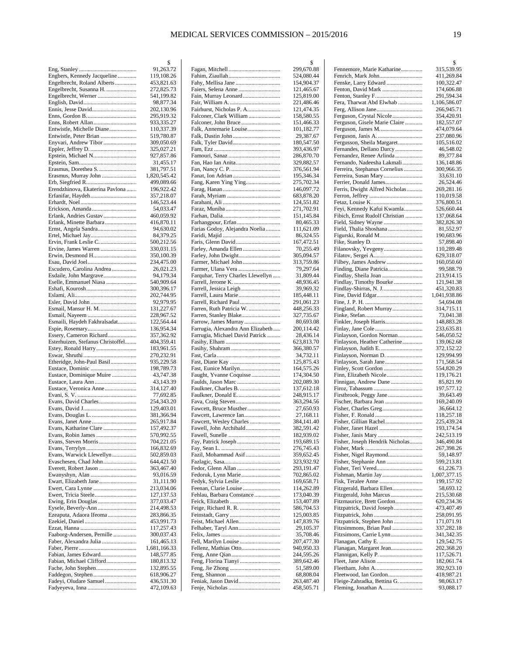|                                                              | \$                         |
|--------------------------------------------------------------|----------------------------|
|                                                              | 91,263.72                  |
| Engbers, Kennedy Jacqueline<br>Engelbrecht, Roland Alberts   | 119,108.26<br>453,821.63   |
| Engelbrecht, Susanna H.                                      | 272,825.73                 |
|                                                              | 541,199.82                 |
|                                                              | 98,877.34                  |
|                                                              | 202,130.96                 |
|                                                              | 295,919.32                 |
| Enns, Robert Allan<br>Entwistle, Michelle Diane              | 933,335.27<br>110,337.39   |
| Entwistle, Peter Brian                                       | 519,780.87                 |
| Enyvari, Andrew Tibor                                        | 309,050.69                 |
|                                                              | 325,027.21                 |
| Epstein, Michael N                                           | 927,857.86                 |
|                                                              | 31,455.17                  |
| Erasmus, Dorethea S<br>Erasmus, Murray John                  | 381,797.51<br>1,820,545.42 |
|                                                              | 499,089.66                 |
| Erendzhinova, Ekaterina Pavlona                              | 196,922.42                 |
| Erfanifar, Haydeh                                            | 357,218.07                 |
|                                                              | 146,523.44                 |
| Erickson, Amanda                                             | 54,033.47                  |
| Erlank, Andries Gustav<br>Erlank, Minette Barbara            | 460,059.92<br>416,870.11   |
| Ernst, Angela Sandra                                         | 94,630.02                  |
| Ertel, Michael Jay                                           | 84,379.25                  |
| Ervin, Frank Leslie C.                                       | 500,212.56                 |
| Ervine, James Warren                                         | 330,031.15                 |
| Erwin, Desmond H                                             | 350,100.39                 |
| Escudero, Carolina Andrea                                    | 234,475.00<br>26,021.23    |
| Esdaile, John Margrave                                       | 94,179.34                  |
| Eselle, Emmanuel Niasa                                       | 540,909.64                 |
|                                                              | 300,396.17                 |
|                                                              | 202,744.95<br>92,979.95    |
| Esmail, Mansur H. M.                                         | 131,227.67                 |
|                                                              | 228,967.52                 |
| Esmaili, Haydeh Fakhralsadat                                 | 122,564.44                 |
|                                                              | 136,954.34                 |
| Essery, Cameron Richard<br>Esterhuizen, Stefanus Christoffel | 357,362.92<br>404,359.41   |
|                                                              | 183,961.55                 |
|                                                              | 270,232.91                 |
| Etheridge, John-Paul Basil                                   | 935,229.58                 |
| Eustace, Dominique Muire                                     | 198,789.73<br>43,747.38    |
| Eustace, Laura Ann                                           | 43,143.39                  |
| Eustace, Veronica Anne                                       | 314,127.40                 |
|                                                              | 77,692.85                  |
|                                                              | 254,343.20<br>129,403.01   |
|                                                              | 381,366.94                 |
|                                                              | 265,917.84                 |
| Evans, Katharine Clare                                       | 157,492.37                 |
| Evans, Robin James                                           | 570,992.55                 |
|                                                              | 704,221.05                 |
| Evans, Warwick Llewellyn                                     | 166,832.69<br>502,859.03   |
| Evaschesen, Chad John                                        | 644,421.50                 |
| Everett, Robert Jason                                        | 363,467.40                 |
|                                                              | 93,016.59                  |
|                                                              | 31,111.90<br>213,034.06    |
|                                                              | 127,137.53                 |
| Ewing, Erin Douglas                                          | 377,033.47                 |
| Eysele, Beverly-Ann                                          | 214,498.53                 |
| Ezeaputa, Adaora Ifeoma                                      | 283,866.35                 |
|                                                              | 453,991.73<br>117,257.43   |
| Faaborg-Andersen, Pernille                                   | 300,037.43                 |
| Faber, Alexandra Julia                                       | 161,465.13                 |
|                                                              | 1,681,166.33               |
| Fabian, James Edward<br>Fabian, Michael Clifford             | 148,577.85                 |
|                                                              | 180,813.32<br>132,895.55   |
| Faddegon, Stephen                                            | 618,906.27                 |
| Fadeyi, Oludare Samuel                                       | 436,531.30                 |
|                                                              | 472,109.63                 |

|                                                     | \$                       |
|-----------------------------------------------------|--------------------------|
|                                                     | 299,670.88               |
|                                                     | 524,080.44               |
|                                                     | 154,904.37               |
| Faiers, Selena Anne                                 | 121,465.67               |
| Fain, Murray Leonard                                | 125,819.00               |
|                                                     | 221,486.46               |
| Fairhurst, Nicholas P. A<br>Falconer, Clark William | 121,474.35               |
|                                                     | 158,580.55<br>151,466.33 |
| Falk, Annemarie Louise                              | 101,182.77               |
|                                                     | 29,387.67                |
|                                                     | 180,547.50               |
|                                                     | 393,436.97               |
|                                                     | 286,870.70               |
|                                                     | 329,882.57               |
|                                                     | 376,561.94               |
|                                                     | 195,346.34               |
| Fang, Karen Ying Ying                               | 275,702.34               |
|                                                     | 146,097.72               |
|                                                     | 683,878.20               |
|                                                     | 124,551.82               |
|                                                     | 271,702.91               |
|                                                     | 151,145.84               |
| Farhangpour, Erfan                                  | 80,465.33<br>111,621.09  |
| Farias Godoy, Alejandra Noelia                      | 86,324.55                |
|                                                     | 167,472.51               |
| Farley, Amanda Ellen                                | 70,255.49                |
| Farley, John Dwight                                 | 305,094.57               |
| Farmer, Michael John                                | 313,759.86               |
| Farmer, Ulana Vera                                  | 79,297.64                |
| Farquhar, Terry Charles Llewellyn                   | 31,809.44                |
|                                                     | 48,936.45                |
|                                                     | 39,969.32                |
| Farrell, Laura Marie                                | 185,448.11               |
| Farrell, Richard Paul                               | 291,061.23               |
| Farren, Ruth Patricia W.                            | 448,256.33               |
| Farren, Stanley Blake                               | 327,735.67               |
| Farrow, James Murray                                | 80,693.08                |
| Farrugia, Alexandra Ann Elizabeth                   | 200,114.42               |
| Farrugia, Michael David Patrick                     | 28,436.14                |
|                                                     | 623,813.70               |
|                                                     | 366,380.57<br>34,732.11  |
|                                                     | 125,875.43               |
|                                                     | 164,575.26               |
| Faught, Yvanne Coquisse                             | 174,304.50               |
| Faulds, Jason Marc                                  | 202,089.30               |
| Faulkner, Charles B.                                | 137,612.18               |
| Faulkner, Donald E                                  | 248,915.17               |
|                                                     | 363,294.56               |
| Fawcett, Bruce Musther                              | 27,650.93                |
|                                                     | 27,168.11                |
| Fawcett, Wesley Charles                             | 384,141.40               |
| Fawell, John Archibald                              | 382,591.42               |
|                                                     | 182,939.02               |
|                                                     | 193,689.15               |
| Fazil, Mohammad Asif                                | 276,745.43               |
|                                                     | 359,652.45<br>323,932.92 |
| Fedor, Glenn Allan                                  | 293,191.47               |
| Fedoruk, Lynn Marie                                 | 702,865.02               |
| Fedyk, Sylvia Leslie                                | 169,658.71               |
| Feenan, Clarie Louise                               | 114,262.89               |
| Fehlau, Barbara Constance                           | 173,040.39               |
|                                                     | 153,407.89               |
|                                                     | 586,704.53               |
|                                                     | 125,003.85               |
| Feist, Michael Allen                                | 147,839.76               |
| Felhaber, Taryl Ann                                 | 29,105.37                |
|                                                     | 35,708.46                |
| Fell, Marilyn Louise                                | 207,477.30               |
| Fellenz, Mathias Otto                               | 940,950.33               |
|                                                     |                          |
|                                                     | 244,595.26               |
| Feng, Florina Tianyi                                | 389,642.46               |
|                                                     | 51,589.00                |
|                                                     | 68,808.04                |
| Feniak, Jason David                                 | 263,487.40<br>458,505.71 |

|                                                          | \$                         |
|----------------------------------------------------------|----------------------------|
| Fennemore, Marie Katharine<br>Fenrich, Mark John         | 315,539.95<br>411,269.84   |
| Fenske, Larry Edward                                     | 100,322.47                 |
| Fenton, David Mark                                       | 174,606.88                 |
|                                                          | 291,594.34                 |
| Fera, Tharwat Abd Elwhab                                 | 1,106,586.07<br>266,945.71 |
| Ferguson, Crystal Nicole                                 | 354,420.91                 |
| Ferguson, Gisele Marie Claire                            | 182,557.07                 |
| Ferguson, James M                                        | 474,079.64<br>237,080.96   |
| Fergusson, Sheila Margaret                               | 105,516.02                 |
| Fernandes, Dellano Darcy                                 | 46,548.02                  |
| Fernandez, Renee Arlinda<br>Fernando, Nadeesha Lakmali   | 89,377.84<br>136,148.86    |
| Ferreira, Stephanus Cornelius                            | 300,966.35                 |
| Ferreira, Susan Mary                                     | 33,631.10                  |
| Ferrier, Donald James                                    | 26,524.46                  |
| Ferris, Dwight Alfred Nicholas                           | 269,281.16<br>110,019.58   |
|                                                          | 376,800.51                 |
| Feyi, Kennedy Kafui Kwamla                               | 526,660.44                 |
| Fibich, Ernst Rudolf Christian                           | 137,068.64<br>382,826.30   |
| Field, Thalia Shoshana                                   | 81,552.97                  |
| Figurski, Ronald M                                       | 190,683.96                 |
|                                                          | 57,898.40                  |
| Filanovsky, Yevgeny                                      | 110,289.48<br>629,318.07   |
|                                                          | 160,050.60                 |
| Finding, Diane Patricia                                  | 99,588.79                  |
| Findlay, Timothy Bourke                                  | 213,914.15<br>121,941.38   |
| Findlay-Shirras, N. J                                    | 451,320.83                 |
|                                                          | 1,041,938.86               |
| Fingland, Robert Murray                                  | 54,694.08<br>314,715.11    |
|                                                          | 73,041.38                  |
| Finkler, Joseph Harris                                   | 148,883.28                 |
|                                                          | 233,635.81                 |
| Finlayson, Gordon Norman<br>Finlayson, Heather Catherine | 546,050.52<br>139,062.68   |
| Finlayson, Judith E.                                     | 372,152.22                 |
| Finlayson, Norman D.                                     | 129,994.99                 |
| Finlayson, Sarah Jane                                    | 171,568.54<br>554,820.29   |
| Finn, Elizabeth Nicole                                   | 119,176.21                 |
| Finnigan, Andrew Dane                                    | 85,821.99                  |
| Firstbrook, Peggy Jane                                   | 197,577.12<br>39,643.49    |
| Fischer, Barbara Jean                                    | 169,240.09                 |
|                                                          | 36,664.12                  |
| Fisher, Gillian Rachel                                   | 118,257.18<br>225,439.24   |
| Fisher, Janet Hazel                                      | 193,174.54                 |
|                                                          | 242,513.19                 |
| Fisher, Joseph Hendrik Nicholas                          | 346,490.84<br>267,398.26   |
| Fisher, Nigel Raymond                                    | 59,148.97                  |
| Fisher, Stephanie Ann                                    | 599,213.81                 |
| Fisher, Teri Vered<br>Fishman, Martin Jay                | 61,226.73<br>1,007,377.15  |
|                                                          | 199,157.92                 |
| Fitzgerald, Barbara Ellen                                | 58,693.12                  |
| Fitzgerald, John Marcus<br>Fitzmaurice, Brett Gordon     | 215,530.68                 |
| Fitzpatrick, David Joseph                                | 620,234.36<br>473,407.49   |
|                                                          | 258,091.95                 |
| Fitzpatrick, Stephen John                                | 171,071.91                 |
| Fitzsimmons, Brian Paul<br>Fitzsimons, Carrie Lynn       | 337,282.18<br>341,342.35   |
|                                                          | 129,542.75                 |
| Flanagan, Margaret Jean                                  | 202,368.20                 |
| Flannigan, Kelly P                                       | 117,526.71<br>182,061.74   |
|                                                          | 392,923.10                 |
| Fleetwood, Ian Gordon                                    | 418,987.21                 |
| Fleige-Zahradka, Bettina G.<br>Fleming, Jonathan A       | 98,063.17                  |
|                                                          | 93,088.17                  |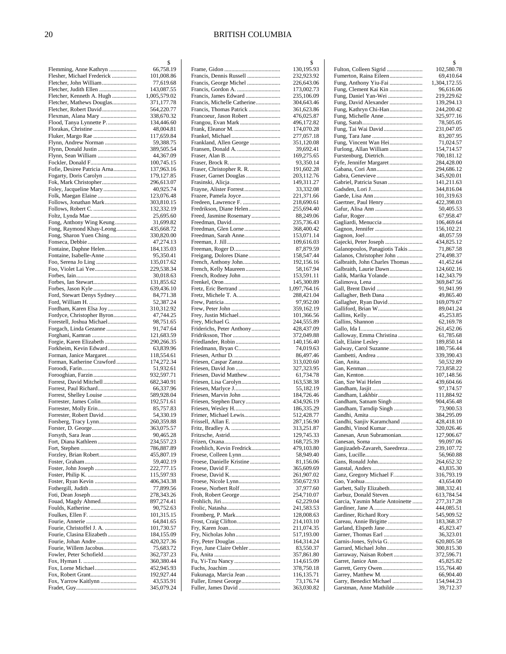|                                                        | \$                         |
|--------------------------------------------------------|----------------------------|
| Flemming, Anne Kathryn                                 | 66,758.19                  |
| Flesher, Michael Frederick                             | 101,008.86                 |
| Fletcher, John William                                 | 77,619.68                  |
| Fletcher, Judith Ellen<br>Fletcher, Kenneth A. Hugh    | 143,087.55                 |
| Fletcher, Mathews Douglas                              | 1,005,579.02<br>371,177.78 |
| Fletcher, Robert David                                 | 564,220.77                 |
| Flexman, Alana Mary                                    | 338,670.32                 |
| Flood, Tanya Lynnette P                                | 134,446.60                 |
| Florakas, Christine                                    | 48,004.81                  |
| Fluker, Margo Rae                                      | 117,659.84                 |
| Flynn, Andrew Norman                                   | 59,388.75                  |
| Flynn, Donald Justin                                   | 389,505.54                 |
|                                                        | 44,367.09                  |
| Fockler, Donald F                                      | 100,745.15<br>137,963.16   |
| Fofie, Desiree Patricia Arna<br>Fogarty, Doris Carolyn | 179,127.85                 |
| Fok, Mark Christopher                                  | 296,613.07                 |
| Foley, Jacqueline Mary                                 | 40,925.74                  |
| Folk, Maegan Elaine                                    | 123,076.48                 |
| Follows, Jonathan Mark                                 | 303,810.15                 |
| Follows, Robert C.                                     | 132,332.19                 |
| Foltz, Lynda Mae                                       | 25,695.60                  |
| Fong, Anthony Wing Keung                               | 31,699.82                  |
| Fong, Raymond Khay-Leong                               | 435,668.72                 |
| Fong, Sharon Yuen Ching                                | 330,820.00                 |
| Fontaine, Daphne Helen                                 | 47,274.13<br>184,135.03    |
| Fontaine, Isabelle-Anne                                | 95,350.41                  |
|                                                        | 135,017.62                 |
| Foo, Violet Lai Yee                                    | 229,538.34                 |
|                                                        | 30,018.63                  |
|                                                        | 131,855.62                 |
| Forbes, Jason Kyle                                     | 639,436.10                 |
| Ford, Stewart Denys Sydney                             | 84,771.38                  |
| Fordham, Karen Elsa Joy                                | 52,387.24<br>310,312.92    |
| Fordyce, Christopher Byron                             | 47,744.25                  |
| Forestell, Joshua Michael                              | 98,751.65                  |
| Forgach, Linda Gezanne                                 | 91,747.64                  |
| Forghani, Kamran                                       | 121,683.59                 |
| Forgie, Karen Elizabeth                                | 290,266.35                 |
| Forkheim, Kevin Edward                                 | 63,839.96                  |
| Forman, Janice Margaret<br>Forman, Katherine Crawford  | 118,554.61<br>174,272.34   |
|                                                        | 51,932.61                  |
| Forooghian, Farzin                                     | 932,597.71                 |
| Forrest, David Mitchell                                | 682,340.91                 |
| Forrest, Paul Richard                                  | 66,337.96                  |
| Forrest, Shelley Louise                                | 589,928.04                 |
| Forrester, James Colin                                 | 192,571.61                 |
| Forrester, Molly Erin<br>Forrester, Robert David       | 85,757.83<br>54,330.19     |
| Forsberg, Tracy Lynn                                   | 260,359.88                 |
| Forster, D. George                                     | 363,075.57                 |
|                                                        | 90,465.28                  |
| Fort, Diana Kathleen                                   | 234,557.23                 |
|                                                        | 786,887.89                 |
| Forzley, Brian Robert                                  | 455,807.19                 |
| Foster, John Joseph                                    | 59,402.19<br>222,777.15    |
|                                                        | 115,597.93                 |
| Foster, Ryan Kevin                                     | 406,343.38                 |
|                                                        | 77,899.56                  |
|                                                        | 278,343.26                 |
| Fouad, Magdy Ahmed                                     | 897,274.41                 |
|                                                        | 90,752.63                  |
|                                                        | 101,315.15<br>64,841.65    |
| Fourie, Christoffel J. A.                              | 101,730.57                 |
| Fourie, Clasina Elizabeth                              | 184,155.09                 |
| Fourie, Johan Andre                                    | 420,327.36                 |
| Fourie, Willem Jacobus                                 | 75,683.72                  |
| Fowler, Peter Schofield                                | 362,737.23                 |
|                                                        | 360,380.44                 |
| Fox, Lorne Michael                                     | 452,945.93<br>192,927.44   |
| Fox, Yarrow Kaitlynn                                   | 43,535.91                  |
|                                                        | 345,079.24                 |
|                                                        |                            |

|                                                    | \$                         |
|----------------------------------------------------|----------------------------|
| Francis, Dennis Russell                            | 130,195.93                 |
| Francis, George Michel                             | 232,923.92<br>226,643.06   |
|                                                    | 173,002.73                 |
| Francis, James Edward                              | 235,106.09                 |
| Francis, Michelle Catherine                        | 304,643.46                 |
| Francis, Thomas Patrick                            | 361,623.86                 |
| Francoeur, Jason Robert                            | 476,025.87                 |
| Frangou, Evan Mark                                 | 496,172.82                 |
|                                                    | 174,070.28                 |
|                                                    | 277,057.18                 |
| Frankland, Allen George                            | 351,120.08<br>39,692.41    |
|                                                    | 169,275.65                 |
|                                                    | 93,350.14                  |
| Fraser, Christopher R. R.                          | 191,602.28                 |
| Fraser, Garnet Douglas                             | 203,112.76                 |
| Frasinski, Alicja                                  | 149,311.27                 |
|                                                    | 33,332.08                  |
| Frazee, Pamela Joyce                               | 221,371.66                 |
| Fredeen, Lawrence F.                               | 218,690.61                 |
| Fredrikson, Diane Helen<br>Freed, Jasmine Rosemary | 255,694.40<br>88,249.06    |
|                                                    | 235,736.43                 |
| Freedman, Glen Lorne                               | 368,400.42                 |
| Freedman, Sarah Anne                               | 153,071.14                 |
|                                                    | 109,616.03                 |
|                                                    | 87,879.59                  |
| Freigang, Dolores Diane                            | 158,547.44                 |
|                                                    | 192,156.16                 |
| French, Kelly Maureen                              | 58,167.94                  |
| French, Rodney John                                | 153,591.11                 |
| Fretz, Eric Bertrand                               | 145,300.89<br>1,097,764.16 |
| Fretz, Michele T. A                                | 288,421.04                 |
|                                                    | 97,952.00                  |
|                                                    | 359,162.19                 |
| Frey, Justin Michael                               | 101,366.56                 |
|                                                    | 244,555.89                 |
| Friderichs, Peter Anthony                          | 428,437.09                 |
|                                                    | 372,049.88                 |
| Friedlander, Robin                                 | 140,156.40                 |
|                                                    | 74,019.63<br>86,497.46     |
| Friesen, Caspar Zanza                              | 313,020.60                 |
|                                                    | 327,323.95                 |
| Friesen, David Matthew                             | 61,734.78                  |
| Friesen, Lisa Carolyn                              | 163,538.38                 |
|                                                    | 55,182.19                  |
| Friesen, Marvin John                               | 184,726.46                 |
| Friesen, Stephen Darcy                             | 434,926.19                 |
|                                                    | 186,335.29                 |
| Frimer, Michael Lewis                              | 512,428.77<br>287,156.90   |
|                                                    | 313,251.87                 |
|                                                    | 129,745.33                 |
|                                                    | 168,725.39                 |
| Froehlich, Kevin Fredrick                          | 479,103.80                 |
|                                                    | 58,949.40                  |
| Froese, Danielle Kristine                          | 81,156.06                  |
|                                                    | 365,609.69                 |
|                                                    | 261,907.02                 |
| Froese, Norbert Rolf                               | 350,672.93                 |
| Froh, Robert George                                | 37,977.60<br>254,710.07    |
|                                                    | 62,229.04                  |
|                                                    | 241,583.53                 |
|                                                    | 128,008.63                 |
| Frost, Craig Clifton                               | 214,103.10                 |
|                                                    | 211,074.35                 |
|                                                    | 517,193.00                 |
| Fry, Peter Douglas                                 | 164,314.24                 |
| Frye, June Claire Oehler                           | 83,550.37                  |
|                                                    | 357,861.80<br>114,615.09   |
|                                                    | 378,750.18                 |
| Fukunaga, Marcia Jean                              | 116,135.71                 |
| Fuller, Ernest George                              | 73,176.74                  |
| Fuller, James David                                | 363,030.82                 |
|                                                    |                            |

|                                                          | \$                        |
|----------------------------------------------------------|---------------------------|
| Fulton, Colleen Sigrid                                   | 102,580.78                |
| Fumerton, Raina Eileen<br>Fung, Anthony Yiu-Fai          | 69,410.64<br>1,304,172.55 |
| Fung, Clement Kai Kin                                    | 96,616.06                 |
|                                                          | 219,229.62                |
| Fung, David Alexander                                    | 139,294.13                |
| Fung, Kathryn Chi-Han                                    | 244,200.42<br>325,977.16  |
|                                                          | 78,505.05                 |
| Fung, Tai Wai David                                      | 231,047.05                |
|                                                          | 83,207.95                 |
| Fung, Vincent Wan Hei<br>Furlong, Allan William          | 71,024.57<br>154,714.57   |
|                                                          | 700,181.12                |
| Fyfe, Jennifer Margaret                                  | 284,428.00                |
|                                                          | 294,686.12                |
| Gabriel, Patricia Susan                                  | 345,920.01<br>141,211.63  |
|                                                          | 344,816.04                |
|                                                          | 101,319.63                |
|                                                          | 422,398.03                |
|                                                          | 50,405.53<br>67,958.47    |
|                                                          | 106,469.64                |
|                                                          | 156,102.21                |
|                                                          | 48,057.59                 |
| Gajecki, Peter Joseph<br>Galanopoulos, Panagiotis Takis  | 434,825.12<br>71,867.58   |
| Galanos, Christopher John                                | 274,498.37                |
| Galbraith, John Charles Thomas                           | 41,452.64                 |
| Galbraith, Laurie Dawn                                   | 124,602.16                |
| Galik, Marika Yolande                                    | 142,343.79                |
|                                                          | 369,847.56<br>91,941.99   |
| Gallagher, Beth Dana                                     | 49,865.40                 |
| Gallagher, Ryan David                                    | 169,079.67                |
|                                                          | 89,041.24                 |
|                                                          | 45,253.85<br>62,169.78    |
|                                                          | 261,452.06                |
| Galloway, Emma Christina                                 | 61,785.68                 |
| Galway, Carol Suzanne                                    | 189,850.14<br>180,756.44  |
|                                                          | 339,390.43                |
|                                                          | 50,532.89                 |
|                                                          | 723,858.22<br>107,148.56  |
| Gan, Sze Wai Helen                                       | 439,604.66                |
|                                                          | 97,174.57                 |
|                                                          | 111,884.92                |
| Gandham, Satnam Singh<br>Gandham, Tarndip Singh          | 904,456.48<br>73,900.53   |
|                                                          | 384,295.09                |
| Gandhi, Sanjiv Karamchand                                | 428,418.10                |
| Gandhi, Vinod Kumar                                      | 320,026.46                |
| Ganesan, Arun Subramonian                                | 127,906.67<br>99,097.06   |
| Ganjizadeh-Zavareh, Saeedreza                            | 239,107.72                |
|                                                          | 56,960.88                 |
|                                                          | 264,652.32                |
| Ganz, Gregory Michael F                                  | 43,835.30<br>316,793.19   |
|                                                          | 43,654.00                 |
| Garbett, Sally Elizabeth                                 | 388,332.41                |
| Garbuz, Donald Steven<br>Garcia, Yasmin Marie Antoinette | 613,784.54<br>277,317.28  |
|                                                          | 444,085.51                |
| Gardiner, Richard Rory                                   | 545,909.52                |
| Gareau, Annie Brigitte                                   | 183,368.37                |
| Garland, Elspeth Jane                                    | 45,823.47<br>36,323.01    |
|                                                          | 620,805.58                |
| Garrard, Michael John                                    | 300,815.30                |
| Garraway, Naisan Robert                                  | 372,596.71                |
|                                                          | 45,825.82<br>155,764.40   |
| Garrey, Matthew M.                                       | 66,904.40                 |
| Garry, Benedict Michael                                  | 154,944.23                |
| Garstman, Anne Mathilde                                  | 39,712.37                 |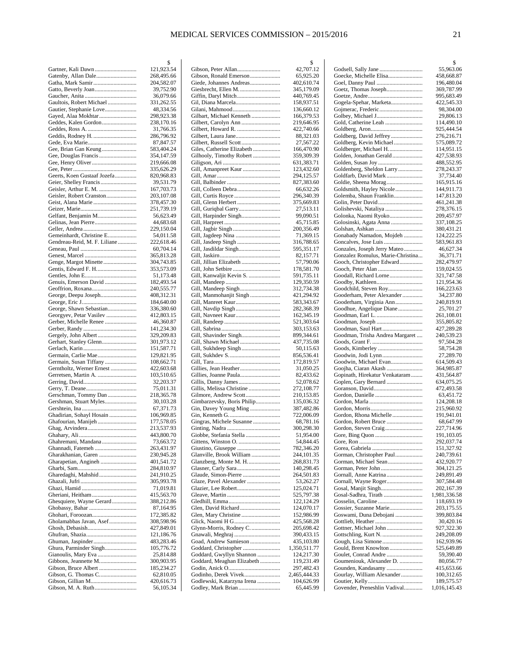|                                                     | \$                       |
|-----------------------------------------------------|--------------------------|
| Gartner, Kali Dawn                                  | 121,923.54               |
| Gatenby, Allan Dale                                 | 268,495.66               |
|                                                     | 204,582.07               |
| Gatto, Beverly Joan                                 | 39,752.90                |
|                                                     | 36,079.66                |
| Gaultois, Robert Michael<br>Gautier, Stephanie Love | 331,262.55<br>48,334.56  |
| Gayed, Alaa Mokhtar                                 | 298,923.38               |
| Geddes, Kalen Gordon                                | 238,170.16               |
|                                                     | 31,766.35                |
| Geddis, Rodney H.                                   | 286,796.92               |
|                                                     | 87,847.57                |
| Gee, Brian Gan Keung                                | 583,404.24               |
|                                                     | 354,147.59               |
|                                                     | 219,666.08               |
|                                                     | 335,626.29               |
| Geerts, Koen Gustaaf Jozefa                         | 820,968.83               |
|                                                     | 39,531.79                |
|                                                     | 167,703.73               |
| Geisler, Robert Cranston                            | 203,107.08               |
|                                                     | 378,457.30               |
|                                                     | 251,739.19               |
| Gelfant, Benjamin M                                 | 56,623.49                |
|                                                     | 44,683.68<br>229,150.04  |
| Gemeinhardt, Christine E                            | 54,011.58                |
| Gendreau-Reid, M. F. Liliane                        | 222,618.46               |
|                                                     | 60,704.14                |
|                                                     | 365,813.28               |
| Genge, Margot Minette                               | 304,743.85               |
| Gentis, Edward F. H                                 | 353,573.09               |
|                                                     | 51,173.48                |
| Genuis, Emerson David                               | 182,493.54               |
|                                                     | 240,555.77               |
| George, Deepu Joseph                                | 408,312.31               |
|                                                     | 184,640.00               |
| George, Shawn Sebastian                             | 336,380.60               |
| Georgyev, Petar Vasilev                             | 412,803.15               |
| Gerber, Michelle Renee                              | 46,360.87                |
|                                                     | 141,234.30               |
| Gergely, John Albert                                | 329,209.83               |
| Gerhart, Stanley Glenn                              | 301,973.12<br>151,587.71 |
| Germain, Carlie Mae                                 | 129,821.95               |
| Germain, Susan Tiffany                              | 108,662.71               |
| Gerntholtz, Werner Ernest                           | 422,603.68               |
| Gerretsen, Martin A.                                | 103,510.65               |
|                                                     | 32,203.37                |
|                                                     | 75,011.31                |
| Gerschman, Tommy Dan                                | 218,365.78               |
| Gershman, Stuart Myles                              | 30,103.28                |
|                                                     | 67,371.73                |
| Ghadirian, Sohayl Hosain                            | 106,969.85               |
|                                                     | 177,578.05               |
|                                                     | 213,537.93               |
| Ghahremani, Mandana                                 | 443,800.70<br>73,663.72  |
| Ghannadi, Fatemeh                                   | 263,431.97               |
|                                                     | 230,945.28               |
| Gharapetian, Angineh                                | 401,541.72               |
|                                                     | 284,810.97               |
|                                                     | 241,910.25               |
|                                                     | 305,993.78               |
|                                                     | 71,019.81                |
|                                                     | 415,563.70               |
| Ghesquiere, Wayne Gerard                            | 388,212.86               |
|                                                     | 87,164.95                |
|                                                     | 172,385.82               |
| Gholamabbas Javan, Asef                             | 308,598.96               |
|                                                     | 427,849.01               |
|                                                     | 121,186.76               |
| Ghura, Parminder Singh                              | 483,283.46<br>105,776.72 |
| Gianoulis, Mary Eva                                 | 25,814.88                |
|                                                     |                          |
|                                                     |                          |
| Gibbons, Jeannette M                                | 300,903.95               |
|                                                     | 185,234.27<br>62,810.05  |
|                                                     | 420,616.73               |

|                                                        | \$                       |
|--------------------------------------------------------|--------------------------|
|                                                        | 42,707.12                |
| Gibson, Ronald Emerson                                 | 65,925.20                |
| Giede, Johannes Andreas                                | 402,610.74               |
|                                                        | 345,179.09               |
|                                                        | 440,769.45               |
|                                                        | 158,937.51<br>136,660.12 |
| Gilbart, Michael Kenneth                               | 166,379.53               |
|                                                        | 219,646.95               |
| Gilbert, Howard R.                                     | 422,740.66               |
|                                                        | 88,321.03                |
|                                                        | 27,567.22                |
| Giles, Catherine Elizabeth                             | 166,470.90               |
| Gilhooly, Timothy Robert                               | 359,309.39               |
|                                                        | 631,383.71               |
| Gill, Amanpreet Kaur                                   | 123,432.60               |
|                                                        | 294,125.57               |
|                                                        | 827,383.60               |
|                                                        | 66,632.26                |
|                                                        | 296,340.39               |
|                                                        | 375,669.83               |
|                                                        | 27,513.11                |
| Gill, Harpinder Singh                                  | 99,090.51                |
|                                                        | 45,715.85                |
|                                                        | 200,356.49               |
|                                                        | 71,369.15                |
|                                                        | 316,788.65               |
|                                                        | 595,351.17               |
|                                                        | 82,157.71                |
|                                                        | 57,790.06<br>178,581.70  |
| Gill, Kanwaljit Kevin S.                               |                          |
|                                                        | 591,735.11<br>129,350.59 |
| Gill, Mandeep Singh                                    | 312,734.38               |
| Gill, Manmohanjit Singh                                | 421,294.92               |
|                                                        | 583,343.67               |
|                                                        | 282,368.39               |
|                                                        | 162,345.19               |
|                                                        | 521,303.64               |
|                                                        | 303,153.63               |
|                                                        | 899,344.61               |
|                                                        | 437,735.08               |
|                                                        | 50,115.63                |
|                                                        | 856,536.41               |
|                                                        | 172,819.57               |
|                                                        | 31,050.25                |
|                                                        | 82,433.62                |
|                                                        | 52,078.62                |
| Gillis, Melissa Christine                              | 272,108.77               |
| Gilmore, Andrew Scott                                  | 210,153.85               |
| Gimbarzevsky, Boris Philip                             | 135,036.32               |
| Gin, Davey Young Ming                                  | 387,482.86               |
| Gingras, Michele Susanne                               | 722,006.09               |
|                                                        | 68,781.16<br>300,298.30  |
| Giobbe, Stefania Stella                                | 51,954.00                |
|                                                        | 54,844.45                |
|                                                        | 782,346.20               |
| Glanville, Brook William                               | 244,101.35               |
| Glanzberg, Monte M. H                                  | 268,831.73               |
|                                                        | 140,298.45               |
| Glaude, Simon-Pierre                                   | 264,501.83               |
| Glaze, Pavel Alexander                                 | 53,262.27                |
| Glazier, Lee Robert                                    | 125,024.71               |
|                                                        | 525,797.38               |
|                                                        | 122,124.29               |
| Glen, David Richard                                    | 124,070.17               |
|                                                        | 152,986.99               |
|                                                        | 425,568.28               |
| Glynn-Morris, Rodney C.                                | 205,698.42               |
|                                                        | 390,433.15               |
| Goad, Andrew Samieson                                  | 435,103.80               |
| Goddard, Christopher                                   | 1,350,511.77             |
| Goddard, Gwyllyn Shannon<br>Goddard, Meaghan Elizabeth | 124,217.30               |
|                                                        | 119,231.49<br>297,482.43 |
| Godinho, Derek Vivek                                   | 2,465,444.33             |
| Godlewski, Katarzyna Irena                             | 104,626.99               |
| Godley, Mark Brian                                     | 65,445.99                |
|                                                        |                          |

|                                        | \$                       |
|----------------------------------------|--------------------------|
|                                        | 55,963.06                |
| Goecke, Michelle Elisa                 | 458,668.87               |
| Goel, Danny Paul                       | 196,480.04               |
| Goetz, Thomas Joseph                   | 369,787.99               |
|                                        | 995,683.49               |
| Gogela-Spehar, Marketa                 | 422,545.33               |
|                                        | 98,304.00                |
| Golbey, Michael J                      | 29,806.13                |
| Gold, Catherine Leah                   | 114,490.10               |
|                                        | 925,444.54               |
| Goldberg, Kevin Michael                | 276,216.71<br>575,089.72 |
| Goldberger, Michael H                  | 114,951.15               |
| Golden, Jonathan Gerald                | 427,538.93               |
|                                        | 488,552.95               |
| Goldenberg, Sheldon Larry              | 278,243.37               |
| Goldfarb, David Mark                   | 37,734.40                |
| Goldie, Sheena Morag                   | 165,915.16               |
| Goldsmith, Hayley Nicole               | 144,911.73               |
| Golemba, Shaun Franklin                | 147,813.20               |
| Golin, Peter David                     | 461,241.38               |
| Golishevski, Nataliya                  | 278,376.15               |
| Golonka, Naomi Ryoko                   | 209,457.97               |
| Golosinski, Agata Anna                 | 337,108.25               |
|                                        | 380,431.21               |
| Gonabady Namadon, Mojdeh               | 124,222.25               |
| Goncalves, Jose Luis                   | 583,961.83               |
| Gonzales, Joseph Jerry Mateo           | 46,627.34                |
| Gonzalez Romulus, Marie-Christina      | 36,371.71                |
| Gooch, Christopher Edward              | 282,479.97               |
|                                        | 159,024.55               |
| Goodall, Richard Lorne                 | 321,747.58               |
|                                        | 121,954.36               |
| Goodchild, Steven Roy                  | 166,223.63               |
| Gooderham, Peter Alexander             | 34,237.80                |
| Gooderham, Virginia Ann                | 240,819.91               |
| Goodhue, Angelique Diane               | 25,701.27                |
| Goodman, Earl L.                       | 261,108.01               |
|                                        | 355,805.82               |
| Goodman, Saul Hart                     | 427,289.28               |
| Goodman, Trisha Andrea Margaret        | 240,539.23               |
|                                        | 97,504.28                |
| Goods, Kimberley<br>Goodwin, Jodi Lynn | 58,754.28<br>27,289.70   |
| Goodwin, Michael Evan                  | 614,509.43               |
| Goojha, Ciaran Akash                   | 364,985.87               |
| Gopinath, Hirekatur Venkataram         | 431,564.87               |
| Goplen, Gary Bernard                   | 634,075.25               |
|                                        | 472,493.58               |
|                                        | 63,451.72                |
|                                        | 124,208.18               |
|                                        | 215,960.92               |
| Gordon, Rhona Michelle                 | 191,941.01               |
| Gordon, Robert Bruce                   | 68,647.99                |
| Gordon, Steven Craig                   | 227,714.96               |
|                                        | 191,103.05               |
|                                        | 292,037.74               |
|                                        | 151,327.92               |
| Gorman, Christopher Paul               | 240,739.61               |
| Gorman, Michael Sean                   | 432,920.77               |
| Gorman, Peter John                     | 304,121.25               |
| Gornall, Anne Katrina                  | 249,891.49               |
| Gornall, Wayne Roger                   | 307,584.48               |
| Gosal, Manjit Singh                    | 202,167.39               |
| Gosal-Sadhra, Tirath                   | 1,981,336.58             |
|                                        | 118,693.19               |
| Gossier, Suzanne Marie                 | 203,175.55               |
| Goswami, Duna Debojani                 | 399,803.84               |
|                                        | 30,420.16                |
| Gottner, Michael John                  | 927,322.30               |
|                                        | 249,208.09               |
| Gould, Brent Knowlton                  | 162,939.96               |
| Goulet, Conrad Andre                   | 525,649.89<br>59,390.40  |
| Goumeniouk, Alexander D.               | 80,056.77                |
| Gounden, Kandasamy                     | 415,653.66               |
| Gourlay, William Alexander             | 100,312.65               |
|                                        | 189,575.57               |
| Govender, Preneshlin Vadival           | 1,016,145.43             |
|                                        |                          |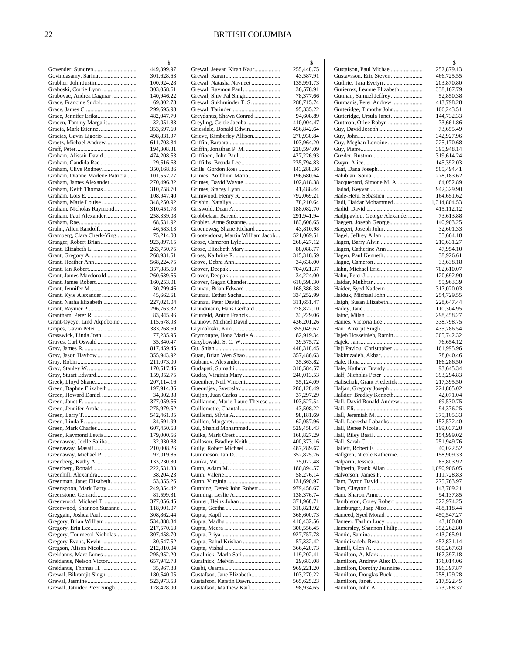#### 22 BRITISH COLUMBIA

|                                                         | \$                       |
|---------------------------------------------------------|--------------------------|
| Govender, Sundren                                       | 449,399.97               |
| Govindasamy, Sarina                                     | 301,628.63<br>100,924.28 |
| Graboski, Corrie Lynn                                   | 303,058.61               |
| Grabovac, Andrea Dagmar                                 | 140,946.22               |
| Grace, Francine Sudol                                   | 69,302.78                |
|                                                         | 299,695.98               |
| Grace, Jennifer Erika                                   | 482,047.79               |
| Gracen, Tammy Margalit                                  | 32,051.83<br>353,697.60  |
|                                                         | 498,831.97               |
| Graetz, Michael Andrew                                  | 611,703.34               |
|                                                         | 194,308.31               |
| Graham, Alistair David                                  | 474,208.53               |
| Graham, Candida Rae                                     | 29,516.68                |
| Graham, Clive Rodney<br>Graham, Dianne Marlene Patricia | 350,168.86<br>101,552.77 |
| Graham, James Alexander                                 | 270,496.32               |
| Graham, Keith Thomas                                    | 310,758.70               |
|                                                         | 108,947.40               |
| Graham, Marie Louise                                    | 348,250.92               |
| Graham, Nicholas Raymond                                | 310,451.78               |
| Graham, Paul Alexander                                  | 258,339.08<br>68,531.92  |
| Grahn, Allen Randolf                                    | 46,583.13                |
| Gramberg, Clara Cherk-Ying                              | 75,214.00                |
| Granger, Robert Brian                                   | 923,897.15               |
|                                                         | 263,750.75               |
|                                                         | 268,931.61               |
|                                                         | 568,224.75<br>357,885.50 |
| Grant, James Macdonald                                  | 260,639.65               |
|                                                         | 160,253.01               |
|                                                         | 30,799.46                |
| Grant, Kyle Alexander                                   | 45,662.61                |
| Grant, Nasha Elizabeth                                  | 227,021.04<br>296,763.32 |
|                                                         | 83,945.96                |
| Grant-Oyeye, Lind Akpobome                              | 115,678.03               |
|                                                         | 383,268.50               |
| Grasswick, Linda Joan<br>Graves, Carl Oswald            | 77,235.95<br>35,340.47   |
|                                                         | 817,459.45               |
|                                                         | 355,943.92               |
|                                                         | 211,073.00               |
|                                                         | 170,517.46               |
| Gray, Stuart Edward<br>Greek, Lloyd Shane               | 159,052.75<br>207,114.16 |
| Green, Daphne Elizabeth                                 | 197,914.36               |
| Green, Howard Daniel                                    | 34,302.38                |
|                                                         | 377,059.56               |
|                                                         | 275,979.52               |
|                                                         | 542,461.05<br>34,691.99  |
| Green, Mark Charles                                     | 607,450.58               |
| Green, Raymond Lewis                                    | 179,000.56               |
| Greenaway, Joelle Saliba                                | 32,930.88                |
| Greenaway, Masail                                       | 210,008.26               |
| Greenaway, Michael P.                                   | 92,019.86                |
| Greenberg, Kathy A.<br>Greenberg, Ronald                | 133,230.80<br>222,531.33 |
| Greenhill, Alexandra                                    | 38,204.23                |
| Greenman, Janet Elizabeth                               | 53,355.26                |
| Greenspoon, Mark Barry                                  | 249,354.42               |
| Greenwood, Michael T.                                   | 81,599.81                |
| Greenwood, Shannon Suzanne                              | 377,056.45<br>118,901.07 |
| Greggain, Joshua Paul                                   | 308,862.44               |
| Gregory, Brian William                                  | 534,888.84               |
|                                                         |                          |
|                                                         | 217,570.63               |
| Gregory, Tournesol Nicholas                             | 307,458.70               |
| Gregory-Evans, Kevin                                    | 30,547.52                |
| Gregson, Alison Nicole                                  | 212,810.04<br>295,952.20 |
| Greidanus, Nelson Victor                                | 657,942.78               |
| Greidanus, Thomas H.                                    | 35,967.88                |
| Grewal, Bikramjit Singh                                 | 180,540.05<br>523,973.53 |

|                                                      | \$                       |
|------------------------------------------------------|--------------------------|
| Grewal, Jeevan Kiran Kaur                            | 255,448.75               |
| Grewal, Natasha Navneet                              | 43,587.91<br>135,991.73  |
|                                                      | 36,578.91                |
| Grewal, Shiv Pal Singh                               | 78,377.66                |
| Grewal, Sukhminder T. S.                             | 288,715.74               |
|                                                      | 95,335.22                |
| Greydanus, Shawn Conrad                              | 94,608.89                |
| Greyling, Gertie Jacoba                              | 410,004.47               |
| Griesdale, Donald Edwin                              | 456,842.64               |
| Grieve, Kimberley Allison                            | 270,930.84<br>103,964.20 |
| Griffin, Jonathan P. M.                              | 220,594.09               |
|                                                      | 427,226.93               |
| Griffiths, Brenda Lee                                | 235,794.83               |
|                                                      | 143,288.36               |
| Grimes, Aoibhinn Maria                               | 196,680.64               |
|                                                      | 102,818.38               |
|                                                      | 41,488.44                |
| Grimwood, Henry R.                                   | 792,069.21<br>78,210.64  |
|                                                      | 188,082.70               |
|                                                      | 291,941.94               |
| Grobler, Anne Suzanne                                | 183,606.65               |
| Groeneweg, Shane Richard                             | 43,810.98                |
| Grootendorst, Martin William Jacob                   | 521,069.51               |
|                                                      | 268,427.12               |
| Grose, Elizabeth Mary                                | 88,088.77                |
|                                                      | 315,318.59<br>34,638.00  |
|                                                      | 704,021.37               |
|                                                      | 34,224.00                |
| Grover, Gagan Chander                                | 610,598.30               |
| Grunau, Brian Edward                                 | 168,386.38               |
| Grunau, Esther Sacha                                 | 334,252.99               |
| Grunau, Peter David                                  | 311,651.47               |
| Grundmann, Hans Gerhard<br>Grunfeld, Anton Francis   | 278,822.10               |
| Grunow, Michael David                                | 33,229.06<br>436,201.26  |
| Grymaloski, Kim                                      | 355,049.62               |
| Grymonpre, Ilona Marie A.                            | 82,919.34                |
| Grzybowski, S. C. W.                                 | 39,575.72                |
|                                                      | 448,318.45               |
| Guan, Brian Wen Shao                                 | 357,486.63               |
| Gubanov, Alexander<br>Gudapati, Sumathi              | 35,363.82<br>310,584.57  |
| Gudas, Virginia Mary                                 | 240,013.53               |
| Guenther, Neil Vincent                               | 55,124.09                |
|                                                      | 286,128.49               |
|                                                      | 37,297.29                |
| Guillaume, Marie-Laure Therese                       | 103,527.54               |
| Guillemette, Chantal                                 | 43,508.22                |
|                                                      | 98,181.69                |
| Gul, Shahid Mohammed                                 | 62,057.96<br>529,458.43  |
|                                                      | 168,827.29               |
| Gullason, Bradley Keith                              | 400,373.16               |
| Gully, Robert Michael                                | 487,289.67               |
|                                                      | 352,825.76               |
|                                                      | 25,072.48                |
|                                                      | 180,894.57<br>58,276.14  |
|                                                      | 131,690.97               |
| Gunning, Derek John Robert                           | 979,456.67               |
|                                                      | 138,376.74               |
|                                                      | 371,968.71               |
|                                                      | 318,821.92               |
|                                                      | 368,600.73               |
|                                                      | 416,432.56               |
|                                                      | 300,556.45<br>927,757.78 |
| Gupta, Rahul Krishan                                 | 57,332.42                |
|                                                      | 366,420.73               |
| Guralnick, Marla Sari                                | 119,202.41               |
|                                                      | 29,683.08                |
|                                                      | 969,221.20               |
| Gustafson, Jane Elizabeth<br>Gustafson, Kerstin Dawn | 103,270.22               |
| Gustafson, Matthew Karl                              | 565,625.23<br>98,934.65  |
|                                                      |                          |

|                                                      | \$                         |
|------------------------------------------------------|----------------------------|
| Gustafson, Paul Michael                              | 252,879.13                 |
| Gustavsson, Eric Steven                              | 466,725.55<br>203,870.80   |
| Gutierrez, Leanne Elizabeth                          | 338,167.79                 |
| Gutman, Samuel Jeffrey                               | 52,850.38                  |
| Gutmanis, Peter Andrew                               | 413,798.28                 |
| Gutteridge, Timothy John                             | 106,243.51                 |
| Gutteridge, Ursula Janet                             | 144,732.33                 |
| Guttman, Orlee Robyn<br>Guy, David Joseph            | 73,661.86<br>73,655.49     |
|                                                      | 342,927.96                 |
| Guy, Meghan Lorraine                                 | 225,170.68                 |
|                                                      | 395,948.14                 |
|                                                      | 319,614.24<br>145,392.03   |
|                                                      | 505,494.41                 |
|                                                      | 278,183.62                 |
| Hacquebard, Simone M. A.                             | 64,052.89                  |
|                                                      | 942,329.90                 |
| Hade-Hetu, Sebastien<br>Hadi, Haidar Mohammed        | 164,651.62<br>1,314,804.53 |
|                                                      | 415,112.12                 |
| Hadjipavlou, George Alexander                        | 73,613.88                  |
| Haegert, Joseph George                               | 140,903.25                 |
| Haegert, Joseph John                                 | 32,601.33                  |
| Hagel, Jeffrey Allan                                 | 33,664.18                  |
| Hagen, Barry Alvin                                   | 210,631.27<br>47,954.10    |
| Hagen, Paul Kenneth                                  | 38,926.61                  |
|                                                      | 33,638.18                  |
| Hahn, Michael Eric                                   | 702,610.07                 |
|                                                      | 120,692.90                 |
| Haider, Syed Nadeem                                  | 55,963.39                  |
| Haiduk, Michael John                                 | 317,020.03<br>254,729.55   |
| Haigh, Susan Elizabeth                               | 228,647.44                 |
|                                                      | 110,304.95                 |
|                                                      | 298,458.27                 |
| Haines, Victoria Lee                                 | 338,798.75                 |
| Hair, Amarjit Singh<br>Hajeb Hosseinieh, Ramin       | 435,786.54<br>305,742.32   |
|                                                      | 76,654.12                  |
| Haji Pavlou, Christopher                             | 161,995.96                 |
| Hakimzadeh, Akbar                                    | 78,040.46                  |
|                                                      | 186,286.50<br>93,645.34    |
| Hale, Kathryn Brandy<br>Half, Nicholas Peter         | 393,294.83                 |
| Halischuk, Grant Frederick                           | 217,395.50                 |
| Haljan, Gregory Joseph                               | 224,865.02                 |
| Halkier, Bradley Kenneth                             | 42,071.04                  |
| Hall, David Ronald Andrew                            | 69,530.75                  |
|                                                      | 94,376.25<br>375,105.33    |
| Hall, Lacresha Labanks                               | 157,572.40                 |
| Hall, Renee Nicole .                                 | 399,037.20                 |
|                                                      | 154,999.02                 |
|                                                      | 251,949.76                 |
| Hallgren, Nicole Katherine                           | 40,022.52<br>158,909.33    |
|                                                      | 85,803.92                  |
| Halperin, Frank Allan                                | 1,090,906.05               |
|                                                      | 111,728.83                 |
| Ham, Byron David                                     | 275,763.97                 |
|                                                      | 143,709.21<br>94,137.85    |
| Hambleton, Corey Robert                              | 327,974.25                 |
| Hamburger, Jaap Nico                                 | 408,118.44                 |
| Hameed, Syed Morad                                   | 450,547.27                 |
| Hameer, Taslim Lucy                                  | 43,160.80                  |
| Hamersley, Shannon Philip                            | 352,262.80<br>413,265.91   |
| Hamidizadeh, Reza                                    | 452,831.14                 |
|                                                      | 500,267.63                 |
| Hamilton, A. Mark                                    | 167,397.18                 |
| Hamilton, Andrew Alex D.                             | 176,014.06                 |
| Hamilton, Dorothy Jeannine<br>Hamilton, Douglas Buck | 196,397.87<br>258,129.28   |
|                                                      | 217,522.45                 |
| Hamilton, John A.                                    | 273,268.37                 |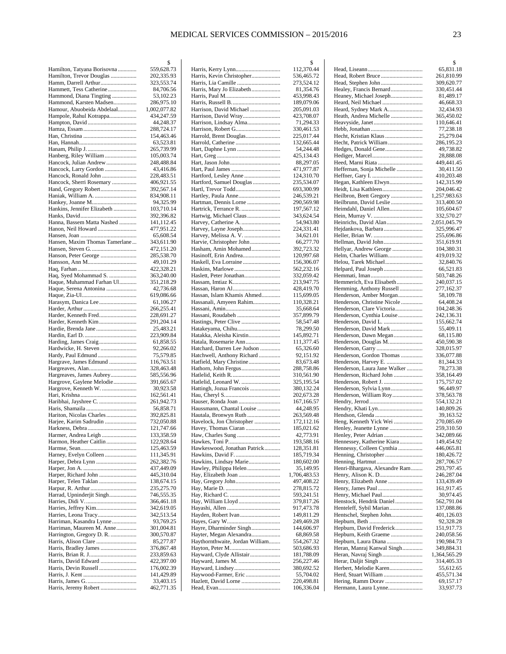|                                                        | 2                        |
|--------------------------------------------------------|--------------------------|
| Hamilton, Tatyana Borisovna                            | 559,628.73               |
| Hamilton, Trevor Douglas                               | 202,335.93               |
| Hamm, Darrell Arthur                                   | 323,553.74               |
| Hammett, Tess Catherine<br>Hammond, Diana Tingting     | 84,706.56<br>53,102.23   |
| Hammond, Karsten Madsen                                | 286,975.10               |
| Hamour, Abuobeida Abdelaal                             | 1,002,077.82             |
| Hampole, Rahul Kotrappa                                | 434,247.59               |
|                                                        | 44,248.37                |
|                                                        | 288,724.17               |
|                                                        | 154,463.46               |
|                                                        | 63,523.81                |
|                                                        | 265,739.99<br>105,003.74 |
| Hanberg, Riley William<br>Hancock, Julian Andrew       | 248,488.84               |
| Hancock, Larry Gordon                                  | 43,416.86                |
| Hancock, Ronald John                                   | 228,483.51               |
| Hancock, Sherri Rosemary                               | 406,921.55               |
| Hand, Gregory Robert                                   | 392,567.14               |
|                                                        | 834,908.11               |
| Hankey, Joanne M                                       | 94,325.99                |
| Hankins, Jennifer Elizabeth                            | 103,710.14<br>392,396.82 |
| Hanna, Bassem Matta Nashed                             | 141,112.45               |
| Hanon, Neil Howard                                     | 477,951.22               |
|                                                        | 65,608.54                |
| Hansen, Maxim Thomas Tamerlane                         | 343,611.90               |
|                                                        | 472,151.20               |
| Hanson, Peter George                                   | 285,538.70               |
|                                                        | 49,101.29                |
| Haq, Syed Mohammad S.                                  | 422,328.21<br>363,240.00 |
| Haque, Muhammad Farhan Ul                              | 351,218.29               |
| Haque, Serena Antonina                                 | 42,736.68                |
|                                                        | 619,086.66               |
| Harasym, Danica Lee                                    | 61,106.27                |
|                                                        | 266,255.41               |
| Harder, Kenneth Fred                                   | 228,691.27               |
| Harder, Kenneth Kim                                    | 291,204.14<br>25,483.21  |
|                                                        | 223,909.84               |
|                                                        | 61,858.55                |
| Hardwicke, H. Steven                                   | 92,266.02                |
|                                                        | 75,579.85                |
| Hargrave, James Edmund                                 | 116,763.51               |
|                                                        | 328,463.48               |
| Hargreaves, James Aubrey<br>Hargrove, Gaylene Melodie  | 585,556.96<br>391,665.67 |
| Hargrove, Kenneth W.                                   | 30,923.58                |
|                                                        | 162,561.41               |
| Haribhai, Jayshree C.                                  | 261,942.73               |
|                                                        | 56,858.71                |
| Hariton, Nicolas Charles                               | 392,825.81               |
| Harjee, Karim Sadrudin                                 | 732,050.88               |
| Harmer, Andrea Leigh                                   | 121,747.66<br>133,358.59 |
| Harmon, Heather Caitlin                                | 122,928.64               |
|                                                        | 125,463.59               |
| Harney, Evelyn Colleen                                 | 111,345.91               |
| Harper, Debra Lynn                                     | 262,382.76               |
|                                                        | 437,449.09               |
| Harper, Telen Taklan                                   | 445,310.04<br>138,674.15 |
|                                                        | 235,275.70               |
| Harrad, Upninderjit Singh                              | 746,555.35               |
|                                                        | 366,461.18               |
| Harries, Jeffrey Kim                                   | 342,619.05               |
|                                                        | 342,513.54               |
| Harriman, Kasandra Lynne                               | 93,769.25                |
| Harriman, Maureen M. Anne<br>Harrington, Gregory D. R. | 301,004.81<br>300,570.87 |
|                                                        | 85,277.87                |
| Harris, Bradley James                                  | 376,867.48               |
|                                                        | 233,859.63               |
| Harris, David Edward                                   | 422,397.00               |
|                                                        | 176,002.39               |
|                                                        | 141,429.89<br>33,403.15  |
| Harris, Jeremy Robert                                  | 462,771.35               |
|                                                        |                          |

|                                                            | \$                       |
|------------------------------------------------------------|--------------------------|
| Harris, Kerry Lynn                                         | 112,370.44               |
| Harris, Kevin Christopher                                  | 536,465.72               |
| Harris, Lia Camille                                        | 273,524.12               |
| Harris, Mary Jo Elizabeth                                  | 81,354.76                |
|                                                            | 453,998.43<br>189,079.06 |
| Harrison, David Michael                                    | 205,091.03               |
| Harrison, David Wray                                       | 423,708.07               |
| Harrison, Lindsay Alma                                     | 71,294.33                |
|                                                            | 330,461.53               |
| Harrold, Brent Douglas                                     | 225,017.44               |
| Harrold, Catherine                                         | 132,665.44               |
| Hart, Daphne Lynn                                          | 54,244.48                |
|                                                            | 425,134.43               |
|                                                            | 88,297.05                |
|                                                            | 471,977.87               |
| Hartford, Lesley Anne                                      | 124,310.70               |
| Hartford, Samuel Douglas                                   | 235,534.07               |
| Hartl, Trevor Todd                                         | 693,300.99               |
| Hartley, Paula Anne                                        | 246,539.21               |
| Hartman, Dennis Lorne                                      | 290,569.98               |
| Hartwig, Michael Claus                                     | 197,567.12<br>343,624.54 |
|                                                            | 54,943.80                |
| Harvey, Layne Joseph                                       | 224,331.41               |
| Harvey, Melissa A. V.                                      | 34,621.01                |
| Harvie, Christopher John                                   | 66,277.70                |
| Hasham, Amin Mohamed                                       | 392,723.32               |
| Hasinoff, Erin Andrea                                      | 120,997.68               |
| Haskell, Eva Lorraine                                      | 156,306.07               |
|                                                            | 562,232.16               |
| Haslett, Peter Jonathan                                    | 332,059.42               |
|                                                            | 213,947.75               |
|                                                            | 428,419.70               |
| Hassan, Islam Khamis Ahmed                                 | 115,699.05               |
| Hassanali, Amyeen Rahim                                    | 110,328.21               |
|                                                            | 35,668.64                |
| Hassani, Roudabeh                                          | 357,899.79               |
| Hatakeyama, Chihu                                          | 58,547.48<br>78,299.50   |
| Hatakka, Aleisha Kirstin                                   | 145,892.71               |
| Hatala, Rosemarie Ann                                      | 111,377.45               |
| Hatchard, Darren Lee Judson                                | 65,326.60                |
| Hatchwell, Anthony Richard                                 | 92,151.92                |
| Hatfield, Mary Christine                                   | 83,673.48                |
|                                                            | 288,758.86               |
|                                                            | 310,561.90               |
| Hatlelid, Leonard W.                                       | 325,195.54               |
| Hattingh, Jozua Francois                                   | 380,132.24               |
|                                                            | 202,673.28               |
| Hauser, Ronda Joan                                         | 167,166.57               |
| Haussmann, Chantal Louise                                  | 44,248.95<br>263,569.48  |
| Hautala, Bronwyn Ruth<br>Havelock, Jon Christopher         | 172,112.16               |
| Havey, Thomas Ciaran                                       | 185,021.62               |
| Haw, Charles Sung                                          | 42,773.91                |
|                                                            | 193,588.16               |
| Hawkeswood, Jonathan Patrick                               | 128,351.81               |
| Hawkins, David F.                                          | 185,719.34               |
| Hawkins, Lindsay Marie                                     | 180,602.00               |
| Hawley, Philippa Helen                                     | 35,149.95                |
|                                                            | 1,706,483.53             |
|                                                            | 497,408.22               |
|                                                            | 278,815.72               |
|                                                            | 593,241.51               |
|                                                            | 379,817.26               |
|                                                            | 917,473.78<br>149,811.29 |
|                                                            | 249,469.28               |
| Hayre, Dharminder Singh                                    |                          |
|                                                            |                          |
|                                                            | 144,606.97               |
| Hayter, Megan Alexandra<br>Haythornthwaite, Jordan William | 68,869.58<br>554,267.32  |
|                                                            | 503,686.93               |
| Hayward, Clyde Allistair                                   | 181,788.09               |
|                                                            | 256,227.46               |
| Hayward, Lindsey                                           | 380,692.52               |
| Haywood-Farmer, Eric                                       | 55,704.02                |
| Hazlett, David Lorne                                       | 220,498.81<br>106,336.04 |

|                                                          | \$                       |
|----------------------------------------------------------|--------------------------|
|                                                          | 65,831.18                |
| Head, Robert Bruce<br>Head, Stephen John                 | 261,810.99<br>309,620.77 |
| Healey, Francis Bernard                                  | 330,451.44               |
| Heaney, Michael Joseph                                   | 81,489.17                |
| Heard, Neil Michael                                      | 46,668.33                |
| Heard, Sydney Mark A                                     | 32,434.93                |
| Heath, Andrea Michelle                                   | 365,450.02<br>110,646.41 |
|                                                          | 77,238.18                |
| Hecht, Kristian Klaus                                    | 25,279.04                |
| Hecht, Patrick William                                   | 286,195.23               |
| Hedges, Donald Gene                                      | 49,738.82<br>28,888.08   |
| Heed, Marni Riata                                        | 449,441.45               |
| Heffernan, Sonja Michelle                                | 30,411.50                |
| Hegan, Kathleen Elwyn                                    | 410,203.48<br>142,315.99 |
| Heidt, Lisa Kathleen                                     | 204,046.42               |
| Heilbron, Brett Gregory                                  | 1,257,983.63             |
| Heilbrunn, David Leslie                                  | 313,400.50               |
| Heimdahl, Daniel Allen                                   | 105,604.67<br>332,570.27 |
| Heinrichs, David Alan                                    | 2,051,045.79             |
| Hejdankova, Barbara                                      | 325,996.47               |
|                                                          | 255,696.86               |
| Hellman, David John<br>Hellyar, Andrew George            | 351,619.91<br>104,380.31 |
| Helm, Charles William                                    | 419,019.32               |
| Helou, Tarek Michael                                     | 32,840.76                |
| Helpard, Paul Joseph                                     | 66,521.83                |
| Hemmerich, Eva Elisabeth                                 | 503,748.26<br>240,037.15 |
| Hemming, Anthony Russell                                 | 277,162.37               |
| Henderson, Amber Morgan                                  | 58,109.78                |
| Henderson, Christine Nicole<br>Henderson, Clare Victoria | 64,408.24<br>104,248.36  |
| Henderson, Cynthia Louise                                | 242,136.31               |
| Henderson, David L.                                      | 155,662.74               |
| Henderson, David Mark                                    | 55,409.11                |
| Henderson, Dawn Megan<br>Henderson, Douglas M            | 68,115.80<br>450,590.38  |
|                                                          | 328,015.97               |
| Henderson, Gordon Thomas                                 | 336,077.88               |
| Henderson, Harvey E.<br>Henderson, Laura Jane Walker     | 81,344.33<br>78,273.38   |
| Henderson, Richard John                                  | 358,164.49               |
| Henderson, Robert J.                                     | 175,757.02               |
| Henderson, Sylvia Lynn                                   | 96,449.97<br>378,563.78  |
| Henderson, William Roy                                   | 554,132.21               |
|                                                          | 140,809.26               |
|                                                          | 39,163.52                |
| Heng, Kenneth Yick Wei<br>Henley, Jeanette Lynne         | 270,085.69<br>259,310.50 |
| Henley, Peter Adrian                                     | 342,089.66               |
| Hennessey, Katherine Kiara                               | 149,454.92               |
| Hennessy, Colleen Cynthia                                | 446,065.81               |
| Henning, Christopher                                     | 180,426.72<br>287,706.57 |
| Henri-Bhargava, Alexandre Ram                            | 293,797.45               |
|                                                          | 246,287.04               |
| Henry, Elizabeth Anne                                    | 133,439.49<br>161,917.45 |
|                                                          | 30,974.45                |
| Henstock, Hendrik Daniel                                 | 562,791.04               |
| Henteleff, Sybil Marian                                  | 137,088.86               |
| Hentschel, Stephen John                                  | 401,126.03<br>92,328.28  |
| Hepburn, David Frederick                                 | 151,917.73               |
| Hepburn, Keith Graeme                                    | 240,058.56               |
| Hepburn, Laura Diana<br>Heran, Manraj Kanwal Singh       | 190,984.73<br>349,884.31 |
|                                                          | 1,364,565.29             |
| Herar, Daljit Singh                                      | 314,405.33               |
| Herbert, Melodie Karen                                   | 55,612.65                |
| Herd, Stuart William<br>Hering, Ramm Dorav               | 455,571.34<br>69,157.17  |
| Hermann, Laura Lynne                                     | 33,937.73                |
|                                                          |                          |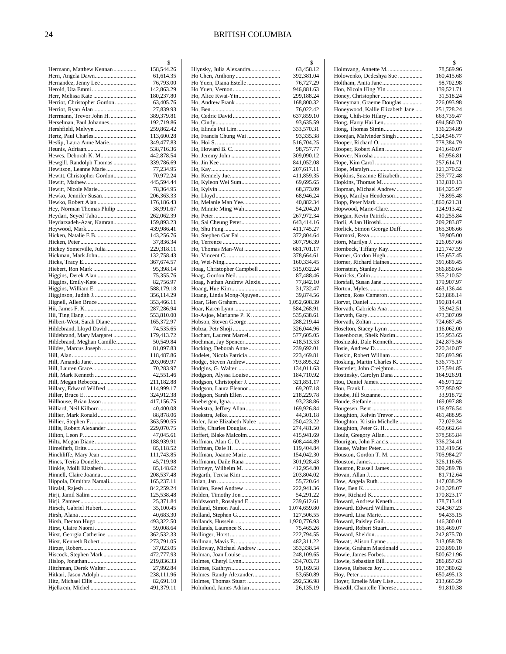|                                                    | \$                       |
|----------------------------------------------------|--------------------------|
| Hermann, Matthew Kennan                            | 158,544.26               |
| Hern, Angela Dawn                                  | 61,614.35                |
| Hernandez, Jenny Lee                               | 76,793.00                |
| Herold, Uta Emmi                                   | 142,863.29<br>180,237.80 |
| Herr, Melissa Kate<br>Herriot, Christopher Gordon  | 63,405.76                |
|                                                    | 27,839.93                |
| Herrmann, Trevor John H.                           | 389,379.81               |
| Herselman, Paul Johannes                           | 192,719.86               |
| Hershfield, Melvyn                                 | 259,862.42               |
|                                                    | 113,600.28               |
| Heslip, Laura Anne Marie                           | 349,477.83               |
|                                                    | 538,716.36               |
| Hewes, Deborah K. M                                | 442,878.54               |
| Hewgill, Randolph Thomas<br>Hewitson, Leanne Marie | 339,786.69<br>77,234.95  |
| Hewitt, Christopher Gordon                         | 70,972.24                |
|                                                    | 445,594.44               |
| Hewitt, Nicole Marie                               | 78,364.95                |
| Hewko, Jennifer Susan                              | 206,363.33               |
| Hewko, Robert Alan                                 | 176,186.43               |
| Hey, Norman Thomas Philip                          | 38,991.67                |
| Heydari, Seyed Taha                                | 262,062.39               |
| Heydarzadeh-Azar, Kamran                           | 159,893.23               |
|                                                    | 439,986.41               |
|                                                    | 143,256.76<br>37,836.34  |
| Hickey Somerville, Julia                           | 229,318.11               |
| Hickman, Mark John                                 | 132,758.43               |
|                                                    | 367,674.57               |
|                                                    | 95,398.14                |
| Higgins, Derek Alan                                | 75,355.76                |
| Higgins, Emily-Kate                                | 82,756.97                |
|                                                    | 588,179.18               |
| Higginson, Judith J                                | 356,114.29<br>353,466.11 |
|                                                    | 287,286.94               |
|                                                    | 553,810.00               |
| Hilbert-West, Sarah Diane                          | 165,372.97               |
| Hildebrand, Lloyd David                            | 74,535.65                |
| Hildebrand, Mary Margaret                          | 179,413.72               |
| Hildebrand, Meghan Camille                         | 50,549.84                |
| Hildes, Marcus Joseph                              | 81,097.83<br>118,487.86  |
|                                                    | 203,069.97               |
|                                                    | 70,283.97                |
| Hill, Mark Kenneth                                 | 42,551.46                |
| Hill, Megan Rebecca                                | 211,182.88               |
| Hillary, Edward Wilfred                            | 114,999.17               |
|                                                    | 324,912.38               |
| Hillhouse, Brian Jason                             | 417,156.75<br>40,400.08  |
| Hilliard, Neil Kilborn<br>Hillier, Mark Ronald     | 88,878.06                |
| Hillier, Stephen F.                                | 363,590.55               |
| Hillis, Robert Alexander                           | 229,070.75               |
|                                                    | 47,045.61                |
| Hiltz, Megan Diane                                 | 188,939.91               |
|                                                    | 85,118.52                |
| Hinchliffe, Mary Jean                              | 111,743.85               |
| Hines, Terisa Donelle<br>Hinkle, Molli Elizabeth   | 45,719.98<br>85,148.62   |
| Hinnell, Claire Joanna                             | 208,537.48               |
| Hippola, Dimithra Namali                           | 165,237.11               |
|                                                    | 842,259.24               |
|                                                    | 125,538.48               |
|                                                    | 25,371.84                |
| Hirsch, Gabriel Hubert                             | 35,100.45                |
| Hirsh, Denton Hugo                                 | 40,683.30<br>493,322.50  |
|                                                    | 59,008.64                |
| Hirst, Georgia Catherine                           | 362,532.33               |
| Hirst, Kenneth Robert                              | 273,791.05               |
|                                                    | 37,023.05                |
| Hiscock, Stephen Mark                              | 472,777.93               |
|                                                    | 219,836.33               |
| Hitchman, Derek Walter<br>Hitkari, Jason Adolph    | 27,992.84<br>238,111.96  |
| Hitz, Michael Ellis                                | 82,691.10                |
|                                                    | 491,379.11               |
|                                                    |                          |

|                                                   | \$                         |
|---------------------------------------------------|----------------------------|
| Hlynsky, Julia Alexandra                          | 63,458.12                  |
| Ho Yuen, Diana Estelle                            | 392,381.04<br>76,727.29    |
|                                                   | 946,881.63                 |
|                                                   | 299,188.24                 |
| Ho, Andrew Frank                                  | 168,800.32                 |
|                                                   | 76,022.42                  |
|                                                   | 637,859.10                 |
|                                                   | 93,635.59                  |
| Ho, Elinda Pui Lim                                | 333,570.31                 |
| Ho, Francis Chung Wai                             | 93,335.38                  |
|                                                   | 516,704.25                 |
|                                                   | 98,757.77<br>309,090.12    |
|                                                   | 841,052.08                 |
|                                                   | 207,617.11                 |
|                                                   | 411,859.35                 |
| Ho, Kyleon Wei Sum                                | 69,695.65                  |
|                                                   | 68,373.09                  |
|                                                   | 68,946.24                  |
| Ho, Melanie Man Yee<br>Ho, Minnie Ming Wah        | 40,882.34<br>54,204.20     |
|                                                   | 267,972.34                 |
|                                                   | 643,414.16                 |
|                                                   | 411,745.27                 |
|                                                   | 372,804.64                 |
|                                                   | 307,796.39                 |
| Ho, Thomas Man-Wai                                | 681,701.17                 |
|                                                   | 378,664.61<br>160,334.45   |
| Hoag, Christopher Campbell                        | 515,032.24                 |
| Hoag, Gordon Neil                                 | 87,488.46                  |
| Hoag, Nathan Andrew Alexis                        | 77,842.10                  |
|                                                   | 31,732.47                  |
| Hoang, Linda Mong-Nguyen                          | 39,874.56                  |
| Hoar, Glen Graham                                 | 1,052,608.39               |
| Ho-Asjoe, Marianne P. K.                          | 584,268.91<br>535,638.61   |
| Hobson, Steven George                             | 288,219.44                 |
|                                                   | 326,044.96                 |
| Hochart, Laurent Marcel                           | 577,605.05                 |
| Hochman, Jay Spencer                              | 418,513.53                 |
| Hocking, Deborah Anne<br>Hodelet, Nicola Patricia | 239,692.01                 |
| Hodge, Steven Andrew                              | 223,469.81<br>793,895.32   |
|                                                   | 134,011.63                 |
| Hodgson, Alyssa Louise                            | 184,710.92                 |
| Hodgson, Christopher J.                           | 321,851.17                 |
| Hodgson, Laura Eleanor                            | 69,207.18                  |
| Hodgson, Sarah Ellen                              | 218,229.78                 |
| Hoekstra, Jeffrey Allan                           | 93,238.86<br>169,926.84    |
|                                                   | 44,301.18                  |
| Hofer, Jane Elizabeth Nalee                       | 250,423.22                 |
| Hoffe, Charles Douglas                            | 274,481.50                 |
| Hoffert, Blake Malcolm                            | 415,941.69                 |
| Hoffman, Alan G. D.                               | 608,444.89                 |
| Hoffman, Joanne Marie                             | 119,404.84                 |
| Hoffmann, Daile Rana                              | 154,042.30<br>301,928.43   |
| Hofmeyr, Wilhelm M.                               | 412,954.80                 |
| Hogarth, Teresa Kim                               | 203,804.02                 |
|                                                   | 55,720.64                  |
| Holden, Reed Andrew                               | 222,941.36                 |
|                                                   | 54,291.22                  |
| Holdsworth, Rosalynd E<br>Holland, Simon Paul     | 239,612.61                 |
|                                                   | 1,074,659.80<br>127,506.55 |
|                                                   | 1,920,776.93               |
| Hollands, Laurence S                              | 75,465.26                  |
|                                                   | 222,794.55                 |
| Hollman, Mavis E                                  | 482,311.22                 |
| Holloway, Michael Andrew                          | 353,338.54                 |
| Holman, Joan Louise<br>Holmes, Cheryl Lynn        | 248,109.65<br>334,703.73   |
|                                                   | 91,169.58                  |
| Holmes, Randy Alexander                           | 53,650.89                  |
| Holmes, Thomas Stuart                             | 292,536.98                 |
| Holmlund, James Adrian                            | 26,135.19                  |
|                                                   |                            |

|                                                              | \$                         |
|--------------------------------------------------------------|----------------------------|
| Holmvang, Annette M<br>Holowenko, Dedeshya Sue               | 78,569.96<br>160,415.68    |
|                                                              | 98,702.98                  |
| Hon, Nicola Hing Yin                                         | 139,521.71                 |
|                                                              | 31,518.24                  |
| Honeyman, Graeme Douglas<br>Honeywood, Kallie Elizabeth Jane | 226,093.98<br>251,728.24   |
| Hong, Chih-Ho Hilary                                         | 663,739.47                 |
| Hong, Harry Hai Len                                          | 694,560.70                 |
| Hoonjan, Malvinder Singh                                     | 136,234.89<br>1,524,548.77 |
| Hooper, Richard O.                                           | 778,384.79                 |
| Hooper, Robert Allen                                         | 241,640.07                 |
|                                                              | 60,956.81                  |
|                                                              | 257,614.71<br>121,370.52   |
| Hopkins, Suzanne Elizabeth                                   | 259,772.48                 |
| Hopkins, Thomas M.                                           | 132,810.13                 |
| Hopman, Michael Andrew<br>Hopp, Marilyn Henderson            | 164,325.97<br>78,895.48    |
|                                                              | 1,860,621.31               |
| Hopwood, Marie-Clare                                         | 124,913.42                 |
| Horgan, Kevin Patrick                                        | 410,255.84                 |
| Horii, Allan Hiroshi<br>Horlick, Simon George Duff           | 209,283.87<br>165,306.66   |
|                                                              | 39,905.00                  |
|                                                              | 226,057.66                 |
| Hornbeck, Tiffany Kay                                        | 121,747.59                 |
| Horner, Gordon Hugh<br>Horner, Richard Haines                | 155,657.45<br>391,689.45   |
|                                                              | 366,850.64                 |
|                                                              | 355,210.52                 |
| Horsfall, Susan Jane                                         | 179,907.97<br>463,136.44   |
| Horton, Ross Cameron                                         | 523,868.14                 |
|                                                              | 190,814.41                 |
| Horvath, Gabriela Ana                                        | 35,942.51                  |
|                                                              | 473,307.09<br>724,687.45   |
|                                                              | 116,062.00                 |
| Hosenbocus, Sheik Nazim                                      | 155,953.65                 |
| Hoshizaki, Dale Kenneth                                      | 242,875.56<br>220,340.87   |
| Hoskin, Robert William                                       | 305,893.96                 |
| Hosking, Martin Charles K.                                   | 536,775.17                 |
| Hostetler, John Creighton                                    | 125,594.85                 |
| Hostinsky, Carolyn Dana<br>Hou, Daniel James                 | 164,926.91<br>46,971.22    |
|                                                              | 377,950.92                 |
|                                                              | 33,918.72                  |
|                                                              | 169,097.88<br>136,976.54   |
| Houghton, Kelvin Trevor                                      | 461,488.95                 |
| Houghton, Kristin Michelle                                   | 72,029.34                  |
| Houghton, Peter G. H.                                        | 450,662.64                 |
| Hourigan, John Francis                                       | 378,565.84<br>336,234.41   |
| House, Walter Peter                                          | 132,419.56                 |
| Houston, Gordon T. M.                                        | 705,984.27                 |
| Houston, Russell James                                       | 326,116.65<br>309,289.78   |
|                                                              | 81,712.64                  |
| How, Angela Ruth                                             | 147,038.29                 |
|                                                              | 240,328.07                 |
| Howard, Andrew Keneth                                        | 170,823.17<br>178,713.41   |
| Howard, Edward William                                       | 324,367.23                 |
| Howard, Lisa Marie                                           | 94,435.15                  |
| Howard, Paisley Gail<br>Howard, Robert Stuart                | 146,300.01                 |
|                                                              | 165,469.07<br>242,875.70   |
| Howatt, Alison Lynne                                         | 313,058.78                 |
| Howie, Graham Macdonald                                      | 230,890.10                 |
| Howie, Sebastian Bill                                        | 500,621.96<br>286,857.63   |
| Howse, Rebecca Joy                                           | 107,380.62                 |
|                                                              | 650,495.13                 |
| Hoyer, Emelie Mary Lise                                      | 213,665.29                 |
| Hrazdil, Chantelle Therese                                   | 91,810.38                  |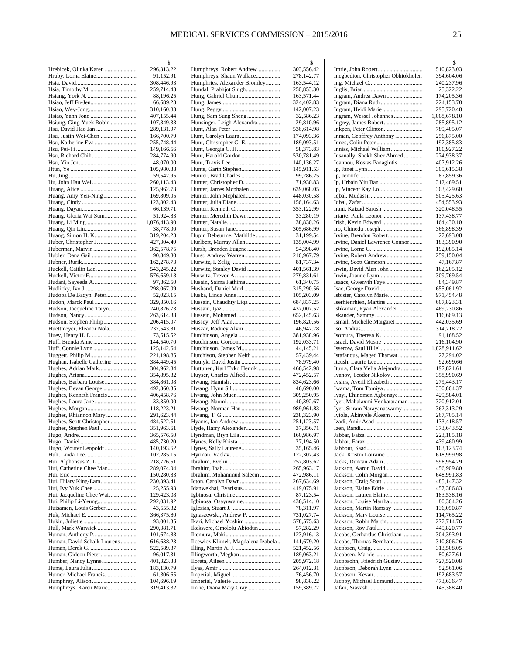|                                               | \$                       |
|-----------------------------------------------|--------------------------|
| Hrebicek, Olinka Karen                        | 296,313.22               |
| Hruby, Lorna Elaine                           | 91,152.91<br>308,446.93  |
|                                               | 259,714.43               |
|                                               | 88,196.25                |
|                                               | 66,689.23                |
|                                               | 310,160.83               |
|                                               | 407,155.44               |
| Hsiung, Ging-Yuek Robin<br>Hsu, David Hao Jan | 107,849.38<br>289,131.97 |
|                                               | 166,700.79               |
|                                               | 255,748.44               |
|                                               | 149,166.56               |
| Hsu, Richard Chih                             | 284,774.90               |
|                                               | 48,070.00<br>105,980.88  |
|                                               | 59,547.95                |
| Hu, John Hau Wei                              | 260,113.43               |
|                                               | 125,962.73               |
| Huang, Amy Yen-Ning                           | 169,809.05               |
|                                               | 123,802.43<br>66,139.71  |
| Huang, Gloria Wai Sum                         | 51,924.83                |
|                                               | 1,076,413.90             |
|                                               | 38,778.00                |
|                                               | 319,204.23               |
| Huber, Christopher J.                         | 427,304.49               |
| Huberman, Marvin<br>Hubler, Dana Gail         | 362,578.75<br>90,849.80  |
|                                               | 162,278.73               |
| Huckell, Caitlin Lael                         | 543,245.22               |
| Huckell, Victor F                             | 576,659.18               |
|                                               | 97,862.50                |
| Hudoba De Badyn, Peter                        | 298,067.09<br>52,023.15  |
| Hudon, Marck Paul                             | 329,850.16               |
| Hudson, Jacqueline Taryn                      | 240,826.73               |
|                                               | 263,614.88               |
| Hudson, Stephen Philip                        | 206,415.07               |
| Huettmeyer, Eleanor Nola                      | 237,543.81<br>73,515.52  |
|                                               | 144,540.70               |
|                                               | 125,142.64               |
| Huggett, Philip M                             | 221,198.85               |
| Hughan, Isabelle Catherine                    | 384,449.45<br>304,962.84 |
| Hughes, Adrian Mark                           | 354,895.82               |
| Hughes, Barbara Louise                        | 384,861.08               |
| Hughes, Bevan George                          | 492,360.35               |
| Hughes, Kenneth Francis                       | 406,458.76               |
|                                               | 33,350.00<br>118,223.21  |
| Hughes, Rhiannon Mary                         | 291,623.44               |
| Hughes, Scott Christopher                     | 484,522.51               |
| Hughes, Stephen Paul                          | 351,963.61               |
|                                               | 365,576.50               |
| Hugo, Wouter Leopoldt                         | 485,730.20<br>140,193.62 |
|                                               | 102,285.15               |
|                                               | 218,726.51               |
| Hui, Catherine Chee Man                       | 289,074.04               |
|                                               | 150,280.83               |
| Hui, Hilary King-Lam<br>Hui, Ivy Yuk Chee     | 230,393.41<br>25,255.93  |
| Hui, Jacqueline Chee Wai                      | 129,423.08               |
| Hui, Philip Li-Yeung                          | 292,031.92               |
| Huisamen, Louis Gerber                        | 43,555.32                |
|                                               | 366,375.80               |
| Hull, Mark Warwick                            | 93,001.35<br>290,381.71  |
| Human, Anthony P                              | 101,674.88               |
| Human, David Schalk Lourens                   | 616,638.23               |
|                                               | 522,589.37               |
|                                               | 96,017.31                |
|                                               | 401,323.38<br>183,130.79 |
| Humer, Michael Francis                        | 61,306.65                |
|                                               | 104,696.19               |
| Humphreys, Karen Marie                        | 319,413.32               |

|                                                 | \$                       |
|-------------------------------------------------|--------------------------|
| Humphreys, Robert Andrew                        | 303,556.42               |
| Humphreys, Shaun Wallace                        | 278,142.77               |
| Humphries, Alexander Bromley                    | 163,544.12               |
| Hundal, Prabhjot Singh                          | 250,853.30               |
| Hung, Gabriel Chun                              | 163,571.44<br>324,402.83 |
|                                                 | 142,007.23               |
| Hung, Sam Sung Sheng                            | 32,586.23                |
| Hunsinger, Leigh Alexandra                      | 29,810.96                |
|                                                 | 536,614.98               |
| Hunt, Carolyn Laura                             | 174,093.36               |
| Hunt, Christopher G. E.                         | 189,093.51               |
| Hunt, Georgia C. H.                             | 58,373.83                |
| Hunt, Harold Gordon                             | 530,781.49               |
|                                                 | 140,136.27               |
|                                                 | 145,911.53               |
| Hunter, Brad Charles                            | 99,286.25                |
| Hunter, Christopher D.                          | 71,930.83                |
| Hunter, James Mcphalen<br>Hunter, John Mcphalen | 639,068.05<br>448,030.58 |
|                                                 | 156,164.63               |
|                                                 | 353,122.99               |
| Hunter, Meredith Dawn                           | 33,280.19                |
|                                                 | 38,830.26                |
|                                                 | 305,686.99               |
| Hupin Debeurme, Mathilde                        | 31,199.54                |
| Hurlbert, Murray Allan                          | 135,004.99               |
| Hursh, Brenden Eugene                           | 54,398.40                |
| Hurst, Andrew Warren                            | 216,967.79               |
|                                                 | 81,737.34                |
| Hurwitz, Stanley David<br>Hurwitz, Trevor A.    | 401,561.39               |
| Husain, Saima Fathima                           | 279,831.61<br>61,340.75  |
| Husband, Daniel Murl                            | 315,290.56               |
| Huska, Linda Anne                               | 105,203.09               |
| Hussain, Chaudhry Liqa                          | 684,837.25               |
|                                                 | 437,007.52               |
| Hussein, Mohamed                                | 652,145.63               |
|                                                 | 196,820.56               |
| Huszar, Rodney Alvin                            | 46,947.78                |
|                                                 | 381,938.96               |
| Hutchinson, Gordon                              | 192,033.71               |
| Hutchinson, James M<br>Hutchison, Stephen Keith | 44,145.21<br>57,439.44   |
| Hutnyk, David Justin                            | 78,979.40                |
| Huttunen, Karl Tyko Henrik                      | 466,542.98               |
| Huyser, Charles Alfred                          | 472,452.57               |
|                                                 | 834,623.66               |
|                                                 | 46,690.00                |
|                                                 | 309,250.95               |
|                                                 | 40,392.67                |
| Hwang, Norman Hau                               | 989,961.83               |
|                                                 | 238,323.90               |
|                                                 | 251,123.57               |
| Hyde, Harry Alexander<br>Hyndman, Bryn Lila     | 37,356.71<br>160,986.97  |
| Hynes, Kelly Krista                             | 27,194.50                |
| Hynes, Sally Laurene                            | 35,165.46                |
|                                                 | 122,307.43               |
|                                                 | 257,803.67               |
|                                                 | 265,963.17               |
| Ibrahim, Mohammud Saleem                        | 472,986.11               |
|                                                 | 267,634.69               |
| Idanwekhai, Evaristus                           | 419,075.91               |
| Igbinosa, Osayuwame                             | 87,123.54<br>436,514.10  |
|                                                 | 78,311.97                |
| Ignaszewski, Andrew P.                          | 731,027.74               |
| Ikari, Michael Yoshim                           | 578,575.63               |
| Ikekwere, Omololu Abiodun                       | 57,282.29                |
|                                                 | 123,916.13               |
| Ilcewicz-Klimek, Magdalena Izabela              | 141,679.20               |
|                                                 | 521,452.56               |
|                                                 | 189,063.21               |
|                                                 | 205,972.18               |
|                                                 | 264,012.31<br>76,456.70  |
|                                                 | 98,838.22                |
| Imrie, Diana Mary Gray                          | 159,389.77               |
|                                                 |                          |

|                                                         | \$                         |
|---------------------------------------------------------|----------------------------|
|                                                         | 510,823.03                 |
| Inegbedion, Christopher Obhiokholen                     | 394,604.06<br>240,237.96   |
|                                                         | 25,322.22                  |
| Ingram, Andrea Dawn                                     | 174,205.36                 |
| Ingram, Diana Ruth                                      | 224,153.70                 |
| Ingram, Heidi Marie                                     | 295,720.48<br>1,008,678.10 |
| Ingram, Wessel Johannes<br>Ingrey, James Robert         | 285,895.12                 |
| Inkpen, Peter Clinton                                   | 789,405.07                 |
| Inman, Geoffrey Anthony                                 | 256,875.00                 |
|                                                         | 197,385.83                 |
| Inniss, Michael William<br>Insanally, Shekh Sher Ahmed  | 100,927.22<br>274,938.37   |
| Ioannou, Kostas Panagiotis                              | 407,912.26                 |
|                                                         | 305,615.38                 |
|                                                         | 87,859.36                  |
| Ip, Urbain Yiu Ban                                      | 312,469.51                 |
|                                                         | 303,429.60<br>505,425.63   |
|                                                         | 454,553.93                 |
| Irani, Kaizad Sarosh                                    | 320,048.55                 |
| Iriarte, Paula Leonor                                   | 137,438.77                 |
| Irish, Kevin Edward                                     | 164,430.10                 |
| Iro, Chinedu Joseph<br>Irvine, Brendon Robert           | 366,898.39<br>27,693.08    |
| Irvine, Daniel Lawrence Connor                          | 183,390.90                 |
|                                                         | 192,085.14                 |
| Irvine, Robert Andrew                                   | 259,150.04                 |
| Irvine, Scott Cameron                                   | 47,167.87                  |
| Irwin, David Alan John                                  | 162,205.12<br>309,769.54   |
| Isaacs, Gwenyth Faye                                    | 84,349.87                  |
|                                                         | 655,061.92                 |
|                                                         | 971,454.48                 |
| Iserhienrhien, Martins                                  | 607,823.31                 |
| Ishkanian, Ryan Alexander                               | 469,230.86<br>116,669.13   |
| Ismail, Michelle Margaret                               | 442,035.69                 |
|                                                         | 314,718.22                 |
| Isomura, Theresa K.                                     | 91,168.52                  |
| Israel, David Moshe<br>Isserow, Saul Hillel             | 216,104.90<br>1,828,911.62 |
| Istafanous, Maged Tharwat                               | 27,294.02                  |
|                                                         | 92,699.66                  |
| Iturra, Clara Velia Alejandra                           | 197,821.61                 |
| Ivanov, Teodor Nikolov<br>Ivsins, Averil Elizabeth      | 358,990.69                 |
| Iwama, Tom Tomiya                                       | 279,443.17<br>330,664.37   |
| Iyayi, Ehinomen Agbonaye                                | 429,584.01                 |
| Iyer, Mahalaxmi Venkataraman                            | 320,912.01                 |
| Iyer, Sriram Narayanaswamy                              | 362,313.29                 |
| Iyiola, Akinyele Akeem                                  | 267,705.14<br>133,418.57   |
| Izen. Randi                                             | 373,643.52                 |
|                                                         | 223,185.18                 |
|                                                         | 439,460.99                 |
|                                                         | 103,123.74                 |
| Jack, Kristin Lorraine<br>Jacks, Duncan Adam            | 618,999.98<br>598,954.79   |
| Jackson, Aaron David                                    | 456,909.80                 |
| Jackson, Colin Morgan                                   | 648,991.83                 |
|                                                         | 485,147.32                 |
| Jackson, Elaine Edrie                                   | 457,386.83                 |
| Jackson, Lauren Elaine<br>Jackson, Louise Martha        | 183,538.16<br>80,364.26    |
| Jackson, Martin Ramsay                                  | 136,050.87                 |
| Jackson, Mary Louise                                    | 114,765.22                 |
| Jackson, Robin Martin                                   | 277,714.76                 |
|                                                         | 445,820.77                 |
| Jacobs, Gerhardus Christiaan<br>Jacobs, Thomas Bernhard | 304,393.91<br>310,806.26   |
|                                                         | 313,508.05                 |
|                                                         | 80,627.61                  |
| Jacobsohn, Friedrich Gustav                             | 727,520.08                 |
| Jacobson, Deborah Lynn                                  | 52,561.06                  |
| Jacoby, Michael Edmund                                  | 192,683.57<br>473,636.47   |
|                                                         | 145,388.40                 |
|                                                         |                            |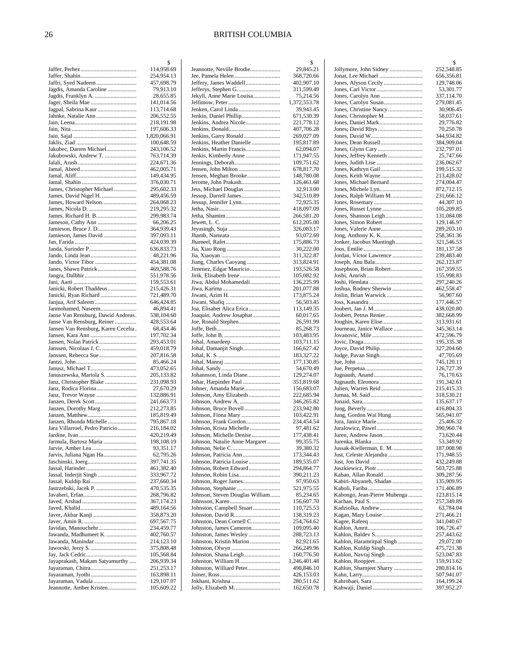|                                                            | \$                       |
|------------------------------------------------------------|--------------------------|
|                                                            | 114,958.69<br>254,954.13 |
| Jaffri, Syed Nadeem                                        | 457,698.79               |
| Jagdis, Amanda Caroline                                    | 79,913.10                |
| Jagdis, Franklyn A.                                        | 28,655.85                |
|                                                            | 141,014.56               |
| Jagpal, Sabrina Kaur                                       | 113,714.68<br>206,552.55 |
|                                                            | 218,191.98               |
|                                                            | 197,606.33               |
|                                                            | 1,820,066.91             |
|                                                            | 100,648.59               |
| Jakubec, Darren Michael<br>Jakubowski, Andrew T.           | 243,106.52<br>763,714.39 |
|                                                            | 224,671.36               |
|                                                            | 462,005.71               |
|                                                            | 149,434.95               |
|                                                            | 376,030.71               |
| James, Christopher Michael<br>James, David Nigel H.        | 295,602.33<br>489,456.59 |
| James, Howard Nelson                                       | 264,068.23               |
|                                                            | 219,295.32               |
| James, Richard H. B                                        | 299,983.74               |
|                                                            | 66,206.25                |
| Jamieson, Bruce J. D<br>Jamieson, James David              | 364,939.43<br>397,093.11 |
|                                                            | 424,039.39               |
| Janda, Surinder P                                          | 636,833.73               |
|                                                            | 48,221.96                |
|                                                            | 454,381.08               |
| Janes, Shawn Patrick                                       | 469,588.76<br>551,978.56 |
|                                                            | 159,553.61               |
| Janicki, Robert Thaddeus                                   | 215,426.31               |
| Janicki, Ryan Richard                                      | 721,489.70               |
|                                                            | 646,424.85               |
| Janmohamed, Naseem<br>Janse Van Rensburg, Dawid Andreas.   | 46,894.41<br>538,104.60  |
| Janse Van Rensburg, Reiner                                 | 428,553.64               |
| Jansen Van Rensburg, Karen Cecelia.                        | 68,454.46                |
|                                                            | 197,702.34               |
|                                                            | 293,453.01               |
| Janssen, Nicolaas J. C.<br>Janssen, Rebecca Sue            | 459,018.79<br>207,816.58 |
|                                                            | 85,466.24                |
|                                                            | 473,052.65               |
| Januszewska, Mariola S.                                    | 205,133.82               |
| Janz, Christopher Blake<br>Janz, Rodica Florina            | 231,098.93<br>27,670.29  |
| Janz, Trevor Wayne                                         | 132,886.91               |
| Janzen, Derek Scott                                        | 241,663.73               |
|                                                            | 212,273.85               |
|                                                            | 185,819.49               |
| Janzen, Rhonda Michelle<br>Jara Villarroel, Pedro Patricio | 795,867.18<br>216,184.02 |
|                                                            | 420,219.49               |
| Jarmula, Bartosz Maria                                     | 198,108.19               |
|                                                            | 93,351.17                |
| Jarvis, Juliana Ngan Ha                                    | 62,795.26<br>397,741.35  |
|                                                            | 461,382.40               |
| Jassal, Inderjit Singh                                     | 333,967.72               |
|                                                            | 237,660.34               |
| Jastrzebski, Jacek P.                                      | 470,535.35               |
|                                                            | 268,796.82<br>367,174.23 |
|                                                            | 489,164.56               |
| Javer, Akbar Kanji                                         | 358,873.20               |
|                                                            | 697,567.75               |
| Javidan, Manouchehr                                        | 234,459.77               |
| Jawanda, Madhumeet K<br>Jawanda, Manindar                  | 402,760.57<br>214,123.10 |
|                                                            | 375,808.48               |
|                                                            | 105,568.84               |
| Jayaprakash, Makam Satyamurthy                             | 206,939.34               |
|                                                            | 251, 253. 17             |
| Jayaraman, Vadula                                          | 163,898.11<br>129,107.07 |
| Jeannotte, Amber Kristen                                   | 105,609.22               |
|                                                            |                          |

|                                                            | \$                       |
|------------------------------------------------------------|--------------------------|
| Jeannotte, Neville Brodie<br>Jee, Pamela Helen             | 29,845.21<br>368,720.66  |
| Jeffery, James Waddell                                     | 402,907.10               |
|                                                            | 311,599.49               |
| Jekyll, Anne Marie Louisa                                  | 75,214.56                |
|                                                            | 1,372,553.78             |
| Jenken, Carol Linda                                        | 39,943.45                |
| Jenkin, Daniel Phillip<br>Jenkins, Andrea Nicole           | 671,530.39<br>221,778.12 |
|                                                            | 407,706.28               |
| Jenkins, Garry Ronald                                      | 269,027.09               |
| Jenkins, Heather Danielle                                  | 195,817.89               |
| Jenkins, Martin Francis<br>Jenkis, Kimberly Anne           | 62,094.07<br>171,947.55  |
| Jennings, Deborah                                          | 109,751.62               |
| Jensen, John Milton                                        | 678,817.70               |
| Jensen, Meghan Brooke                                      | 148,780.08               |
| Jerome, John Prakash                                       | 126,461.68               |
| Jess, Michael Douglas<br>Jessop, Darrell James             | 32,913.00<br>342,510.89  |
| Jessup, Jennifer Lynn                                      | 72,925.35                |
|                                                            | 418,097.09               |
|                                                            | 266,581.20               |
|                                                            | 612,205.00               |
|                                                            | 326,083.17<br>93,072.69  |
|                                                            | 175,886.73               |
|                                                            | 30,222.00                |
|                                                            | 311,322.87               |
|                                                            | 313,824.91               |
| Jimenez, Edgar Mauricio                                    | 193,526.58               |
| Jirik, Elisabeth Irene<br>Jiwa, Abdul Mohamedali           | 105,082.92<br>136,225.99 |
|                                                            | 201,077.88               |
|                                                            | 173,875.24               |
|                                                            | 56,503.45                |
| Joa, Elisabet Alica Erica                                  | 113,149.35               |
| Joaquin, Andrew Josaphat<br>Joe, Ronald Stephen            | 60,017.65<br>26,591.99   |
|                                                            | 85,268.73                |
|                                                            | 103,483.95               |
|                                                            | 103,711.15               |
| Johal, Damanjit Singh                                      | 166,627.42               |
|                                                            | 183,327.22<br>177,130.85 |
|                                                            | 54,670.49                |
| Johannson, Linda Diane                                     | 129,274.07               |
| Johar, Harpinder Paul                                      | 351,819.68               |
| Johner, Amanda Marie<br>Johnson, Amy Elizabeth             | 156,683.07               |
|                                                            | 222,685.94<br>346,265.82 |
|                                                            | 233,942.80               |
| Johnson, Fiona Mary                                        | 103,422.91               |
| Johnson, Frank Gordon                                      | 234,454.54               |
| Johnson, Krista Michelle                                   | 97,481.62                |
| Johnson, Michelle Denise<br>Johnson, Natalie Anne Margaret | 177,438.41<br>99,355.75  |
|                                                            | 39,380.32                |
|                                                            | 173,344.43               |
| Johnson, Patricia Louise                                   | 189,535.07               |
| Johnson, Robert Edward                                     | 294,864.77<br>390,211.23 |
|                                                            | 97,950.63                |
|                                                            | 521,975.55               |
| Johnson, Steven Douglas William                            | 85,234.65                |
|                                                            | 156,607.70               |
| Johnston, Campbell Stuart                                  | 110,725.53<br>138,319.23 |
| Johnston, Dean Cornell C                                   | 254,764.62               |
| Johnston, James Cameron                                    | 109,095.40               |
| Johnston, James Wesley                                     | 288,723.13               |
| Johnston, Kristin Marion                                   | 82,921.65                |
| Johnston, Shana Leigh                                      | 266,249.96<br>160,776.50 |
| Johnston, William H.                                       | 1,246,401.48             |
| Johnston, Williard Peter                                   | 498,846.10               |
|                                                            | 426,153.03               |
| Jokhani, Krishna                                           | 280,511.62               |
| Jolly, Elizabeth M                                         | 162,650.78               |

|                                                   | \$                       |
|---------------------------------------------------|--------------------------|
| Jollymore, John Sidney                            | 252,548.85               |
|                                                   | 656,356.81               |
| Jones, Alyson Cecily                              | 129,748.06               |
|                                                   | 53,301.77<br>337,114.70  |
|                                                   | 279,081.45               |
|                                                   | 30,906.45                |
|                                                   | 58,037.61                |
| Jones, Daniel Mark                                | 29,776.82                |
|                                                   | 70,250.78<br>344,934.82  |
|                                                   | 384,909.04               |
|                                                   | 232,797.01               |
| Jones, Jeffrey Kenneth                            | 25,747.66                |
|                                                   | 236,062.67               |
| Jones, Kathryn Gail<br>Jones, Keith Wayne         | 199,515.32<br>213,428.02 |
| Jones, Michael Bernard                            | 274,004.47               |
|                                                   | 872,712.15               |
| Jones, Ralph William M.                           | 231,666.12               |
|                                                   | 44,307.10                |
| Jones, Russet Lynne                               | 105,209.85<br>131,084.08 |
|                                                   | 129,146.97               |
|                                                   | 289,203.10               |
|                                                   | 258,361.36               |
| Jonker, Jacobus Muntingh                          | 321,546.53               |
|                                                   | 181,137.58               |
| Jordan, Victor Lawrence<br>Joseph, Anu Bala       | 239,483.40<br>262,123.87 |
| Josephson, Brian Robert                           | 167,359.55               |
|                                                   | 155,998.83               |
|                                                   | 297,240.26               |
| Joshua, Rodney Sherwin                            | 462,558.47               |
| Joslin, Brian Warwick                             | 56,907.60<br>177,446.57  |
|                                                   | 438,020.80               |
| Joubert, Petrus Renier                            | 382,668.99               |
| Joughin, Karen Elise                              | 313,931.61               |
| Journeau, Janice Wallace                          | 345,363.14               |
|                                                   | 472,596.79<br>195,335.38 |
| Joyce, David Philip                               | 327,204.60               |
| Judge, Pavan Singh                                | 47,705.69                |
|                                                   | 745,120.11               |
|                                                   | 126,727.39               |
| Jugnauth, Eleonora                                | 76,170.63<br>191,342.61  |
| Julien, Warren Reid                               | 215,415.33               |
|                                                   | 318,530.21               |
|                                                   | 135,637.17               |
|                                                   | 416,804.33               |
| Jung, Gordon Wai Hung<br>Jura, Janice Marie       | 565,941.07<br>25,406.32  |
| Juralowicz, Pawel                                 | 390,960.74               |
| Juren, Andrew Jason                               | 73,620.44                |
|                                                   | 53,349.92                |
| Jussak-Kiellerman, E. M.                          | 187,008.98               |
| Just, Celeste Alejandra                           | 171,948.55<br>432,249.88 |
|                                                   | 503,725.88               |
| Kaban, Allan Ronald                               | 309,287.56               |
| Kabiri-Abyaneh, Shadan                            | 135,909.95               |
|                                                   | 171,406.89               |
| Kabongo, Jean-Pierre Mubenga                      | 123,815.14<br>257,349.89 |
| Kadziolka, Andrew                                 | 63,784.04                |
|                                                   | 271,466.21               |
|                                                   | 341,040.67               |
|                                                   | 106,726.47               |
|                                                   | 257,443.62               |
| Kahlon, Haramritpal Singh<br>Kahlon, Kuldip Singh | 29,072.00<br>475,721.38  |
| Kahlon, Navraj Singh                              | 523,047.83               |
|                                                   | 159,913.62               |
| Kahlon, Sharnjeet Sharry                          | 280,814.16               |
|                                                   | 507,941.07               |
|                                                   | 164,199.24<br>397,952.27 |
|                                                   |                          |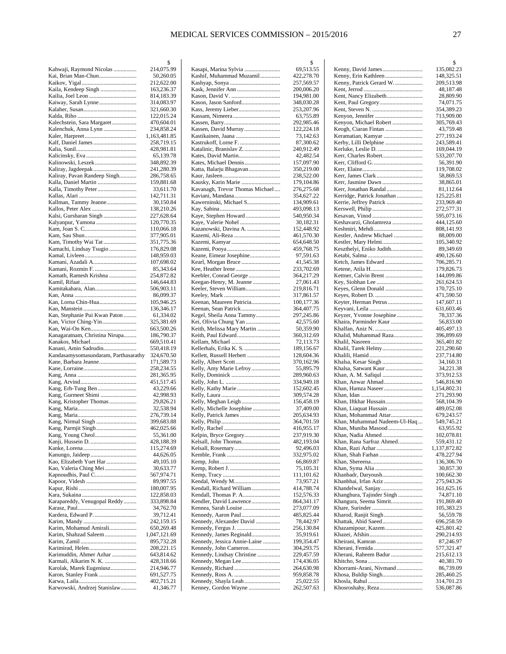$\mathcal{S}$ 

|                                      | \$                       |
|--------------------------------------|--------------------------|
| Kahwaji, Raymond Nicolas             | 214,075.99               |
| Kai, Brian Man-Chun                  | 50,260.05                |
|                                      | 212,622.00               |
| Kaila, Kendeep Singh                 | 163,236.37               |
|                                      | 814,183.39               |
| Kaiway, Sarah Lynne                  | 314,083.97               |
|                                      | 321,660.30               |
|                                      | 122,015.24               |
| Kalechstein, Sara Margaret           | 470,604.01               |
| Kalenchuk, Anna Lynn                 | 234,858.24               |
|                                      | 1,163,481.85             |
|                                      | 258,719.15               |
|                                      | 428,981.81               |
|                                      | 65,139.78                |
| Kalinowski, Leszek                   | 348,892.39               |
| Kaliray, Jagdeepak                   | 241,280.39               |
| Kaliray, Pavan Randeep Singh         | 286,758.65<br>159,881.68 |
| Kalla, Timothy Peter                 | 33,611.70                |
|                                      | 142,711.31               |
| Kallman, Tammy Jeanne                | 30,150.84                |
| Kallos, Peter Alex                   | 138,210.26               |
| Kalsi, Gursharan Singh               | 227,628.64               |
|                                      | 120,770.35               |
|                                      | 110,066.18               |
|                                      | 377,905.01               |
| Kam, Timothy Wai Tat                 | 351,775.36               |
| Kamachi, Lindsay Tsugio              | 176,829.08               |
|                                      | 148,959.03               |
| Kamani, Azadali A                    | 107,698.02               |
| Kamani, Rozmin F.                    | 85,343.64                |
| Kamath, Ramesh Krishna               | 254,872.82               |
|                                      | 146,644.83               |
| Kamitakahara, Alan                   | 506,903.11               |
|                                      | 86,099.37                |
| Kan, Lorna Chin-Hua                  | 105,946.25               |
|                                      | 136,346.17               |
| Kan, Stephanie Pui Kwan Paton        | 61,334.02                |
| Kan, Victor Ching-Yin                | 325,381.69               |
|                                      | 663,500.26               |
| Kanagaratnam, Christina Nirupa       | 186,790.37               |
| Kanakos, Michael                     | 669,510.41               |
| Kanani, Amin Sadrudin                | 550,418.19               |
| Kandasamysomasundaram, Parthasarathy | 324,670.50               |
| Kane, Barbara Jeanne                 | 171,589.73               |
|                                      | 258,234.55               |
|                                      | 281,365.95               |
|                                      | 451,517.45               |
|                                      | 43,229.66                |
|                                      | 42,998.93                |
| Kang, Kristopher Thomas              | 29,826.21                |
|                                      | 32,538.94                |
|                                      | 276,739.14               |
|                                      | 399,683.88               |
| Kang, Parmjit Singh                  | 462,025.66               |
| Kang, Young Cheol                    | 55,361.00                |
|                                      | 428,188.39               |
|                                      | 115,274.69               |
| Kanungo, Jaideep                     | 44,626.05                |
| Kao, Elizabeth Yuet Har              | 49,105.10                |
| Kao, Valeria Ching Mei               | 30,633.77                |
|                                      |                          |
|                                      | 567,974.71               |
|                                      | 89,997.55                |
|                                      | 180,007.95               |
|                                      | 122,858.03               |
| Karapareddy, Venugopal Reddy         | 333,898.84               |
|                                      | 34,762.70                |
| Kardera, Edward P.                   | 39,712.41                |
|                                      | 242,159.15               |
| Karim, Mohamud Amirali               | 650,269.48               |
| Karim, Shahzad Saleem                | 1,047,121.69             |
|                                      | 895,732.28               |
| Karimirad, Helen                     | 208,221.15               |
| Karimuddin, Ahmer Azhar              | 643,814.62               |
| Karmali, Alkarim N. K.               | 428,318.66               |
| Karolak, Marek Eugeniusz             | 214,946.77               |
| Karon, Stanley Frank                 | 691,527.75               |
| Karwowski, Andrzej Stanislaw         | 402,715.21<br>41,346.77  |

| Kasapi, Marina Sylvia                            | 69,513.55                |
|--------------------------------------------------|--------------------------|
| Kashif, Muhammad Muzamil                         | 422,278.70               |
|                                                  | 257,569.57               |
|                                                  | 200,006.20<br>194,981.00 |
| Kason, Jason Sanford                             | 348,030.28               |
|                                                  | 253,207.96               |
|                                                  | 63,755.89                |
|                                                  | 292,985.46               |
| Kassen, David Murray                             | 122,224.18               |
| Kastikainen, Jaana                               | 73,142.63                |
|                                                  | 87,300.62<br>240,912.49  |
| Kates, David Martin                              | 42,482.54                |
| Kates, Michael Dennis                            | 157,097.90               |
| Katta, Balarju Bhagavan                          | 350,219.00               |
|                                                  | 238,522.00               |
| Kausky, Karin Marie                              | 179,104.86               |
| Kavanagh, Trevor Thomas Michael                  | 276,275.68<br>354,627.22 |
| Kawerninski, Michael S                           | 134,909.61               |
|                                                  | 493,098.13               |
| Kaye, Stephen Howard                             | 540,950.34               |
|                                                  | 30,182.31                |
| Kazanowski, Davina A.                            | 152,448.92               |
| Kazemi, Ali-Reza                                 | 461,570.30               |
|                                                  | 654,648.50<br>459,768.75 |
| Keane, Eimear Josephine                          | 97,591.63                |
| Kearl, Morgan Bruce                              | 41,545.38                |
|                                                  | 233,702.69               |
|                                                  | 364,217.29               |
| Keegan-Henry, M. Jeanne                          | 27,061.43                |
| Keeler, Steven William                           | 219,816.71<br>317,861.57 |
| Keenan, Maureen Patricia                         | 100,177.36               |
|                                                  | 364,407.75               |
| Kegel, Sheila Anna Tammy                         | 297,245.86               |
| Kei, Olivia Chung Yan                            | 42,575.60                |
| Keith, Melissa Mary Martin                       | 50,359.90                |
|                                                  | 360,312.69<br>72,113.73  |
| Kellerhals, Erika K. S.                          | 189,156.67               |
| Kellett, Russell Herbert                         | 128,604.36               |
|                                                  | 370,162.96               |
| Kelly, Amy Marie Lefroy                          | 55,895.79                |
|                                                  | 289,960.63<br>334,949.18 |
| Kelly, Kathy Marie                               | 152,602.45               |
|                                                  | 309,574.28               |
|                                                  | 156,458.19               |
| Kelly, Michelle Josephine                        | 37,409.00                |
|                                                  | 205,634.93<br>364,701.59 |
|                                                  | 416,955.17               |
| Kelpin, Bryce Gregory                            | 237,919.30               |
| Kelsall, John Thomas                             | 482,193.04               |
| Kelsall, Rosemary                                | 92,496.03                |
|                                                  | 332,975.02               |
|                                                  | 66,869.87                |
|                                                  | 75,105.31<br>111,101.62  |
| Kendal, Wendy M                                  | 73,957.21                |
| Kendall, Richard William                         | 414,788.74               |
|                                                  | 152,576.33               |
| Kendler, David Lawrence                          | 864,341.17<br>273,077.09 |
| Kennea, Sarah Louise<br>Kennedy, Aaron Paul      | 485,825.44               |
| Kennedy, Alexander David                         | 78,442.97                |
|                                                  | 256,130.84               |
| Kennedy, James Reginald                          | 35,919.61                |
| Kennedy, Jessica Annie-Laine                     | 199,354.47               |
| Kennedy, John Cameron                            | 304,293.75               |
| Kennedy, Lindsay Christine<br>Kennedy, Megan Lee | 229,457.59<br>174,436.05 |
|                                                  | 264,630.98               |
|                                                  | 959,858.78               |
| Kennedy, Shayla Leah                             | 25,022.55                |
| Kenney, Gordon Wayne                             | 262,507.63               |
|                                                  |                          |

|                                                      | \$                         |
|------------------------------------------------------|----------------------------|
| Kenny, David James                                   | 135,082.23                 |
| Kenny, Erin Kathleen<br>Kenny, Patrick Gerard W.     | 148,325.51<br>209,513.98   |
|                                                      | 48,187.48                  |
| Kent, Nancy Elizabeth                                | 28,809.90                  |
|                                                      | 74,071.75                  |
|                                                      | 354,389.23<br>713,909.00   |
| Kenyon, Michael Robert                               | 305,769.43                 |
| Keogh, Ciaran Fintan                                 | 43,759.48                  |
| Keramatian, Kamyar                                   | 277,193.24                 |
| Kerby, Lilli Delphine                                | 243,589.41                 |
| Kerr, Charles Robert                                 | 169,044.19<br>533,207.70   |
|                                                      | 56,391.90                  |
|                                                      | 119,708.02                 |
|                                                      | 58,869.53                  |
| Kerr, Jasmine Dawn<br>Kerr, Jonathan Randal          | 38,865.01<br>81,112.64     |
| Kerridge, Patrick Jonathan                           | 125,225.81                 |
| Kerrie, Jeffrey Patrick                              | 233,969.40                 |
|                                                      | 272,577.31                 |
| Keshavarzi, Gholamreza                               | 595,073.16<br>444,125.60   |
|                                                      | 808,141.93                 |
| Kestler, Andrew Michael                              | 88,009.00                  |
| Kestler, Mary Helmi                                  | 105,340.92                 |
| Keszthelyi, Eniko Judith                             | 89,349.69<br>490,126.60    |
| Ketch, James Edward                                  | 706,285.71                 |
|                                                      | 179,826.73                 |
| Kettner, Calvin Brent                                | 144,099.86                 |
|                                                      | 261,624.53                 |
| Keyes, Glenn Donald                                  | 170,725.10<br>471,590.50   |
| Keyter, Herman Petrus                                | 147,607.11                 |
|                                                      | 631,603.46                 |
| Keyzer, Yvonne Josephine                             | 78,337.36                  |
| Khaira, Parminder Kaur                               | 56,833.00<br>405,497.13    |
| Khalid, Muhammad Raza                                | 396,899.69                 |
|                                                      | 365,401.82                 |
|                                                      | 221,290.60<br>237,714.80   |
|                                                      | 34,160.31                  |
| Khalsa, Satwant Kaur                                 | 34,221.38                  |
| Khan, A. M. Safiqul                                  | 373,912.53                 |
| Khan, Anwar Ahmad<br>Khan, Hamza Naseer              | 546,816.90<br>1,154,802.31 |
|                                                      | 271,293.90                 |
| Khan, Iftkhar Hussain                                | 568,104.39                 |
| Khan, Liaquat Hussain                                | 489,052.08                 |
| Khan, Mohammad Attar<br>Khan, Muhammad Nadeem-Ul-Haq | 679,243.57<br>549,745.21   |
| Khan, Muniba Masood                                  | 63,955.92                  |
| Khan, Nadia Ahmed                                    | 102,078.81                 |
| Khan, Rana Sarfraz Ahmed                             | 559,431.12                 |
|                                                      | 1,137,872.82<br>478,227.94 |
|                                                      | 136,306.70                 |
|                                                      | 30,857.30                  |
| Khanbadr, Daryoush                                   | 100,662.30                 |
| Khanbhai, Irfan Aziz                                 | 275,943.26<br>161,625.16   |
| Khanghura, Tajinder Singh                            | 74,871.10                  |
| Khangura, Seema Simrit                               | 191,869.40                 |
|                                                      | 105,383.23                 |
| Kharod, Ranjit Singh                                 | 56,559.78<br>696,258.59    |
| Khazamipour, Kazem                                   | 425,801.42                 |
|                                                      | 290,214.93                 |
|                                                      | 87,246.97                  |
| Kherani, Raheem Badur                                | 577,321.47<br>215,612.13   |
|                                                      | 40,381.70                  |
| Khorrami-Arani, Nivmand                              | 86,739.09                  |
| Khosa, Buldip Singh                                  | 285,460.25<br>314,701.23   |
| Khosroshahy, Reza                                    | 536,087.86                 |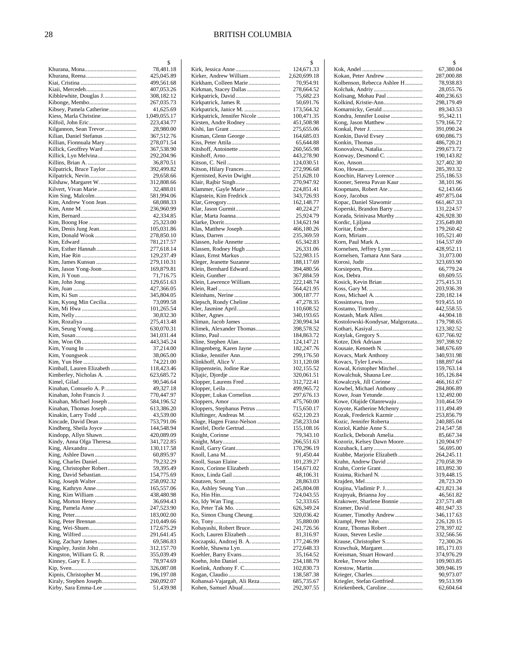|                                                    | \$                       |
|----------------------------------------------------|--------------------------|
|                                                    | 78,481.18                |
|                                                    | 425,045.89               |
|                                                    | 499,561.68               |
|                                                    | 407,053.26               |
| Kibblewhite, Douglas J.                            | 308,182.12               |
| Kibonge, Membo                                     | 267,035.73               |
| Kibsey, Pamela Catherine                           | 41,625.69                |
| Kiess, Marla Christine                             | 1,049,055.17             |
| Kilfoil, John Eric                                 | 223,434.77               |
| Kilgannon, Sean Trevor                             | 28,980.00                |
| Kilian, Daniel Stefanus<br>Killian, Fionnuala Mary | 367,512.76               |
| Killick, Geoffrey Ward                             | 278,071.54<br>367,538.90 |
| Killick, Lyn Melvina                               | 292,204.96               |
|                                                    | 36,870.51                |
| Kilpatrick, Bruce Taylor                           | 392,499.82               |
|                                                    | 29,658.66                |
| Kilshaw, Margaret W.                               | 312,808.66               |
| Kilvert, Vivan Marie                               | 32,488.01                |
|                                                    | 581,994.06               |
| Kim, Andrew Yoon Jean                              | 68,088.33                |
|                                                    | 236,960.99               |
|                                                    | 42,334.85                |
|                                                    | 25,323.00                |
| Kim, Denis Jung Jean                               | 105,031.86               |
|                                                    | 278,850.10               |
|                                                    | 781,217.57               |
| Kim, Esther Hannah                                 | 277,618.14               |
|                                                    | 129,237.49               |
|                                                    | 279,110.31               |
| Kim, Jason Yong-Joon                               | 169,879.81               |
|                                                    | 71,716.75                |
|                                                    | 129,651.63               |
|                                                    | 427,366.05               |
|                                                    | 345,804.05               |
| Kim, Kyong Min Cecilia                             | 73,099.58                |
|                                                    | 101,265.54               |
|                                                    | 30,832.30                |
|                                                    | 275,413.48               |
|                                                    | 630,070.31<br>341,031.44 |
|                                                    | 443,345.24               |
|                                                    | 37,214.00                |
| Kim, Youngseok                                     | 38,065.00                |
|                                                    | 74,221.00                |
| Kimball, Lauren Elizabeth                          | 118,423.46               |
| Kimberley, Nicholas A.                             | 623,685.72               |
|                                                    | 90,546.64                |
| Kinahan, Consuelo A. P                             | 49,327.18                |
| Kinahan, John Francis J.                           | 770,447.97               |
| Kinahan, Michael Joseph                            | 584,196.52               |
| Kinahan, Thomas Joseph                             | 613,386.20               |
| Kinakin, Larry Todd                                | 43,539.00                |
| Kincade, David Dean                                | 753,791.06               |
| Kindberg, Sheila Joyce                             | 144,548.94               |
| Kindopp, Allyn Shawn                               | 420,089.09               |
| Kindy, Anna Olga Theresa                           | 341,722.85               |
|                                                    | 130,117.58               |
|                                                    | 60,895.97                |
|                                                    | 79,232.29                |
| King, Christopher Robert                           | 59,395.49                |
|                                                    | 154,775.69               |
|                                                    | 258,092.32               |
|                                                    | 165,557.06               |
|                                                    | 438,480.98               |
| King, Morton Henry                                 | 36,694.43                |
|                                                    | 247,523.90<br>183,002.00 |
|                                                    | 210,449.66               |
|                                                    | 172,675.29               |
|                                                    | 291,641.45               |
| King, Zachary James                                | 69,586.83                |
| Kingsley, Justin John                              | 312,157.70               |
| Kingston, William G. R.                            | 355,039.49               |
|                                                    | 78,974.69                |
|                                                    | 326,087.08               |
| Kipnis, Christopher M                              | 196,197.08               |
| Kiraly, Stephen Joseph                             | 260,092.07               |
| Kirby, Sara Emma-Lee                               | 51,439.98                |

|                              | \$                       |
|------------------------------|--------------------------|
|                              | 124,671.33               |
| Kirker, Andrew William       | 2,620,699.18             |
| Kirkham, Colleen Marie       | 70,954.91                |
| Kirkman, Stacey Dallas       | 278,664.52               |
|                              | 75,682.23                |
| Kirkpatrick, James R.        | 50,691.76                |
| Kirkpatrick, Janice M.       | 173,564.32               |
| Kirkpatrick, Jennifer Nicole | 100,471.35               |
|                              | 451,508.98               |
|                              | 275,655.06               |
|                              | 164,685.03               |
|                              | 65,644.88                |
|                              | 260,565.98<br>443,278.90 |
|                              | 124,030.51               |
| Kitson, Hilary Frances       | 272,996.68               |
| Kjernisted, Kevin Dwight     | 251,628.10               |
|                              | 270,947.92               |
| Klammer, Gayle Marie         | 224,851.41               |
| Klapstein, Kim Fredrick      | 343,726.93               |
|                              | 162,148.77               |
|                              | 40,224.27                |
| Klar, Marta Joanna           | 25,924.79                |
|                              | 134,621.94               |
| Klas, Matthew Joseph         | 466,180.26               |
|                              | 235,369.59               |
| Klassen, Julie Annette       | 65,342.83                |
| Klassen, Rodney Hugh         | 26,331.06                |
| Klaus, Ernst Markus          | 522,983.15               |
|                              | 188,117.69               |
| Klein, Bernhard Edward       | 394,480.56               |
|                              | 367,884.59               |
| Klein, Lawrence William      | 222,148.74               |
|                              | 564,421.95               |
|                              | 300,187.77               |
| Klepsch, Rondy Cheline       | 47,278.35                |
| Kler, Jasmine April          | 110,608.52               |
|                              | 340,193.65               |
| Kliman, Jacob James          | 230,994.34               |
| Klimek, Alexander Thomas     | 398,578.52               |
|                              | 184,863.72               |
| Kline, Stephen Alan          | 124,147.21               |
| Klingenberg, Karen Jayne     | 182,247.76               |
|                              | 299,176.50               |
| Klinkhoff, Alice V           | 311,120.08               |
| Klippenstein, Jodine Rae     | 102,155.52               |
|                              | 320,061.51               |
| Klopper, Laurens Fred        | 312,722.41               |
|                              | 499,965.72               |
| Klopper, Lukas Cornelius     | 297,676.13               |
| Kloppers, Stephanus Petrus   | 475,760.00<br>715,650.17 |
| Kluftinger, Andreas M        | 652,120.23               |
| Kluge, Hagen Franz-Nelson    | 258,233.04               |
| Kneifel, Dorle Gertrud       | 155,108.16               |
|                              | 79,343.10                |
|                              | 266,551.63               |
| Knoll, Garry Grant           | 170,296.19               |
|                              | 91,450.44                |
|                              | 101,239.27               |
| Knox, Corinne Elizabeth      | 154,671.02               |
|                              | 48,106.31                |
|                              | 28,863.03                |
| Ko, Ashley Seung Yun         | 245,804.08               |
|                              | 724,043.55               |
|                              | 52,333.65                |
| Ko, Peter Tak Mo.            | 626,349.24               |
| Ko, Simon Chung Cheung       | 320,036.42               |
|                              | 35,880.00                |
| Kobayashi, Robert Bruce      | 241,726.56               |
| Koch, Lauren Elizabeth       | 81,316.97                |
| Koczapski, Andrzej B. A.     | 177,246.99               |
|                              | 272,648.33               |
| Koehler, Barry Evans         | 35,164.52                |
| Koehn, John Daniel           | 234,188.79               |
| Koelink, Anthony F. C        | 102,830.73               |
|                              | 138,587.38               |
| Kohansal-Vajargah, Ali Reza  | 685,735.67               |
| Kohen, Samuel Abuaf          | 292,307.55               |

|                                                       | \$                       |
|-------------------------------------------------------|--------------------------|
|                                                       | 67,380.04                |
| Kokan, Peter Andrew                                   | 287,000.88               |
| Kolbenson, Rebecca Ashlee H                           | 78,938.83<br>28,055.76   |
| Kolisang, Mohau Paul                                  | 400,236.63               |
| Kolkind, Kristie-Ann                                  | 298,179.49               |
| Komarnicky, Gerald                                    | 89,343.53                |
| Kondra, Jennifer Louise<br>Kong, Jason Matthew        | 95,342.11<br>579,166.72  |
|                                                       | 391,090.24               |
| Konkin, David Evsey                                   | 690,086.73               |
|                                                       | 486,720.21               |
| Konovalova, Natalia<br>Konway, Desmond C.             | 299,673.72<br>190,143.82 |
|                                                       | 327,402.30               |
|                                                       | 285,393.32               |
| Koochin, Harvey Lorence                               | 255,186.53               |
| Kooner, Serena Pavan Kaur<br>Koopmans, Robert Ate     | 38,101.96<br>62,143.66   |
|                                                       | 497,875.04               |
| Kopac, Daniel Slawomir                                | 661,467.33               |
| Koperski, Brandon Barry                               | 131,224.57               |
| Korada, Srinivasa Murthy                              | 426,928.30<br>235,649.80 |
|                                                       | 179,260.42               |
|                                                       | 105,521.40               |
|                                                       | 164,537.69               |
| Kornelsen, Jeffrey Lynn<br>Kornelsen, Tamara Ann Sara | 428,952.11<br>31,073.00  |
|                                                       | 323,693.90               |
| Korsieporn, Pira                                      | 66,779.24                |
|                                                       | 69,609.55                |
| Kosick, Kevin Brian                                   | 275,415.31<br>203,936.39 |
| Koss, Michael A.                                      | 220,182.14               |
|                                                       | 919,455.10               |
| Kostamo, Timothy<br>Kostash, Mark Allen               | 442,558.55<br>44,904.18  |
| Kostolowski-Kondysar, Malgorzata                      | 179,798.65               |
|                                                       | 123,382.52               |
| Kotylak, Gregory S                                    | 637,766.92               |
| Kotze, Dirk Adriaan<br>Kousaie, Kenneth N.            | 397,398.92<br>348,676.69 |
| Kovacs, Mark Anthony                                  | 340,931.98               |
| Kovacs, Tyler Lewis                                   | 188,897.64               |
| Kowal, Kristopher Mitchel                             | 159,763.14               |
| Kowalchuk, Shauna Lee<br>Kowalczyk, Jill Corinne      | 105,126.84<br>466,161.67 |
| Kowbel, Michael Anthony                               | 284,806.89               |
| Kowe, Joan Yetunde                                    | 132,492.00               |
| Kowe, Olajide Olanrewaju<br>Koyote, Katherine Mchenry | 310,464.59<br>111,494.49 |
| Kozak, Frederick Kazmir                               | 253,856.79               |
| Kozic, Jennifer Roberta                               | 240,885.04               |
| Koziol, Kathie Anne S                                 | 214,547.58               |
| Kozlick, Deborah Amelia<br>Kozoriz, Kelsey Dawn Moore | 85,667.34<br>120,904.97  |
|                                                       | 56,695.00                |
| Krabbe, Marjorie Elizabeth                            | 264,245.11               |
| Krahn, Andrew David                                   | 270,058.39               |
| Kraima, Richard N.                                    | 183,892.30<br>319,448.15 |
|                                                       | 28,723.20                |
| Krajina, Vladimir P. J                                | 421,821.34               |
| Krajnyak, Brianna Joy<br>Krakower, Sharlene Bonnie    | 46,561.82                |
|                                                       | 237,571.48<br>481,947.33 |
| Kramer, Timothy Andrew                                | 346,117.63               |
| Krampl, Peter John                                    | 226,120.15               |
| Kranz, Thomas Robert<br>Kraus, Steven Leslie          | 278,397.02<br>332,566.56 |
| Krause, Christopher S                                 | 72,300.26                |
| Krawchuk, Margaret                                    | 185,171.03               |
| Kreisman, Stuart Howard                               | 374,976.29               |
| Kreke, Trevor John                                    | 109,903.85<br>309,946.19 |
|                                                       | 90,973.07                |
| Kriegler, Stefan Gottfried                            | 99,513.99                |
| Kriekenbeek, Caroline                                 | 62,604.64                |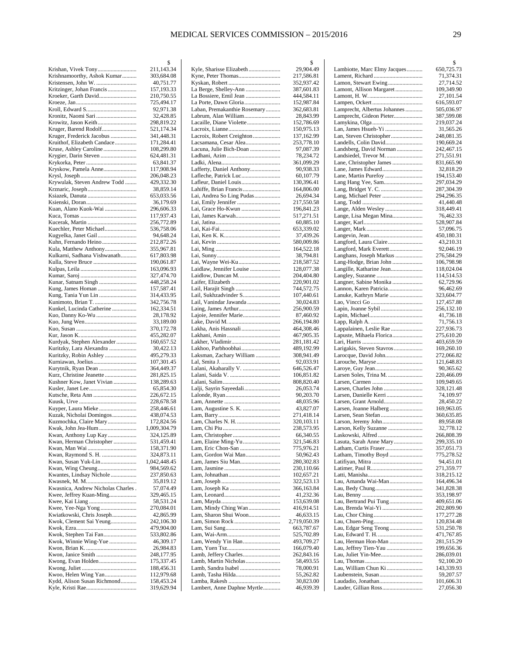|                                                       | 2                          |
|-------------------------------------------------------|----------------------------|
| Krishan, Vivek Tony                                   | 211,143.34                 |
| Krishnamoorthy, Ashok Kumar<br>Kristensen, John W.    | 303,684.08<br>40,751.77    |
| Kritzinger, Johan Francis                             | 157,193.33                 |
|                                                       | 210,750.55                 |
|                                                       | 725,494.17                 |
|                                                       | 92,971.38                  |
|                                                       | 32,428.85                  |
| Krowitz, Jason Keith                                  | 298,819.22                 |
| Kruger, Barend Rodolf                                 | 521,174.34                 |
| Kruger, Frederick Jacobus                             | 341,448.31                 |
| Kruithof, Elizabeth Candace                           | 171,284.41                 |
| Kruse, Ashley Caroline                                | 108,299.80                 |
| Krygier, Darin Steven                                 | 624,481.31                 |
|                                                       | 63,841.37                  |
| Kryskow, Pamela Anne                                  | 117,908.94                 |
|                                                       | 206,048.23                 |
| Krywulak, Steven Andrew Todd                          | 429,332.30                 |
|                                                       | 38,859.14<br>653,033.56    |
|                                                       | 36,179.69                  |
| Kuan, Alano Kuok-Wai                                  | 296,606.33                 |
|                                                       | 117,937.43                 |
|                                                       | 256,772.89                 |
| Kuechler, Peter Michael                               | 536,758.06                 |
| Kugyelka, Janet Gail                                  | 94,648.24                  |
| Kuhn, Fernando Heino                                  | 212,872.26                 |
| Kula, Matthew Anthony                                 | 355,967.81                 |
| Kulkarni, Sadhana Vishwanath                          | 617,803.98                 |
| Kulla, Steve Bruce                                    | 190,061.87                 |
|                                                       | 163,096.93                 |
|                                                       | 327,474.70                 |
| Kunar, Satnam Singh                                   | 448,258.24                 |
|                                                       | 157,587.41<br>314,433.95   |
| Kung, Tania Yun Lin<br>Kunimoto, Brian T.             | 342,756.78                 |
| Kunkel, Lucinda Catherine                             | 162,334.51                 |
| Kuo, Danny Ko-Wu                                      | 28,178.92                  |
|                                                       | 33,189.00                  |
|                                                       | 370,172.78                 |
|                                                       | 455,282.07                 |
| Kurdyak, Stephen Alexander                            | 160,657.52                 |
| Kuritzky, Lara Alexandra                              | 30,422.13                  |
| Kuritzky, Robin Ashley                                | 495,279.33                 |
|                                                       | 107,301.45                 |
| Kurytnik, Ryan Dean                                   | 364,449.37                 |
| Kurz, Christine Jeanette<br>Kushner Kow, Janet Vivian | 281,825.15                 |
|                                                       | 138,289.63<br>65,854.30    |
|                                                       | 226,672.15                 |
|                                                       | 228,678.58                 |
| Kuyper, Laura Mieke                                   | 258,446.61                 |
| Kuzak, Nicholai Domingos                              | 438,074.53                 |
| Kuzmochka, Claire Mary                                | 172,824.56                 |
| Kwak, John Jea-Hum                                    | 1,009,304.79               |
| Kwan, Anthony Lup Kay                                 | 324,125.89                 |
| Kwan, Herman Christopher                              | 531,459.41                 |
|                                                       | 158,371.90                 |
|                                                       | 324,873.11                 |
| Kwan, Susan Yuk-Lin                                   | 1,042,448.45<br>984,569.62 |
| Kwantes, Lindsay Nichole                              | 237,850.63                 |
|                                                       | 35,819.12                  |
| Kwasnica, Andrew Nicholas Charles.                    | 57,074.49                  |
| Kwee, Jeffrey Kuan-Ming                               | 329,465.15                 |
|                                                       | 58,531.24                  |
|                                                       | 270,084.01                 |
| Kwiatkowski, Chris Joseph                             | 42,865.99                  |
| Kwok, Clement Sai Yeung                               | 242,106.30                 |
|                                                       | 479,904.00                 |
| Kwok, Stephen Tai Fan                                 | 533,802.86                 |
| Kwok, Winnie Wing-Yue                                 | 46,309.17                  |
|                                                       | 26,984.83<br>248,177.95    |
| Kwong, Evan Holden                                    | 175,337.45                 |
|                                                       | 188,456.31                 |
| Kwoo, Helen Wing Yan                                  | 112,979.68                 |
| Kydd, Alison Susan Richmond                           | 158,453.24                 |
|                                                       | 319,629.94                 |

|                                                  | \$                       |
|--------------------------------------------------|--------------------------|
| Kyle, Sharisse Elizabeth                         | 29,904.49                |
|                                                  | 217,586.81<br>352,937.42 |
| La Berge, Shelley-Ann                            | 387,601.83               |
| La Bossiere, Emil Jean                           | 444,584.11               |
| La Porte, Dawn Gloria                            | 152,987.84               |
| Laban, Premakanthie Rosemary                     | 362,683.81               |
| Labrum, Alan William<br>Lacaille, Diane Violette | 28,843.99<br>152,786.69  |
|                                                  | 150,975.13               |
| Lacroix, Robert Creighton                        | 137,162.99               |
| Lacsamana, Cesar Alea                            | 253,778.10               |
| Lacuna, Julie Bich-Doan                          | 97,087.39                |
|                                                  | 78,234.72                |
| Lafferty, Daniel Anthony                         | 361,099.29<br>90,938.33  |
| Lafleche, Patrick Luc                            | 60,107.79                |
|                                                  | 130,396.41               |
| Lahiffe, Brian Francis                           | 164,806.00               |
| Lai, Andrea So Ling Pudas                        | 26,694.34                |
| Lai, Emily Jennifer                              | 217,550.58               |
| Lai, Grace Ho-Kwun<br>Lai, James Karwah          | 196,841.23<br>517,271.51 |
|                                                  | 60,885.10                |
|                                                  | 653,339.02               |
|                                                  | 37,439.26                |
|                                                  | 580,009.86               |
|                                                  | 164,522.18<br>38,794.81  |
| Lai, Wayne Wei-Ku                                | 218,587.52               |
| Laidlaw, Jennifer Louise                         | 128,077.38               |
| Laidlow, Duncan M.                               | 204,404.80               |
|                                                  | 220,901.02               |
| Lail, Harajit Singh<br>Lail, Sukhzadvinder S     | 744,572.75<br>107,440.61 |
| Lail, Vanindar Jawanda                           | 30,024.83                |
|                                                  | 256,900.59               |
| Lajoie, Jennifer Marie                           | 87,460.92                |
|                                                  | 266,194.80               |
| Lakha, Anis Hassnali                             | 464,308.46<br>467,905.35 |
|                                                  | 281,181.42               |
| Lakhoo, Parbhoobhai                              | 489,192.99               |
| Laksman, Zachary William                         | 308,941.49               |
| Lalani, Akabarally V.                            | 92,033.91<br>646,526.47  |
|                                                  | 106,851.82               |
|                                                  | 808,820.40               |
| Lalji, Sayrin Sayeedali                          | 26,053.74                |
|                                                  | 90,203.70                |
| Lam, Augustine S. K.                             | 48,035.96<br>43,827.07   |
|                                                  | 271,418.14               |
| Lam, Charles N. H.                               | 320,103.11               |
|                                                  | 238,573.95               |
| Lam, Elaine Ming-Yu                              | 66,340.55<br>321,546.83  |
|                                                  | 775,976.21               |
| Lam, Gordon Wai Man                              | 50,962.43                |
|                                                  | 280,302.83               |
|                                                  | 230,110.66<br>102,657.21 |
|                                                  | 322,523.13               |
|                                                  | 366,163.84               |
|                                                  | 41,232.36                |
| Lam, Mindy Ching Wan                             | 153,639.08               |
| Lam, Sharon Shui Woon                            | 416,914.51<br>46,633.15  |
|                                                  | 2,719,050.39             |
|                                                  | 663,787.67               |
|                                                  | 525,702.89               |
| Lam, Wendy Yin Han                               | 493,709.27<br>166,079.40 |
|                                                  | 262,843.16               |
| Lamb, Martin Nicholas                            | 58,493.55                |
| Lamb, Sandra Isabel                              | 78,000.91                |
| Lamb, Tasha Hilda                                | 55,262.82                |
| Lambert, Anne Daphne Myrtle                      | 30,823.00<br>46,939.39   |
|                                                  |                          |

|                                                          | \$                       |
|----------------------------------------------------------|--------------------------|
| Lambiotte, Marc Elmy Jacques                             | 650,725.73               |
| Lamon, Stewart Ewing                                     | 71,374.31<br>27,714.52   |
| Lamont, Allison Margaret                                 | 109,349.90               |
|                                                          | 27,101.54                |
|                                                          | 616,593.07               |
| Lamprecht, Albertus Johannes<br>Lamprecht, Gideon Pieter | 505,036.97<br>387,599.08 |
| Lamykina, Olga                                           | 219,037.24               |
| Lan, James Hsueh-Yi                                      | 31,565.26                |
|                                                          | 248,081.35               |
| Landells, Colin David<br>Landsberg, David Norman         | 190,669.24<br>242,467.15 |
| Landsiedel, Trevor M.                                    | 271,551.91               |
| Lane, Christopher James                                  | 831,665.90               |
| Lane, Martin Purefoy                                     | 32,818.29<br>194,153.40  |
| Lang Hang Yee, Sam                                       | 297,034.29               |
|                                                          | 287,304.39               |
|                                                          | 294,296.35               |
| Lange, Alden Wesley                                      | 41,440.48<br>318,449.41  |
| Lange, Lisa Megan Mina                                   | 76,462.33                |
|                                                          | 528,907.84               |
|                                                          | 57,096.75                |
| Langford, Laura Claire                                   | 450,180.31<br>43,210.31  |
| Langford, Mark Everett                                   | 92,046.19                |
| Langhans, Joseph Markus                                  | 276,584.29               |
| Lang-Hodge, Brian John                                   | 106,798.98               |
| Langille, Katharine Jean                                 | 118,024.04<br>114,514.53 |
| Langner, Sabine Monika                                   | 62,729.96                |
| Lannon, Karen Patricia                                   | 96,462.69                |
| Lanuke, Kathryn Marie                                    | 323,604.77<br>127,457.88 |
| Lapin, Joanne Sybil                                      | 256,132.10               |
|                                                          | 41,736.18                |
|                                                          | 71,756.13                |
| Lappalainen, Leslie Rae<br>Lapuste, Mihaela Florica      | 227,936.73<br>275,610.20 |
|                                                          | 403,659.59               |
| Larigakis, Steven Stavros                                | 169,260.10               |
| Larocque, David John<br>Larouche, Maryse                 | 272,066.82<br>121,648.83 |
|                                                          | 90,365.62                |
| Larsen Soles, Trina M.                                   | 220,466.09               |
| Larsen, Charles John                                     | 109,949.65               |
| Larsen, Danielle Kerri                                   | 328,121.48<br>74,109.97  |
| Larsen, Grant Arnold                                     | 28,450.22                |
| Larsen, Joanne Halberg                                   | 169,963.05               |
| Larsen, Sean Stefan<br>Larson, Jeremy John               | 360,635.85<br>89,958.08  |
| Larson, Kelly Suzanne                                    | 32,778.12                |
| Laskowski, Alfred                                        | 266,808.39               |
| Lasuta, Sarah Anne Mary                                  | 299,335.10               |
| Latham, Timothy Boyd                                     | 357,051.73<br>775,278.52 |
|                                                          | 94,451.01                |
|                                                          | 271,359.77               |
| Lau, Amanda Wai-Man                                      | 318,215.12<br>164,496.34 |
|                                                          | 341,828.38               |
|                                                          | 353,198.97               |
| Lau, Bertrand Pui Tung                                   | 409,651.06               |
|                                                          | 202,809.90<br>177,277.28 |
|                                                          | 120,834.48               |
| Lau, Edgar Seng Teong                                    | 531,250.78               |
| Lau, Herman Hon-Man                                      | 471,767.85<br>281,515.29 |
|                                                          | 199,656.36               |
|                                                          | 286,039.01               |
|                                                          | 92,100.20                |
| Lau, William Chun Ki                                     | 143,339.93<br>59,207.57  |
| Laudadio, Jonathan                                       | 101,606.31               |
|                                                          | 27,056.30                |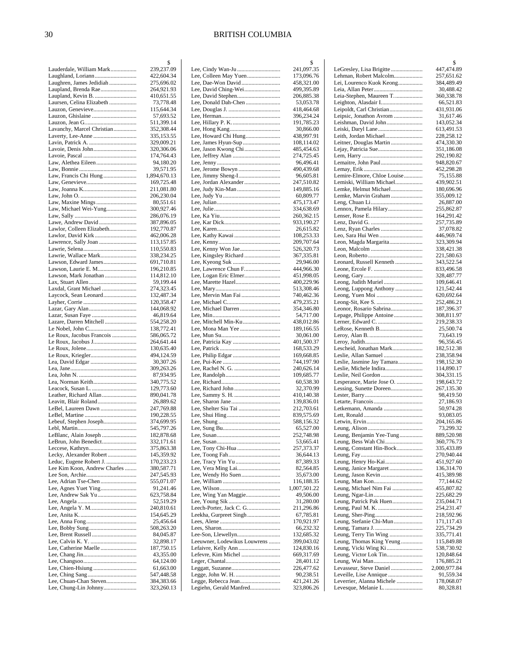|                                                         | \$                       |
|---------------------------------------------------------|--------------------------|
| Lauderdale, William Mark                                | 239,237.09               |
| Laughland, Loriann                                      | 422,604.34               |
| Laughren, James Jedidiah                                | 275,696.02               |
| Laupland, Brenda Rae<br>Laupland, Kevin B.              | 264,921.93<br>410,651.55 |
| Laursen, Celina Elizabeth                               | 73,778.48                |
| Lauzon, Genevieve                                       | 115,644.34               |
|                                                         | 57,693.52                |
|                                                         | 511,399.14               |
| Lavanchy, Marcel Christian                              | 352,308.44               |
|                                                         | 335,153.55               |
|                                                         | 329,009.21               |
| Lavoie, Denis John                                      | 320,306.06<br>174,764.43 |
| Law, Alethea Eileen                                     | 94,180.20                |
|                                                         | 39,571.95                |
| Law, Francis Chi Hung                                   | 1,894,670.13             |
|                                                         | 169,725.48               |
|                                                         | 211,081.80               |
|                                                         | 206,230.04               |
|                                                         | 80,551.61                |
| Law, Michael Wei-Yung                                   | 300,927.46               |
| Lawe, Andrew David                                      | 286,076.19<br>387,896.05 |
| Lawlor, Colleen Elizabeth                               | 192,770.87               |
| Lawlor, David Kirk                                      | 462,006.28               |
| Lawrence, Sally Joan                                    | 113,157.85               |
|                                                         | 110,550.83               |
| Lawrie, Wallace Mark                                    | 338,234.25               |
| Lawson, Edward James                                    | 691,710.81               |
| Lawson, Laurie E. M                                     | 196,210.85               |
| Lawson, Mark Jonathan                                   | 114,812.10               |
| Lax, Stuart Allen<br>Laxdal, Grant Michael              | 59,199.44<br>274,323.45  |
| Laycock, Sean Leonard                                   | 132,487.34               |
|                                                         | 120,358.47               |
| Lazar, Gary Alan                                        | 144,068.92               |
|                                                         | 46,819.64                |
| Lazare, Darren Mitchell                                 | 554,258.20               |
| Le Nobel, John C                                        | 138,772.41               |
| Le Roux, Jacobus Francois                               | 586,065.72               |
| Le Roux, Jacobus J                                      | 264,641.44<br>130,635.40 |
| Le Roux, Kriegler                                       | 494,124.59               |
| Lea, David Edgar                                        | 30,307.26                |
|                                                         | 309,263.26               |
|                                                         | 87,934.95                |
|                                                         | 340,775.52               |
|                                                         | 129,773.60               |
| Leather, Richard Allan                                  | 890,041.78               |
| Leavitt, Blair Roland<br>LeBel, Laureen Dawn            | 26,889.62<br>247,769.88  |
|                                                         | 190,228.55               |
| Lebeuf, Stephen Joseph                                  | 374,699.95               |
|                                                         | 545,797.26               |
| LeBlanc, Alain Joseph                                   | 182,878.68               |
| LeBrun, John Benedict                                   | 332,171.61               |
|                                                         | 375,863.38               |
| Lecky, Alexander Robert                                 | 145,359.92               |
| Leduc, Eugene Robert J.<br>Lee Kim Koon, Andrew Charles | 170,233.23<br>380,587.71 |
|                                                         | 247,545.93               |
|                                                         | 555,071.07               |
| Lee, Agnes Yuet Ying                                    | 91,241.46                |
| Lee, Andrew Sak Yu                                      | 623,758.84               |
|                                                         | 52,519.29                |
|                                                         | 240,810.61               |
|                                                         | 154,645.29               |
|                                                         | 25,456.64                |
|                                                         | 508,263.20<br>84,045.87  |
|                                                         | 32,898.17                |
| Lee, Catherine Maelle                                   | 187,750.15               |
|                                                         | 43,355.00                |
|                                                         | 64,124.00                |
|                                                         | 61,663.00                |
|                                                         | 547,448.58               |
| Lee, Chuan-Chan Steven                                  | 384,383.66               |
| Lee, Chung-Lin Johnny                                   | 323,260.13               |

|                                                | \$                       |
|------------------------------------------------|--------------------------|
| Lee, Cindy Wan-Ju                              | 241,097.35               |
| Lee, Colleen May Yuen<br>Lee, Dae-Won David    | 173,096.76<br>458,321.00 |
| Lee, David Ching-Wei                           | 499,395.89               |
| Lee, David Stephen                             | 206,885.38               |
| Lee, Donald Dah-Chen                           | 53,053.78                |
|                                                | 418,464.68               |
|                                                | 396,234.24               |
|                                                | 191,785.23               |
|                                                | 30,866.00<br>438,997.91  |
| Lee, Howard Chi Hung<br>Lee, James Hyun-Sup    | 108,114.02               |
| Lee, Jason Kwong Chi                           | 485,454.63               |
|                                                | 274,725.45               |
|                                                | 96,496.41                |
|                                                | 490,439.68               |
| Lee, Jimmy Sheng-I                             | 96,605.81                |
| Lee, Jordan Alexander                          | 247,510.82<br>149,885.16 |
|                                                | 60,809.77                |
|                                                | 475,173.47               |
|                                                | 334,638.69               |
|                                                | 260,362.15               |
|                                                | 933,190.27               |
|                                                | 26,615.82                |
|                                                | 108,253.33<br>209,707.64 |
| Lee, Kenny Won Jae                             | 526,320.73               |
| Lee, Kingsley Richard                          | 367,335.81               |
|                                                | 29,946.00                |
| Lee, Lawrence Chun F                           | 444,966.30               |
| Lee, Logan Eric Elmer                          | 451,998.05               |
| Lee, Marette Hazel                             | 400,229.96               |
| Lee, Mervin Man Fai                            | 513,308.46<br>740,462.36 |
|                                                | 479,235.21               |
| Lee, Michael Darren                            | 354,346.80               |
|                                                | 54,717.00                |
| Lee, Mitchell Min-Ku                           | 438,012.86               |
| Lee, Mona Man Yee                              | 189,166.55               |
|                                                | 30,061.00<br>401,500.37  |
|                                                | 168,533.29               |
|                                                | 169,668.85               |
|                                                | 744,197.90               |
|                                                | 240,626.14               |
|                                                | 109,685.77               |
|                                                | 60,538.30                |
|                                                | 32,370.99<br>410,140.38  |
|                                                | 139,836.01               |
|                                                | 212,703.61               |
|                                                | 839,575.69               |
|                                                | 588,156.32               |
|                                                | 65,527.00                |
|                                                | 252,748.98<br>53,665.41  |
|                                                | 257,373.37               |
|                                                | 36,644.13                |
|                                                | 87,389.33                |
| Lee, Vera Ming Lai                             | 82,564.85                |
|                                                |                          |
| Lee, Wendy Ho Suen                             | 35,673.00                |
|                                                | 116,188.35               |
|                                                | 1,007,501.22             |
| Lee, Wing Yan Maggie                           | 49,506.00                |
| Leech-Porter, Jack C. G                        | 31,280.00<br>211,296.86  |
| Leekha, Gurpreet Singh                         | 67,785.81                |
|                                                | 170,921.97               |
|                                                | 66,232.32                |
|                                                | 132,685.32               |
| Leeuwner, Lodewikus Louwrens                   | 399,043.02<br>124,830.16 |
| Lefevre, Kim Michel                            | 669,317.69               |
|                                                | 28,401.12                |
|                                                | 226,477.62               |
|                                                | 90,238.51                |
| Legge, Rebecca Jean<br>Legiehn, Gerald Manfred | 421,241.26<br>323,806.26 |

|                                                         | \$                         |
|---------------------------------------------------------|----------------------------|
| LeGresley, Lisa Brigitte                                | 447,474.89                 |
| Lehman, Robert Malcolm<br>Lei, Lourenco Kuok Keong      | 257,651.62<br>384,489.49   |
|                                                         | 30,488.42                  |
| Leia-Stephen, Maureen T                                 | 360,338.78                 |
|                                                         | 66,521.83                  |
| Leipoldt, Carl Christian<br>Leipsic, Jonathon Avrom     | 431,931.06<br>31,617.46    |
| Leishman, David John                                    | 143,052.34                 |
|                                                         | 613,491.53                 |
| Leith, Jordan Michael                                   | 228,258.12                 |
| Leitner, Douglas Martin<br>Lejay, Patricia Sue          | 474,330.30<br>351,186.08   |
|                                                         | 292,190.82                 |
| Lemaitre, John Paul                                     | 948,820.67                 |
|                                                         | 452,298.28                 |
| Lemire-Elmore, Chloe Louise<br>Lemiski, William Michael | 75,155.88<br>439,902.51    |
| Lemke, Helmut Michael                                   | 180,696.96                 |
| Lemke, Marvin Graham                                    | 355,009.12                 |
|                                                         | 26,887.00                  |
| Lennox, Pamela Hilary                                   | 255,862.87<br>164,291.42   |
|                                                         | 257,735.89                 |
|                                                         | 37,078.82                  |
| Leo, Sara Hui Wen                                       | 446,969.74                 |
| Leon, Magda Margarita                                   | 323,309.94<br>338,421.38   |
|                                                         | 221,580.63                 |
| Leonard, Russell Kenneth                                | 343,522.54                 |
|                                                         | 833,496.58                 |
| Leong, Judith Muriel                                    | 328,487.77<br>109,646.41   |
| Leong, Luppong Anthony                                  | 121,542.44                 |
|                                                         | 620,692.64                 |
|                                                         | 252,486.21                 |
| Leonor, Rosario Sabrina<br>Lepage, Philippe Antoine     | 187,396.37<br>308,811.97   |
|                                                         | 219,238.33                 |
| LeRose, Kenneth B                                       | 25,500.74                  |
|                                                         | 73,643.19                  |
| Lescheid, Jonathan Mark                                 | 96,356.45<br>182,512.38    |
| Leslie, Allan Samuel                                    | 238,358.94                 |
| Leslie, Jasmine Jay Tamara                              | 198,152.30                 |
| Leslie, Neil Gordon                                     | 114,890.17<br>304,331.15   |
| Lesperance, Marie Jose O.                               | 198,643.72                 |
| Lessing, Sunette Doreen                                 | 267,135.30                 |
|                                                         | 98,419.50                  |
| Letkemann, Amanda                                       | 27,186.93<br>50,974.28     |
|                                                         | 93,083.05                  |
|                                                         | 204,165.86                 |
|                                                         | 73,299.32<br>889,520.98    |
| Leung, Benjamin Yee-Tung<br>Leung, Bess Wah Chi         | 360,776.73                 |
| Leung, Constant Hin-Bock                                | 335,433.89                 |
|                                                         | 270,940.44                 |
| Leung, Henry Ho-Kai<br>Leung, Janice Margaret           | 451,927.60<br>136,314.70   |
|                                                         | 415,389.98                 |
|                                                         | 77,144.62                  |
| Leung, Michael Nim Fai                                  | 455,807.82                 |
| Leung, Patrick Pak Huen                                 | 225,682.29<br>235,044.71   |
|                                                         | 254,231.47                 |
|                                                         | 218,592.96                 |
| Leung, Stefanie Chi-Mun                                 | 171,117.43                 |
| Leung, Terry Tin Wing                                   | 225,734.29<br>335,771.41   |
| Leung, Thomas King Yeung                                | 115,849.88                 |
| Leung, Vicki Wing Ki                                    | 538,730.92                 |
| Leung, Victor Lok Tin                                   | 120,848.64                 |
| Levasseur, Steve Daniel                                 | 176,885.21<br>2,000,977.84 |
|                                                         | 91,559.34                  |
| Leverrier, Alanna Michele                               | 178,068.07                 |
| Levesque, Melanie L.                                    | 80,328.81                  |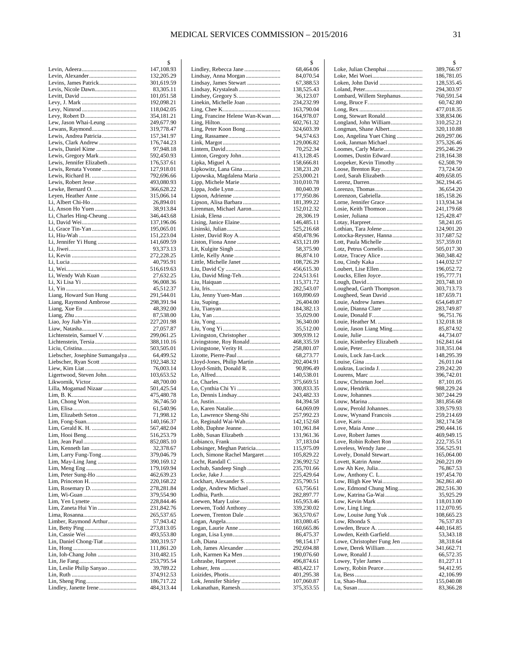|                                 | \$                       |
|---------------------------------|--------------------------|
|                                 | 147,108.93               |
|                                 | 132,205.29               |
| Levins, James Patrick           | 301,619.59               |
| Levis, Nicole Dawn              | 83,305.11                |
|                                 | 101,051.58<br>192,098.21 |
|                                 | 118,042.05               |
|                                 | 354,181.21               |
| Lew, Jason Whai-Leung           | 249,677.90               |
| Lewans, Raymond                 | 319,778.47               |
| Lewis, Andrea Patricia          | 157,341.97               |
| Lewis, Clark Andrew             | 176,744.23               |
| Lewis, Daniel Kime              | 97,948.18                |
| Lewis, Gregory Mark             | 592,450.93               |
| Lewis, Jennifer Elizabeth       | 176,537.61               |
| Lewis, Renata Yvonne            | 127,918.01               |
| Lewis, Richard H.               | 792,696.66<br>493,080.93 |
|                                 | 366,628.22               |
| Leyen, Heather Anne             | 315,066.14               |
| Li, Albert Chi-Ho               | 26,894.01                |
|                                 | 38,913.84                |
| Li, Charles Hing-Cheung         | 346,443.68               |
|                                 | 137,196.06               |
|                                 | 195,065.01               |
|                                 | 151,223.04               |
| Li, Jennifer Yi Hung            | 141,609.59               |
|                                 | 93,373.13                |
|                                 | 272,228.25<br>40,795.91  |
|                                 | 516,619.63               |
| Li, Wendy Wah Kuan              | 27,632.25                |
|                                 | 96,008.36                |
|                                 | 45,512.37                |
| Liang, Howard Sun Hung          | 291,544.01               |
| Liang, Raymond Ambrose          | 298,391.94               |
|                                 | 48,392.00                |
|                                 | 87,538.00<br>227,201.98  |
|                                 | 27,057.87                |
| Lichtenstein, Samuel V.         | 299,061.25               |
|                                 | 388,110.16               |
|                                 | 503,505.01               |
| Liebscher, Josephine Sumangalya | 64,499.52                |
| Liebscher, Ryan Scott           | 192,348.32               |
| Ligertwood, Steven John         | 76,003.14<br>103,653.52  |
| Likwornik, Victor               | 48,700.00                |
| Lilla, Mogamad Nizaar           | 501,425.54               |
|                                 | 475,480.78               |
|                                 | 36,746.50                |
|                                 | 61,540.96                |
| Lim, Elizabeth Seton            | 71,998.12                |
|                                 | 140,166.37<br>567,482.04 |
|                                 | 516,253.79               |
|                                 | 852,085.10               |
|                                 | 32,378.67                |
| Lim, Larry Fung-Tong            | 379,046.79               |
| Lim, May-Ling Jang              | 390,169.12               |
|                                 | 179,169.94               |
| Lim, Peter Sung-Ho              | 462,639.23               |
|                                 | 220,168.22               |
|                                 | 278,281.84<br>379,554.90 |
|                                 | 228,844.46               |
| Lim, Zaneta Hui Yin             | 231,842.76               |
|                                 | 265,537.65               |
| Limber, Raymond Arthur          | 57,943.42                |
|                                 | 273,813.05               |
|                                 | 493,553.80               |
| Lin, Daniel Chong-Tiat          | 300,319.57               |
| Lin, Ioh-Chang John             | 111,861.20<br>310,482.15 |
|                                 | 253,795.54               |
| Lin, Leslie Philip Sanyao       | 39,789.22                |
|                                 | 374,912.53               |
|                                 | 186,717.22               |
| Lindley, Janette Irene          | 484,313.44               |

|                                                            | \$                       |
|------------------------------------------------------------|--------------------------|
| Lindley, Rebecca Jane                                      | 68,464.06                |
| Lindsay, Anna Morgan<br>Lindsay, James Stewart             | 84,070.54<br>67,388.53   |
| Lindsay, Krystaleah                                        | 138,525.43               |
|                                                            | 36,123.07                |
| Linekin, Michelle Joan                                     | 234,232.99               |
|                                                            | 163,790.04               |
| Ling, Francine Helene Wan-Kwan                             | 164,978.07               |
|                                                            | 602,761.32               |
| Ling, Peter Koon Bong                                      | 324,603.39               |
|                                                            | 94,574.63<br>129,006.82  |
|                                                            | 70,252.34                |
| Linton, Gregory John                                       | 413,128.45               |
|                                                            | 158,666.81               |
| Lipkowitz, Lana Gina                                       | 138,231.20               |
| Lipowska, Magdalena Maria                                  | 253,000.21               |
|                                                            | 310,010.78               |
| Lippa, Jodie Lynn                                          | 80,040.39<br>177,950.86  |
| Lipson, Alisa Barbara                                      | 181,399.22               |
| Lirenman, Michael Aaron                                    | 152,012.32               |
|                                                            | 28,306.19                |
|                                                            | 146,485.11               |
|                                                            | 525,216.68               |
|                                                            | 450,478.96               |
|                                                            | 433,121.09<br>58,375.90  |
|                                                            | 86,874.10                |
| Little, Michelle Janet                                     | 108,726.29               |
|                                                            | 456,615.30               |
| Liu, David Ming-Teh                                        | 224,513.61               |
|                                                            | 115,371.72               |
|                                                            | 282,543.07               |
| Liu, Jenny Yuen-Man                                        | 169,890.69               |
|                                                            | 26,404.00<br>184,382.13  |
|                                                            | 35,029.00                |
|                                                            | 36,340.00                |
|                                                            | 35,512.00                |
| Livingston, Christopher                                    | 309,939.12               |
| Livingstone, Roy Ronald                                    | 468,335.59               |
| Livingstone, Verity H.<br>Lizotte, Pierre-Paul             | 258,801.07<br>68,273.77  |
| Lloyd-Jones, Philip Martin                                 | 202,404.91               |
| Lloyd-Smith, Donald R.                                     | 90,896.49                |
|                                                            | 140,538.01               |
|                                                            | 375,669.51               |
| Lo, Cynthia Chi Yi                                         | 300,833.35               |
|                                                            | 243,482.33               |
| Lo, Karen Natalie                                          | 84,394.58<br>64,069.09   |
| Lo, Lawrence Sheng-Shi                                     | 257,992.23               |
| Lo, Reginald Wai-Wah                                       | 142,152.68               |
| Lobb, Daphne Jeanne                                        | 101,961.84               |
| Lobb, Susan Elizabeth                                      | 131,961.36               |
|                                                            | 37,183.04                |
| Lobsinger, Meghan Patricia<br>Loch, Simone Rachel Margaret | 115,975.09<br>105,829.22 |
|                                                            | 236,992.52               |
| Lochub, Sandeep Singh                                      | 235,701.66               |
|                                                            | 225,429.64               |
| Lockhart, Alexander S.                                     | 235,790.51               |
| Lodge, Andrew Michael                                      | 63,756.61                |
|                                                            | 282,897.77               |
| Loewen, Mary Luise<br>Loewen, Todd Anthony                 | 165,953.46<br>339,230.02 |
| Loewen, Trenton Dale                                       | 363,570.67               |
|                                                            | 183,080.45               |
|                                                            | 160,665.86               |
| Logan, Lisa Lynn                                           | 86,475.37                |
|                                                            | 98,154.17                |
| Loh, James Alexander<br>Loh, Karmen Ka Men                 | 292,694.88               |
| Lohrasbe, Harpreet                                         | 190,076.60<br>496,874.61 |
|                                                            | 483,422.17               |
|                                                            | 401,295.38               |
| Lok, Jennifer Shirley                                      | 107,060.87               |
| Lokanathan, Ramesh                                         | 375,353.55               |
|                                                            |                          |

|                                                   | \$                       |
|---------------------------------------------------|--------------------------|
|                                                   | 389,766.97               |
|                                                   | 186,781.05               |
| Loken, John David                                 | 128,535.45               |
|                                                   | 294,303.97               |
| Lombard, Willem Stephanus                         | 760,591.54               |
|                                                   | 60,742.80                |
|                                                   | 477,018.35               |
| Long, Stewart Ronald                              | 338,834.06               |
| Longland, John William                            | 310,252.21               |
| Longman, Shane Albert                             | 320,110.88               |
| Loo, Angelina Yuet Ching                          | 269,297.06               |
| Look, Janman Michael                              | 375,326.46               |
| Loomes, Carly Marie                               | 295,246.29               |
| Loomes, Dustin Edward                             | 218,164.38               |
| Loopeker, Kevin Timothy                           | 62,508.79                |
| Lord, Sarah Elizabeth                             | 73,724.50<br>409,658.05  |
|                                                   | 362,194.45               |
|                                                   | 36,654.20                |
| Lorenzon, Gabriella                               | 185,158.26               |
|                                                   | 113,934.34               |
| Losie, Keith Thomson                              | 241,179.68               |
|                                                   | 125,428.47               |
|                                                   | 58,241.05                |
|                                                   | 124,901.20               |
| Lotocka-Reysner, Hanna                            | 317,687.52               |
| Lott, Paula Michelle                              | 357,359.01               |
| Lotz, Petrus Cornelis                             | 505,017.30               |
|                                                   | 360,348.42               |
|                                                   | 144,032.57               |
|                                                   | 196,052.72               |
|                                                   | 195,777.71               |
|                                                   | 203,748.10               |
| Loughead, Garth Thompson                          | 303,713.73               |
| Lougheed, Sean David                              | 187,659.71               |
|                                                   | 654,649.87               |
| Louie, Dianna Clare                               | 283,749.87               |
|                                                   | 96,751.76                |
| Louie, Heather M.                                 | 132,018.18               |
| Louie, Jason Liang Ming                           | 85,874.92                |
|                                                   | 44,734.07                |
| Louie, Kimberley Elizabeth                        | 162,841.64               |
|                                                   | 318,351.04               |
| Louis, Luck Jan-Luck                              | 148,295.39               |
|                                                   | 26,011.04                |
|                                                   | 239,242.20               |
|                                                   | 396,742.01               |
| Louw, Chrisman Joel                               | 87,101.05                |
|                                                   | 988,229.24               |
|                                                   | 307,244.29               |
|                                                   | 381,856.68               |
| Louw, Perold Johannes                             | 339,579.93               |
| Louw, Wynand Francois                             | 259,214.69<br>382,174.58 |
|                                                   | 290,444.16               |
| Love, Robert James                                | 469,949.15               |
| Love, Robin Robert Ron                            | 222,735.51               |
| Loveless, Wendy Jane                              | 356,525.91               |
| Lovely, Donald Stewart                            | 165,064.00               |
|                                                   | 260,221.09               |
|                                                   | 76,867.53                |
| Low, Anthony C. L                                 | 197,454.70               |
|                                                   | 362,861.40               |
|                                                   | 282,516.30               |
|                                                   |                          |
| Low, Edmond Chung Ming<br>Low, Katrina Ga-Wai     |                          |
|                                                   | 35,925.29<br>118,013.00  |
|                                                   |                          |
| Low, Louise Jung Yuk                              | 112,070.95<br>108,665.23 |
|                                                   | 76,537.83                |
|                                                   |                          |
| Lowden, Keith Garfield                            | 440,164.85<br>53,343.18  |
|                                                   | 38,318.64                |
| Lowe, Christopher Fung Jen<br>Lowe, Derek William | 341,662.71               |
|                                                   | 66,572.35                |
| Lowey, Tyler James                                | 81,227.11                |
|                                                   | 94,412.95                |
| Lowry, Robin Pearce                               | 42,106.99                |
|                                                   | 155,040.08               |
|                                                   | 83,366.28                |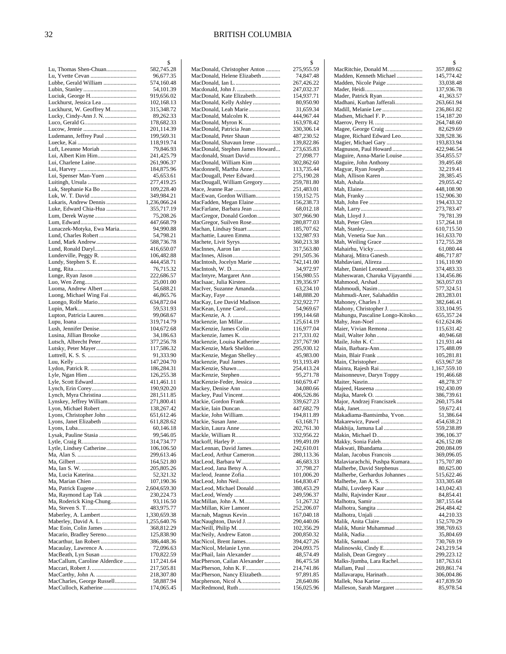|                                                    | \$                         |
|----------------------------------------------------|----------------------------|
| Lu, Thomas Shen-Chuan                              | 582,745.28                 |
|                                                    | 96,677.35                  |
| Lubbe, Gerald William                              | 574,160.48                 |
|                                                    | 54,101.39                  |
| Luciuk, George H                                   | 919,656.02                 |
| Luckhurst, Jessica Lea<br>Luckhurst, W. Geoffrey M | 102,168.13<br>315,348.72   |
| Lucky, Cindy-Ann J. N.                             | 89,262.33                  |
|                                                    | 178,682.33                 |
|                                                    | 201,114.39                 |
| Ludemann, Jeffrey Paul                             | 199,569.31                 |
|                                                    | 118,919.74                 |
| Luft, Leeanne Moriah                               | 79,846.93                  |
| Lui, Albert Kim Him                                | 241,425.79                 |
| Lui, Charlene Laine                                | 261,906.37                 |
|                                                    | 184,875.96                 |
| Lui, Spenser Man-Yuen                              | 45,653.61                  |
| Luitingh, Ursula                                   | 277,419.25                 |
| Luk, Stephanie Ka Bo                               | 109,228.40                 |
| Luk, W. T. David                                   | 349,984.21                 |
| Lukaris, Andrew Dennis                             | 1,236,066.24               |
| Luke, Edward Chia-Hua                              | 355,717.19<br>75,208.26    |
| Lum, Derek Wayne                                   | 447,668.79                 |
| Lunaczek-Motyka, Ewa Maria                         | 94,990.88                  |
| Lund, Charles Robert                               | 54,798.21                  |
| Lund, Mark Andrew                                  | 588,736.78                 |
| Lund, Ronald Daryl                                 | 416,650.07                 |
| Lunderville, Peggy R.                              | 106,482.88                 |
|                                                    | 444,458.71                 |
|                                                    | 76,715.32                  |
| Lunge, Ryan Jason                                  | 222,686.57                 |
|                                                    | 25,001.00                  |
| Luoma, Andrew Albert                               | 54,688.21                  |
| Luong, Michael Wing Fai                            | 46,865.76                  |
| Luongo, Rolfe Mario                                | 634,872.04                 |
|                                                    | 59,531.93                  |
| Lupton, Patricia Lauren                            | 99,068.67                  |
|                                                    | 319,714.79                 |
| Lush, Jennifer Denise<br>Lusina, Jillian Brooke    | 104,672.68<br>34,186.63    |
| Lutsch, Albrecht Peter                             | 377,256.78                 |
| Lutsky, Peter Mayer                                | 117,586.32                 |
|                                                    | 91,333.90                  |
|                                                    | 147,204.70                 |
|                                                    | 186,284.31                 |
| Lyle, Ngan Hien                                    | 126,255.38                 |
|                                                    | 411,461.11                 |
|                                                    | 190,920.20                 |
| Lynch, Myra Christina                              | 281,511.85                 |
| Lynskey, Jeffrey William                           | 271,800.41                 |
| Lyon, Michael Robert                               | 138,267.42                 |
| Lyons, Christopher John                            | 651,612.46                 |
| Lyons, Janet Elizabeth                             | 611,828.62<br>60,146.18    |
| Lysak, Pauline Stasia                              | 99,546.05                  |
|                                                    | 314,734.77                 |
| Lytle, Lindsey Catherine                           | 106,106.50                 |
|                                                    | 299,613.46                 |
|                                                    | 164,521.80                 |
|                                                    | 205,805.26                 |
| Ma, Lucia Katerina                                 | 52,321.32                  |
|                                                    | 107,190.36                 |
|                                                    | 2,604,659.30               |
| Ma, Raymond Lap Tak                                | 230,224.73                 |
| Ma, Roderick King-Chung                            | 93,116.50                  |
|                                                    | 483,975.77                 |
| Maberley, David A. L.                              | 1,330,659.38               |
| Mac Eoin, Colin James                              | 1,255,640.76<br>368,812.29 |
| Macario, Bradley Sereno                            | 125,838.90                 |
| Macarthur, Ian Robert                              | 386,448.36                 |
| Macaulay, Lawrence A.                              | 72,096.63                  |
| MacBeath, Lyn Susan                                | 170,822.59                 |
| MacCallum, Caroline Alderdice                      | 117,241.64                 |
|                                                    | 217,505.81                 |
| MacCarthy, John A.                                 | 218,307.80                 |
| MacCharles, George Russell                         | 58,887.94                  |
| MacCulloch, Katherine                              | 174,065.45                 |

|                                                         | \$                       |
|---------------------------------------------------------|--------------------------|
| MacDonald, Christopher Anton                            | 275,955.59               |
| MacDonald, Helene Elizabeth<br>MacDonald, Ian L         | 74,847.48<br>267,426.22  |
| Macdonald, John J.                                      | 247,032.37               |
| MacDonald, Kate Elizabeth                               | 154,937.71               |
| MacDonald, Kelly Ashley                                 | 80,950.90                |
| MacDonald, Leah Marie                                   | 31,659.34                |
| MacDonald, Malcolm K.                                   | 444,967.44               |
| MacDonald, Myron K                                      | 163,978.42               |
| MacDonald, Patricia Jean<br>MacDonald, Peter Shaun      | 330,306.14<br>487,230.52 |
| MacDonald, Shavaun Irene                                | 139,822.86               |
| MacDonald, Stephen James Howard                         | 273,635.83               |
| Macdonald, Stuart David                                 | 27,098.77                |
| MacDonald, William Kim                                  | 302,862.60               |
| Macdonnell, Martha Anne                                 | 113,735.44               |
| MacDougall, Peter Edward<br>MacDougall, William Gregory | 275,190.28<br>259,781.80 |
|                                                         | 251,483.01               |
| MacEwan, Gordon William                                 | 159,152.75               |
| MacFadden, Megan Elaine                                 | 156,238.73               |
| MacFarlane, Barbara Jean                                | 68,012.18                |
| MacGregor, Donald Gordon                                | 307,966.90               |
| MacGregor, Suilven Rose<br>Machan, Lindsay Stuart       | 280,877.03<br>185,707.62 |
| Machattie, Lauren Emma                                  | 132,987.93               |
| Machete, Livit Syrys                                    | 360,213.38               |
| MacInnes, Aaron Ian                                     | 317,563.80               |
|                                                         | 291,505.36               |
| MacIntosh, Jocelyn Marie                                | 742,141.00<br>34,972.97  |
| MacIntyre, Margaret Ann                                 | 156,980.55               |
| MacIsaac, Julia Kirsten                                 | 139,356.97               |
| MacIver, Suzanne Amanda                                 | 63,234.10                |
|                                                         | 148,888.20               |
| MacKay, Lee David Madison                               | 232,922.77               |
| MacKean, Lynne Carol                                    | 54,969.67<br>199,144.68  |
| Mackenzie, Ian Millar                                   | 125,614.19               |
| MacKenzie, James Colin                                  | 116,977.04               |
| Mackenzie, James K.                                     | 217,331.02               |
| Mackenzie, Louisa Katherine                             | 237,767.90               |
| MacKenzie, Mark Sheldon<br>MacKenzie, Megan Shelley     | 295,930.12<br>45,983.00  |
| Mackenzie, Paul James                                   | 913,193.49               |
|                                                         | 254,413.24               |
| MacKenzie, Stephen                                      | 95,271.78                |
| MacKenzie-Feder, Jessica<br>Mackey, Denise Ann          | 160,679.47<br>34,080.66  |
| Mackey, Paul Vincent                                    | 406,526.86               |
| Mackie, Gordon Frank                                    | 339,627.23               |
| Mackie, Iain Duncan                                     | 447,682.79               |
| Mackie, John William                                    | 194,811.89               |
| Mackie, Susan Jane<br>Mackin, Laura Anne                | 63,168.71<br>202,761.30  |
| Mackle, William R                                       | 332,956.22               |
| Mackoff, Harley P.                                      | 199,491.09               |
| MacLennan, David James                                  | 242,610.01               |
| MacLeod, Arthur Cameron                                 | 280,113.36               |
| MacLeod, Barbara W                                      | 46,683.33                |
| MacLeod, Jana Betsy A<br>Macleod, Jeanne Zofia          | 37,798.27<br>101,006.20  |
| MacLeod, John Neil                                      | 164,830.47               |
| MacLeod, Michael Donald                                 | 380,453.29               |
| MacLeod, Wendy                                          | 249,596.37               |
| MacMillan, John A. M<br>MacMillan, Kier Lamont          | 51,267.32<br>252,206.07  |
| Macnab, Magnus Kevin                                    | 167,040.18               |
| MacNaughton, David J.                                   | 290,440.06               |
| MacNeill, Philip M.                                     | 102,356.29               |
| MacNeily, Andrew Eaton                                  | 200,850.32               |
| MacNicol, Brent James<br>MacNicol, Melanie Lynn         | 394,427.26<br>204,093.75 |
| MacPhail, Iain Alexander                                | 48,574.49                |
| MacPherson, Cailan Alexander                            | 86,475.58                |
| MacPherson, John K. F                                   | 214,741.86               |
| MacPherson, Nancy Elizabeth<br>Macpherson, Nicol A      | 97,891.85<br>28,640.86   |
| MacRedmond, Ruth                                        | 156,025.96               |
|                                                         |                          |

|                                                           | \$                       |
|-----------------------------------------------------------|--------------------------|
| MacRitchie, Donald M.                                     | 357,889.62               |
| Madden, Kenneth Michael                                   | 145,774.42               |
| Madden, Nicole Paige                                      | 33,038.48                |
|                                                           | 137,936.78               |
| Mader, Patrick Ryan<br>Madhani, Kurban Jafferali          | 41,363.57                |
| Madill, Melanie Lee                                       | 263,661.94<br>236,861.82 |
| Madsen, Michael F. P                                      | 154,187.20               |
|                                                           | 264,748.60               |
| Magee, George Craig                                       | 82,629.69                |
| Magee, Richard Edward Leo                                 | 328,528.36               |
| Magier, Michael Gary                                      | 193,833.94               |
| Magnuson, Paul Howard                                     | 422,946.54               |
| Maguire, Anna-Marie Louise                                | 354,855.57               |
| Maguire, John Anthony                                     | 39,495.68                |
| Magyar, Ryan Joseph<br>Mah, Allison Karen                 | 32,219.41<br>28,385.45   |
|                                                           | 29,055.42                |
|                                                           | 448,108.90               |
|                                                           | 152,906.30               |
|                                                           | 194,433.32               |
|                                                           | 273,783.47               |
|                                                           | 79,781.39                |
|                                                           | 157,264.18               |
|                                                           | 610,715.50               |
| Mah, Venetia Sue Jun<br>Mah, Weiling Grace                | 161,633.70<br>172,755.28 |
|                                                           | 61,080.44                |
| Maharaj, Mitra Ganesh                                     | 486,717.87               |
| Mahdaviani, Alireza                                       | 116,110.90               |
| Maher, Daniel Leonard                                     | 374,483.33               |
| Maheswaran, Charuka Vijayanthi                            | 134,456.86               |
| Mahmood, Arshad                                           | 363,057.03               |
| Mahmoudi, Nasim                                           | 577,324.51               |
| Mahmudi-Azer, Salahaddin                                  | 283,283.01               |
|                                                           | 382,646.41               |
| Mahony, Christopher J.<br>Mahungu, Pascaline Longo-Kitoko | 333,104.95<br>655,357.24 |
| Mahy, Jean-Noel                                           | 612,624.86               |
| Maier, Vivian Remona                                      | 115,631.42               |
| Mail, Walter John                                         | 40,946.68                |
|                                                           | 121,931.44               |
| Main, Barbara-Ann                                         | 175,488.09               |
| Main, Blair Frank                                         | 105,281.81               |
|                                                           | 653,967.58               |
| Mainra, Rajesh Rai                                        | 1,167,559.10             |
| Maisonneuve, Daryn Toppy                                  | 191,466.68<br>48,278.37  |
|                                                           | 192,430.09               |
| Majka, Marek O.                                           | 386,739.61               |
| Major, Andrzej Franciszek                                 | 260,175.84               |
|                                                           | 59,672.41                |
| Makadiama-Bantsimba, Yvon                                 | 51,386.64                |
| Makarewicz, Pawel                                         | 454,638.21               |
| Makhija, Jamuna Lal                                       | 559,238.89               |
| Makin, Michael D                                          | 396,106.37               |
| Makky, Sonia Faleh<br>Makwati, Bbandama                   | 426,152.08               |
| Malan, Jacobus Francois                                   | 200,084.09<br>369,096.05 |
| Malaviarachchi, Pushpa Kumara                             | 175,707.80               |
| Malherbe, David Stephenus                                 | 80,625.00                |
| Malherbe, Gerhardus Johannes                              | 515,622.46               |
|                                                           | 333,305.68               |
| Malhi, Luvdeep Kaur                                       | 143,042.43               |
|                                                           | 84,854.41                |
|                                                           | 387,155.64               |
|                                                           | 264,484.42<br>44,210.33  |
|                                                           | 152,570.29               |
| Malik, Munir Muhammad                                     | 398,769.63               |
|                                                           | 35,804.69                |
|                                                           | 730,769.19               |
| Malinowski, Cindy E                                       | 243,219.54               |
|                                                           | 299,223.12               |
| Malks-Jjumba, Lara Rachel                                 | 187,763.61               |
|                                                           | 269,861.74               |
| Mallavarapu, Harinath                                     | 306,004.86<br>417,839.50 |
| Malleson, Sarah Margaret                                  | 85,978.54                |
|                                                           |                          |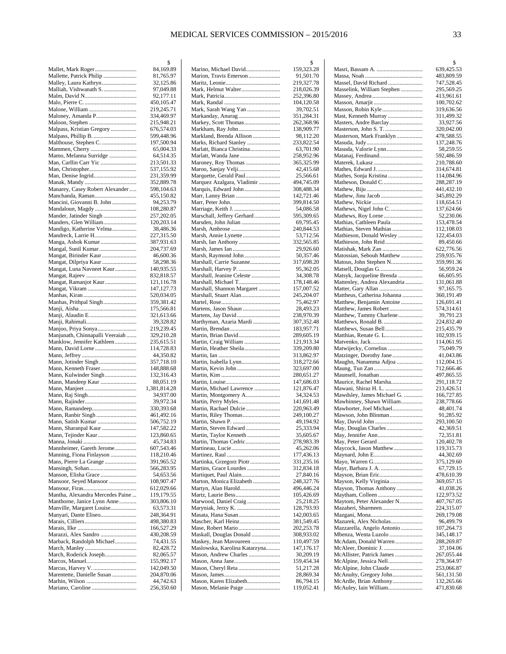|                                                    | \$                        |
|----------------------------------------------------|---------------------------|
| Mallet, Mark Roger                                 | 84,169.89                 |
| Mallette, Patrick Philip<br>Malley, Laura Kathryn  | 81,765.97<br>32,125.86    |
| Malliah, Vishwanath S                              | 97,049.88                 |
|                                                    | 92,177.11                 |
|                                                    | 450,105.47                |
|                                                    | 219,245.71                |
| Maloney, Amanda P                                  | 334,469.97                |
| Malpass, Kristian Gregory                          | 215,948.21<br>676,574.03  |
| Malpass, Phillip B.                                | 599,448.96                |
| Malthouse, Stephen C.                              | 197,500.94                |
|                                                    | 65,004.33                 |
| Mamo, Melanna Surridge                             | 64,514.35                 |
| Man, Carllin Carr Yic                              | 213,501.33<br>537,155.92  |
| Man, Denise Ingrid                                 | 231,359.99                |
|                                                    | 352,889.78                |
| Manarey, Casey Robert Alexander                    | 598,104.63                |
| Manchanda, Raman<br>Mancini, Giovanni B. John      | 455,150.82<br>94,253.79   |
| Mandaloun, Magdy                                   | 108,280.87                |
| Mander, Jatinder Singh                             | 257,202.05                |
| Manders, Glen William                              | 120,203.14                |
| Mandigo, Katherine Velma                           | 38,486.36                 |
| Mandreck, Larrie H.<br>Manga, Ashok Kumar          | 227,315.50<br>387,931.63  |
| Mangal, Sunil Kumar                                | 204,737.69                |
| Mangat, Birinder Kaur                              | 46,600.36                 |
| Mangat, Dilpriya Kaur                              | 58,298.36                 |
| Mangat, Luna Navneet Kaur                          | 140,935.55<br>832,818.57  |
| Mangat, Ramanjot Kaur                              | 121,116.78                |
| Mangat, Vikram                                     | 147,127.73                |
|                                                    | 520,034.05                |
| Manhas, Prithpal Singh                             | 359,381.42                |
| Manji, Alaudin E                                   | 175,566.81<br>321,613.66  |
|                                                    | 39,328.82                 |
| Manjoo, Priya Sonya                                | 219,239.45                |
| Manjunath, Chinnapalli Veeraiah                    | 329,210.28                |
| Manklow, Jennifer Kathleen                         | 235,615.51                |
| Mann, David Lorne                                  | 114,728.83<br>44,350.82   |
|                                                    | 357,718.10                |
| Mann, Kenneth Fraser                               | 148,888.68                |
| Mann, Kulwinder Singh                              | 132,316.43                |
| Mann, Mandeep Kaur                                 | 88,051.19<br>1,381,814.28 |
|                                                    | 34,937.00                 |
|                                                    | 39,972.34                 |
| Mann, Ramandeep                                    | 330,393.68                |
| Mann, Ranbir Singh                                 | 461,492.16<br>506,752.19  |
| Mann, Satish Kumar<br>Mann, Sharanpal Kaur         | 147,582.22                |
| Mann, Tejinder Kaur                                | 123,860.65                |
|                                                    | 45,734.83                 |
| Mannheimer, Gareth Jerome                          | 607,543.46                |
| Manning, Fiona Finlayson<br>Mans, Pierre La Grange | 118,210.46<br>391,965.52  |
|                                                    | 566,283.95                |
| Manson, Elisha Grace                               | 54,653.56                 |
| Mansoor, Seyed Mansoor                             | 108,907.47                |
| Mantha, Alexandra Mercedes Paine                   | 612,029.66<br>119,179.55  |
| Manthorne, Janice Lynn Anne                        | 303,806.10                |
| Manville, Margaret Louise                          | 63,573.31                 |
| Manyari, Dante Eliseo                              | 248,364.91                |
|                                                    | 498,380.83                |
| Marazzi, Alex Sandro                               | 166,527.29<br>430,208.59  |
| Marback, Randolph Michael                          | 74,431.55                 |
|                                                    | 82,428.72                 |
| March, Roderick Joseph                             | 82,065.57                 |
| Marcus, Harvey V.                                  | 155,992.17<br>142,049.50  |
| Marentette, Danielle Susan                         | 204,870.06                |
|                                                    | 44,742.63                 |
|                                                    | 256,350.60                |

|                                                     | \$                       |
|-----------------------------------------------------|--------------------------|
| Marino, Michael David                               | 159,323.28<br>91,501.70  |
| Marion, Travis Emerson                              | 219,327.78               |
| Mark, Helmut Walter                                 | 218,026.39               |
|                                                     | 252,396.80               |
|                                                     | 104,120.58               |
| Mark, Sarah Wang Yan                                | 39,702.51                |
| Markanday, Anurag<br>Markey, Scott Thomas           | 351,284.31<br>262,368.96 |
| Markham, Ray John                                   | 138,909.77               |
| Markland, Brenda Allison                            | 98,112.20                |
| Marks, Richard Stanley                              | 233,822.54               |
| Marlatt, Bianca Christina                           | 63,701.90                |
| Marlatt, Wanda Jane                                 | 258,952.96               |
| Maroney, Roy Thomas<br>Maroo, Sanjay Velji          | 365,325.99<br>42,415.68  |
| Marquette, Gerald Paul                              | 25,566.61                |
| Marquez Azalgara, Vladimir                          | 494,745.09               |
| Marquis, Edward John                                | 308,488.34               |
| Marr, Lanny Brian                                   | 142,721.46               |
|                                                     | 399,814.50<br>54,086.58  |
| Marschall, Jeffery Gerhard                          | 595,309.65               |
| Marsden, John Julian                                | 69,795.45                |
|                                                     | 240,844.53               |
| Marsh, Annie Lynette                                | 53,712.56                |
| Marsh, Ian Anthony                                  | 332,565.85               |
| Marsh, Raymond John                                 | 29,926.60<br>50,357.46   |
| Marshall, Carrie Suzanne                            | 317,698.20               |
| Marshall, Harvey P.                                 | 95,362.05                |
| Marshall, Jeanine Celeste                           | 34,308.78                |
| Marshall, Michael T                                 | 178,148.46               |
| Marshall, Shannon Margaret<br>Marshall, Stuart Alan | 157,007.52<br>245,204.07 |
|                                                     | 75,462.97                |
| Martens, Jason Shaun                                | 28,493.23                |
|                                                     | 238,970.39               |
| Marthyman, Azaria Mardi                             | 307,352.48               |
| Martin, Brian David                                 | 183,957.71<br>289,605.19 |
| Martin, Craig William                               | 121,913.34               |
| Martin, Heather Sheila                              | 339,209.80               |
|                                                     | 313,862.97               |
| Martin, Isabella Lynn                               | 318,272.66               |
| Martin, Kevin John                                  | 323,697.00<br>280,651.27 |
|                                                     | 147,686.03               |
| Martin, Michael Lawrence                            | 121,876.47               |
| Martin, Montgomery A                                | 34,324.53                |
|                                                     | 141,691.48               |
| Martin, Rachael Dulcie<br>Martin, Riley Thomas      | 220,963.49<br>249,100.27 |
|                                                     | 49,194.92                |
| Martin, Steven Edward                               | 25,333.94                |
| Martin, Taylor Kenneth                              | 35,605.67                |
| Martin, Thomas Cedric                               | 278,983.39<br>45,262.06  |
|                                                     | 177,436.13               |
| Martinka, Grzegorz Piotr                            | 331,235.16               |
| Martins, Grace Lourdes                              | 312,834.18               |
| Martiquet, Paul Alain                               | 27,840.16                |
| Marton, Monica Elizabeth<br>Martyn, Alan Harold     | 248,327.76<br>496,446.24 |
|                                                     | 105,426.69               |
| Marwood, Daniel Craig                               | 25,218.25                |
| Maryniak, Jerzy K.                                  | 128,793.93               |
| Masata, Hana Susan                                  | 142,003.65               |
| Mascher, Karl Heinz                                 | 381,549.45<br>202,253.78 |
| Maskall, Douglas Donald                             | 308,933.02               |
| Maskey, Jean Mavoureen                              | 110,497.59               |
| Maslowska, Karolina Katarzyna                       | 147,176.17               |
| Mason, Andrew Charles                               | 30,209.19                |
| Mason, Cheryl Reta                                  | 159,454.34<br>51,217.28  |
|                                                     | 28,869.34                |
| Mason, Karen Elizabeth                              | 86,794.15                |
| Mason, Melanie Paige                                | 119,052.41               |

|                                                   | \$                       |
|---------------------------------------------------|--------------------------|
|                                                   | 639,425.53               |
|                                                   | 483,809.59               |
| Massel, David Richard                             | 747,528.45               |
| Masselink, William Stephen                        | 295,569.25               |
|                                                   | 413,961.61               |
| Masson, Robin Kyle                                | 100,702.62<br>319,636.56 |
| Mast, Kenneth Murray                              | 311,499.32               |
| Masters, Andre Barclay                            | 33,927.56                |
| Masterson, John S. T.                             | 320,042.00               |
| Masterson, Mark Franklyn                          | 478,588.55               |
|                                                   | 137,248.76               |
| Masuda, Valorie Lynn                              | 58,259.55                |
| Matanaj, Ferdinand                                | 592,486.59               |
|                                                   | 210,788.60               |
| Mathes, Edward J.                                 | 314,674.81               |
| Mathes, Sonja Kristina                            | 114,084.96               |
| Matheson, Donald C                                | 288,287.19               |
| Mathew, Jinu Jacob                                | 441,432.10               |
|                                                   | 345,892.29<br>118,654.51 |
| Mathews, Nigel John C.                            | 137,624.66               |
|                                                   | 52,230.06                |
| Mathias, Cathleen Paula                           | 153,478.54               |
| Mathias, Steven Mathias                           | 112,108.03               |
| Mathieson, Donald Wesley                          | 122,454.03               |
|                                                   | 89,450.66                |
| Matishak, Mark Zan                                | 622,776.56               |
| Matossian, Sebouh Matthew                         | 259,935.76               |
| Matous, John Stephen N                            | 359,991.36               |
| Matsell, Douglas G                                | 56,959.24                |
| Matsyk, Jacqueline Brenda                         | 66,605.95                |
| Mattenley, Andrea Alexandria                      | 131,061.88               |
| Matter, Gary Allan<br>Mattheus, Catherina Johanna | 97,165.75<br>360,191.49  |
| Matthew, Benjamin Antoine                         | 126,691.41               |
| Matthew, James Robert                             | 574,314.61               |
| Matthew, Tammy Charlene                           | 39,791.23                |
| Matthews, Ronald B.                               | 224,832.40               |
| Matthews, Susan Bell                              | 215,435.79               |
| Matthias, Renate G. L                             | 102,939.15               |
|                                                   | 114,061.95               |
| Matwijecky, Cornelius                             | 75,049.79                |
| Matzinger, Dorothy Jane                           | 41,043.86                |
| Maughn, Nanamma Adjoa                             | 112,004.15               |
| Maunsell, Jonathan                                | 712,666.46<br>497,865.55 |
| Maurice, Rachel Marsha                            | 291,118.72               |
| Mawani, Shiraz H. L.                              | 213,426.51               |
| Mawdsley, James Michael G.                        | 166,727.85               |
| Mawhinney, Shawn William                          | 238,778.66               |
| Mawhorter, Joel Michael                           | 48,401.74                |
| Mawson, John Blinman                              | 91,285.92                |
|                                                   | 293,100.50               |
| May, Douglas Charles                              | 42,369.51                |
|                                                   | 72,351.81                |
| Maycock, Jason Matthew                            | 120,402.78               |
| Maynard, John E                                   | 119,315.73<br>44,302.69  |
|                                                   | 375,129.60               |
| Mayr, Barbara J. A.                               | 67,729.15                |
| Mayson, Brian Eric                                | 478,610.39               |
| Mayson, Kelly Virginia                            | 369,057.15               |
| Mayson, Thomas Anthony                            | 41,038.26                |
|                                                   | 122,973.52               |
| Maytom, Peter Alexander N                         | 407,767.05               |
| Mazaheri, Sharmeen                                | 224,315.07               |
|                                                   | 269,179.08               |
| Mazurek, Alex Nicholas                            | 96,499.79                |
| Mazzarella, Angelo Antonio                        | 107,264.73               |
| Mbenza, Wenta Luzolo<br>McAdam, Donald Warren     | 345,148.17<br>288,269.87 |
| McAleer, Dominic J.                               | 37,104.06                |
| McAllister, Patrick James                         | 267,055.44               |
| McAlpine, Jessica Nell                            | 278,364.97               |
| McAlpine, John Claude                             | 253,066.87               |
| McAnulty, Gregory John                            | 561,131.50               |
| McArdle, Brian Anthony                            | 132,265.66               |
| McAuley, Iain William                             | 471,830.68               |
|                                                   |                          |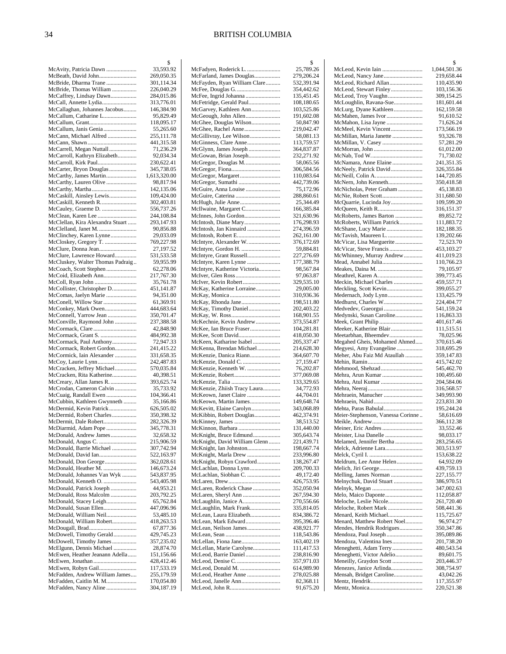|                                                          | \$                       |
|----------------------------------------------------------|--------------------------|
| McAvity, Patricia Dawn<br>McBeath, David John            | 33,593.92<br>269,050.35  |
| McBride, Dharma Trane                                    | 301,114.34               |
| McBride, Thomas William                                  | 226,040.29               |
| McCaffrey, Lindsay Dawn                                  | 284,015.86               |
| McCall, Annette Lydia                                    | 313,776.01               |
| McCallaghan, Johannes Jacobus<br>McCallum, Catharine L   | 146,384.90<br>95,829.49  |
|                                                          | 118,095.17               |
| McCallum, Janis Genia                                    | 55,265.60                |
| McCann, Michael Alfred                                   | 255,111.78               |
|                                                          | 441,315.58               |
| McCarrell, Megan Nuttall<br>McCarroll, Kathryn Elizabeth | 71,236.29<br>92,034.34   |
| McCarroll, Kirk Paul                                     | 230,622.41               |
| McCarter, Bryon Douglas                                  | 345,738.05               |
| McCarthy, James Martin                                   | 1,613,320.00             |
| McCarthy, Lauren Olive                                   | 98,817.94                |
| McCarthy, Martha<br>McCaskill, Ainsley Lewis             | 142,135.06<br>109,424.00 |
| McCaskill, Kenneth R.                                    | 302,403.81               |
| McCauley, Graeme D.                                      | 556,737.26               |
| McClean, Karen Lee                                       | 244,108.84               |
| McClellan, Kira Alexandra Stuart<br>McClelland, Janet M. | 293,147.93               |
| McClinchey, Karen Lynne                                  | 90,856.88<br>29,033.09   |
| McCloskey, Gregory T.                                    | 769,227.98               |
| McClure, Donna Jean                                      | 27,197.52                |
| McClure, Lawrence Howard                                 | 531,533.58               |
| McCluskey, Walter Thomas Padraig                         | 59,955.99                |
| McCoach, Scott Stephen<br>McCoid, Elizabeth Ann          | 62,278.06<br>217,767.30  |
| McColl, Ryan John                                        | 35,761.78                |
| McCollister, Christopher D                               | 451,141.87               |
| McComas, Jaelyn Marie                                    | 94,351.00                |
| McConell, Willow Star<br>McConkey, Mark Owen             | 61,369.91                |
| McConnell, Yarrow Jean                                   | 444,683.64<br>350,701.47 |
| McConville, Raymond John                                 | 237,388.58               |
|                                                          | 42,848.90                |
| McCormack, Grant S.                                      | 484,992.38               |
| McCormack, Paul Anthony<br>McCormack, Robert Gordon      | 72,947.33<br>241,415.22  |
| McCormick, Iain Alexander                                | 331,658.35               |
| McCoy, Laurie Lynn                                       | 242,487.83               |
| McCracken, Jeffrey Michael                               | 570,035.84               |
| McCracken, Rita Katherine                                | 40,398.51<br>393,625.74  |
| McCreary, Allan James R.<br>McCrodan, Cameron Calvin     | 35,733.92                |
| McCuaig, Randall Ewen                                    | 104,366.41               |
| McCubbin, Kathleen Gwynneth                              | 35,166.86                |
| McDermid, Kevin Patrick                                  | 626,505.02               |
| McDermid, Robert Charles                                 | 350,398.32<br>282,326.39 |
| McDiarmid, Adam Pope                                     | 345,778.31               |
| McDonald, Andrew James                                   | 32,658.32                |
| McDonald, Angus C.                                       | 215,906.59               |
| McDonald, Barrie Michael<br>McDonald, David Ian          | 307,742.94               |
| McDonald, Don George                                     | 522,163.97<br>362,028.61 |
| McDonald, Heather M.                                     | 146,673.24               |
| McDonald, Johannes Van Wyk                               | 543,837.95               |
| McDonald, Kenneth O.                                     | 543,405.98               |
| McDonald, Patrick Joseph                                 | 44,953.21                |
| McDonald, Ross Malcolm<br>McDonald, Stacey Leigh         | 203,792.25<br>65,762.84  |
| McDonald, Susan Ellen                                    | 447,096.96               |
| McDonald, William Neil                                   | 53,485.10                |
| McDonald, William Robert                                 | 418,263.53               |
| McDougall, Brad<br>McDowell, Timothy Gerald              | 67,877.36<br>429,745.23  |
| McDowell, Timothy James                                  | 357,235.02               |
| McElgunn, Dennis Michael                                 | 28,874.70                |
| McEwen, Heather Jeanann Adella                           | 151,156.66               |
|                                                          | 428,412.46               |
| McEwen, Robyn Gail<br>McFadden, Andrew William James     | 117,533.19<br>255,179.59 |
| McFadden, Caitlin M. M                                   | 170,054.80               |
| McFadden, Nancy Aline                                    | 304,187.19               |
|                                                          |                          |

|                                                          | \$                       |
|----------------------------------------------------------|--------------------------|
| McFadyen, Roderick L.                                    | 25,789.26                |
| McFarland, James Douglas<br>McFayden, Ryan William Clare | 279,206.24<br>532,391.94 |
|                                                          | 354,442.62               |
| McFee, Ingrid Johanna                                    | 135,451.45               |
| McFetridge, Gerald Paul                                  | 108,180.65               |
| McGarvey, Kathleen Ann                                   | 103,525.86               |
| McGeough, John Allen                                     | 191,602.08               |
| McGhee, Douglas Wilson                                   | 50,847.90                |
| McGhee, Rachel Anne                                      | 219,042.47               |
| McGillivray, Lee Wilson                                  | 58,081.13                |
| McGinness, Clare Anne                                    | 113,759.57               |
| McGlynn, James Joseph<br>McGowan, Brian Joseph           | 364,837.87<br>232,271.92 |
| McGregor, Douglas M                                      | 58,065.56                |
|                                                          | 306,584.56               |
| McGregor, Margaret                                       | 110,083.64               |
| McGregor, Sumathi                                        | 442,739.06               |
| McGuire, Anna Louise                                     | 75,172.96                |
|                                                          | 288,860.61               |
|                                                          | 25,344.49                |
| McIlwaine, Margaret C<br>McInnes, John Gordon            | 166,385.84               |
|                                                          | 321,630.96<br>176,298.93 |
| McIntosh, Jan Kinnaird                                   | 274,396.59               |
| McIntosh, Robert E                                       | 262,161.00               |
| McIntyre, Alexander W                                    | 376,172.69               |
| McIntyre, Gordon H.                                      | 59,884.81                |
| McIntyre, Grant Russell                                  | 227,276.69               |
| McIntyre, Karen Lynne                                    | 177,388.79               |
| McIntyre, Katherine Victoria                             | 98,567.84                |
|                                                          | 97,063.87                |
| McIver, Kevin Robert<br>McKay, Katherine Lorraine        | 329,535.10<br>29,005.00  |
|                                                          | 310,936.36               |
| McKay, Rhonda Jane                                       | 198,511.80               |
| McKay, Timothy Daniel                                    | 202,403.22               |
|                                                          | 168,901.55               |
| McKechnie, Kevin Andrew                                  | 373,554.87               |
| McKee, Ian Bruce Fraser                                  | 104,281.81               |
| McKee, Scott David                                       | 418,050.30               |
| McKeen, Katharine Isabel                                 | 205,337.47               |
| McKenna, Brendan Michael<br>McKenzie, Danica Riann       | 214,628.30<br>364,607.70 |
| McKenzie, Donald C.                                      | 27,159.47                |
| McKenzie, Kenneth W.                                     | 76,202.87                |
| McKenzie, Robert                                         | 377,069.08               |
|                                                          | 133,329.65               |
| McKenzie, Zhiish Tracy Laura                             | 34,772.93                |
| McKeown, Janet Claire                                    | 44,704.01                |
| McKeown, Martin James                                    | 149,648.74               |
| McKevitt, Elaine Carolyn                                 | 343,068.89               |
| McKibbin, Robert Douglas                                 | 462,374.91<br>38,513.52  |
| McKinnon, Barbara                                        | 131,440.00               |
| McKnight, Bruce Edmund                                   | 305,643.74               |
| McKnight, David William Glenn                            | 221,439.71               |
| McKnight, Ian Johnston                                   | 198,667.74               |
| McKnight, Marla Drew                                     | 233,996.80               |
| McKnight, Robyn Crawford                                 | 138,267.47               |
| McLachlan, Donna Lynn                                    | 209,700.33               |
| McLachlan, Siobhan C.                                    | 49,172.40<br>426,753.95  |
| McLaren, Roderick Chase                                  | 352,050.94               |
| McLaren, Sheryl Ann                                      | 267,594.30               |
| McLaughlin, Janice A                                     | 270,556.66               |
| McLaughlin, Mark Frank                                   | 335,814.05               |
| McLean, Laura Elizabeth                                  | 834,386.72               |
| McLean, Mark Edward                                      | 395,396.46               |
| McLean, Neilson James                                    | 438,921.77               |
|                                                          | 118,543.86               |
| McLellan, Fiona Jane                                     | 163,402.19               |
| McLellan, Marie Carolyne<br>McLeod, Barrie Daniel        | 111,417.53<br>238,816.90 |
|                                                          | 357,971.03               |
| McLeod, Donald M.                                        | 614,989.90               |
| McLeod, Heather Anne                                     | 278,025.88               |
| McLeod, Janelle Ann                                      | 82,368.11                |
|                                                          | 91,675.20                |
|                                                          |                          |

|                                                    | \$                       |
|----------------------------------------------------|--------------------------|
| McLeod, Kevin Iain                                 | 1,044,501.36             |
| McLeod, Nancy Jane                                 | 219,658.44               |
| McLeod, Richard Allan<br>McLeod, Stewart Finley    | 110,435.90               |
| McLeod, Troy Vaughn                                | 103,156.36<br>309,154.25 |
| McLoughlin, Ravana-Sue                             | 181,601.44               |
| McLurg, Dyane Kathleen                             | 162,159.58               |
| McMahen, James Ivor                                | 91,610.52                |
| McMahon, Lisa Jayne<br>McMeel, Kevin Vincent       | 71,626.24<br>173,566.19  |
| McMillan, Maria Janette                            | 93,326.78                |
| McMillan, V. Casey                                 | 57,281.29                |
|                                                    | 61,012.00                |
|                                                    | 71,730.02                |
| McNamara, Anne Elaine<br>McNeely, Patrick David    | 241,351.35<br>326,355.84 |
|                                                    | 144,720.85               |
| McNern, John Kenneth                               | 350,418.58               |
| McNicholas, Peter Graham                           | 45,138.83                |
| McNie, Robert Scott                                | 311,680.50               |
| McQuarrie, Lucinda Joy                             | 109,599.20<br>316,151.37 |
| McRoberts, James Barton                            | 89,852.72                |
| McRoberts, William Patrick                         | 111,883.72               |
| McShane, Lucy Marie                                | 182,188.35               |
| McTavish, Maureen L.                               | 139,202.66               |
| McVicar, Lisa Marguerite<br>McVicar, Steve Francis | 72,523.70<br>453,103.27  |
| McWhinney, Murray Andrew                           | 411,019.23               |
| Mead, Annabel Julia                                | 110,766.23               |
| Meakes, Daina M.                                   | 79,105.97                |
|                                                    | 399,773.45               |
| Meckin, Michael Charles<br>Meckling, Scott Kevin   | 459,557.71<br>399,055.27 |
| Medernach, Jody Lynn                               | 133,425.79               |
| Medhurst, Charles W                                | 224,404.77               |
| Medvedev, Gueorgui                                 | 541,159.24               |
| Medynski, Susan Caroline                           | 116,863.33               |
| Meeker, Katherine Blair                            | 401,617.46<br>111,515.51 |
| Meetarbhan, Bheemdev                               | 78,025.96                |
| Megahed Gheis, Mohamed Ahmed                       | 370,615.46               |
| Megyesi, Amy Evangeline                            | 318,695.29               |
| Meher, Abu Faiz Md Ataullah                        | 359,147.83<br>415,742.02 |
| Mehmood, Shehzad                                   | 545,462.70               |
| Mehra, Arun Kumar                                  | 100,495.60               |
| Mehra, Atul Kumar                                  | 204,584.06               |
|                                                    | 316,568.57<br>349,993.90 |
| Mehraein, Manucher                                 | 223,831.30               |
| Mehta, Paras Babulal                               | 195,244.24               |
| Meier-Stephenson, Vanessa Corinne                  | 58,616.69                |
|                                                    | 366,112.38               |
| Meiner, Eric Andres<br>Meister, Lisa Danelle       | 33,552.46<br>98,033.17   |
| Melamed, Jennifer Bertha                           | 283,256.65               |
| Melck, Adrienne Lara                               | 303,513.97               |
|                                                    | 153,638.22               |
| Meldrum, Lee Anne Helen<br>Melich, Jiri George     | 64,932.09<br>439,759.13  |
| Melling, James Norman                              | 227,155.77               |
| Melnychuk, David Stuart                            | 386,970.51               |
|                                                    | 347,002.63               |
| Melo, Maico Daponte                                | 112,058.87               |
| Meloche, Leslie Nicole<br>Meloche, Robert Mark     | 261,720.40<br>508,441.36 |
| Menard, Keith Michael                              | 115,725.67               |
| Menard, Matthew Robert Noel                        | 96,974.27                |
| Mendes, Hendrik Rodrigues                          | 350,347.86               |
| Mendoza, Paul Joseph                               | 395,089.86               |
| Mendoza, Valentina Ines<br>Meneghetti, Adam Terry  | 201,738.20<br>480,543.54 |
| Meneghetti, Victor Adelio                          | 89,601.75                |
| Meneilly, Graydon Scott                            | 203,446.37               |
| Menezes, Janice Arlinda                            | 308,754.97               |
| Mensah, Bridget Caroline                           | 43,042.26<br>117,355.97  |
|                                                    | 220,521.38               |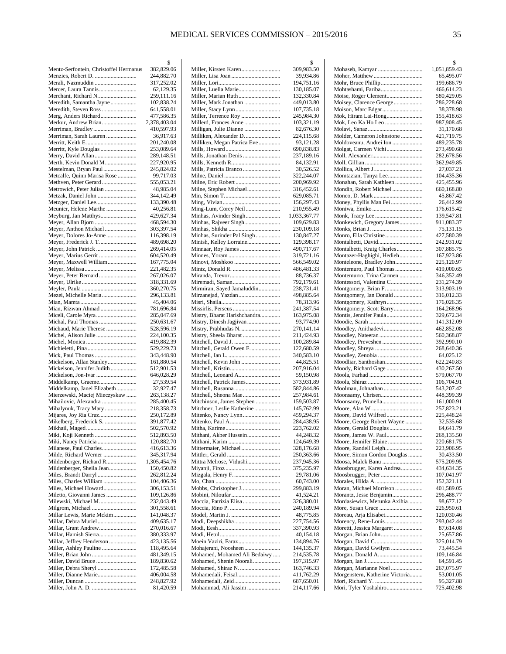|                                                              | \$                         |
|--------------------------------------------------------------|----------------------------|
| Mentz-Serfontein, Christoffel Hermanus                       | 382,829.06                 |
| Menzies, Robert D.                                           | 244,882.70                 |
| Merali, Nazmuddin                                            | 317,252.02                 |
| Mercer, Laura Tannis                                         | 62,129.35                  |
| Meredith, Samantha Jayne                                     | 259,111.16<br>102,838.24   |
| Meredith, Steven Ross                                        | 641,558.01                 |
| Merg, Anders Richard                                         | 477,586.35                 |
| Merkur, Andrew Brian                                         | 2,378,403.04               |
| Merriman, Bradley                                            | 410,597.93                 |
| Merriman, Sarah Lauren                                       | 36,917.63                  |
|                                                              | 201,240.08                 |
| Merritt, Kyle Douglas                                        | 253,089.64                 |
| Merry, David Allan                                           | 289,148.51                 |
| Merth, Kevin Donald M                                        | 227,920.95                 |
| Mestelman, Bryan Paul                                        | 245,824.02                 |
| Metcalfe, Quinn Marisa Rose                                  | 99,717.03                  |
| Methven, Peter Gerard<br>Metrowich, Peter Julian             | 555,053.21<br>48,985.04    |
|                                                              | 344,142.49                 |
| Metzger, Daniel Lee                                          | 133,390.48                 |
| Meunier, Helene Marthe                                       | 40,256.81                  |
| Meyburg, Jan Matthys                                         | 429,627.34                 |
| Meyer, Allan Bjorn                                           | 468,594.30                 |
| Meyer, Anthon Michael                                        | 303,397.54                 |
| Meyer, Dolores Jo-Anne                                       | 116,398.19                 |
| Meyer, Frederick J. T.                                       | 489,698.20                 |
| Meyer, John Patrick                                          | 269,414.05                 |
| Meyer, Marius Gerrit                                         | 604,520.49                 |
| Meyer, Maxwell William                                       | 167,775.04                 |
| Meyer, Peter Bernard                                         | 221,482.35<br>267,026.07   |
|                                                              | 318,331.69                 |
|                                                              | 360,270.75                 |
| Mezei, Michelle Maria                                        | 296,133.81                 |
|                                                              | 45,404.06                  |
| Mian, Rizwan Ahmad                                           | 781,696.84                 |
| Miceli, Carole Myra                                          | 285,047.69                 |
| Michal, Paul Thomas                                          | 250,631.67                 |
| Michaud, Marie Therese                                       | 528,596.19<br>224,100.35   |
|                                                              | 419,882.39                 |
|                                                              | 529,229.73                 |
| Mick, Paul Thomas                                            | 343,448.90                 |
| Mickelson, Allan Stanley                                     | 161,880.54                 |
| Mickelson, Jennifer Judith                                   | 512,901.53                 |
|                                                              | 646,028.29                 |
| Middelkamp, Graeme                                           | 27,539.54                  |
| Middelkamp, Janel Elizabeth<br>Mierzewski, Maciej Mieczyskaw | 32,927.47<br>263,138.27    |
| Mihailovic, Alexandra                                        | 285,400.45                 |
| Mihalynuk, Tracy Mary                                        | 218,358.73                 |
| Mijares, Joy Ria Cruz                                        | 250,172.89                 |
| Mikelberg, Frederick S.                                      | 391,877.42                 |
|                                                              | 502,570.92                 |
| Miki, Koji Kenneth                                           | 512,893.50                 |
| Miki, Nancy Patricia                                         | 120,882.70                 |
| Milanese, Paul Charles                                       | 416,613.36                 |
| Milde, Richard Werner                                        | 345,317.94                 |
| Mildenberger, Richard R<br>Mildenberger, Sheila Jean         | 1,305,454.76<br>150,450.82 |
|                                                              | 262,812.24                 |
| Miles, Charles William                                       | 104,406.36                 |
| Miles, Michael Howard                                        | 306,153.51                 |
| Miletto, Giovanni James                                      | 109,126.86                 |
| Milewski, Michael M.                                         | 232,043.49                 |
| Milgrom, Michael                                             | 301,558.61                 |
| Millar Lewis, Marie Mckim                                    | 141,048.37                 |
| Millar, Debra Muriel<br>Millar, Grant Andrew                 | 409,635.17                 |
| Millar, Hamish Sierra                                        | 270,016.67<br>380,333.97   |
| Millar, Jeffrey Henderson                                    | 423,135.56                 |
|                                                              | 118,495.64                 |
|                                                              | 481,349.15                 |
| Miller, David Bruce                                          | 189,830.62                 |
| Miller, Debra Sheryl                                         | 172,485.58                 |
|                                                              | 406,004.58                 |
|                                                              | 248,827.92<br>81,420.59    |
|                                                              |                            |

|                                                       | \$                       |
|-------------------------------------------------------|--------------------------|
| Miller, Kirsten Karen                                 | 309,983.50               |
|                                                       | 39,934.86                |
|                                                       | 194,751.16               |
| Miller, Luella Marie                                  | 130,185.07               |
|                                                       | 132,330.84               |
| Miller, Mark Jonathan                                 | 449,013.80               |
|                                                       | 107,735.18               |
| Miller, Terrence Roy                                  | 245,984.30               |
| Millerd, Frances Anne                                 | 103,321.19               |
| Milligan, Julie Dianne                                | 82,676.30                |
| Milliken, Alexander D.<br>Milliken, Megan Patrica Eve | 224,115.68               |
|                                                       | 93,121.28<br>690,838.83  |
| Mills, Jonathan Denis                                 | 237,189.16               |
|                                                       | 84,132.91                |
| Mills, Patricia Branco                                | 30,526.52                |
|                                                       | 322,244.07               |
|                                                       | 200,969.92               |
| Milne, Stephen Michael                                | 316,452.61               |
|                                                       | 629,085.71               |
|                                                       | 156,297.43               |
| Ming-Lum, Corey Neil                                  | 210,955.49               |
| Minhas, Avinder Singh                                 | 1,033,367.77             |
|                                                       | 109,629.83               |
|                                                       | 230,109.18               |
| Minhas, Surinder Pal Singh                            | 130,847.27               |
| Minish, Kelley Lorraine                               | 129,398.17               |
|                                                       | 490,717.67               |
|                                                       | 319,721.16               |
| Minovi, Moshkoo                                       | 566,549.02               |
|                                                       | 486,481.33               |
|                                                       | 88,736.37                |
| Miremadi, Saman                                       | 792,179.61               |
| Mirmiran, Sayed Jamaluddin                            | 238,731.41               |
| Mirzanejad, Yazdan                                    | 498,885.64               |
|                                                       | 78,313.96                |
|                                                       | 241,387.54               |
| Mistry, Bharat Harishchandra                          | 163,975.08               |
| Mistry, Dinesh Jagjivan                               | 93,774.90                |
| Mistry, Prabhudas N.                                  | 270,141.14               |
|                                                       | 211,424.93               |
|                                                       | 100,289.84               |
| Mitchell, Gerald Owen F.                              | 122,680.59               |
|                                                       | 340,583.10               |
| Mitchell, Kevin John                                  | 44,825.51                |
|                                                       | 207,916.04               |
| Mitchell, Leonard A<br>Mitchell, Patrick James        | 59,150.98<br>373,931.89  |
|                                                       | 582,844.86               |
| Mitchell, Sheona Mae                                  | 257,984.61               |
| Mitchinson, James Stephen                             | 159,503.87               |
| Mitchner, Leslie Katherine                            | 145,762.99               |
|                                                       | 459,294.37               |
|                                                       | 284,438.95               |
|                                                       | 223,762.02               |
| Mithani, Akber Hussein                                | 44,248.32                |
|                                                       | 124,649.39               |
| Mittermaier, Michael                                  | 328,176.68               |
|                                                       | 250,363.66               |
| Mittra Melrose, Vidushi                               | 237,945.36               |
|                                                       | 375,235.97               |
|                                                       | 29,781.06                |
|                                                       | 60,743.00                |
| Mobbs, Christopher J                                  | 299,883.19               |
|                                                       | 41,524.21                |
| Moccia, Patrizia Elisa                                | 326,380.01               |
|                                                       | 240,189.94               |
|                                                       | 48,775.85                |
|                                                       | 227,754.56               |
|                                                       | 337,390.93               |
|                                                       | 40,154.18                |
| Moein Vaziri, Faraz                                   | 134,894.76               |
| Mohajerani, Noosheen                                  | 144,135.37               |
| Mohamed, Mohamed Ali Bedaiwy                          | 214,535.78               |
| Mohamed, Shenin Noorali                               | 197,315.97               |
| Mohamedali, Feisal                                    | 163,746.33               |
| Mohamedali, Zeid                                      | 411,762.29               |
| Mohammad, Ali Jassim                                  | 687,650.01<br>214,117.66 |
|                                                       |                          |

|                                                          | \$                       |
|----------------------------------------------------------|--------------------------|
| Mohaseb, Kamyar                                          | 1,051,859.43             |
|                                                          | 65,495.07                |
|                                                          | 199,686.79               |
| Mohtashami, Fariba                                       | 466,614.23               |
| Moise, Roger Clement<br>Moisey, Clarence George          | 580,429.05               |
|                                                          | 286,228.68<br>38,378.98  |
| Mok, Hiram Lai-Hong                                      | 155,418.63               |
| Mok, Leo Ka Ho Leo                                       | 987,908.45               |
|                                                          | 31,170.68                |
| Molder, Cameron Johnstone                                | 421,719.75               |
| Moldoveanu, Andrei Ion                                   | 489,235.78               |
| Molgat, Carmen Vichi                                     | 273,490.68               |
|                                                          | 282,678.56               |
|                                                          | 362,949.85               |
|                                                          | 27,037.21                |
| Momtazian, Tanya Lee                                     | 104,435.36               |
| Monahan, Sarah Kathleen                                  | 425,455.96               |
| Mondin, Robert Michael                                   | 660,168.80               |
|                                                          | 45,867.42                |
| Money, Phyllis Man Fei<br>Moniwa, Emiko                  | 26,442.99<br>176,615.42  |
|                                                          | 139,547.81               |
| Monkewich, Gregory James                                 | 911,083.37               |
|                                                          | 75,131.15                |
| Monro, Ella Christine                                    | 427,580.39               |
|                                                          | 242,931.02               |
| Montalbetti, Kraig Charles                               | 307,885.75               |
| Montazer-Haghighi, Hedieh                                | 167,923.86               |
| Monteleone, Bradley John                                 | 225,120.97               |
| Montemuro, Paul Thomas                                   | 419,000.65               |
| Montemurro, Trina Carmen                                 | 346,352.49               |
| Montessori, Valentina C                                  | 231,274.39               |
| Montgomery, Brian F                                      | 313,903.19               |
| Montgomery, Ian Donald                                   | 316,012.33               |
| Montgomery, Kathryn                                      | 176,026.35               |
| Montgomery, Scott Barry<br>Montis, Jennifer Paula        | 164,268.96               |
|                                                          | 329,672.34<br>141,312.09 |
| Moodley, Anithadevi                                      | 462,852.08               |
|                                                          | 560,368.87               |
| Moodley, Preveshen                                       | 392,990.10               |
| Moodley, Shreya                                          | 268,640.36               |
|                                                          | 64,025.12                |
| Moodliar, Santhoshan                                     | 622,240.83               |
| Moody, Richard Gage                                      | 430,267.50               |
|                                                          | 579,067.70               |
|                                                          | 106,704.91               |
| Moolman, Johnathan                                       | 543,207.42               |
|                                                          | 448,399.39               |
| Moonsamy, Prunella                                       | 161,000.91<br>257,823.21 |
| Moore, David Wilfred                                     | 225,448.24               |
| Moore, George Robert Wayne                               | 32,535.68                |
| Moore, Gerald Douglas                                    | 64,641.79                |
| Moore, James W. Paul                                     | 268,135.50               |
| Moore, Jennifer Elaine                                   | 220,681.75               |
| Moore, Randell Leigh                                     | 223,906.95               |
| Moore, Simon Gordon Douglas                              | 30,433.50                |
| Moosa, Malek Banu                                        | 575,209.95               |
| Moosbrugger, Karen Andrea                                | 434,634.35               |
| Moosbrugger, Peter                                       | 107,041.97               |
| Morales, Hilda A.<br>Moran, Michael Morrison             | 152,321.11               |
| Morantz, Jesse Benjamin                                  | 401,589.05<br>296,488.77 |
| Mordasiewicz, Merunka Axihia                             | 98,677.12                |
|                                                          | 226,950.61               |
| Moreau, Arja Elisabet                                    | 120,030.46               |
| Morency, Rene-Louis                                      | 293,042.44               |
| Moretti, Jessica Margaret                                | 87,614.08                |
|                                                          | 25,657.86                |
|                                                          | 325,014.79               |
| Morgan, David Gwilym                                     | 73,445.54                |
| Morgan, Donald A                                         | 109,146.84               |
|                                                          | 64,591.45                |
| Morgan, Marianne Noel<br>Morgenstern, Katherine Victoria | 267,075.97<br>53,001.05  |
|                                                          | 95,327.88                |
| Mori, Tyler Yoshahiro                                    | 725,402.98               |
|                                                          |                          |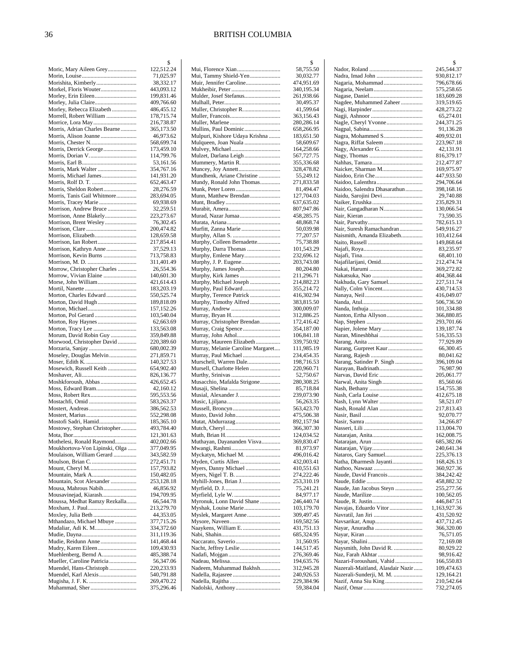|                                | 2          |
|--------------------------------|------------|
| Moric, Mary Aileen Grey        | 122,512.24 |
|                                | 71,025.97  |
| Morishita, Kimberly            | 38,332.17  |
| Morkel, Floris Wouter          | 443,093.12 |
| Morley, Erin Eileen            | 199,831.46 |
| Morley, Julia Claire           | 409,766.60 |
| Morley, Rebecca Elizabeth      | 486,455.12 |
| Morrell, Robert William        | 178,715.74 |
|                                | 216,738.87 |
|                                |            |
| Morris, Adrian Charles Bearne  | 365,173.50 |
|                                | 46,973.62  |
|                                | 568,699.74 |
| Morris, Derrick George         | 173,459.10 |
|                                | 114,799.76 |
|                                | 53,161.56  |
| Morris, Mark Walter            | 354,767.16 |
| Morris, Michael James          | 141,931.20 |
| Morris, Rolf D. T.             | 652,463.47 |
| Morris, Sheldon Robert         | 28,276.59  |
| Morris, Tanis Gail Whitmore    | 283,694.05 |
| Morris, Tracey Marie           | 69,938.69  |
|                                |            |
| Morrison, Andrew Bruce         | 32,259.51  |
| Morrison, Anne Blakely         | 223,273.67 |
| Morrison, Brent Wesley         | 76,302.45  |
|                                | 200,474.82 |
|                                | 128,659.58 |
| Morrison, Ian Robert           | 217,854.41 |
| Morrison, Kathryn Anne         | 37,529.13  |
| Morrison, Kevin Burns          | 713,758.83 |
|                                | 311,401.49 |
| Morrow, Christopher Charles    | 26,554.36  |
| Morrow, Vivian Elaine          | 140,601.30 |
| Morse, John William            | 421,614.43 |
|                                |            |
|                                | 183,203.19 |
| Morton, Charles Edward         | 550,525.74 |
| Morton, David Hugh             | 189,818.09 |
|                                | 157,152.26 |
| Morton, Pol Gerard             | 103,540.04 |
| Morton, Roy Haynes             | 62,663.69  |
| Morton, Tracy Lee              | 133,563.08 |
| Morum, David Robin Guy         | 359,849.88 |
| Morwood, Christopher David     | 220,389.60 |
| Morzaria, Sanjay               | 680,002.39 |
| Moseley, Douglas Melvin        | 271,859.71 |
|                                | 140,327.53 |
| Mosewich, Russell Keith        | 654,902.40 |
|                                | 826,136.77 |
| Moshkforoush, Abbas            |            |
|                                | 426,652.45 |
| Moss, Edward Bram              | 42,160.12  |
| Moss, Robert Rex               | 595,553.56 |
|                                | 583,263.37 |
|                                | 386,562.53 |
|                                | 552,298.08 |
| Mostofi Sadri, Hamid           | 185,365.10 |
| Mostowy, Stephan Christopher   | 493,784.40 |
|                                | 121,301.63 |
| Mothelesi, Ronald Raymond      | 402,002.66 |
| Moukhortova-Von Lipinski, Olga | 377,049.95 |
| Moulaison, William Gerard      | 343,582.59 |
| Moulson, Brian C               | 272,451.71 |
|                                | 157,793.82 |
|                                |            |
| Mountain, Mark A               | 150,482.05 |
| Mountain, Scot Alexander       | 253,128.18 |
| Mousa, Mahrous Nabih           | 46,856.92  |
| Mousavinejad, Kiarash          | 194,709.95 |
| Moussa, Medhat Ramzy Rezkalla  | 66,544.78  |
|                                | 213,279.70 |
|                                | 44,353.05  |
| Mthandazo, Michael Mbuye       | 377,715.26 |
| Mudaliar, Adi K. M             | 334,372.60 |
|                                | 311,119.36 |
|                                | 141,468.44 |
| Mudry, Karen Eileen            | 109,430.93 |
| Muehlenberg, Bernd A           | 485,388.74 |
| Mueller, Caroline Patricia     | 56,347.06  |
| Muendel, Hans-Christoph        | 220,233.93 |
|                                |            |
| Muendel, Karl Alexis           | 540,791.88 |
|                                | 269,470.22 |
| Muhammad, Sher                 | 375,296.46 |

|                                                           | \$                         |
|-----------------------------------------------------------|----------------------------|
| Mui, Tammy Shield-Yen                                     | 58,755.50<br>30,032.77     |
| Muir, Jennifer Caroline                                   | 474,951.69                 |
|                                                           | 340,195.34                 |
| Mulder, Josef Stefanus                                    | 261,938.66                 |
|                                                           | 30,495.37                  |
| Muller, Christopher R.                                    | 41,599.64                  |
|                                                           | 363,156.43<br>280,286.14   |
| Mullins, Paul Dominic                                     | 658,266.95                 |
| Mulpuri, Kishore Udaya Krishna                            | 183,651.50                 |
| Mulqueen, Joan Nuala                                      | 58,609.67                  |
| Mulvey, Michael<br>Mulzet, Darlana Leigh                  | 164,258.66<br>567,727.75   |
| Mummery, Martin R.                                        | 355,336.68                 |
| Muncey, Joy Annett                                        | 328,478.82                 |
| Mundhenk, Ariane Christine                                | 55,249.12                  |
| Mundy, Ronald John Thomas                                 | 271,833.58                 |
| Munn, Matthew Brendan                                     | 81,494.47<br>127,704.03    |
|                                                           | 637,635.02                 |
|                                                           | 807,947.86                 |
| Murad, Nazar Jumaa                                        | 458,285.75                 |
|                                                           | 48,868.74                  |
| Murfitt, Zanna Marie                                      | 50,039.98<br>77,207.57     |
| Murphy, Colleen Bernadette                                | 75,738.88                  |
| Murphy, Darra Thomas                                      | 101,543.29                 |
| Murphy, Emlene Mary                                       | 232,696.12                 |
| Murphy, J. P. Eugene                                      | 203,743.08                 |
| Murphy, James Joseph                                      | 80,204.80                  |
| Murphy, Kirk James<br>Murphy, Michael Joseph              | 211,296.71<br>214,882.23   |
| Murphy, Paul Edward                                       | 355,214.72                 |
| Murphy, Terence Patrick                                   | 416,302.94                 |
| Murphy, Timothy Alfred                                    | 383,815.50                 |
|                                                           | 300,009.07                 |
| Murray, Christopher Brendan                               | 312,886.25<br>172,416.42   |
|                                                           | 354,187.00                 |
| Murray, John Athol                                        | 106,841.18                 |
| Murray, Maureen Elizabeth                                 | 339,750.92                 |
| Murray, Melanie Caroline Margaret<br>Murray, Paul Michael | 111,985.19<br>234,454.35   |
| Murschell, Warren Dale                                    | 198,716.53                 |
| Mursell, Charlotte Helen                                  | 220,960.71                 |
|                                                           | 52,750.67                  |
| Musacchio, Mafalda Strigone                               | 280,308.25                 |
| Musial, Alexander J.                                      | 85,718.84<br>239,073.90    |
|                                                           | 56,263.35                  |
|                                                           | 563,423.70                 |
|                                                           | 475,506.38                 |
| Mutat, Abdurrazag                                         | 892,157.94                 |
|                                                           | 366, 307. 30<br>124,034.52 |
| Muthayan, Dayananden Visva                                | 369,830.47                 |
|                                                           | 81,973.97                  |
| Myckatyn, Michael M.                                      | 496,016.42                 |
| Myden, Curtis Allen                                       | 432,003.41                 |
| Myers, Danny Michael                                      | 410,551.63<br>274,222.46   |
|                                                           | 253,310.19                 |
|                                                           | 75,241.21                  |
|                                                           | 84,977.17                  |
| Myronuk, Lonn David Shane                                 | 246,440.74                 |
| Myshak, Louise Marie<br>Myslek, Margaret Anne             | 103,179.70<br>309,497.45   |
|                                                           | 169,582.56                 |
| Naaykens, William E.                                      | 431,751.13                 |
|                                                           | 685,324.95                 |
|                                                           | 31,560.95<br>144,517.45    |
|                                                           | 276,369.46                 |
|                                                           | 194,635.76                 |
| Nadeem, Muhammad Bakhsh                                   | 312,945.28                 |
|                                                           | 240,926.53                 |
|                                                           | 229,384.96<br>59,384.04    |
|                                                           |                            |

|                                          | \$                       |
|------------------------------------------|--------------------------|
|                                          | 245,544.37               |
| Nagaria, Mohammad                        | 930,812.17<br>796,678.66 |
| Nagaria, Neelam                          | 575,258.65               |
|                                          | 183,609.28               |
| Nagdee, Muhammed Zaheer                  | 319,519.65               |
|                                          | 428,273.22               |
| Nagle, Cheryl Yvonne                     | 65,274.01<br>244,371.25  |
|                                          | 91,136.28                |
| Nagra, Mohammed S                        | 409,932.01               |
| Nagra, Riffat Saleem                     | 223,967.18<br>42,131.91  |
| Nagy, Alexander G                        | 816,379.17               |
|                                          | 212,477.87               |
| Naicker, Sharman M                       | 169,975.97               |
|                                          | 447,933.50<br>294,706.64 |
| Naidoo, Salendra Dhasarathun             | 398,168.16               |
| Naidu, Sarojini Devi                     | 29,740.88                |
|                                          | 235,829.31               |
| Nair, Gangadharan N                      | 130,066.54<br>73,590.35  |
|                                          | 782,615.13               |
| Nair, Suresh Ramachandran                | 549,916.27               |
| Naismith, Amanda Elizabeth               | 103,412.64               |
|                                          | 149,868.64<br>83,235.97  |
|                                          | 68,401.10                |
| Najafilarijani, Omid                     | 212,474.74               |
|                                          | 369,272.82               |
| Nakhuda, Gary Samuel                     | 404,368.44<br>227,511.74 |
| Nally, Colm Vincent                      | 430,714.53               |
|                                          | 416,049.07               |
|                                          | 506,736.50               |
| Nanton, Ertha Allyson                    | 101,334.88<br>366,880.85 |
|                                          | 293,701.66               |
| Napier, Jolene Mary                      | 139,187.74               |
| Naran, Mineshbhai                        | 516,335.53<br>77,929.89  |
| Narang, Gurpreet Kaur                    | 66,300.45                |
|                                          | 80,041.62                |
| Narang, Satinder P. Singh                | 396,109.04               |
| Narayan, Badrinath<br>Narvas, David Eric | 76,987.90<br>205,061.77  |
|                                          | 85,560.66                |
|                                          | 154,755.38               |
| Nash, Lynn Walter                        | 412,675.18<br>58,521.07  |
| Nash, Ronald Alan                        | 217,813.43               |
|                                          | 92,070.77                |
|                                          | 34,266.87                |
|                                          | 113,004.70<br>162,008.75 |
|                                          | 685,382.06               |
|                                          | 240,641.34               |
| Nataros, Gary Samuel                     | 225,376.13               |
| Natha, Dharmesh Jayanti                  | 168,426.13<br>360,927.36 |
| Naude, David Francois                    | 384,242.42               |
|                                          | 458,882.32               |
| Naude, Jan Jacobus Steyn                 | 255,277.56<br>100,562.05 |
|                                          | 446,847.51               |
| Navajas, Eduardo Vitor                   | 1,163,927.36             |
|                                          | 431,520.92               |
|                                          | 437,712.45<br>366,320.00 |
|                                          | 76,571.05                |
|                                          | 72,169.08                |
| Naysmith, John David R.                  | 80,929.22<br>98,916.42   |
| Nazari-Foroushani, Vahid                 | 166,550.83               |
| Nazerali-Maitland, Alasdair Nazir        | 109,474.63               |
| Nazerali-Sunderji, M. M.                 | 129,164.21               |
|                                          | 210,542.64<br>732,274.05 |
|                                          |                          |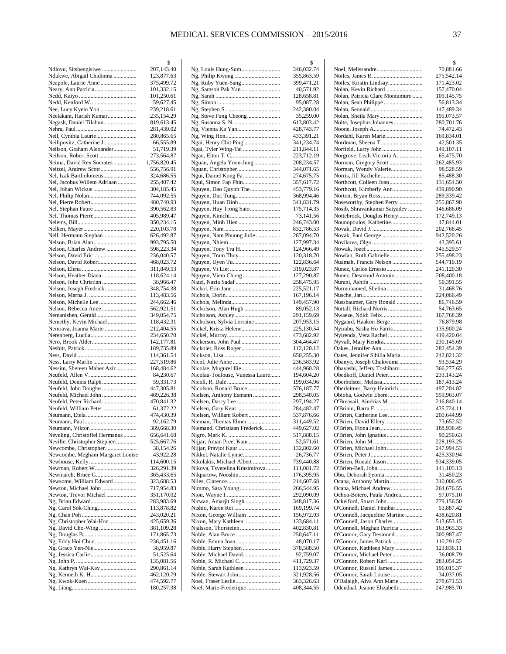|                                                       | \$                       |
|-------------------------------------------------------|--------------------------|
| Ndlovu, Sitshengisiwe<br>Ndukwe, Abigail Chidinma     | 207,143.40<br>123,877.63 |
| Neapole, Laurie Anne                                  | 375,499.72               |
|                                                       | 101,332.15               |
|                                                       | 101,250.61               |
| Nedd, Kenford W                                       | 59,627.45                |
| Nee, Lucy Kyein Yon                                   | 239,218.61<br>235,154.29 |
| Neelakant, Harish Kumar<br>Negash, Daniel Tilahun     | 819,613.45               |
|                                                       | 281,439.02               |
| Neil, Cynthia Laurie                                  | 280,865.65               |
| Neilipovitz, Catherine J                              | 66,555.89                |
| Neilson, Graham Alexander                             | 51,719.39<br>273,564.87  |
| Neima, David Rex Socrates                             | 1,756,820.45             |
| Neitzel, Andrew Scott                                 | 556,756.91               |
| Nel, Izak Bartholomeus                                | 324,686.55               |
| Nel, Jacobus Willem Adriaan                           | 255,407.42               |
| Nel, Johan Wickus                                     | 304,185.45               |
| Nel, Pierre Robert                                    | 744,092.55<br>480,740.93 |
|                                                       | 390,562.83               |
| Nel, Thomas Pierre                                    | 405,989.47               |
|                                                       | 350,234.15               |
|                                                       | 220,103.78               |
| Nell, Hermann Stephan<br>Nelson, Brian Alan           | 626,492.87<br>993,795.50 |
| Nelson, Charles Andrew                                | 598,223.34               |
| Nelson, David Eric                                    | 236,040.57               |
| Nelson, David Robert                                  | 468,023.72               |
|                                                       | 311,849.53               |
| Nelson, Heather Diana                                 | 118,624.14               |
| Nelson, John Christian<br>Nelson, Joseph Fredrick     | 38,966.47<br>348,754.38  |
|                                                       | 113,483.56               |
| Nelson, Michelle Lee                                  | 244,662.46               |
| Nelson, Rebecca Anne                                  | 562,921.51               |
| Nemanishen, Gerald                                    | 349,054.75               |
| Nemrava, Joanna Marie                                 | 118,432.31<br>212,404.55 |
|                                                       | 234,650.70               |
| Nero, Brook Alder                                     | 142,177.81               |
|                                                       | 189,735.89               |
|                                                       | 114,361.54               |
| Ness, Larry Marlin<br>Nessim, Shereen Maher Aziz      | 227,519.86<br>168,484.62 |
| Neufeld, Allen V.                                     | 84,230.67                |
| Neufeld, Dennis Ralph                                 | 59,331.73                |
| Neufeld, John Douglas                                 | 447,305.81               |
| Neufeld, Michael John                                 | 469,226.38               |
| Neufeld, Peter Richard<br>Neufeld, William Peter      | 470,841.32<br>61,372.22  |
|                                                       | 474,430.39               |
|                                                       | 92,162.79                |
| Neumann, Viktor                                       | 389,668.30               |
| Neveling, Christoffel Hermanus                        | 656,641.68               |
| Neville, Christopher Stephen<br>Newcombe, Christopher | 525,667.76               |
| Newcombe, Megham Margaret Louise                      | 38,154.26<br>43,922.28   |
|                                                       | 114,600.15               |
| Newman, Robert W                                      | 326,291.39               |
|                                                       | 365,433.65               |
| Newsome, William Edward                               | 323,688.53               |
| Newton, Michael John<br>Newton, Trevor Michael        | 717,954.83<br>351,170.02 |
| Ng, Brian Edward                                      | 283,983.69               |
| Ng, Carol Sok-Ching                                   | 113,878.82               |
|                                                       | 243,020.21               |
| Ng, Christopher Wai-Hon                               | 425,659.36               |
| Ng, David Cho-Wing                                    | 381,109.28<br>171,865.73 |
| Ng, Eddy Hoi Chun                                     | 236,451.16               |
| Ng, Grace Yen-Nie                                     | 38,959.87                |
|                                                       | 51,525.64                |
| Ng, John P…………………………………                               | 135,081.56               |
| Ng, Kathryn Wai-Kay                                   | 290,861.14<br>462,120.79 |
| Ng, Kwok-Kuen                                         | 474,592.77               |
|                                                       | 180,257.38               |

|                                                 | \$                       |
|-------------------------------------------------|--------------------------|
| Ng, Louis Hung-Sum                              | 346,032.74               |
| Ng, Philip Kwong                                | 355,863.59               |
| Ng, Ruby Yuen-Sang                              | 399,471.21<br>40,571.92  |
|                                                 | 128,658.81               |
|                                                 | 95,087.28                |
|                                                 | 242,380.04               |
|                                                 | 35,259.00                |
|                                                 | 613,803.42               |
| Ng, Vienna Ka Yan                               | 428,743.77               |
|                                                 | 433,391.21               |
| Ngai, Henry Chit Ping                           | 341,234.74               |
| Ngai, Tyler Wing-Tai                            | 211,844.11<br>223,712.19 |
| Nguan, Angela Yoon-Jung                         | 208,234.57               |
| Nguan, Christopher                              | 344,071.65               |
| Ngui, Daniel Kong Fa                            | 274,675.75               |
| Ngui, Simon Fap Phin                            | 357,617.72               |
| Nguyen, Dao Quynh The                           | 453,779.16               |
| Nguyen, Duc Tung                                | 368,994.46               |
| Nguyen, Huan Dinh                               | 341,831.79               |
| Nguyen, Huy Trong Sato                          | 175,714.35               |
|                                                 | 73,141.56                |
|                                                 | 246,743.00               |
|                                                 | 832,786.53               |
| Nguyen, Nam Phuong Julie                        | 287,094.70               |
|                                                 | 127,997.34               |
| Nguyen, Tony Tru H<br>Nguyen, Tram Thuy         | 124,966.49<br>120,318.70 |
| Nguyen, Uyen Tu                                 | 122,836.64               |
|                                                 | 319,023.87               |
| Nguyen, Viem Chung                              | 127,290.87               |
| Niazi, Nazia Sadaf                              | 258,475.95               |
|                                                 | 225,521.17               |
|                                                 | 167,196.14               |
|                                                 | 149,457.90               |
| Nicholson, Alan Hugh                            | 89,052.13                |
|                                                 | 291,159.69               |
| Nicholson, Sylvia Lorraine                      | 207,953.15               |
| Nickel, Krista Helene                           | 225,130.54               |
|                                                 | 473,682.92               |
| Nickerson, John Paul<br>Nickolet, Ross Roger    | 304,464.47<br>112,120.12 |
|                                                 | 650,255.30               |
|                                                 | 236,583.92               |
| Nicolae, Mugurel Ilie                           | 444,960.28               |
| Nicolau-Toulouse, Vanessa Laure                 | 194,604.20               |
|                                                 | 199,034.96               |
| Nicolson, Ronald Bruce                          | 576,187.77               |
| Nielsen, Anthony Esmann                         | 298,540.05               |
|                                                 | 297,194.27               |
|                                                 | 284,482.47               |
| Nielsen, William Robert<br>Nieman, Thomas Elmer | 537,876.66<br>311,449.52 |
| Niemand, Christiaan Frederick                   | 449,627.02               |
|                                                 | 517,888.15               |
| Nijjar, Aman Preet Kaur                         | 52,571.61                |
| Nijjar, Pravjot Kaur                            | 132,802.60               |
| Nikkel, Natalie Lynne                           | 26,736.77                |
| Nikolakis, Michael Albert                       | 739,440.88               |
| Nikova, Tsvetelina Krasimirova                  | 111,081.72               |
| Nikpartow, Nooshin                              | 176,395.95               |
|                                                 | 214,607.68               |
|                                                 | 266,544.95               |
|                                                 | 292,090.09               |
| Nirwan, Amarjit Singh                           | 348,817.36<br>169,199.74 |
|                                                 |                          |
|                                                 |                          |
| Nixon, George William                           | 156,972.03               |
| Nixon, Mary Kathleen                            | 133,684.11               |
|                                                 | 402,830.81<br>250,647.11 |
|                                                 | 48,070.17                |
| Noble, Harry Stephen                            | 378,588.50               |
| Noble, Michael David                            | 92,759.07                |
| Noble, R. Michael C.                            | 411,729.37               |
| Noble, Sarah Kathleen                           | 113,923.59               |
|                                                 | 321,928.56               |
| Noel, Fraser Leslie<br>Noel, Marie-Frederique   | 363,326.63<br>408,344.55 |

|                                 | \$         |
|---------------------------------|------------|
|                                 | 70,881.66  |
|                                 | 275,542.14 |
| Noiles, Kristin Lindsay         | 171,423.02 |
| Nolan, Kevin Richard            | 157,470.04 |
|                                 |            |
| Nolan, Patricia Clare Montumuro | 109,145.75 |
|                                 | 56,813.34  |
|                                 | 147,489.34 |
|                                 | 195,073.57 |
| Nolte, Josephus Johannes        | 280,701.76 |
|                                 | 74,472.43  |
| Nordahl, Karen Marie            | 169,834.01 |
|                                 |            |
| Nordman, Sheena T               | 42,501.35  |
| Norfield, Larry John            | 149,107.11 |
| Norgrove, Leah Victoria A       | 65,475.70  |
| Norman, Gregory Scott           | 262,485.93 |
| Norman, Wendy Valerie           | 98,528.59  |
| Norris, Jill Rachelle           | 85,488.30  |
| Northcott, Colleen Joan         | 131,654.50 |
| Northcott, Kimberly Ann         | 439,890.90 |
|                                 |            |
|                                 | 289,339.42 |
| Noseworthy, Stephen Perry       | 255,867.90 |
| Nosib, Shravankumar Satyadev    | 146,686.09 |
| Nottebrock, Douglas Henry       | 172,749.13 |
| Nounopoulos, Katherine          | 47,844.01  |
|                                 | 202,768.45 |
| Novak, Paul George              | 942,520.26 |
|                                 | 43,395.61  |
|                                 |            |
|                                 | 345,529.57 |
| Nowlan, Ruth Gabrielle          | 255,498.23 |
| Nuamah, Francis Nelson          | 544,710.19 |
| Nunez, Carlos Ernesto           | 241,120.30 |
| Nunez, Desmond Antonio          | 208,400.18 |
|                                 | 50,391.55  |
| Nurmohamed, Shelina             | 31,468.76  |
|                                 |            |
|                                 | 224,066.49 |
| Nussbaumer, Gary Ronald         | 86,746.59  |
| Nuttall, Richard Norris         | 54,763.65  |
| Nwaeze, Ndidi Felix             | 167,768.39 |
| Nygaard, Haakon Berge           | 76,879.98  |
| Nyirabu, Sasha Ho Farris        | 135,900.24 |
| Nyirenda, Vera Rachel           | 419,420.04 |
| Nyvall, Mary Kendra             | 230,145.69 |
|                                 | 282,454.39 |
|                                 |            |
| Oates, Jennifer Sibilla Maria   | 242,821.32 |
| Obanye, Joseph Chukwuma         | 93,534.29  |
| Obayashi, Jeffery Toshiharu     | 366,277.65 |
| Obedkoff, Daniel Peter          | 233,143.24 |
| Oberholster, Melissa            | 187,413.24 |
| Oberleitner, Barry Heinrich     | 497,204.82 |
|                                 | 559,963.07 |
| O'Breasail, Aindrias M          | 216,840.14 |
|                                 |            |
|                                 | 435,724.11 |
|                                 | 200,644.99 |
| O'Brien, David Ellery           | 73,652.52  |
| O'Brien, Fiona Jean             | 188,938.45 |
| O'Brien, John Ignatius          | 90,250.63  |
|                                 | 228,193.25 |
| O'Brien, Michael John           | 247,994.53 |
|                                 | 425,330.94 |
| O'Brien, Ronald Jason           |            |
|                                 | 534,339.05 |
| O'Brien-Bell, John              | 141,105.13 |
| Obu, Deborah Ijeoma             | 31,450.23  |
| Ocana, Anthony Martin           | 310,006.45 |
| Ocana, Michael Andrew           | 264,676.55 |
| Ochoa-Botero, Paula Andrea      | 57,075.10  |
| Ockelford, Stuart John          | 279,156.50 |
| O'Connell, Daniel Finnbar       |            |
|                                 | 53,887.42  |
| O'Connell, Jacqueline Martine   | 438,620.81 |
| O'Connell, Jason Charles        | 513,653.15 |
| O'Connell, Meghan Patricia      | 163,965.33 |
| O'Connor, Gary Desmond          | 300,987.47 |
| O'Connor, James Patrick         | 110,291.52 |
| O'Connor, Kathleen Mary         | 123,836.11 |
| O'Connor, Michael Peter         | 36,008.79  |
|                                 | 283,054.25 |
| O'Connor, Russell James         | 196,015.37 |
|                                 |            |
| O'Connor, Sarah Louise          | 34,037.05  |
| O'Dalaigh, Alva Ann Marie       | 278,671.53 |
| Odendaal, Jeanne Elizabeth      | 247,985.70 |
|                                 |            |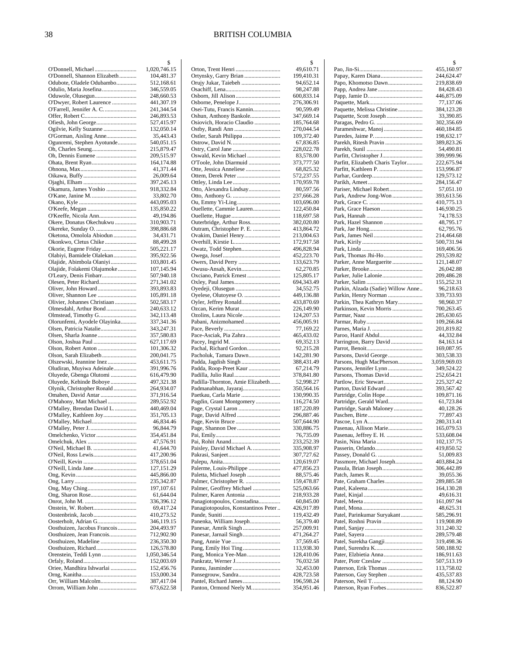|                                                         | \$                       |
|---------------------------------------------------------|--------------------------|
|                                                         | 1,020,746.15             |
| O'Donnell, Shannon Elizabeth                            | 104,481.37               |
| Odubote, Oladele Odubambo                               | 512,168.61               |
| Odulio, Maria Josefina                                  | 346,559.05<br>248,660.53 |
| O'Dwyer, Robert Laurence                                | 441,307.19               |
| O'Farrell, Jennifer A. C.                               | 241,344.54               |
|                                                         | 246,893.53               |
|                                                         | 527,415.97               |
| Ogilvie, Kelly Suzanne                                  | 132,050.14               |
| O'Gorman, Aisling Anne                                  | 35,443.43                |
| Ogunremi, Stephen Ayotunde                              | 540,051.15               |
|                                                         | 215,879.47               |
|                                                         | 209,515.97               |
|                                                         | 164,174.88               |
|                                                         | 41,371.44<br>26,009.64   |
|                                                         | 397,245.13               |
| Okamura, James Yoshio                                   | 918,332.84               |
|                                                         | 33,802.70                |
|                                                         | 443,095.03               |
|                                                         | 135,850.22               |
|                                                         | 49,194.86                |
| Okere, Donatus Okechukwu                                | 310,903.71               |
| Okereke, Sunday O.                                      | 398,886.68               |
| Oketona, Omolola Abiodun                                | 34,431.71                |
| Okonkwo, Cletus Chike                                   | 88,499.28                |
| Okorie, Eugene Friday                                   | 505,221.17<br>395,922.56 |
| Olabiyi, Bamidele Olalekan<br>Olajide, Abimbola Olaniyi | 103,801.45               |
| Olajide, Folakemi Olajumoke                             | 107,145.94               |
|                                                         | 507,940.18               |
|                                                         | 271,341.02               |
| Oliver, John Howard                                     | 393,893.83               |
|                                                         | 105,891.18               |
| Olivier, Johannes Christiaan                            | 502,583.17               |
| Olmesdahl, Arthur Bond                                  | 240,633.12               |
| Olmstead, Timothy G<br>Olorunfemi, Ayodele Olayinka     | 342,113.48<br>337,341.36 |
|                                                         | 343,247.31               |
|                                                         | 357,580.83               |
| Olson, Joshua Paul                                      | 627,117.69               |
|                                                         | 101,306.32               |
|                                                         | 200,041.75               |
| Olszewski, Jeannine Inez                                | 453,611.75               |
| Oludiran, Muyiwa Adeinale                               | 391,996.76               |
| Oluyede, Gbenga Olutomi<br>Oluyede, Kehinde Boboye      | 616,479.90<br>497,321.38 |
| Olynik, Christopher Ronald                              | 264,934.07               |
|                                                         | 371,916.54               |
| O'Mahony, Matt Michael                                  | 289,552.92               |
| O'Malley, Brendan David L                               | 440,469.04               |
| O'Malley, Kathleen Joy                                  | 351,705.13               |
| O'Malley, Michael                                       | 46,834.46                |
|                                                         | 96,844.79                |
|                                                         | 354,451.84<br>47,576.91  |
| O'Neil, Michael B.                                      | 41,644.70                |
| O'Neil, Ross Lewis                                      | 417,200.96               |
|                                                         | 378,651.04               |
| O'Neill, Linda Jane                                     | 127,151.29               |
|                                                         | 445,866.00               |
|                                                         | 235,342.87               |
|                                                         | 197,107.61               |
|                                                         | 61,644.04<br>336,396.12  |
|                                                         | 69,417.24                |
|                                                         | 410,273.52               |
| Oosterholt, Adrian G                                    | 346,119.15               |
| Oosthuizen, Jacobus Francois                            | 204,493.97               |
| Oosthuizen, Jean Francois                               | 712,902.90               |
| Oosthuizen, Madeline                                    | 236,350.30               |
| Oosthuizen, Richard                                     | 126,578.80               |
| Orenstein, Teddi Lynn                                   | 1,050,346.54             |
| Oriee, Mandhira Ishwarlai                               | 152,003.69<br>152,456.76 |
|                                                         | 153,000.34               |
| Orr, William Malcolm                                    | 387,417.04               |
| Orrom, William John                                     | 673,622.58               |
|                                                         |                          |

|                                                                    | \$                       |
|--------------------------------------------------------------------|--------------------------|
|                                                                    | 49,610.71                |
| Ortynsky, Garry Brian<br>Orujy Jukar, Taiebeh                      | 199,410.31<br>94,652.14  |
|                                                                    | 98,247.88                |
|                                                                    | 600,833.14               |
| Osborne, Penelope J                                                | 276,306.91               |
| Osei-Tutu, Francis Kannin                                          | 90,599.49                |
| Oshun, Anthony Bankole                                             | 347,669.14               |
| Osiovich, Horacio Claudio                                          | 185,764.68               |
|                                                                    | 270,044.54               |
|                                                                    | 109,372.40<br>67,836.85  |
|                                                                    | 228,022.78               |
| Oswald, Kevin Michael                                              | 83,578.00                |
| O'Toole, John Diarmuid                                             | 373,777.50               |
| Otte, Jessica Anneliese                                            | 68,825.32                |
| Ottem, Derek Peter                                                 | 572,237.55               |
|                                                                    | 170,959.78               |
| Otto, Alexandra Lindsay                                            | 80,597.56<br>237,666.28  |
|                                                                    | 103,696.00               |
| Ouellette, Cammie Lauren                                           | 122,450.84               |
|                                                                    | 118,697.58               |
| Outerbridge, Arthur Ross                                           | 382,020.80               |
| Outram, Christopher P. E.                                          | 413,864.72               |
| Ovakim, Daniel Henry                                               | 213,004.63               |
|                                                                    | 172,917.58               |
| Owatz, Todd Stephen                                                | 496,828.94               |
|                                                                    | 452,223.70<br>133,623.79 |
| Owusu-Ansah, Kevin                                                 | 62,270.85                |
| Oxciano, Patrick Ernest                                            | 125,805.17               |
|                                                                    | 694,343.49               |
|                                                                    | 34,552.75                |
| Oyelese, Olutoyese O.                                              | 449,136.88               |
| Oyler, Jeffrey Ronald                                              | 433,870.69               |
|                                                                    | 226,149.90               |
| Ozolins, Laura Nicole                                              | 124,207.53               |
| Pabani, Anizmohamed                                                | 456,005.91<br>77,169.22  |
| Pace-Asciak, Pia Zahra                                             | 465,433.02               |
|                                                                    | 69,352.13                |
| Pachal, Richard Gordon                                             | 92,215.28                |
| Pacholuk, Tamara Dawn                                              | 142,281.90               |
| Padda, Jagdish Singh                                               | 388,431.49               |
| Padda, Roop-Preet Kaur                                             | 67,214.79                |
| Padilla, Julio Raul                                                | 378,841.80               |
| Padilla-Thornton, Amie Elizabeth<br>Padmanabhan, Jayaraj           | 52,998.27<br>350,564.16  |
| Paetkau, Carla Marie                                               | 130,990.35               |
| Pagdin, Grant Montgomery                                           | 116,274.50               |
| Page, Crystal Laron                                                | 187,220.89               |
|                                                                    | 296,887.46               |
| Page, Kevin Bruce                                                  | 507,644.90               |
| Page, Shannon Dee                                                  | 330,886.75               |
|                                                                    | 76,735.09                |
| Paisley, David Michael A.                                          | 233,252.39<br>335,908.97 |
|                                                                    | 307,727.62               |
|                                                                    | 120,619.07               |
| Palerme, Louis-Philippe                                            | 477,856.23               |
| Paletta, Michael Joseph                                            | 88,575.46                |
| Palmer, Christopher R.                                             | 159,478.87               |
| Palmer, Geoffrey Michael                                           | 525,063.66               |
| Palmer, Karen Antonia                                              | 218,933.28               |
| Panagiotopoulos, Constadina<br>Panagiotopoulos, Konstantinos Peter | 60,845.00                |
|                                                                    | 426,917.89<br>119,432.49 |
| Panenka, William Joseph                                            | 56,379.40                |
|                                                                    | 257,009.91               |
| Panesar, Jarnail Singh                                             | 471,264.27               |
|                                                                    | 37,569.45                |
| Pang, Emily Hoi Ting                                               | 113,938.30               |
| Pang, Monica Yee-Man                                               | 128,410.06               |
|                                                                    | 76,032.58<br>32,453.00   |
| Pansegrouw, Sandra                                                 | 428,723.58               |
| Pantel, Richard James                                              | 196,598.24               |
| Panton, Ormond Neely M                                             | 354,951.46               |
|                                                                    |                          |

|                                                            | \$                         |
|------------------------------------------------------------|----------------------------|
|                                                            | 455,160.97                 |
| Papo, Khomotso Dawn                                        | 244,624.47<br>219,838.69   |
| Papp, Andrea Jane                                          | 84,428.43                  |
|                                                            | 446,875.09                 |
|                                                            | 77,137.06                  |
| Paquette, Melissa Christine                                | 384,123.28                 |
| Paquette, Scott Joseph                                     | 33,390.85<br>302,356.69    |
|                                                            | 460,184.85                 |
|                                                            | 198,632.17                 |
| Parekh, Ritesh Pravin                                      | 389,823.26                 |
|                                                            | 54,490.81<br>399,999.96    |
| Parfitt, Elizabeth Charis Taylor                           | 222,675.94                 |
|                                                            | 153,996.87                 |
|                                                            | 129,573.12                 |
| Pariser, Michael Robert                                    | 284,156.47<br>57,051.10    |
| Park, Andrew Jong-Won                                      | 393,613.56                 |
|                                                            | 410,775.13                 |
| Park, Grace Haeson                                         | 146,930.25                 |
|                                                            | 74,178.53                  |
| Park, Hazel Shannon                                        | 48,795.17<br>62,795.76     |
|                                                            | 214,464.68                 |
|                                                            | 500,731.94                 |
|                                                            | 169,406.56                 |
| Park, Thomas Jhi-Ho<br>Parker, Anne Marguerite             | 293,539.82<br>121,148.07   |
|                                                            | 26,042.88                  |
|                                                            | 209,486.28                 |
|                                                            | 155,252.31                 |
| Parkin, Alzada (Sadie) Willow Anne<br>Parkin, Henry Norman | 96,218.63<br>339,733.93    |
| Parkin, Thea Kathryn Mary                                  | 98,960.37                  |
| Parkinson, Kevin Morris                                    | 700,263.45                 |
|                                                            | 285,630.65                 |
|                                                            | 109,266.84<br>201,819.82   |
| Paroo, Hanif Abdul                                         | 44,332.84                  |
| Parrington, Barry David                                    | 84,163.14                  |
|                                                            | 169,087.95                 |
| Parsons, David George<br>Parsons, Hugh MacPherson          | 303,538.33<br>3,059,969.03 |
| Parsons, Jennifer Lynn                                     | 349,524.22                 |
| Parsons, Thomas David                                      | 252,654.21                 |
| Partlow, Eric Stewart                                      | 225,327.42                 |
| Parton, David Edward                                       | 393,567.42<br>109,871.16   |
| Partridge, Gerald Ward                                     | 61,723.84                  |
| Partridge, Sarah Maloney                                   | 40,128.26                  |
|                                                            | 77,897.43                  |
| Pasenau, Allison Marie                                     | 280,313.41<br>165,079.53   |
| Pasenau, Jeffrey E. H.                                     | 533,608.04                 |
|                                                            | 102,137.75                 |
|                                                            | 419,850.52                 |
| Passey, Donald G.<br>Passmore, Michael Joseph              | 51,009.83<br>403,884.24    |
| Pasula, Brian Joseph                                       | 306,442.89                 |
|                                                            | 39,055.36                  |
|                                                            | 289,885.58                 |
|                                                            | 164,130.28<br>49,616.31    |
|                                                            | 161,097.94                 |
|                                                            | 48,625.31                  |
| Patel, Parinkumar Suryakant                                | 585,296.91                 |
|                                                            | 119,908.89<br>311,240.32   |
|                                                            | 289,579.48                 |
| Patel, Surekha Gangji                                      | 319,498.36                 |
|                                                            | 500,188.92                 |
| Pater, Elzbietia Anna                                      | 186,911.63                 |
| Paterson, Erik Thomas                                      | 507,513.19<br>113,758.02   |
|                                                            | 435,537.83                 |
|                                                            | 88,124.90                  |
| Paterson, Ryan Forbes                                      | 836,522.87                 |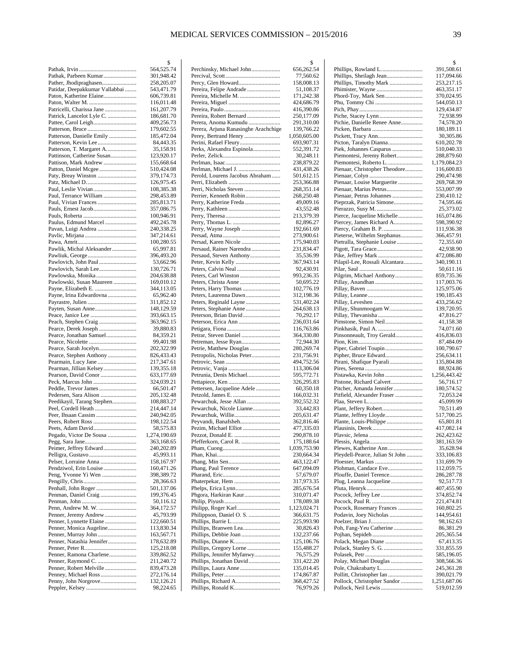$\mathcal{S}$ 

|                                                        | 2                        |
|--------------------------------------------------------|--------------------------|
| Pathak, Parbeen Kumar                                  | 564,525.74<br>301,948.42 |
| Pather, Jhodipraghasen                                 | 258,205.07               |
| Patidar, Deepakkumar Vallabbai                         | 543,471.79               |
|                                                        | 606,739.81               |
|                                                        | 116,011.48               |
|                                                        | 161,207.79               |
| Patrick, Lancelot Lyle C.                              | 186,681.70<br>409,256.73 |
|                                                        | 179,602.55               |
| Patterson, Danielle Emily                              | 185,472.04               |
|                                                        | 84,443.35                |
| Patterson, T. Margaret A<br>Pattinson, Catherine Susan | 35,158.91<br>123,920.17  |
| Pattison, Mark Andrew                                  | 155,668.64               |
|                                                        | 510,424.08               |
|                                                        | 379,174.73               |
|                                                        | 126,975.45               |
| Paul, Leslie Vivian                                    | 108,385.38               |
| Paul, Terrance William<br>Paul, Vivian Frances         | 298,453.89<br>285,813.71 |
|                                                        | 357,086.75               |
|                                                        | 100,946.91               |
| Paulus, Edmund Marcel                                  | 492,245.78               |
|                                                        | 240,338.25               |
|                                                        | 347,214.61<br>100,280.55 |
| Pawlik, Michal Aleksander                              | 65,997.81                |
|                                                        | 396,493.20               |
|                                                        | 53,662.96                |
| Pawlovich, Sarah Lee                                   | 130,726.71               |
| Pawlowska, Monika                                      | 204,638.88               |
| Pawlowski, Susan Maureen                               | 169,010.12<br>344,113.05 |
| Payne, Irina Edwardovna                                | 65,962.40                |
|                                                        | 311,852.12               |
|                                                        | 148,129.59               |
|                                                        | 393,663.15               |
|                                                        | 363,962.15               |
| Pearce, Derek Joseph<br>Pearce, Jonathan Samuel        | 39,880.83<br>84,359.21   |
|                                                        | 99,401.98                |
|                                                        | 202,322.99               |
| Pearce, Stephen Anthony                                | 826,433.43               |
| Pearmain, Lucy Jane                                    | 217,347.61               |
| Pearman, Jillian Kelsey<br>Pearson, David Conor        | 139,355.18<br>633,177.69 |
|                                                        | 324,039.21               |
| Peddle, Trevor James                                   | 66,501.47                |
| Pedersen, Sara Alison                                  | 205,132.48               |
| Peedikayil, Tarang Stephen                             | 108,883.27               |
| Peel, Cordell Heath                                    | 214,447.14<br>240,942.05 |
|                                                        | 198,122.54               |
| Peets, Adam David                                      | 58,575.83                |
| Pegado, Victor De Sousa                                | 1,274,190.69             |
|                                                        | 363,168.65               |
| Peimer, Jeffrey Edward                                 | 240,202.89               |
| Pelser, Lorraine Anna                                  | 45,993.11<br>158,167.97  |
| Pendziwol, Erin Louise                                 | 160,471.26               |
| Peng, Yvonne Yi Wen                                    | 398,389.72               |
|                                                        | 28,366.63                |
| Penhall, John Roger                                    | 501,137.06               |
|                                                        | 199,376.45<br>50,116.12  |
| Penn, Andrew M. W.                                     | 364,172.57               |
| Penner, Jeremy Andrew                                  | 45,793.99                |
| Penner, Lynnette Elaine                                | 122,660.51               |
| Penner, Monica Augeline                                | 113,830.34               |
| Penner, Natashia Jennifer                              | 163,567.71               |
|                                                        | 178,632.89<br>125,218.08 |
| Penner, Ramona Charlene                                | 339,862.52               |
|                                                        | 211,240.72               |
| Penner, Robert Melville                                | 839,473.28               |
| Penny, John Norgrove                                   | 272,176.14               |
|                                                        | 132,126.21<br>98,224.65  |
|                                                        |                          |

| Perchinsky, Michael John                                      | 656,262.54                 |
|---------------------------------------------------------------|----------------------------|
|                                                               | 77,560.62<br>158,008.13    |
| Pereira, Felipe Andrade                                       | 51,108.37                  |
|                                                               | 171,242.38                 |
|                                                               | 424,686.79                 |
|                                                               | 416,390.86                 |
| Pereira, Robert Bernard                                       | 250,177.09                 |
| Perera, Anoma Kumudu                                          | 291,310.00                 |
| Perera, Arjuna Ranasinghe Arachchige<br>Perey, Bertrand Henry | 139,766.22<br>1,050,605.00 |
| Perini, Rafael Fleury                                         | 693,907.31                 |
| Perks, Alexandra Espinola                                     | 552,391.72                 |
|                                                               | 30,248.11                  |
|                                                               | 238,879.22                 |
|                                                               | 431,438.26                 |
| Perold, Lourens Jacobus Abraham                               | 501,612.15<br>253,366.88   |
| Perri, Nicholas Steven                                        | 268,351.14                 |
| Perrier, Kenneth Robin                                        | 268,250.48                 |
| Perry, Katherine Freda                                        | 49,009.16                  |
|                                                               | 43,552.48                  |
|                                                               | 213,379.39                 |
|                                                               | 82,896.27                  |
|                                                               | 192,661.69<br>273,900.61   |
| Persad, Karen Nicole                                          | 175,940.03                 |
| Persaud, Rainer Narendra                                      | 231,834.47                 |
| Persaud, Steven Anthony                                       | 35,536.99                  |
|                                                               | 367,943.14                 |
|                                                               | 92,430.91                  |
| Peters, Carl Winston                                          | 993,236.35<br>50,695.22    |
| Peters, Harry Thomas                                          | 102,776.19                 |
| Peters, Laurenna Dawn                                         | 312,198.36                 |
| Peters, Reginald Layne                                        | 531,402.24                 |
|                                                               | 264,638.13                 |
| Peterson, Brian David                                         | 70,292.17<br>236,031.64    |
|                                                               | 116,763.86                 |
|                                                               | 364,330.80                 |
|                                                               | 72,944.30                  |
| Petrie, Matthew Douglas<br>Petropolis, Nicholas Peter         | 280,269.74<br>231,756.91   |
|                                                               | 494,752.56                 |
|                                                               | 113,306.04                 |
| Petrunia, Denis Michael                                       | 595,772.71                 |
|                                                               | 326,295.83<br>60,350.18    |
| Pettersen, Jacqueline Adele                                   | 166,032.31                 |
| Pewarchuk, Jesse Allan                                        | 392,552.32                 |
| Pewarchuk, Nicole Lianne                                      | 33,442.83                  |
| Pewarchuk, Willie                                             | 205,631.47                 |
| Peyvandi, Banafsheh<br>Pezim, Michael Elliot                  | 362,816.46<br>477,335.03   |
|                                                               | 290,878.10                 |
| Pfefferkorn, Carol R.                                         | 175,188.64                 |
|                                                               | 1,039,753.90               |
|                                                               | 230,664.34                 |
| Phang, Paul Terence                                           | 463,122.47<br>647,094.09   |
|                                                               | 57,679.07                  |
| Phaterpekar, Hem                                              | 317,973.35                 |
|                                                               | 285,676.54                 |
| Phgora, Harkiran Kaur                                         | 310,071.47                 |
| Philipp, Roger Karl                                           | 178,089.38<br>1,123,024.71 |
| Philippson, Daniel O. S.                                      | 366,631.75                 |
|                                                               | 225,993.90                 |
|                                                               | 30,826.43                  |
|                                                               | 132,237.66<br>125,106.76   |
|                                                               | 155,488.27                 |
| Phillips, Jennifer Myfanwy                                    | 76,575.29                  |
| Phillips, Jonathan David                                      | 331,422.20                 |
| Phillips, Laura Anne                                          | 135,014.45                 |
|                                                               |                            |
|                                                               | 174,867.87                 |
| Phillips, Richard A                                           | 368,427.52<br>76,979.26    |

|                                                         | \$                         |
|---------------------------------------------------------|----------------------------|
| Phillips, Rowland L                                     | 391,508.61                 |
| Phillips, Sheilagh Jean<br>Phillips, Timothy Mark       | 117,094.66<br>253,217.15   |
|                                                         | 463,351.17                 |
| Phord-Toy, Mark Sen                                     | 370,024.95                 |
|                                                         | 544,050.13                 |
|                                                         | 129,434.87<br>72,938.99    |
| Pichie, Danielle Renee Anne                             | 74,578.20                  |
|                                                         | 180,189.11                 |
|                                                         | 30,305.86                  |
| Picton, Taralyn Dianna                                  | 610,202.78                 |
| Piek, Johannes Casparus<br>Piemontesi, Jeremy Robert    | 510,040.33<br>288,879.60   |
|                                                         | 1,179,084.23               |
| Pienaar, Christopher Theodore                           | 116,600.83                 |
|                                                         | 290,474.98                 |
| Pienaar, Louise Marguerite                              | 269,768.39                 |
| Pienaar, Marius Petrus<br>Pienaar, Petrus Johannes      | 553,007.99<br>230,410.12   |
| Pieprzak, Patricia Simone                               | 74,595.66                  |
|                                                         | 25,373.02                  |
| Pierce, Jacqueline Michelle                             | 165,074.86                 |
| Piercey, James Richard A<br>Piercy, Graham B. P.        | 598,390.92<br>111,936.38   |
| Pieterse, Wilhelm Stephanus                             | 366,457.91                 |
| Pietralla, Stephanie Louise                             | 72,355.60                  |
|                                                         | 42,938.90                  |
| Pike, Jeffrey Mark                                      | 472,086.80                 |
| Pilapil-Lee, Rossali Alcantara                          | 340,190.11<br>50,611.16    |
| Pilgrim, Michael Anthony                                | 859,735.36                 |
|                                                         | 117,003.76                 |
|                                                         | 125,975.06                 |
|                                                         | 190,185.43<br>433,256.62   |
| Pillay, Shunmoogam W                                    | 139,720.95                 |
|                                                         | 47,816.27                  |
| Pimstone, Simon Neil                                    | 41,158.38                  |
|                                                         | 74,071.60                  |
| Pinsonneault, Troy Gerald                               | 416,836.03<br>87,484.09    |
| Piper, Gabriel Toupin                                   | 100,790.67                 |
| Pipher, Bruce Edward                                    | 256,634.11                 |
| Pirani, Shafique Pyarali                                | 135,804.88                 |
| Pistawka, Kevin John                                    | 88,924.86<br>1,256,443.42  |
| Pistone, Richard Calvert                                | 56,716.17                  |
| Pitcher, Amanda Jennifer                                | 180,574.52                 |
| Pitfield, Alexander Fraser                              | 72,053.24                  |
| Plant, Jeffery Robert                                   | 45,099.99<br>70,511.49     |
|                                                         | 517,700.25                 |
| Plante, Louis-Philippe                                  | 65,801.81                  |
|                                                         | 417,082.14                 |
|                                                         | 262,423.62<br>381,163.59   |
| Plewes, Katherine Ann                                   | 35,628.94                  |
| Pleydell-Pearce, Julian St John                         | 333,106.83                 |
|                                                         | 131,699.79                 |
| Plohman, Candace Eve<br>Plouffe, Daniel Terence         | 112,059.75<br>286,287.78   |
| Plug, Leanna Jacqueline                                 | 92,517.73                  |
|                                                         | 407,455.90                 |
| Pocock, Jeffrey Lee                                     | 374,852.74                 |
|                                                         | 221,474.81                 |
| Pocock, Rosemary Frances<br>Podavin, Joey Nicholas      | 160,802.25<br>144,954.61   |
|                                                         | 98,162.63                  |
| Poh, Fang-Yeu Catherine                                 | 86,381.29                  |
|                                                         | 205,365.54                 |
|                                                         | 67,413.35<br>331,855.59    |
|                                                         | 585,196.05                 |
| Polay, Michael Douglas                                  | 308,566.36                 |
| Pole, Chakrabarty L                                     | 245,361.28                 |
| Pollitt, Christopher Ian<br>Pollock, Christopher Sandor | 390,021.79<br>1,251,687.06 |
| Pollock, Neil Lewis                                     | 519,012.59                 |
|                                                         |                            |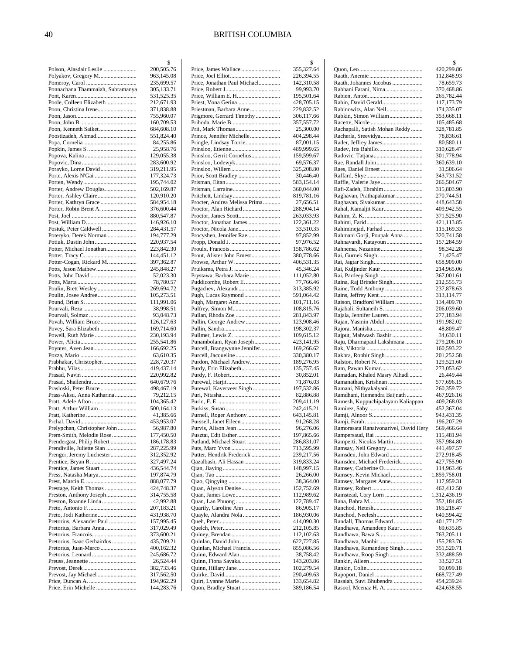|                                                          | \$                       |
|----------------------------------------------------------|--------------------------|
| Polson, Alasdair Leslie                                  | 200,505.76               |
| Polyakov, Gregory M                                      | 963,145.08<br>235,699.57 |
| Ponnachana Thammaiah, Subramanya                         | 305,133.71               |
|                                                          | 531,525.35               |
| Poole, Colleen Elizabeth                                 | 212,671.93               |
| Poon, Christina Irene                                    | 371,838.88               |
|                                                          | 755,960.07               |
|                                                          | 160,709.53               |
| Poon, Kenneth Saiket                                     | 684,608.10               |
|                                                          | 551,824.40               |
|                                                          | 84,255.86<br>25,958.76   |
|                                                          | 129,055.38               |
|                                                          | 283,600.92               |
| Porayko, Lorne David                                     | 319,211.95               |
|                                                          | 177,324.73               |
|                                                          | 195,744.02               |
| Porter, Andrew Douglas                                   | 502,169.87               |
|                                                          | 120,910.20               |
|                                                          | 584,954.18               |
| Porter, Robin Brent A.                                   | 376,600.44<br>880,547.87 |
|                                                          | 146,926.10               |
| Postuk, Peter Caldwell                                   | 284,431.57               |
| Poteryko, Derek Norman                                   | 194,777.29               |
| Potiuk, Dustin John                                      | 220,937.54               |
| Potter, Michael Jonathan                                 | 223,842.30               |
|                                                          | 144,451.12               |
| Potter-Cogan, Rickard M.                                 | 397,362.87               |
| Potts, Jason Mathew                                      | 245,848.27               |
| Potts, John David                                        | 52,023.30                |
|                                                          | 78,780.57                |
| Poulin, Josee Andree                                     | 269,694.72<br>105,273.51 |
|                                                          | 111,991.06               |
|                                                          | 38,998.51                |
| Pourvali, Solmaz                                         | 93,048.73                |
| Povah, William Bruce                                     | 126,127.63               |
| Povey, Sara Elizabeth                                    | 169,714.60               |
|                                                          | 230,193.94               |
|                                                          | 255,541.86               |
|                                                          | 166,692.25               |
| Prabhakar, Christopher                                   | 63,610.35<br>228,720.37  |
|                                                          | 419,437.14               |
|                                                          | 220,992.82               |
| Prasad, Shailendra                                       | 640,679.76               |
|                                                          | 498,467.19               |
| Prass-Aksu, Anna Katharina                               | 79,212.15                |
|                                                          | 104,365.42               |
| Pratt, Arthur William                                    | 500,164.13               |
|                                                          | 41,385.66                |
|                                                          | 453,953.07               |
| Prelypchan, Christopher John<br>Prem-Smith, Melodie Rose | 56,987.80<br>177,450.50  |
| Prendergast, Philip Robert                               | 186,178.83               |
| Prendiville, Juliette Sian                               | 287,225.99               |
| Prenger, Jeremy Luchester                                | 312,352.92               |
|                                                          | 327,497.24               |
| Prentice, James Stuart                                   | 436,544.74               |
|                                                          | 197,874.79               |
|                                                          | 888,077.79               |
| Prestage, Keith Thomas                                   | 424,748.37               |
| Preston, Anthony Joseph<br>Preston, Roanne Linda         | 314,755.58               |
|                                                          | 42,992.88<br>207,183.21  |
|                                                          | 431,938.70               |
| Pretorius, Alexander Paul                                | 157,995.45               |
| Pretorius, Barbara Anna                                  | 317,029.49               |
|                                                          | 373,600.21               |
| Pretorius, Isaac Gerhairdus                              | 435,709.21               |
| Pretorius, Juan-Marco                                    | 400,162.32               |
|                                                          | 245,686.72               |
|                                                          | 26,524.44                |
|                                                          | 382,733.46               |
| Prevost, Jay Michael                                     | 317,562.50<br>194,962.29 |
| Price, Erin Michelle                                     | 144,283.76               |
|                                                          |                          |

|                                                         | \$                       |
|---------------------------------------------------------|--------------------------|
|                                                         | 355,327.64               |
| Price, Jonathan Paul Michael                            | 226,394.55<br>142,310.58 |
|                                                         | 99,993.70                |
|                                                         | 195,501.64               |
| Priest, Vona Gerina                                     | 428,705.15               |
| Priestman, Barbara Anne                                 | 229,832.52               |
| Prigmore, Gerrard Timothy                               | 306,117.66               |
|                                                         | 357,557.72               |
|                                                         | 25,300.00                |
| Prince, Jennifer Michelle<br>Pringle, Lindsay Torrie    | 404,298.44<br>87,001.15  |
|                                                         | 489,999.65               |
| Prinsloo, Gerrit Cornelius                              | 159,599.67               |
| Prinsloo, Lodewyk                                       | 69,576.37                |
|                                                         | 325,208.80               |
| Prior, Scott Bradley                                    | 30,446.40                |
|                                                         | 583,154.14               |
|                                                         | 360,044.00               |
| Procter, Andrea Melissa Prima                           | 819,781.16<br>27,656.51  |
| Proctor, Alan Richard                                   | 288,904.14               |
|                                                         | 263,033.93               |
| Proctor, Jonathan James                                 | 122,361.22               |
|                                                         | 33,510.35                |
| Procyshen, Jennifer Rae                                 | 97,852.99                |
|                                                         | 97,976.52                |
|                                                         | 158,786.62               |
| Prout, Alister John Ernest<br>Prowse, Arthur W.         | 380,778.66<br>406,531.35 |
| Pruiksma, Petra J.                                      | 45,346.24                |
| Prystawa, Barbara Marie                                 | 111,052.80               |
| Puddicombe, Robert E.                                   | 77,766.46                |
| Pugachev, Alexandr                                      | 313,385.92               |
| Pugh, Lucas Raymond                                     | 591,064.42               |
| Pugh, Margaret Ann                                      | 101,711.16               |
|                                                         | 108,815.76               |
| Pullan, Rhoda Zoe<br>Pullin, George Andrew              | 281,843.97<br>123,908.46 |
|                                                         | 198,302.37               |
|                                                         | 109,615.12               |
|                                                         |                          |
|                                                         | 423,141.95               |
| Punambolam, Ryan Joseph<br>Purcell, Brangwynne Jennifer | 169,266.62               |
|                                                         | 330,380.17               |
| Purdon, Michael Andrew                                  | 189,276.95               |
| Purdy, Erin Elizabeth                                   | 135,757.45               |
|                                                         | 30,852.01                |
|                                                         | 71,876.03                |
| Purewal, Kaverveer Singh                                | 197,532.86               |
|                                                         | 82,886.88<br>209,411.19  |
|                                                         | 242,415.21               |
| Purnell, Roger Anthony                                  | 643,145.81               |
|                                                         | 91,268.28                |
| Purvis, Alison Jean                                     | 96,276.06                |
| Pusztai, Edit Esther                                    | 197,865.66               |
| Putland, Michael Stuart                                 | 286,831.07               |
| Putter, Hendrik Frederick                               | 713,595.99<br>239,217.56 |
| Qazalbash, Ali Hassan                                   | 319,833.24               |
|                                                         | 148,997.15               |
|                                                         | 26,266.00                |
|                                                         | 38,364.00                |
|                                                         | 152,752.69               |
|                                                         | 112,989.62               |
|                                                         | 122,789.47<br>86,905.17  |
| Quayle, Alandra Nola                                    | 186,930.06               |
|                                                         | 414,090.30               |
|                                                         | 212,105.85               |
|                                                         | 112,102.63               |
|                                                         | 622,727.85               |
| Quinlan, Michael Francis                                | 855,086.56               |
|                                                         | 38,758.42<br>143,203.86  |
|                                                         | 102,279.54               |
|                                                         | 290,409.63               |
| Quon, Bradley Stuart                                    | 133,654.82<br>389,186.54 |

|                                                   | \$                         |
|---------------------------------------------------|----------------------------|
|                                                   | 420,299.86                 |
| Raath, Johannes Jacobus                           | 112,848.93<br>78,659.73    |
| Rabbani Farani, Nima                              | 370,468.86                 |
|                                                   | 265,782.44                 |
| Rabin, David Gerald<br>Rabinowitz, Alan Neil      | 117,173.79<br>174,335.07   |
| Rabkin, Simon William                             | 353,668.11                 |
|                                                   | 105,485.68                 |
| Rachapalli, Satish Mohan Reddy                    | 328,781.85                 |
| Racherla, Sreevidya<br>Rader, Jeffrey James       | 78,836.61<br>80,580.11     |
| Radev, Iris Bahillo                               | 310,628.47                 |
|                                                   | 301,778.94                 |
| Rae, Randall John<br>Raes, Daniel Ernest          | 360,639.10<br>31,506.64    |
|                                                   | 343,731.52                 |
| Raffle, Valerie Jaye                              | 266,504.67                 |
| Rafi-Zadeh, Ebrahim                               | 315,803.90                 |
| Raghavan, Prathapakumar<br>Raghavan, Sivakumar    | 270,744.51<br>448,643.58   |
| Rahal, Kamaljit Kaur                              | 409,942.55                 |
|                                                   | 371,525.90                 |
|                                                   | 421,113.85                 |
| Rahiminejad, Farhad<br>Rahmani Gorji, Poupak Anna | 115,169.33<br>320,741.58   |
| Rahnavardi, Katayoun                              | 157,284.59                 |
|                                                   | 98,342.28                  |
| Rai, Gurnek Singh                                 | 71,425.47<br>658,909.00    |
| Rai, Kuljinder Kaur                               | 214,965.06                 |
|                                                   | 367,001.61                 |
| Raina, Raj Brinder Singh                          | 212,555.73                 |
| Raine, Todd Anthony                               | 237,878.63<br>313,114.77   |
| Raison, Bradford William                          | 134,409.70                 |
| Rajabali, Sultaneih S.                            | 206,039.60                 |
| Rajala, Jennifer Lauren                           | 277,183.94                 |
| Rajan, Yasmin Abdul                               | 191,982.02<br>48,809.47    |
| Rajput, Mahwash Bashir                            | 34,630.11                  |
| Raju, Dharmapaul Lakshmana                        | 279,206.10                 |
|                                                   | 160,593.22<br>201,252.58   |
| Rakhra, Ronbir Singh                              | 129,521.60                 |
| Ram, Pawan Kumar                                  | 273,053.62                 |
| Ramadan, Khaled Masry Alhadl                      | 26,449.44                  |
| Ramanathan, Krishnan<br>Ramani, Nithyakalyani     | 577,696.15<br>260,359.72   |
| Ramdhani, Hemendra Baijnath                       | 467,926.16                 |
| Ramesh, Kuppuchipalayam Kaliappan                 | 409,268.03                 |
|                                                   | 452,367.04                 |
|                                                   | 943,431.35<br>196,207.29   |
| Ramorasata Ranaivonarivel, David Hery             | 569,466.64                 |
|                                                   | 115,481.94                 |
| Ramperti, Nicolas Martin<br>Ramsay, Neil Gregory  | 357,984.80<br>441,497.57   |
| Ramsden, John Edward                              | 272,918.45                 |
| Ramsden, Michael Frederick                        | 427,755.90                 |
| Ramsey, Catherine O                               | 114,963.46                 |
| Ramsey, Kevin Michael<br>Ramsey, Margaret Anne    | 1,859,758.01<br>117,959.31 |
|                                                   | 462,412.50                 |
| Ramstead, Cory Lorn                               | 1,312,436.19               |
|                                                   | 352,184.85                 |
|                                                   | 165,218.47<br>640,594.42   |
| Randall, Thomas Edward                            | 401,771.27                 |
| Randhawa, Amandeep Kaur                           | 69,635.85                  |
| Randhawa, Bawa S                                  | 763,205.11<br>155,283.76   |
| Randhawa, Ramandeep Singh                         | 351,520.71                 |
| Randhawa, Roop Singh                              | 332,488.59                 |
|                                                   | 33,527.51                  |
| Rapoport, Daniel                                  | 90,099.18<br>668,727.49    |
| Rasaiah, Suvi Bhubendra                           | 454,239.24                 |
| Rasool, Meenaz H. A.                              | 424,638.55                 |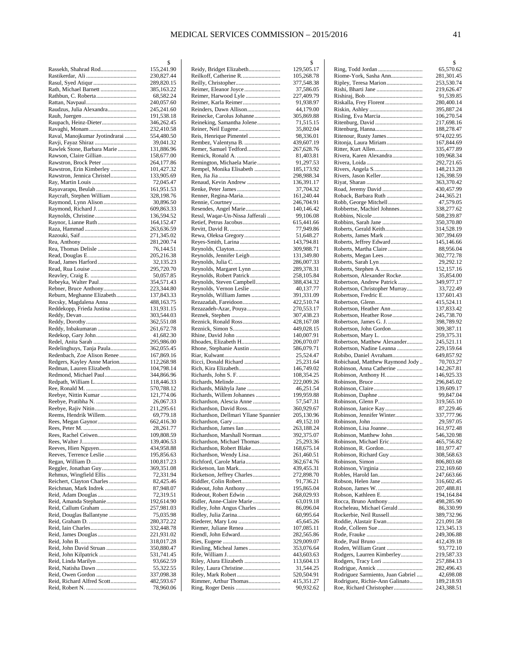|                                | \$         |
|--------------------------------|------------|
| Rassekh, Shahrad Rod           | 155,241.90 |
|                                | 230,827.44 |
|                                | 289,820.15 |
|                                |            |
| Rath, Michael Barnett          | 385,163.22 |
|                                | 68,582.24  |
|                                | 240,057.60 |
| Raudzus, Julia Alexandra       | 245,241.60 |
|                                | 191,538.18 |
| Raupach, Heinz-Dieter          | 346,262.45 |
|                                |            |
|                                | 232,410.58 |
| Raval, Manojkumar Jyotindrarai | 554,480.50 |
| Ravji, Fayaz Shiraz            | 39,041.32  |
| Rawlek Stone, Barbara Marie    | 131,886.96 |
| Rawson, Claire Gillian         | 158,677.00 |
| Rawstron, Brock Peter          | 264,177.86 |
|                                |            |
| Rawstron, Erin Kimberley       | 101,427.32 |
| Rawstron, Jennica Christel     | 133,905.69 |
| Ray, Martin Louis              | 72,045.47  |
| Rayavarapu, Beulah             | 161,951.53 |
| Raycraft, Stephen William      | 328,198.76 |
|                                |            |
|                                | 30,896.50  |
|                                | 609,863.33 |
|                                | 136,594.52 |
|                                | 164,152.47 |
|                                | 263,636.59 |
|                                |            |
|                                | 271,345.02 |
|                                | 281,200.74 |
| Rea, Thomas Delisle            | 76,144.51  |
|                                | 205,216.38 |
| Read, James Harford            | 32,135.23  |
|                                | 295,720.70 |
|                                |            |
|                                | 50,057.85  |
| Rebeyka, Walter Paul           | 354,571.43 |
| Rebner, Bruce Anthony          | 223,344.80 |
| Reburn, Meghanne Elizabeth     | 137,843.33 |
|                                | 488,163.75 |
| Recsky, Magdalena Anna         |            |
| Reddekopp, Frieda Justina      | 131,931.15 |
|                                | 303,544.03 |
|                                | 362,551.08 |
| Reddy, Inbakumaran             | 261,672.78 |
| Redekop, Gary John             | 41,682.30  |
| Redel, Anita Sarah             |            |
|                                | 295,986.00 |
| Redelinghuys, Tanja Paula      | 362,055.45 |
| Redenbach, Zoe Alison Renee    | 167,869.16 |
| Redgers, Kayley Anne Marion    | 112,268.98 |
| Redman, Lauren Elizabeth       | 104,798.14 |
| Redmond, Michael Paul          | 344,866.96 |
|                                |            |
|                                | 118,446.33 |
|                                | 570,788.12 |
| Reebye, Nittin Kumar           | 121,774.06 |
| Reebye, Pratibha N.            | 26,067.33  |
|                                | 211,295.61 |
| Reems, Hendrik Willem          | 69,779.18  |
|                                | 662,416.30 |
| Rees, Megan Gaynor             |            |
|                                | 28,261.77  |
| Rees, Rachel Ceiwen            | 109,808.59 |
|                                | 139,406.53 |
| Reeves, Hien Nguyen            | 434,958.88 |
| Reeves, Terrence Leslie        | 195,856.63 |
|                                | 100,817.23 |
|                                |            |
| Reggler, Jonathan Guy          | 369,351.08 |
| Rehmus, Wingfield Ellis        | 72,331.94  |
| Reichert, Clayton Charles      | 82,425.46  |
| Reichman, Mark Indrek          | 87,948.07  |
| Reid, Adam Douglas             | 72,319.51  |
|                                |            |
| Reid, Amanda Stephanie         | 192,614.90 |
| Reid, Callum Graham            | 257,981.03 |
| Reid, Douglas Ballantyne       | 75,035.98  |
|                                | 280,372.22 |
|                                | 332,448.78 |
|                                | 221,931.02 |
|                                |            |
|                                | 318,017.28 |
| Reid, John David Struan        | 350,880.47 |
|                                | 531,741.45 |
| Reid, Linda Marilyn            | 93,662.59  |
|                                | 55,322.55  |
|                                | 337,098.38 |
|                                |            |
| Reid, Richard Alfred Scott     | 482,593.67 |
|                                | 78,960.06  |

|                                                           | \$                       |
|-----------------------------------------------------------|--------------------------|
| Reidy, Bridget Elizabeth                                  | 129,505.17               |
| Reilkoff, Catherine R.                                    | 105,268.78               |
|                                                           | 377,548.38               |
| Reimer, Eleanor Joyce                                     | 37,586.05                |
| Reimer, Harwood Lyle<br>Reimer, Karla Reimer              | 227,409.79<br>91,938.97  |
| Reinders, Dawn Allison                                    | 44,179.00                |
| Reinecke, Carolus Johanne                                 | 305,869.88               |
| Reineking, Samantha Jolene                                | 71,515.15                |
|                                                           | 35,802.04                |
| Reis, Henrique Pimentel                                   | 98,336.01                |
| Rembez, Valentyna B.                                      | 439,607.19               |
| Remer, Samuel Tedford                                     | 267,628.76               |
|                                                           | 81,403.81                |
| Remington, Michaela Marie                                 | 91,297.53                |
| Rempel, Monika Elisabeth                                  | 185,173.92               |
|                                                           | 298,988.34               |
| Renaud, Kevin Andrew                                      | 136,391.17               |
| Renke, Peter James                                        | 37,704.32                |
| Renner, Regina-Maria                                      | 161,240.44               |
|                                                           | 246,704.91               |
| Resendes, Angel Marie                                     | 140,146.42               |
| Ressl, Waqar-Un-Nissa Jafferali                           | 99,106.08<br>615,441.66  |
|                                                           | 77,949.86                |
| Rewa, Oleksa Gregory                                      | 51,648.27                |
| Reyes-Smith, Larina                                       | 143,794.81               |
| Reynolds, Clayton                                         | 309,988.71               |
| Reynolds, Jennifer Leigh                                  | 131,349.80               |
|                                                           | 286,007.33               |
| Reynolds, Margaret Lynn                                   | 289,378.31               |
| Reynolds, Robert Patrick                                  | 258,105.84               |
| Reynolds, Steven Campbell                                 | 388,434.32               |
| Reynolds, Vernon Leslie                                   | 40,137.77                |
| Reynolds, William James                                   | 391,331.09               |
| Rezazadah, Fareidoon                                      | 422,510.74               |
| Rezazadeh-Azar, Pouya                                     | 270,553.17               |
|                                                           | 307,438.23               |
| Reznick, Ronald Ross                                      | 428,167.08               |
|                                                           | 449,028.15               |
| Rhine, David John<br>Rhoades, Elizabeth H                 | 140,007.91<br>206,070.07 |
| Rhone, Stephanie Austin                                   | 586,079.71               |
|                                                           | 25,524.47                |
| Ricci, Donald Richard                                     | 25,231.64                |
| Rich, Kira Elizabeth                                      | 146,749.02               |
| Richards, John S. F.                                      | 108,354.25               |
| Richards, Melinde                                         | 222,009.26               |
| Richards, Mikhyla Jane                                    | 46,251.54                |
| Richards, Willem Johannes                                 | 199,959.88               |
| Richardson, Alescia Anne                                  | 57,547.31                |
| Richardson, David Ross                                    | 360,929.67               |
| Richardson, Dellmari Yllane Spannier                      | 205,130.96               |
|                                                           | 49,152.10                |
| Richardson, James Ian                                     | 263,188.24               |
| Richardson, Marshall Norman<br>Richardson, Michael Thomas | 392,375.07<br>25,293.36  |
| Richardson, Robert Blake                                  | 168,675.14               |
| Richardson, Wendy Lisa                                    | 261,460.51               |
| Richford, Carole Maria                                    | 362,674.76               |
|                                                           | 439,455.31               |
| Ricketson, Jeffrey Charles                                | 272,898.70               |
| Riddler, Colin Robert                                     | 91,736.21                |
| Rideout, John Anthony                                     | 195,865.04               |
| Rideout, Robert Edwin                                     | 268,029.93               |
| Ridler, Anne-Claire Marie                                 | 63,019.18                |
| Ridley, John Angus Charles                                | 86,096.04                |
| Ridley, Julia Zarina                                      | 60,995.64                |
| Riederer, Mary Lou                                        | 45,645.26                |
| Riemer, Juliane Renea<br>Riendl, John Edward              | 107,085.11               |
|                                                           | 282,565.86<br>329,009.07 |
| Riesling, Micheal James                                   | 353,076.64               |
|                                                           | 443,603.63               |
| Riley, Alura Elizabeth                                    | 113,604.13               |
|                                                           | 31,544.25                |
|                                                           | 520,504.91               |
| Rimmer, Arthur Thomas                                     | 415,351.27               |
|                                                           | 90,932.62                |
|                                                           |                          |

|                                                             | \$                       |
|-------------------------------------------------------------|--------------------------|
| Ring, Todd Jordan                                           | 65,570.62                |
| Riome-York, Sasha Ann                                       | 281,301.45               |
| Ripley, Teresa Marion                                       | 253,530.74               |
|                                                             | 219,626.47               |
|                                                             | 91,539.85                |
| Riskalla, Frey Florent                                      | 280,400.14<br>395,887.24 |
| Risling, Eva Marcia                                         | 106,270.54               |
|                                                             | 217,698.16               |
|                                                             | 188,278.47               |
|                                                             | 974,022.95               |
| Ritonja, Laura Miriam                                       | 167,844.69               |
|                                                             | 335,477.89               |
| Rivera, Karen Alexandra                                     | 109,968.34               |
|                                                             | 292,721.65               |
|                                                             | 148,213.28               |
| Rivers, Jason Keller                                        | 126,398.59<br>363,370.42 |
|                                                             | 430,457.99               |
| Roback, Barbara Ruth                                        | 244,365.21               |
| Robb, George Mitchell                                       | 47,579.05                |
| Robbertse, Machiel Johnnes                                  | 338,277.62               |
|                                                             | 508,239.87               |
|                                                             | 350,370.80               |
| Roberts, Gerald Keith                                       | 314,528.19               |
| Roberts, James Mark                                         | 307,394.69               |
| Roberts, Jeffrey Edward                                     | 145,146.66               |
| Roberts, Martha Claire                                      | 88,956.04                |
|                                                             | 302,772.78<br>29,292.12  |
|                                                             | 152,157.16               |
| Robertson, Alexander Rocke                                  | 35,854.00                |
| Robertson, Andrew Patrick                                   | 349,977.17               |
| Robertson, Christopher Murray                               | 33,722.49                |
| Robertson, Fredric E                                        | 137,601.43               |
|                                                             | 415,524.11               |
| Robertson, Heather Ann                                      | 137,833.42               |
| Robertson, Heather Rose                                     | 245,738.70<br>398,789.92 |
| Robertson, John Gordon                                      | 309,387.11               |
|                                                             | 259,375.31               |
| Robertson, Matthew Alexander                                | 245,521.11               |
| Robertson, Nadine Leanna                                    | 229,159.64               |
| Robibo, Daniel Avraham                                      | 649,857.92               |
| Robichaud, Matthew Raymond Jody<br>Robinson, Anna Catherine | 70,703.27<br>142,267.81  |
| Robinson, Anthony H                                         | 146,925.33               |
|                                                             | 296,845.02               |
|                                                             | 139,609.17               |
|                                                             | 99,847.04                |
| Robinson, Glenn P                                           | 319,565.10               |
|                                                             | 87,229.46                |
| Robinson, Jennifer Winter                                   | 337,777.96<br>29,597.05  |
| Robinson, Lisa Joanne                                       | 161,972.48               |
| Robinson, Matthew John                                      | 546,320.98               |
| Robinson, Michael Eric                                      | 465,756.82               |
| Robinson, R. Gordon                                         | 181,977.47               |
| Robinson, Richard Guy                                       | 308,568.63               |
|                                                             | 806,803.68               |
|                                                             | 232,169.60               |
|                                                             | 247,663.66<br>316,602.45 |
|                                                             | 207,488.81               |
| Robson, Kathleen E                                          | 194,164.84               |
| Rocca, Bruno Anthony                                        | 498,285.90               |
| Rocheleau, Michael Gerald                                   | 86,330.99                |
| Rockerbie, Neil Russell                                     | 389,732.96               |
| Roddie, Alastair Ewan                                       | 221,091.58               |
|                                                             | 123,345.13<br>249,306.88 |
|                                                             | 412,439.18               |
| Roden, William Grant                                        | 93,772.10                |
| Rodgers, Laurren Kimberley                                  | 219,587.33               |
|                                                             | 257,884.13               |
|                                                             | 282,496.43               |
| Rodriguez Sarmiento, Juan Gabriel                           | 42,698.08                |
| Rodriguez, Richie-Ann Galinato<br>Roe, Richard Christopher  | 189,218.93               |
|                                                             | 243,388.51               |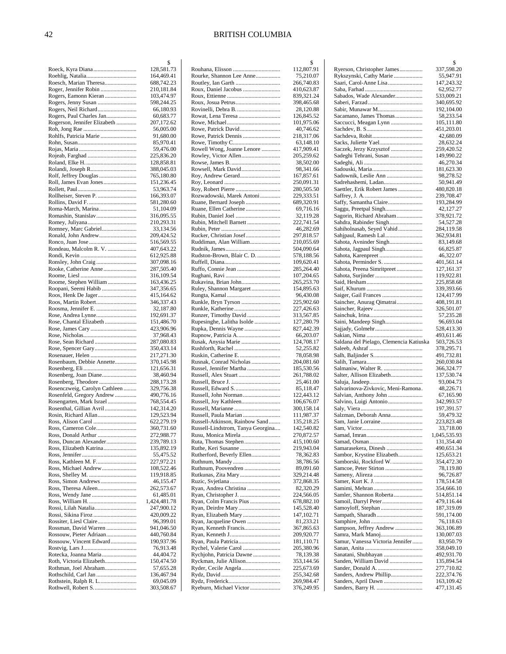|                                                          | \$                       |
|----------------------------------------------------------|--------------------------|
|                                                          | 128,581.73               |
|                                                          | 164,469.41               |
| Roesch, Marian Theresa                                   | 688,742.23               |
| Roger, Jennifer Robin                                    | 210,181.84               |
| Rogers, Eamonn Kieran                                    | 103,474.97               |
| Rogers, Jenny Susan                                      | 598,244.25               |
| Rogers, Neil Richard                                     | 66,180.93                |
| Rogers, Paul Charles Jan<br>Rogerson, Jennifer Elizabeth | 60,683.77<br>207,172.62  |
|                                                          | 56,005.00                |
|                                                          | 91,680.00                |
|                                                          | 85,970.41                |
|                                                          | 59,476.00                |
|                                                          | 225,836.20               |
|                                                          | 128,858.81               |
| Rolandi, Joseph R                                        | 388,045.03               |
| Rolf, Jeffrey Douglas                                    | 765,180.80               |
| Roll, James Evan Jones                                   | 151,236.45               |
|                                                          | 53,963.74                |
|                                                          | 166,393.07               |
|                                                          | 581,280.60               |
| Roma-March, Marina                                       | 51,104.09                |
| Romashin, Stanislav                                      | 316,095.55               |
|                                                          | 210,293.31               |
| Romney, Marc Gabriel                                     | 33,134.56                |
| Ronald, John Andrew                                      | 209,424.52               |
|                                                          | 516,569.55               |
| Rondeau, Malcolm R. V.                                   | 407,643.22               |
|                                                          | 612,925.88               |
|                                                          | 307,098.16               |
| Rooke, Catherine Anne                                    | 287,505.40               |
|                                                          | 316,109.54               |
| Roome, Stephen William                                   | 163,436.25               |
| Roopani, Seemi Habib                                     | 347,356.65               |
| Roos, Henk De Jager                                      | 415,164.62<br>346,337.43 |
| Roosma, Jennifer E.                                      |                          |
|                                                          | 32,187.80<br>192,691.37  |
| Rose, Chantal Elizabeth                                  | 151,486.70               |
|                                                          | 423,906.96               |
|                                                          | 37,968.43                |
| Rose, Sean Richard                                       | 287,080.83               |
|                                                          | 350,433.14               |
| Rosenauer, Helen                                         | 217,271.30               |
| Rosenbaum, Debbie Annette                                | 370,145.98               |
|                                                          | 121,656.31               |
| Rosenberg, Joan Diane                                    | 38,460.94                |
|                                                          | 288,173.28               |
| Rosenczweig, Carolyn Cathleen                            | 329,756.38               |
| Rosenfeld, Gregory Andrew                                | 490,776.16               |
| Rosengarten, Mark Israel                                 | 768,554.45               |
| Rosenthal, Gillian Avril                                 | 142,314.20               |
| Rosin, Richard Allan                                     | 129,523.94               |
|                                                          | 622,279.19               |
| Ross, Cameron Cole                                       | 360,731.60               |
| Ross, Donald Arthur                                      | 272,988.77               |
| Ross, Duncan Alexander                                   | 239,789.13               |
| Ross, Elizabeth Katrina                                  | 135,892.19               |
|                                                          | 55,475.52                |
|                                                          | 227,972.21               |
| Ross, Michael Andrew                                     | 108,522.46               |
|                                                          | 119,918.85<br>46,155.47  |
| Ross, Theresa Aileen                                     | 262,573.67               |
|                                                          | 61,485.01                |
|                                                          | 1,424,481.78             |
| Rossi, Lilah Natalia                                     | 247,900.12               |
|                                                          | 420,009.22               |
|                                                          | 96,399.01                |
| Rossman, David Warren                                    | 941,046.50               |
| Rossouw, Pieter Adriaan                                  | 440,760.84               |
| Rossouw, Vincent Edward                                  | 190,937.96               |
|                                                          | 76,913.48                |
| Rotecka, Joanna Maria                                    | 44,404.72                |
| Roth, Victoria Elizabeth                                 | 150,474.50               |
| Rothman, Joel Abraham                                    | 57,655.28                |
|                                                          | 136,467.94               |
|                                                          | 69,045.09                |
|                                                          | 303,508.67               |

|                                                    | \$                       |
|----------------------------------------------------|--------------------------|
| Rourke, Shannon Lee Anne                           | 112,807.91               |
|                                                    | 75,210.07<br>266,740.83  |
| Roux, Daniel Jacobus                               | 410,623.87               |
|                                                    | 839,321.24               |
|                                                    | 398,465.68               |
| Rovinelli, Debra B.                                | 28,120.88                |
| Rowat, Lena Teresa                                 | 126,845.52               |
| Rowe, Patrick David                                | 101,975.06<br>40,746.62  |
|                                                    | 218,317.06               |
|                                                    | 63,148.10                |
| Rowell Wong, Joanne Lenore                         | 417,909.41               |
| Rowley, Victor Allen                               | 205,259.62               |
|                                                    | 38,502.00<br>98,341.66   |
| Rowsell, Mark David<br>Roy, Andrew Gerard          | 167,857.61               |
|                                                    | 250,091.31               |
|                                                    | 280,505.50               |
| Rozwadowski, Marek Antoni                          | 229,333.51               |
| Ruane, Bernard Joseph                              | 689,320.91               |
| Ruane, Ellen Catherine<br>Rubin, Daniel Joel       | 69,716.16<br>32,119.28   |
| Rubin, Mitchell Barnett                            | 222,741.54               |
|                                                    | 46,282.69                |
| Rucker, Christian Josef                            | 297,818.57               |
| Ruddiman, Alan William                             | 210,055.69               |
| Rudston-Brown, Blair C. D.                         | 504,090.64<br>578,188.56 |
|                                                    | 109,620.41               |
|                                                    | 285,264.40               |
|                                                    | 107,204.65               |
| Rukavina, Brian John                               | 265,253.70               |
| Ruley, Shannon Margaret                            | 154,895.63<br>96,430.08  |
| Runkle, Bryn Tyrson                                | 225,902.60               |
|                                                    | 227,426.63               |
| Runzer, Timothy David                              | 313,567.85               |
| Rupesinghe, Lalitha Isolde                         | 127,280.79               |
| Rupka, Dennis Wayne                                | 827,442.39<br>66,203.07  |
| Rusak, Anysia Marie                                | 124,708.17               |
| Rushforth, Rachel                                  | 52,255.82                |
|                                                    | 78,058.98                |
| Rusnak, Conrad Nicholas<br>Russel, Jennifer Martha | 204,081.60<br>185,530.56 |
| Russell, Alex Stuart                               | 261,788.02               |
|                                                    | 25,461.00                |
| Russell, Edward S                                  | 85,118.47                |
| Russell, John Norman                               | 122,443.12               |
| Russell, Joy Kathleen                              | 106,676.07<br>300,158.14 |
| Russell, Paula Marian                              | 111,987.37               |
| Russell-Atkinson, Rainbow Sand                     | 135,218.25               |
| Russell-Lindstrom, Tanya Georgina                  | 142,540.82               |
| Rusu, Monica Mirela<br>Ruta, Thomas Stephen        | 270,872.57<br>415,100.60 |
| Ruthe, Keri Susanne                                | 219,943.04               |
| Rutherford, Beverly Ellen                          | 78,362.83                |
| Ruthnum, Mandy                                     | 38,786.56                |
| Ruthnum, Poovendren                                | 89,091.60                |
| Rutkunas, Zita Mary                                | 329,214.48<br>372,868.35 |
| Ryan, Andrea Christina                             | 82,320.29                |
|                                                    | 224,566.05               |
| Ryan, Colm Francis Pius                            | 678,882.10               |
| Ryan, Elizabeth Mary                               | 145,528.40<br>147,102.71 |
| Ryan, Jacqueline Owen                              | 81,233.21                |
| Ryan, Kenneth Francis                              | 367,865.63               |
|                                                    | 209,920.77               |
|                                                    | 181,110.71               |
| Rychjohn, Patricia Dawne                           | 205,380.96<br>78,139.38  |
| Ryckman, Julie Allison                             | 353,144.56               |
|                                                    | 225,673.69               |
|                                                    | 255,342.68               |
|                                                    |                          |
| Ryeburn, Michael Victor                            | 269,984.47<br>376,249.95 |

|                                                     | \$                       |
|-----------------------------------------------------|--------------------------|
| Ryerson, Christopher James                          | 337,598.20               |
| Rykszynski, Cathy Marie                             | 55,947.91                |
| Saari, Carol-Anne Lisa                              | 147,243.32               |
| Sabados, Wade Alexander                             | 62,952.77<br>533,009.21  |
|                                                     | 340,695.92               |
| Sabir, Munawar M                                    | 192,104.00               |
| Sacamano, James Thomas                              | 58,233.54                |
| Saccucci, Meagan Lynn                               | 105,111.80               |
|                                                     | 451,203.01<br>42,680.09  |
|                                                     | 28,632.24                |
| Saczek, Jerzy Krzysztof                             | 259,420.52               |
| Sadeghi Tehrani, Susan                              | 149,990.22               |
|                                                     | 46,270.34                |
| Sadownik, Leslie Ann                                | 181,623.30<br>98,278.52  |
| Sadrehashemi, Ladan                                 | 50,941.49                |
| Saettler, Erik Robert James                         | 480,820.18               |
|                                                     | 239,708.47               |
| Saffy, Samantha Claire                              | 193,284.99               |
| Saggu, Preetpal Singh<br>Sagorin, Richard Abraham   | 42,127.27<br>378,921.72  |
| Sahdra, Rabinder Singh                              | 54,527.28                |
| Sahiholnasab, Seyed Vahid                           | 284,119.58               |
| Sahjpaul, Ramesh Lal                                | 362,934.81               |
| Sahota, Avninder Singh                              | 83,149.68                |
| Sahota, Jagpaul Singh                               | 66,825.87<br>46,322.07   |
| Sahota, Karenpreet<br>Sahota, Perminder S.          | 401,561.14               |
| Sahota, Preena Simritpreet                          | 127,161.37               |
|                                                     | 119,922.81               |
|                                                     | 225,858.68               |
|                                                     | 339,393.66               |
| Saincher, Anurag Qimatrai                           | 124,417.99<br>408,191.81 |
|                                                     | 326,501.07               |
|                                                     | 57,235.28                |
| Saini, Mandeep Singh                                | 96,693.04                |
| Sajjady, Golmehr                                    | 528,413.30               |
| Saldana del Pielago, Clemencia Katiuska             | 493,611.46<br>503,726.53 |
|                                                     | 378,295.71               |
|                                                     | 491,732.81               |
|                                                     | 260,030.84               |
|                                                     | 366,324.77               |
| Salter, Allison Elizabeth                           | 137,530.74<br>93,004.73  |
| Salvarinova-Zivkovic, Meni-Ramona.                  | 48,226.71                |
| Salvian, Anthony John                               | 67,165.90                |
| Salvino, Luigi Antonio                              | 342,993.57               |
|                                                     | 197,391.57               |
| Salzman, Deborah Anna                               | 59,479.32<br>223,823.48  |
|                                                     | 33,718.00                |
|                                                     | 1,045,535.93             |
|                                                     | 131,354.40               |
| Samarasekera, Dinesh                                | 490,651.34               |
| Sambor, Krystine Elizabeth<br>Samborski, Rockford W | 125,653.21<br>354,472.30 |
| Samcoe, Peter Stirton                               | 78,119.80                |
|                                                     | 96,726.87                |
|                                                     | 178,514.58               |
|                                                     | 354,666.10               |
| Samler, Shannon Roberta                             |                          |
|                                                     | 514,851.14               |
| Samoil, Darryl Peter                                | 479,116.44               |
|                                                     | 187,319.09<br>591,174.00 |
|                                                     | 76,118.63                |
| Sampson, Jeffrey Andrew                             | 363,106.89               |
|                                                     | 130,007.03               |
| Samur, Vanessa Victoria Jennifer                    | 83,950.79                |
| Sanatani, Shubhayan                                 | 358,049.10<br>492,931.70 |
| Sanden, William David                               | 135,894.54               |
|                                                     | 277,710.82               |
| Sanders, Andrew Phillip                             | 222,374.76               |
|                                                     | 163,109.42<br>477,131.45 |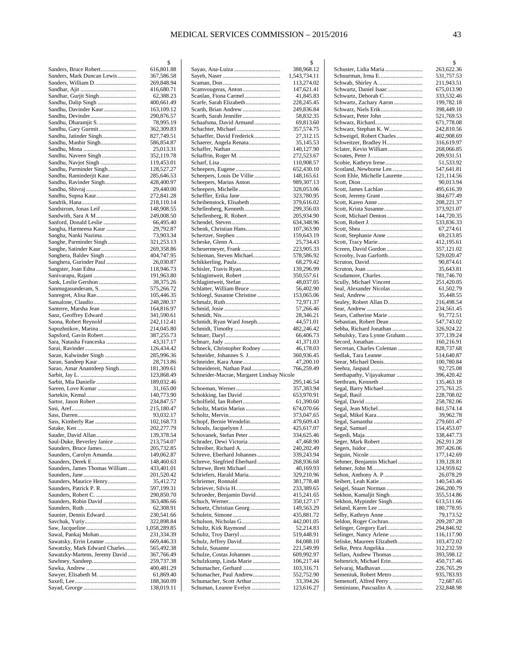|                                | \$                       |
|--------------------------------|--------------------------|
| Sanders, Bruce Robert          | 616,801.88               |
| Sanders, Mark Duncan Lewis     | 367,586.58               |
| Sanders, William D.            | 269,848.94               |
|                                | 416,680.71               |
| Sandhar, Gurjit Singh          | 62,388.23                |
| Sandhu, Dalip Singh            | 400,661.49               |
| Sandhu, Davinder Kaur          | 163,109.12               |
|                                |                          |
| Sandhu, Devinder               | 290,876.57               |
| Sandhu, Dharamjit S.           | 78,995.19                |
| Sandhu, Gary Gurmit            | 362,309.83               |
| Sandhu, Jatinder Singh         | 827,749.51               |
| Sandhu, Manbir Singh           | 586,854.87               |
|                                | 25,013.31                |
| Sandhu, Naveen Singh           | 352,119.78               |
| Sandhu, Navjot Singh           | 119,453.01               |
| Sandhu, Parminder Singh        | 128,527.27               |
| Sandhu, Raminderjit Kaur       | 285,646.53               |
| Sandhu, Ravinder Singh         | 428,400.97               |
|                                | 29,440.00                |
| Sandhu, Supna Kaur             | 272,841.28               |
|                                | 218,110.14               |
| Sandstrom, Jonas Leif          | 148,908.55               |
|                                |                          |
| Sandwith, Sara A M             | 249,008.50<br>66,495.40  |
| Sanford, Donald Leslie         |                          |
| Sangha, Harmeena Kaur          | 29,792.87                |
| Sangha, Nanki Nazima           | 73,903.34                |
| Sanghe, Parminder Singh        | 321,253.13               |
| Sanghe, Satinder Kaur          | 269,358.86               |
| Sanghera, Baldev Singh         | 404,747.95               |
| Sanghera, Gurinder Paul        | 26,030.87                |
| Sangster, Joan Edna            | 118,946.73               |
| Sanivarapu, Rajani             | 191,963.80               |
| Sank, Leslie Gershon           | 38,375.26                |
| Sanmugasunderam, S.            | 575,266.72               |
| Sanregret, Alisa Rae           | 105,446.35               |
| Sansalone, Claudio             | 248,280.37               |
| Santerre, Marsha Jean          | 164,816.97               |
| Sanz, Geoffrey Edward          | 341,590.61               |
| Saona, Robert Reynold          | 242,112.41               |
| Sapozhnikov, Marina            | 214,045.80               |
| Sapsford, Gavin Robert         | 387,255.73               |
|                                | 43,317.17                |
| Sara, Natasha Franceska        |                          |
|                                | 126,434.42               |
| Saran, Kalwinder Singh         | 285,996.36               |
|                                | 28,713.86                |
| Sarao, Amar Anantdeep Singh    | 181,309.61               |
|                                | 123,868.49               |
| Sarbit, Mia Danielle           | 189,032.46               |
| Sareen, Love Kumar             | 31,165.00                |
|                                | 140,773.90               |
| Sartor, Jason Robert           | 234,847.57               |
|                                | 215,180.47               |
|                                | 93,032.17                |
| Sass, Kimberly Rae             | 102,168.73               |
|                                | 202,277.79               |
| Sauder, David Allan            | 139,378.54               |
| Saul-Duke, Beverley Janice     | 213,754.07               |
| Saunders, Bruce James          | 205,732.85               |
|                                | 149,062.87               |
|                                |                          |
| Saunders, Carolyn Amanda       |                          |
| Saunders, Derek E              | 148,460.63               |
| Saunders, James Thomas William | 433,401.01               |
|                                | 201,520.42               |
| Saunders, Maurice Henry        | 35,412.72                |
|                                | 597,199.31               |
| Saunders, Robert C.            | 290,850.70               |
| Saunders, Robin David          | 363,486.66               |
|                                | 62,308.91                |
| Saunier, Dennis Edward         | 230,541.66               |
|                                | 322,898.84               |
|                                | 1,058,289.85             |
| Sawal, Pankaj Mohan            | 231,334.39               |
| Sawatsky, Errin Leanne         | 669,446.33               |
| Sawatzky, Mark Edward Charles  | 565,492.38               |
| Sawatzky-Martens, Jeremy David | 367,766.49               |
| Sawhney, Sandeep               | 259,737.38               |
|                                | 400,481.29               |
| Sawyer, Elisabeth M.           | 61,869.40                |
|                                | 188,360.09<br>138,019.11 |

|                                                       | \$                       |
|-------------------------------------------------------|--------------------------|
| Sayao, Ana-Luiza                                      | 388,968.12               |
|                                                       | 1,543,734.11             |
|                                                       | 113,274.02               |
| Scamvougeras, Anton                                   | 147,621.41               |
| Scanlan, Fiona Carmel                                 | 41,845.83                |
| Scarfe, Sarah Elizabeth                               | 228,245.45               |
| Scarth, Brian Andrew                                  | 249,836.84               |
| Scarth, Sarah Jennifer                                | 58,832.35                |
| Schaafsma, David Armand                               | 69,813.60                |
| Schachter, Michael                                    | 357,574.75               |
| Schaeffer, David Frederick<br>Schaerer, Angela Renata | 27,312.15                |
|                                                       | 35,145.53<br>140,127.90  |
| Schaffrin, Roger M.                                   | 272,523.67               |
|                                                       | 110,908.57               |
| Scheepers, Eugene                                     | 652,430.10               |
| Scheepers, Louis De Villie                            | 148,165.61               |
| Scheepers, Marius Anton                               | 989,307.13               |
| Scheepers, Michelle                                   | 328,053.06               |
| Scheffler, Erika Jane                                 | 323,780.95               |
| Scheibenstock, Elisabeth                              | 379,616.02               |
|                                                       | 299,356.03               |
| Schellenberg, R. Robert                               | 205,934.90               |
|                                                       | 634,348.96               |
| Schenk, Christian Hans                                | 107,363.90               |
| Schertzer, Stephen                                    | 159,643.19               |
|                                                       | 25,734.43                |
| Scheuermeyer, Frank                                   | 223,905.33               |
| Schieman, Steven Michael                              | 578,586.92               |
| Schikkerling, Paula                                   | 68,279.42                |
| Schisler, Travis Ryan                                 | 139,296.99               |
| Schlagintweit, Robert                                 | 350,557.61               |
|                                                       | 48,037.05                |
| Schlatter, William Bruce                              | 56,402.90                |
| Schloegl, Susanne Christine                           | 153,065.06               |
|                                                       | 72,971.37                |
|                                                       | 57,266.46                |
|                                                       | 28,346.21                |
| Schmidt, Ryan Ward Joseph                             | 44,571.01                |
|                                                       | 482,246.42               |
|                                                       | 66,406.73                |
|                                                       | 41,371.03                |
| Schneck, Christopher Rodney                           | 46,178.03                |
| Schneider, Johannes S. J<br>Schneider, Kara Anne      |                          |
|                                                       | 360,936.45               |
|                                                       | 47,200.10                |
| Schneidereit, Nathan Paul                             | 766,259.49               |
| Schneider-Macrae, Margaret Lindsay Nicole             |                          |
|                                                       | 295,146.54               |
|                                                       | 357,383.94               |
|                                                       | 653,970.91               |
| Scholfield, Ian Robert                                | 61,390.60                |
| Scholtz, Martin Marius                                | 674,070.66               |
|                                                       | 373,047.65               |
| Schopf, Bernie Wendelin                               | 479,609.43               |
| Schouls, Jacquelynn J.                                | 425,617.07               |
| Schovanek, Stefan Peter                               | 334,625.46               |
| Schrader, Dewi Victoria                               | 47,468.90                |
|                                                       | 240,202.49               |
| Schreve, Eberhard Johannes                            | 339,243.94               |
| Schreve, Siegfried Eberhard                           | 268,936.68               |
| Schrewe, Brett Michael                                | 40,169.93                |
| Schriefers, Harald Maria<br>Schriemer, Ronnald        | 329,210.96<br>381,778.48 |
|                                                       |                          |
| Schriever, Silvia H<br>Schroeder, Benjamin David      | 233,389.65<br>415,241.65 |
|                                                       | 350,127.17               |
| Schuetz, Christian Georg                              | 149,563.29               |
|                                                       | 435,881.72               |
|                                                       | 442,001.05               |
| Schultz, Kirk Raymond                                 | 52,214.83                |
| Schultz, Troy Darryl                                  | 519,448.91               |
| Schulz, Jeffrey David                                 | 84,088.10                |
|                                                       | 221,549.99               |
| Schulze, Costas Johannes                              | 609,992.97               |
| Schulzkump, Linda Marie                               | 106,217.44               |
| Schumacher, Gerhard                                   | 103,316.71               |
| Schumacher, Paul Andrew                               | 552,752.90               |
| Schumacher, Scott Arthur<br>Schuman, Leanne Evelyn    | 33,394.26<br>123,616.27  |

|                                              | \$                       |
|----------------------------------------------|--------------------------|
| Schuster, Lidia Maria                        | 263,622.36               |
| Schuurman, Irma E                            | 531,757.53               |
|                                              | 211,943.51               |
| Schwartz, Daniel Isaac                       | 675,013.90               |
| Schwartz, Deborah C                          | 333,532.46               |
| Schwartz, Zachary Aaron                      | 199,782.18               |
| Schwarz, Niels Erik                          | 398,449.10               |
| Schwarz, Peter John                          | 521,769.53               |
| Schwarz, Stephan K. W                        | 671,778.08               |
| Schweigel, Robert Charles                    | 242,810.56<br>402,908.69 |
| Schweitzer, Bradley H                        | 316,619.97               |
| Sclater, Kevin William                       | 268,066.85               |
|                                              | 209,931.51               |
|                                              | 51,533.92                |
| Scotland, Newborne Len                       | 547,641.81               |
| Scott Ehle, Michelle Laurette                | 121,114.56               |
|                                              | 90,013.94                |
| Scott, James Lachlan                         | 495,616.39               |
|                                              | 384,677.49               |
|                                              | 208,221.37               |
|                                              | 373,921.07               |
| Scott, Michael Denton                        | 144,720.35               |
|                                              | 533,836.33               |
|                                              | 67,274.61                |
| Scott, Stephanie Anne<br>Scott, Tracy Marie  | 69,213.85<br>412,195.61  |
| Screen, David Gordon                         | 357,121.02               |
| Scrooby, Ivan Garforth                       | 529,020.47               |
|                                              | 90,874.61                |
|                                              | 35,643.81                |
| Scudamore, Charles                           | 781,746.70               |
| Scully, Michael Vincent                      | 251,420.05               |
| Seal, Alexander Nicolas                      | 61,502.79                |
|                                              | 35,448.55                |
| Sealey, Robert Allan D                       | 216,498.54               |
|                                              | 234,561.45               |
| Sears, Catherine Marie                       | 91,772.51                |
| Sebastian, Robert Dean                       | 547,743.02               |
| Sebba, Richard Jonathan                      | 326,924.22               |
| Sebulsky, Tara Lynne Graham                  | 377,139.24               |
|                                              | 160,216.91               |
| Secretan, Charles Coleman                    | 828,737.68               |
| Sedlak, Tara Leanne<br>Seear, Michael Denis  | 514,640.87<br>100,780.84 |
|                                              | 92,725.08                |
| Seethapathy, Vijayakumar                     | 396,420.42               |
|                                              | 135,463.18               |
| Segal, Barry Michael                         | 275,761.25               |
|                                              | 228,708.02               |
|                                              | 258,782.06               |
|                                              | 841,574.14               |
| Segal, Mikel Kara                            | 39,962.78                |
|                                              | 279,601.47               |
|                                              | 154,453.07               |
|                                              | 338,447.73               |
| Seger, Mark Robert                           | 262,911.28               |
|                                              | 397,426.06               |
|                                              | 177,142.69               |
| Sehmer, Benjamin Michael                     | 139,128.81<br>124,959.62 |
|                                              | 26,078.29                |
|                                              | 140,543.46               |
| Seigel, Stuart Norman                        | 266,200.79               |
| Sekhon, Kamaljit Singh                       | 355,514.86               |
| Sekhon, Mypinder Singh                       | 613,511.66               |
|                                              | 180,778.95               |
| Selby, Kathryn Anne                          | 79,173.52                |
| Seldon, Roger Cochran                        | 209,287.28               |
| Selinger, Gregory Earl                       | 294,846.92               |
| Selinger, Nancy Arlene                       | 116,117.90               |
| Seliske, Maureen Elizabeth                   | 103,472.02               |
| Selke, Petra Angelika                        | 312,232.59               |
| Sellars, Andrew Thomas                       | 393,598.12               |
| Seltenrich, Michael Erin                     | 450,717.46               |
| Selvaraj, Madhavan<br>Semeniuk, Robert Metro | 226,765.29<br>935,783.93 |
| Semenoff, Alfred Perry                       | 72,687.65                |
| Seminiano, Pascualito A.                     | 232,848.98               |
|                                              |                          |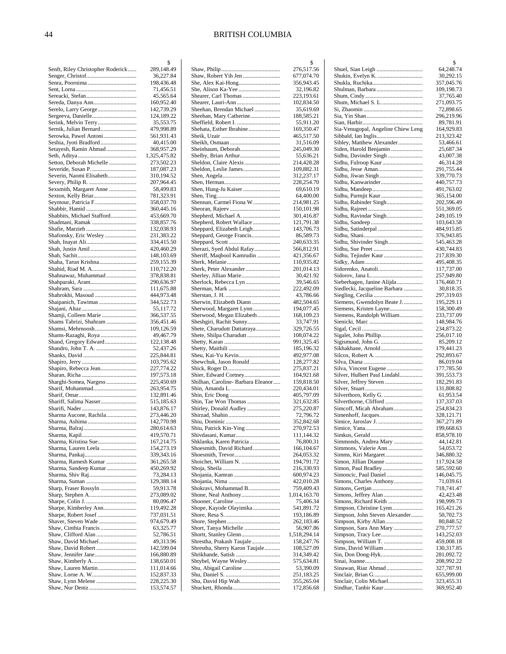|                                                | \$                       |
|------------------------------------------------|--------------------------|
| Senft, Riley Christopher Roderick              | 289,148.49               |
|                                                | 36,227.84                |
|                                                | 198,436.48               |
|                                                | 71,456.51<br>45,565.64   |
| Sereda, Danya Ann                              | 160,952.40               |
| Serelo, Larry George                           | 142,739.29               |
|                                                | 124,189.22               |
| Serink, Melvin Terry                           | 35,553.75                |
| Sernik, Julian Bernard                         | 479,998.89               |
| Serowka, Pawel Antoni                          | 561,931.43               |
| Seshia, Jyoti Bradford                         | 40,415.00                |
| Setayesh, Ramin Ahmad                          | 368,957.29               |
|                                                | 1,325,475.82             |
| Setton, Deborah Michelle                       | 273,502.23               |
| Severide, Susan P.<br>Severin, Naomi Elisabeth | 187,087.23<br>310,194.52 |
|                                                | 207,964.45               |
| Sexsmith, Margaret Anne                        | 58,499.83                |
| Sexton, Kelly Briar                            | 781,323.91               |
| Seymour, Patricia F                            | 358,037.70               |
|                                                | 360,445.16               |
| Shabbits, Michael Stafford                     | 453,669.70               |
| Shadmani, Ramak                                | 338,857.76               |
|                                                | 132,038.93               |
| Shafonsky, Eric Wesley                         | 231,383.22               |
|                                                | 334,415.50               |
| Shah, Justin Amil                              | 420,460.29<br>148,103.69 |
| Shaha, Tarun Krishna                           | 259,155.39               |
| Shahid, Riad M. A                              | 110,712.20               |
| Shahnawaz, Muhammad                            | 378,838.81               |
|                                                | 290,636.97               |
|                                                | 111,675.88               |
| Shahrokhi, Masoud                              | 444,973.48               |
| Shaipanich, Tawimas                            | 344,522.73               |
| Shamji, Colleen Marie                          | 55,117.72<br>366,537.55  |
| Shams Tabrizi, Shahram                         | 356,451.46               |
| Shamsi, Mehrnoosh                              | 109,126.59               |
| Shams-Razaghi, Roya                            | 49,467.79                |
| Shand, Gregory Edward                          | 122,138.48               |
|                                                | 52,437.26                |
|                                                | 225,844.81<br>103,795.62 |
| Shapiro, Rebecca Jean                          | 227,774.22               |
|                                                | 197,573.18               |
| Sharghi-Somea, Nargess                         | 225,450.69               |
| Sharif, Mohammad                               | 263,954.75               |
|                                                | 132,891.46               |
| Shariff, Salima Nasser                         | 515,185.63               |
| Sharma Aucone, Rachila                         | 143,876.17<br>273,446.20 |
|                                                | 142,770.98               |
|                                                | 280,614.63               |
|                                                | 419,570.71               |
| Sharma, Kristina Sue                           | 167,214.75               |
| Sharma, Lauren Leela                           | 154,273.19               |
|                                                | 339,343.16               |
| Sharma, Ramesh Kumar<br>Sharma, Sandeep Kumar  | 361,265.58<br>450,269.92 |
|                                                | 73,284.13                |
|                                                | 129,388.14               |
| Sharp, Fraser Rossyln                          | 59,913.78                |
|                                                | 273,089.02               |
|                                                | 80,096.47                |
| Sharpe, Kimberley Ann                          | 119,492.28               |
| Sharpe, Robert Josef<br>Shaver, Steven Wade    | 737,031.51<br>974,679.49 |
| Shaw, Cinthia Francis                          | 63,325.77                |
|                                                | 52,786.51                |
| Shaw, David Michael                            | 49,313.96                |
| Shaw, David Robert                             | 142,599.04               |
|                                                | 166,880.89               |
|                                                | 138,650.01               |
| Shaw, Lauren Martin                            | 111,014.66<br>152,837.33 |
|                                                | 228,225.30               |
|                                                | 153,574.57               |

|                                                        | \$                         |
|--------------------------------------------------------|----------------------------|
|                                                        | 276,517.56<br>677,074.70   |
|                                                        | 356,943.45                 |
|                                                        | 32,196.82                  |
| Shearer, Carl Thomas                                   | 223,193.61                 |
|                                                        | 102,834.50                 |
| Sheehan, Brendan Michael                               | 35,619.69                  |
| Sheehan, Mary Catherine<br>Sheffield, Robert I.        | 188,585.21<br>55,911.20    |
| Shehata, Esther Ibrahine                               | 169,350.47                 |
|                                                        | 465,517.50                 |
|                                                        | 31,516.09                  |
| Sheinbaum, Deborah                                     | 245,049.30                 |
| Shelby, Brian Arthur                                   | 55,636.21                  |
| Sheldon, Claire Alexis<br>Sheldon, Leslie James        | 214,428.28<br>109,882.31   |
|                                                        | 312,237.17                 |
|                                                        | 228,254.70                 |
| Shen, Hung-Ju Kaiser                                   | 69,610.19                  |
|                                                        | 64,400.00                  |
| Shennan, Carmel Fiona W                                | 214,981.25<br>150,101.98   |
| Shepherd, Michael A.                                   | 301,416.87                 |
| Shepherd, Robert Wallace                               | 121,791.38                 |
| Sheppard, Elizabeth Leigh                              | 143,706.73                 |
| Sheppard, George Francis                               | 86,589.73                  |
|                                                        | 240,633.35                 |
| Sherazi, Syed Abdul Rafay<br>Sheriff, Maqbool Kamrudin | 566,812.91<br>421,356.67   |
|                                                        | 110,935.82                 |
| Sherk, Peter Alexander                                 | 201,014.13                 |
| Sherley, Jillian Marie                                 | 30,421.92                  |
| Sherlock, Rebecca Lyn                                  | 39,546.65                  |
|                                                        | 222,492.09<br>43,786.66    |
| Sherwin, Elizabeth Diann                               | 482,504.65                 |
| Sherwood, Margaret Lynn                                | 194,077.45                 |
| Sherwood, Megan Elizabeth                              | 168,109.23                 |
| Sheshgiri, Rachit Sunny<br>Shete, Charudutt Dattatraya | 33,747.91<br>329,726.55    |
| Shete, Shilpa Charudutt                                | 108,074.22                 |
|                                                        | 991,325.45                 |
|                                                        | 185,196.32                 |
| Sheu, Kai-Yu Kevin<br>Shewchuk, Jason Ronald           | 492,977.08<br>128,277.82   |
|                                                        | 275,837.21                 |
|                                                        | 104,921.68                 |
| Shilhan, Caroline- Barbara Eleanor                     | 159,818.50                 |
|                                                        | 220,434.01                 |
| Shin, Tae Won Thomas                                   | 405,797.09<br>321,632.85   |
| Shirley, Donald Audley                                 | 275,220.87                 |
|                                                        | 72,796.72                  |
|                                                        | 352,842.68                 |
| Shiu, Patrick Kin-Ying<br>Shivdasani, Kumar            | 270,972.53<br>111,144.32   |
| Shklanka, Karen Patricia                               | 76,800.31                  |
| Shoesmith, David Richard                               | 166,104.67                 |
|                                                        | 264,053.32                 |
| Shoichet, William N.                                   | 194,791.72<br>216,330.93   |
|                                                        | 600,974.23                 |
|                                                        | 422,010.28                 |
| Shokravi, Mohammad B.                                  | 759,409.43                 |
|                                                        | 1,014,163.70               |
| Shope, Kayode Olayimika                                | 75,406.34<br>541,891.72    |
|                                                        | 193,186.89                 |
|                                                        | 262,183.46                 |
| Short, Tanya Michelle                                  | 56,907.86                  |
| Shrestha, Prakash Taujale                              | 1,518,294.14<br>158,247.76 |
| Shrestha, Sherry Karon Taujale                         | 108,527.09                 |
|                                                        | 314,349.42                 |
| Shtybel, Wayne Wesley                                  | 575,634.81                 |
| Shu, Abigail Caroline                                  | 53,390.09<br>251,183.25    |
| Shu, David Hip Wah                                     | 355,265.04                 |
|                                                        | 172,856.68                 |
|                                                        |                            |

|                                                        | \$                       |
|--------------------------------------------------------|--------------------------|
|                                                        | 64,248.74                |
|                                                        | 30,292.15<br>357,045.76  |
|                                                        | 109,198.73               |
|                                                        | 37,765.40                |
|                                                        | 271,093.75<br>72,898.65  |
|                                                        | 296,219.96               |
|                                                        | 89,781.91                |
| Sia-Venugopal, Angeline Chiew Leng                     | 164,929.83               |
| Sibley, Matthew Alexander                              | 213,323.42<br>53,466.61  |
| Siden, Harold Benjamin                                 | 25,687.34                |
| Sidhu, Davinder Singh                                  | 43,007.38                |
|                                                        | 46,314.28<br>291,755.44  |
|                                                        | 339,770.73               |
| Sidhu, Kanwarinder                                     | 440,757.73               |
|                                                        | 491,763.02               |
| Sidhu, Parmjit Kaur<br>Sidhu, Rabinder Singh           | 365,154.00<br>202,596.49 |
|                                                        | 551,369.05               |
| Sidhu, Ravindar Singh                                  | 249,105.19               |
|                                                        | 103,643.58               |
|                                                        | 484,915.85<br>376,943.85 |
| Sidhu, Shivinder Singh                                 | 545,463.28               |
|                                                        | 430,744.83               |
| Sidhu, Tejinder Kaur                                   | 217,839.30<br>495,408.35 |
|                                                        | 117,737.00               |
|                                                        | 257,949.80               |
| Sieberhagen, Janine Alijda                             | 176,460.71               |
| Siedlecki, Jacqueline Barbara                          | 30,818.35<br>297,319.03  |
| Siemens, Gwendolyn Beate J                             | 195,229.11               |
| Siemens, Kristen Layne                                 | 158,300.49               |
| Siemens, Randolph William                              | 233,737.09               |
|                                                        | 148,984.76<br>234,873.22 |
|                                                        | 256,017.10               |
|                                                        | 85,209.12                |
| Sikhakhane, Arnold                                     | 179,441.23<br>292,893.67 |
|                                                        | 86,019.04                |
|                                                        | 177,785.50               |
| Silver, Hulbert Paul Lindahl<br>Silver, Jeffrey Steven | 391,553.73<br>182,291.83 |
|                                                        | 131,808.82               |
|                                                        | 61,953.54                |
| Silverthorne, Clifford                                 | 137,337.03               |
| Simcoff, Micah Abraham                                 | 254,834.23<br>328,121.71 |
|                                                        | 367,271.89               |
|                                                        | 199,668.63               |
|                                                        | 858,978.10               |
| Simmonds, Andrea Mary<br>Simmons, Valerie Ann          | 44,142.81<br>54,053.72   |
| Simms, Kiri Margaret                                   | 346,880.32               |
|                                                        | 117,924.58               |
| Simon, Paul Bradley<br>Simoncic, Paul Daniel           | 585,592.60<br>146,045.75 |
| Simons, Charles Anthony                                | 71,039.61                |
|                                                        | 718,741.47               |
| Simons, Richard Keith                                  | 42,423.48<br>198,999.73  |
| Simpson, Christine Lynn                                | 165,421.26               |
| Simpson, John Steven Alexander                         | 50,702.73                |
| Simpson, Kirby Allan                                   | 80,848.52                |
| Simpson, Sara Ann Mary                                 | 270,777.57<br>143,252.03 |
|                                                        | 459,008.18               |
| Sims, David William                                    | 130,317.85               |
|                                                        | 281,092.72               |
| Sinawan, Riaz Ahmad                                    | 208,992.22<br>327,787.91 |
|                                                        | 655,999.00               |
| Sinclair, Colin Michael                                | 323,455.31               |
| Sindhar, Tanbir Kaur                                   | 369,952.40               |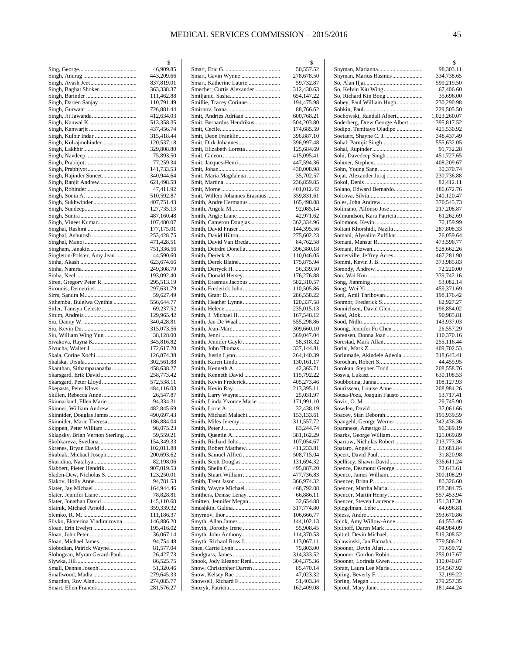|                                 | \$                       |
|---------------------------------|--------------------------|
|                                 | 46,909.85                |
|                                 | 443,209.66               |
|                                 | 837,819.01               |
| Singh, Baghat Shoker            | 363,338.37               |
|                                 | 111,462.88               |
| Singh, Darren Sanjay            | 110,791.49               |
|                                 | 726,881.44               |
| Singh, Jit Jawanda              | 412,634.03               |
|                                 | 513,358.35               |
|                                 | 437,456.74               |
|                                 | 315,418.44               |
| Singh, Kulrajmohinder           | 120,537.18               |
|                                 | 329,808.80               |
|                                 | 75,893.50                |
|                                 | 77,259.34                |
|                                 | 141,733.53<br>340,944.64 |
| Singh, Rajinder Suneet          | 621,498.58               |
| Singh, Ranjit Andrew            | 47,411.92                |
|                                 | 510,592.87               |
| Singh, Sukhwinder               | 407,751.43               |
|                                 | 127,735.13               |
|                                 | 487,160.48               |
| Singh, Vineet Kumar             | 107,480.07               |
|                                 | 177,175.01               |
|                                 | 253,428.75               |
|                                 | 471,428.51               |
|                                 | 751,336.56               |
| Singleton-Polster, Amy Jean     | 44,590.60                |
|                                 | 623,674.66               |
|                                 | 249,308.79               |
|                                 | 193,092.40               |
| Siren, Gregory Peter R.         | 295,513.19               |
|                                 | 297,631.79               |
|                                 | 59,627.49                |
| Sithembu, Bulelwa Cynthia       | 556,644.77               |
| Sitler, Tamsyn Celeste          | 69,237.52                |
|                                 | 129,965.42               |
|                                 | 340,428.81               |
|                                 | 315,073.56               |
| Siu, William Wing Yun           | 38,128.00                |
| Sivakova, Rayna K               | 345,816.82               |
| Sivucha, Walter J.              | 172,617.20               |
| Skala, Corine Xochi             | 126,874.38               |
|                                 | 302,561.88               |
| Skanthan, Sithamparanatha       | 458,638.27               |
| Skarsgard, Erik David           | 258,773.42               |
| Skarsgard, Peter Lloyd          | 572,538.11               |
| Skepasts, Peter Klavs           | 484,116.03               |
| Skillen, Rebecca Anne           | 26,547.87                |
| Skinnarland, Ellen Marie        | 94,334.31                |
| Skinner, William Andrew         | 482,845.69               |
| Skinnider, Douglas James        | 490,697.43               |
| Skinnider, Marie Theresa        | 186,884.04               |
| Skippen, Peter William          | 98,075.23                |
| Sklapsky, Brian Vernon Sterling | 59,559.21                |
| Skobkareva, Svetlana            | 154,349.33               |
| Skrenes, Bryan David            | 102,011.88               |
| Skubiak, Michael Joseph         | 200,693.62               |
| Skuridina, Nataliya             | 82,198.06                |
| Slabbert, Pieter Hendrik        | 907,019.53               |
| Sladen-Dew, Nicholas S.         | 123,250.01               |
| Slakov, Holly Anne              | 94,781.53                |
| Slater, Jay Michael             | 164,944.46               |
| Slater, Jennifer Liane          | 78,828.81                |
| Slater, Jonathan David          | 145,110.68               |
| Slatnik, Michael Arnold         | 359,339.32               |
|                                 | 111,186.37               |
| Slivko, Ekaterina Vladimirovna  | 146,886.20               |
| Sloan, Erin Evelyn              | 195,416.02               |
|                                 | 36,067.14                |
| Sloan, Michael James            | 94,754.48                |
| Slobodian, Patrick Wayne        | 81,577.04                |
| Slobogean, Myran Gerard-Paul    | 26,427.73                |
|                                 | 86,525.75                |
| Small, Dennis Joseph            | 51,320.46<br>279,645.33  |
| Smallwood, Madia                | 274,085.77               |
| Smart, Ellen Frances            | 281,576.27               |
|                                 |                          |

|                                                    | \$                       |
|----------------------------------------------------|--------------------------|
| Smart, Gavin Wynne                                 | 50,557.52<br>278,678.50  |
| Smart, Katherine Laurie                            | 59,732.87                |
| Smecher, Curtis Alexander                          | 312,430.63               |
|                                                    | 654,147.22               |
| Smillie, Tracey Corinne                            | 194,475.98               |
|                                                    | 88,766.62                |
| Smit, Andries Adriaan<br>Smit, Bernardus Hendrikus | 600,768.21<br>504,203.80 |
|                                                    | 174,685.59               |
| Smit, Deon Franklin                                | 396,887.10               |
| Smit, Dirk Johannes                                | 396,997.48               |
| Smit, Elizabeth Loretta                            | 125,684.69<br>415,095.41 |
| Smit, Jacques-Henri                                | 447,594.36               |
|                                                    | 430,008.98               |
| Smit, Maria Magdalena                              | 35,702.57                |
|                                                    | 236,859.85               |
| Smit, Willem Johannes Erasmus                      | 401,012.42<br>359,831.61 |
| Smith, Andre Hermanus                              | 165,498.08               |
|                                                    | 92,085.14                |
|                                                    | 42,971.62                |
| Smith, Cameron Douglas                             | 362,334.96               |
| Smith, David Hilton                                | 144,395.56<br>275,602.23 |
| Smith, David Van Breda                             | 84,762.58                |
| Smith, Deirdre Donella                             | 396,380.18               |
|                                                    | 110,046.05               |
|                                                    | 175,875.94               |
| Smith, Derryck H<br>Smith, Donald Hersey           | 56,339.50<br>176,276.88  |
| Smith, Erasmus Jacobus                             | 582,310.57               |
| Smith, Frederick John                              | 110,505.86               |
|                                                    | 286,558.22               |
| Smith, Heather Lynne                               | 120,337.58               |
| Smith, J. Michael H.                               | 235,015.13<br>167,548.12 |
| Smith, Jan De Waal                                 | 555,298.86               |
|                                                    | 309,660.10               |
|                                                    | 369,047.04               |
| Smith, Jennifer Gayle                              | 58,318.32                |
| Smith, John Thomas<br>Smith, Justin Lynn           | 337,144.81<br>264,140.39 |
|                                                    | 130,161.17               |
|                                                    | 42,365.71                |
| Smith, Kenneth David                               | 115,792.22               |
| Smith, Kevin Frederick<br>Smith, Kevin Ray         | 405,273.46<br>213,395.11 |
| Smith, Larry Wayne                                 | 25,031.97                |
| Smith, Linda Yvonne Marie                          | 171,991.10               |
|                                                    | 32,438.19                |
| Smith, Michael Malachi                             | 153,133.61               |
|                                                    | 311,557.72<br>83,244.74  |
|                                                    | 381,162.29               |
| Smith, Richard John                                | 107,054.67               |
| Smith, Robert Matthew                              | 411,233.81               |
|                                                    | 508,715.04<br>131,694.32 |
|                                                    | 495,887.20               |
| Smith, Stuart William                              | 477,736.83               |
|                                                    | 366,974.32               |
| Smith, Wayne Michael                               | 468,792.08               |
| Smitten, Jennifer Megan                            | 66,886.11<br>32,654.88   |
|                                                    | 317,774.80               |
|                                                    | 106,666.77               |
|                                                    | 144,102.13               |
| Smyth, Dorothy Irene                               | 55,908.45                |
| Smyth, John Anthony<br>Smyth, Richard Ross J       | 114,370.53<br>113,067.11 |
|                                                    | 75,803.00                |
|                                                    | 314,333.52               |
| Snook, Jody Eleanor Reni                           | 304,375.36               |
| Snow, Christopher Darren                           | 85,470.14<br>47,023.32   |
| Snowsell, Richard F                                | 51,403.34                |
|                                                    | 162,409.08               |
|                                                    |                          |

|                                                        | \$                       |
|--------------------------------------------------------|--------------------------|
| Snyman, Marianna<br>Snyman, Marius Rasmus              | 98,303.11<br>334,738.65  |
|                                                        | 599,219.50               |
| So, Kelvin Kiu Wing                                    | 67,406.60                |
| So, Richard Kin Bong                                   | 35,696.00                |
| Sobey, Paul William Hugh                               | 230,290.98<br>229,505.50 |
| Sochowski, Randall Albert                              | 1,023,260.07             |
| Soderberg, Drew George Albert                          | 395,817.52               |
| Sodipo, Temitayo Oladipo                               | 425,530.92               |
|                                                        | 348,437.49               |
|                                                        | 555,632.05<br>91,732.28  |
| Sohi, Davedeep Singh                                   | 451,727.65               |
|                                                        | 408,209.67               |
|                                                        | 30,370.74                |
|                                                        | 230,736.88               |
| Solano, Edward Bernardo                                | 82,412.11<br>486,672.76  |
|                                                        | 240,120.47               |
| Soles, John Andrew                                     | 370,545.73               |
| Solimano, Alfonso Jose                                 | 217,208.87               |
| Solmundson, Kara Patricia                              | 61,262.69                |
|                                                        | 70,159.99                |
| Soltani Khorshidi, Nazila<br>Somani, Alysalim Zulfikar | 287,808.33<br>26,059.64  |
|                                                        | 473,596.77               |
|                                                        | 528,662.26               |
| Somerville, Jeffrey Acres                              | 467,281.90               |
| Sommi, Kevin J. B.                                     | 373,985.83               |
|                                                        | 72,220.00<br>339,742.16  |
|                                                        | 53,082.14                |
|                                                        | 459,371.69               |
| Soni, Amil Thribovan                                   | 198,176.42               |
| Sonmor, Frederick S                                    | 62,927.27                |
| Sonnichsen, David Glen                                 | 196,854.02<br>90,985.81  |
|                                                        | 143,937.03               |
| Soong, Jennifer Fu Chen                                | 26,557.29                |
| Sorensen, Donna Joan                                   | 110,370.16               |
| Sorestad, Mark Allan                                   | 255,116.44               |
| Sorinmade, Akindele Adeola                             | 409,702.53<br>318,643.41 |
| Sorochan, Robert S                                     | 44,459.95                |
| Sorokan, Stephen Todd                                  | 208,558.76               |
|                                                        | 630,108.53               |
| Soubbotina, Janna                                      | 108,127.93               |
| Sourisseau, Louise Anne<br>Sousa-Poza, Joaquin Fausto  | 208,984.26<br>53,717.41  |
|                                                        | 29,745.90                |
|                                                        | 37,061.66                |
| Spacey, Sian Deborah                                   | 195,939.59               |
| Spangehl, George Werner                                | 342,436.36               |
| Sparanese, Amerigo D<br>Sparks, George William         | 96,369.19<br>125,069.89  |
| Sparrow, Nicholas Robert                               | 213,773.36               |
|                                                        | 63,681.84                |
|                                                        | 31,820.98                |
| Spelliscy, Shawn David                                 | 336,611.24               |
| Spence, Desmond George<br>Spence, James William        | 72,643.61<br>300,108.29  |
|                                                        | 83,326.60                |
| Spencer, Martha Maria                                  | 158,384.75               |
| Spencer, Martin Henry                                  | 557,453.94               |
| Spencer, Steven Laurence                               | 151,317.30               |
|                                                        | 44,696.81<br>393,670.86  |
| Spink, Amy Willow-Anne                                 | 64,553.46                |
| Spithoff, Daren Mark                                   | 404,984.09               |
| Spittel, Devin Michael                                 | 519,308.52               |
| Splawinski, Jan Barnaba                                | 779,506.21               |
|                                                        | 71,659.72                |
| Spooner, Gordon Robin<br>Spooner, Lorinda Gwen         | 259,017.67<br>110,040.87 |
| Spratt, Laura Lee Marie                                | 154,567.92               |
|                                                        | 32,199.22                |
|                                                        | 279,257.35               |
|                                                        | 181,444.24               |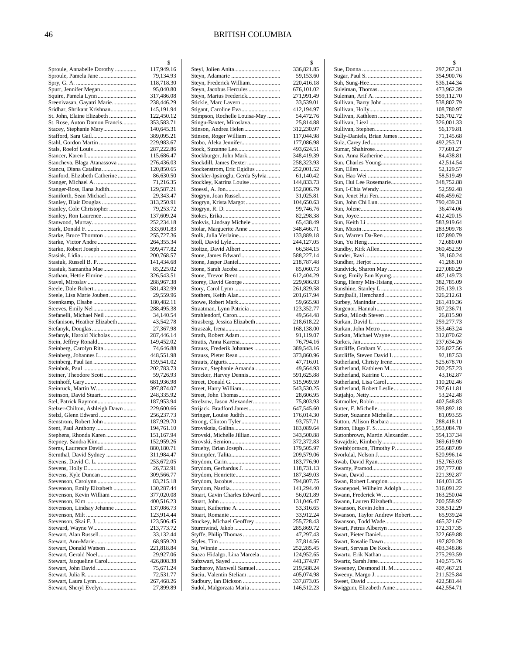|                                                        | \$                       |
|--------------------------------------------------------|--------------------------|
| Sproule, Annabelle Dorothy                             | 117,949.16               |
| Sproule, Pamela Jane                                   | 79,134.93                |
|                                                        | 118,718.30               |
| Spurr, Jennifer Megan                                  | 95,040.80                |
| Squire, Pamela Lynn<br>Sreenivasan, Gayatri Marie      | 317,486.08<br>238,446.29 |
| Sridhar, Shrikant Krishnan                             | 145,191.94               |
| St. John, Elaine Elizabeth                             | 122,450.12               |
| St. Rose, Auton Damon Francis                          | 353,583.71               |
| Stacey, Stephanie Mary                                 | 140,645.31               |
| Stafford, Sara Gail                                    | 389,095.21               |
| Stahl, Gordon Martin                                   | 229,983.67               |
|                                                        | 287,222.86               |
|                                                        | 115,686.47<br>276,436.03 |
| Stancheva, Blaga Atanassova<br>Stancu, Diana Catalina  | 120,850.65               |
| Stanford, Elizabeth Catherine                          | 86,630.50                |
| Stanger, Michael A.                                    | 71,216.35                |
| Stanger-Ross, Ilana Judith                             | 129,587.21               |
| Staniforth, Sean Michael                               | 29,343.47                |
| Stanley, Blair Douglas                                 | 313,250.91               |
| Stanley, Cole Christopher                              | 79,253.72                |
| Stanley, Ron Laurence                                  | 137,609.24               |
| Stanwood, Murray                                       | 252,234.18<br>333,601.83 |
| Starke, Bruce Thornton                                 | 255,727.36               |
|                                                        | 264,355.34               |
| Starko, Robert Joseph                                  | 599,477.82               |
|                                                        | 200,768.57               |
| Stasiuk, Russell B. P.                                 | 141,434.68               |
| Stasiuk, Samantha Mae                                  | 85,225.02                |
| Statham, Hettie Elmine                                 | 326,543.51               |
|                                                        | 288,967.38               |
| Steele, Dale Robert                                    | 581,432.99               |
| Steele, Lisa Marie Jouben<br>Steenkamp, Elsabe         | 29,559.96<br>180,482.11  |
| Steeves, Emily Nel                                     | 288,495.38               |
| Stefanelli, Michael Neil                               | 34,140.54                |
| Stefanison, Heather Elizabeth                          | 43,542.78                |
| Stefanyk, Douglas                                      | 27,367.98                |
| Stefanyk, Harold Nicholas                              | 287,446.14               |
| Stein, Jeffrey Ronald                                  | 149,452.02               |
| Steinberg, Carolyn Rita                                | 74,646.88                |
| Steinberg, Johannes L.<br>Steinberg, Paul Ian          | 448,551.98<br>159,541.02 |
|                                                        | 202,783.73               |
| Steiner, Theodore Scott                                | 59,726.93                |
|                                                        | 681,936.98               |
| Steinruck, Martin W                                    | 397,874.07               |
| Steinson, David Stuart                                 | 248,335.92               |
| Stel, Patrick Raymon                                   | 187,953.94               |
| Stelzer-Chilton, Ashleigh Dawn                         | 229,600.66               |
| Stelzl, Glenn Edward                                   | 256, 237. 73             |
| Stenstrom, Robert John                                 | 187,929.70               |
| Stent, Paul Anthony<br>Stephens, Rhonda Karen          | 194,761.10<br>151,167.94 |
| Stepney, Sandra Kim                                    | 152,959.26               |
| Sterns, Laurence David                                 | 880,180.71               |
| Sternthal, David Sydney                                | 311,984.47               |
|                                                        | 253,672.05               |
|                                                        | 26,732.91                |
|                                                        | 309,566.77               |
| Stevenson, Carolynn                                    | 83,215.18                |
| Stevenson, Emily Elizabeth<br>Stevenson, Kevin William | 130,287.44               |
|                                                        | 377,020.08<br>400,516.23 |
| Stevenson, Lindsay Jehanne                             | 137,086.73               |
|                                                        | 123,914.44               |
| Stevenson, Skai F. J.                                  | 123,506.45               |
| Steward, Wayne W                                       | 213,773.72               |
| Stewart, Alan Russell                                  | 33,132.44                |
| Stewart, Ann-Marie                                     | 68,959.20                |
| Stewart, Donald Watson                                 | 221,818.84               |
| Stewart, Jacqueline Carol                              | 29,927.06<br>426,808.38  |
| Stewart, John David                                    | 75,671.24                |
|                                                        | 72,531.77                |
| Stewart, Laura Lynn                                    | 267,468.26               |
| Stewart, Sheryl Evelyn                                 | 27,899.89                |

|                                                 | \$         |
|-------------------------------------------------|------------|
|                                                 | 336,821.85 |
|                                                 | 59,153.60  |
| Steyn, Frederick William                        | 220,416.18 |
| Steyn, Jacobus Hercules                         | 676,101.02 |
| Steyn, Marius Frederick                         | 271,991.49 |
| Stickle, Marc Lavern                            | 33,539.01  |
| Stigant, Caroline Eva                           | 412,194.97 |
| Stimpson, Rochelle Louisa-May                   | 54,472.76  |
| Stingu-Baxter, Miroslava                        | 25,814.88  |
| Stinson, Andrea Helen                           | 312,230.97 |
|                                                 | 117,044.98 |
| Stinson, Roger William<br>Stobo, Aleka Jennifer | 177,086.98 |
|                                                 |            |
|                                                 | 493,624.51 |
| Stockburger, John Mark                          | 348,419.39 |
| Stockdill, James Dexter                         | 258,323.93 |
| Stockenstrom, Eric Egidius                      | 252,001.52 |
| Stockler-Ipsiroglu, Gerda Sylvia                | 61,140.42  |
| Stockley, Katrina Louise                        | 144,833.73 |
|                                                 | 152,806.79 |
| Stogryn, Joan Russel                            | 31,025.81  |
| Stogryn, Krista Margot                          | 104,650.63 |
|                                                 | 99,746.76  |
|                                                 | 82,298.38  |
| Stokvis, Lindsay Michele                        | 65,438.49  |
| Stolar, Marguerite Anne                         | 348,466.71 |
| Stolk, Julia Verlaine                           | 133,889.18 |
| Stoll, David Lyle                               | 244,127.05 |
| Stoltze, David Albert                           | 66,584.15  |
| Stone, James Edward                             | 588,227.14 |
|                                                 | 218,787.48 |
| Stone, Sarah Jacoba                             | 85,060.73  |
|                                                 | 612,404.29 |
|                                                 |            |
| Storey, David George                            | 229,986.93 |
|                                                 | 261,829.58 |
| Stothers, Keith Alan                            | 201,617.94 |
| Stowe, Robert Mark                              | 59,665.98  |
| Straatman, Lynn Patricia                        | 123,352.77 |
| Strahlendorf, Caron                             | 49,564.48  |
| Strasberg, Jessica Elizabeth                    | 218,618.22 |
|                                                 | 168,138.00 |
| Strath, Robert Adam                             | 91,119.07  |
| Stratis, Anna Karena                            | 76,794.16  |
| Strauss, Frederik Johannes                      | 389,543.16 |
| Strauss, Pieter Rean                            | 373,860.96 |
|                                                 | 47,716.01  |
| Strawn, Stephanie Amanda                        | 49,564.93  |
| Strecker, Harvey Dennis                         | 591,625.88 |
|                                                 | 515,969.59 |
| Street, Harry William                           | 543,530.25 |
|                                                 |            |
|                                                 | 28,606.95  |
| Strelzow, Jason Alexander                       | 75,803.93  |
| Strijack, Bradford James                        | 647,545.60 |
| Stringer, Louise Judith                         | 176,014.30 |
|                                                 | 93,757.71  |
| Strovskaia, Galina                              | 183,089.64 |
| Strovski, Michelle Jillian                      | 343,500.88 |
|                                                 | 372,372.83 |
| Strueby, Brian Joseph                           | 179,505.97 |
|                                                 | 209,579.06 |
|                                                 | 183,776.90 |
| Strydom, Gerhardus J.                           | 118,731.13 |
|                                                 | 187,349.03 |
|                                                 | 794,807.75 |
|                                                 | 141,294.40 |
| Stuart, Gavin Charles Edward                    | 56,021.89  |
|                                                 | 131,046.47 |
| Stuart, Katherine A.                            | 53,316.65  |
|                                                 |            |
|                                                 | 33,912.24  |
| Stuckey, Michael Geoffrey                       | 255,728.43 |
|                                                 | 285,869.72 |
| Styffe, Philip Thomas                           | 47,297.43  |
|                                                 | 37,814.56  |
|                                                 | 252,285.45 |
| Suazo Hidalgo, Lina Marcela                     | 124,952.65 |
| Subzwari, Sayed                                 | 441,374.97 |
| Sucharov, Maxwell Samuel                        | 219,588.24 |
| Suciu, Valentin Steliam                         | 405,074.98 |
| Sudbury, Ian Dickson                            | 337,873.05 |
| Sudol, Malgorzata Maria                         | 146,512.23 |
|                                                 |            |

|                                                      | \$                       |
|------------------------------------------------------|--------------------------|
|                                                      | 297,267.31               |
|                                                      | 354,900.76               |
|                                                      | 536,144.34               |
| Suleiman, Thomas                                     | 473,962.39<br>559,112.70 |
| Sullivan, Barry John                                 | 538,802.79               |
|                                                      | 108,780.97               |
| Sullivan, Kathleen                                   | 526,702.72               |
|                                                      | 326,001.33<br>56,179.81  |
| Sully-Daniels, Brian James                           | 71,145.68                |
|                                                      | 492,253.71               |
|                                                      | 77,601.27                |
|                                                      | 84,438.81<br>42,514.54   |
|                                                      | 52,129.57                |
|                                                      | 58,519.49                |
| Sun, Hui Lee Rosemarie                               | 348,752.88               |
| Sun, Jenet Hui Fen                                   | 52,592.48<br>406,459.62  |
| Sun, John Chi Lun                                    | 790,439.31               |
|                                                      | 36,474.06                |
|                                                      | 412,420.15               |
|                                                      | 583,919.64               |
| Sun, Warren Da-Ren                                   | 283,909.78<br>107,890.79 |
|                                                      | 72,680.00                |
|                                                      | 360,452.59               |
|                                                      | 38,160.24                |
| Sundvick, Sharon May                                 | 41,268.10<br>227,080.29  |
| Sung, Emily Eun Kyung                                | 487,149.73               |
| Sung, Henry Min-Hsiang                               | 382,785.09               |
|                                                      | 205,139.13               |
| Surajballi, Hemchand                                 | 326,212.61<br>261,419.36 |
|                                                      | 307,236.71               |
| Surka, Milosh Steven                                 | 26,815.90                |
| Surkan, David L.                                     | 259,277.73               |
| Surkan, John Metro                                   | 353,463.24               |
| Surkan, Michael Wayne                                | 312,870.62<br>237,634.26 |
| Sutcliffe, Graham V.                                 | 326,827.56               |
| Sutcliffe, Steven David I.                           | 92,187.53                |
| Sutherland, Christy Irene<br>Sutherland, Kathleen M  | 525,678.70<br>200,257.23 |
| Sutherland, Katrine C.                               | 43,162.87                |
| Sutherland, Lisa Carol                               | 110,202.46               |
| Sutherland, Robert Leslie                            | 297,611.81               |
|                                                      | 53,242.48                |
|                                                      | 402,548.83<br>393,892.18 |
| Sutter, Suzanne Michelle                             | 81,093.55                |
| Sutton, Allison Barbara                              | 288,418.11               |
|                                                      | 1,953,084.70             |
| Suttonbrown, Martin Alexander<br>Suvajdzic, Kimberly | 354,137.34<br>369,619.90 |
| Sveinbjornson, Timothy P.                            | 256,687.09               |
| Svorkdal, Nelson J                                   | 520,996.14               |
|                                                      | 152,763.03               |
|                                                      | 297,777.00<br>221,392.87 |
| Swan, Robert Langdon                                 | 164,031.35               |
| Swanepoel, Wilhelm Adolph                            | 316,091.22               |
| Swann, Frederick W.                                  | 163,250.04               |
| Swann, Lauren Elizabeth<br>Swanson, Kevin John       | 200,558.92<br>338,512.29 |
| Swanson, Taylor Andrew Robert                        | 65,939.24                |
| Swanson, Todd Wade                                   | 465,321.62               |
| Swart, Petrus Albertyn                               | 172,317.35               |
| Swart, Pieter Daniel<br>Swart, Rosalie Dawn          | 322,669.88<br>197,820.28 |
| Swart, Servaas De Kock                               | 403,348.86               |
| Swartz, Erik Nathan                                  | 275,293.59               |
|                                                      | 140,575.76               |
| Sweeney, Desmond H. M                                | 407,467.21<br>211,525.84 |
|                                                      | 422,581.44               |
| Swiggum, Elizabeth Anne                              | 442,554.71               |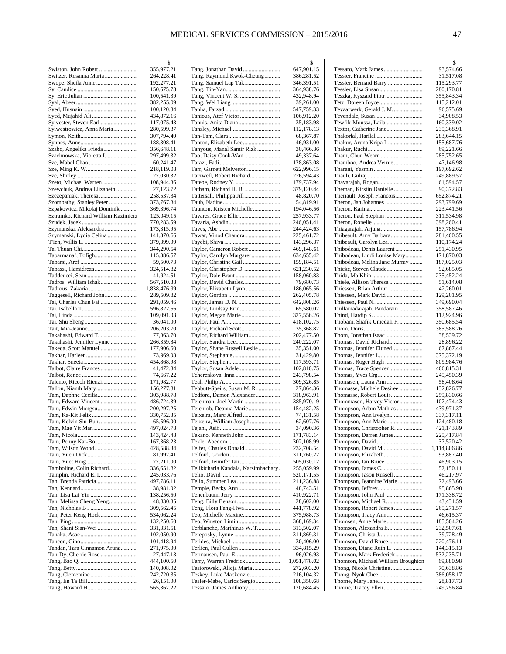|                                                                    | \$                       |
|--------------------------------------------------------------------|--------------------------|
| Swiston, John Robert                                               | 355,977.21               |
| Switzer, Rosanna Maria<br>Swope, Sheila Anne                       | 264,228.41<br>192,277.21 |
|                                                                    | 150,675.78               |
|                                                                    | 100,541.39               |
|                                                                    | 382,255.09               |
|                                                                    | 100,120.84               |
| Syed, Mujahid Ali<br>Sylvester, Steven Earl                        | 434,872.16<br>117,075.43 |
| Sylwestrowicz, Anna Maria                                          | 280,599.37               |
|                                                                    | 307,794.49               |
|                                                                    | 188,308.41               |
| Szabo, Angelika Frieda                                             | 356,648.11               |
| Szachnowska, Violetta I                                            | 297,499.32               |
| Sze, Mabel Chao                                                    | 60,241.47<br>218,119.08  |
|                                                                    | 27,030.32                |
| Szeto, Michael Warren                                              | 108,944.86               |
| Szewchuk, Andrea Elizabeth                                         | 27,123.72                |
| Szezepaniak, Theresa                                               | 258,537.34               |
| Szombathy, Stanley Peter                                           | 373,767.34               |
| Szpakowicz, Mikolaj Dominik<br>Sztramko, Richard William Kazimierz | 369,396.74<br>125,049.15 |
|                                                                    | 770,283.59               |
| Szymanska, Aleksandra                                              | 173,315.95               |
| Szymanski, Lydia Celina                                            | 141,370.66               |
|                                                                    | 379,399.09               |
|                                                                    | 344,290.54               |
|                                                                    | 115,386.57<br>59,500.73  |
| Tabassi, Hamidreza                                                 | 324,514.82               |
|                                                                    | 41,924.51                |
| Tadros, William Ishak                                              | 567,510.88               |
|                                                                    | 1,838,476.99             |
| Taggesell, Richard John                                            | 289,509.82               |
| Tai, Charles Chun Fai                                              | 291,059.46<br>596,822.56 |
|                                                                    | 109,091.03               |
|                                                                    | 36,041.00                |
|                                                                    | 206,203.70               |
| Takahashi, Edward T.                                               | 77,363.70                |
| Takahashi, Jennifer Lynne<br>Takeda, Scott Manuel                  | 266,359.84<br>177,906.60 |
|                                                                    | 73,969.08                |
|                                                                    | 454,868.98               |
|                                                                    | 41,472.84                |
|                                                                    | 74,667.22                |
| Talento, Riccoh Rienzi<br>Tallon, Niamh Mary                       | 171,982.77<br>156,277.31 |
|                                                                    | 303,988.78               |
| Tam, Edward Vincent                                                | 486,724.39               |
| Tam, Edwin Mongsu                                                  | 200,297.25               |
| Tam, Ka-Kit Felix                                                  | 330,752.35               |
| Tam, Kelvin Siu-Bun                                                | 65,596.00                |
| Tam, Mae Yit Man                                                   | 497,024.78<br>143,424.48 |
| Tam, Penny Kar-Bo                                                  | 167,368.23               |
| Tam, Wilson Wood                                                   | 428,588.34               |
|                                                                    | 81,997.41                |
|                                                                    | 77,211.00                |
| Tamboline, Colin Richard                                           | 336,651.82               |
| Tan, Brenda Patricia                                               | 245,033.76<br>497,786.11 |
|                                                                    | 38,981.02                |
| Tan, Lisa Lai Yin                                                  | 138,256.50               |
| Tan, Melissa Cheng Yeng                                            | 48,830.85                |
|                                                                    | 309,562.45               |
| Tan, Peter Keng Hock                                               | 534,062.24               |
| Tan, Shani Sian-Wei                                                | 132,250.60<br>331,331.51 |
|                                                                    | 102,050.90               |
|                                                                    | 101,418.94               |
| Tandan, Tara Cinnamon Aruna                                        | 271,975.00               |
| Tan-Dy, Cherrie Rose                                               | 27,447.13                |
|                                                                    | 444,100.50<br>140,808.02 |
|                                                                    | 242,720.35               |
|                                                                    | 26,151.00                |
|                                                                    | 565,367.22               |

|                                                   | \$                     |
|---------------------------------------------------|------------------------|
| Tang, Jonathan David                              | 647,901.15             |
| Tang, Raymond Kwok-Cheung                         | 386,281.52             |
|                                                   | 346,391.51             |
|                                                   | 364,938.76             |
|                                                   | 432,948.94             |
|                                                   | 39,261.00              |
|                                                   | 547,759.33             |
|                                                   | 106,912.20             |
| Tannis, Anita Diana                               | 35,183.98              |
|                                                   | 112,178.13             |
|                                                   | 68,367.87<br>46,931.00 |
| Tanyous, Manal Samir Rizk                         |                        |
| Tao, Daisy Cook-Wan                               | 30,466.36<br>49,337.64 |
|                                                   | 128,863.08             |
| Tarr, Garnett Melverton                           | 622,996.15             |
| Tarzwell, Robert Richard                          | 226,594.43             |
|                                                   | 179,737.94             |
| Tatham, Richard H. B.                             | 379,120.44             |
| Tattersall, Philippa Jill                         | 48,820.70              |
|                                                   | 54,819.91              |
| Taunton, Kristen Michelle                         | 194,046.56             |
| Tavares, Grace Ellie                              | 257,933.77             |
|                                                   | 246,051.41             |
|                                                   | 244,424.63             |
| Tawar, Vinod Chandra                              | 225,461.72             |
|                                                   | 143,296.37             |
| Taylor, Cameron Robert                            | 469,148.61             |
| Taylor, Carolyn Margaret                          | 634,655.42             |
|                                                   | 159,184.51             |
| Taylor, Christopher D                             | 621,230.52             |
| Taylor, Dale Brant                                | 158,060.83             |
| Taylor, David Charles                             | 79,680.73              |
| Taylor, Elizabeth Lynn                            | 186,065.56             |
|                                                   | 262,405.78             |
|                                                   | 642,808.26             |
| Taylor, Lindsay Erin                              | 65,580.07              |
| Taylor, Megan Marie                               | 327,556.26             |
|                                                   | 418,102.75             |
| Taylor, Richard Scott                             | 35,368.87              |
| Taylor, Richard William                           | 202,477.50             |
|                                                   | 240,222.07             |
| Taylor, Shane Russell Leslie                      | 35,351.00              |
|                                                   | 31,429.80              |
|                                                   | 117,593.71             |
| Taylor, Susan Adele                               | 102,810.75             |
| Tcherenkova, Inna                                 | 243,798.54             |
|                                                   | 309,326.85             |
| Tebbutt-Speirs, Susan M. R                        | 27,864.36              |
| Tedford, Damon Alexander                          | 318,963.91             |
| Teichman, Joel Martin                             | 385,970.19             |
| Teichrob, Deanna Marie                            | 154,482.25             |
| Teixeira, Marc Alfred<br>Teixeira, William Joseph | 74,131.58<br>62,607.76 |
|                                                   | 34,090.36              |
| Tekano, Kenneth John                              | 171,783.14             |
|                                                   | 302,108.99             |
| Telfer, Charles Donald                            | 232,708.54             |
|                                                   | 311,760.22             |
| Telford, Jennifer Jan                             | 505,030.12             |
| Telikicharla Kandala, Narsimhachary.              | 255,059.99             |
|                                                   | 520,171.55             |
|                                                   | 211,236.88             |
| Temple, Becky Ann                                 | 48,743.51              |
|                                                   | 410,922.71             |
|                                                   | 28,602.00              |
| Teng, Flora Fang-Hwa                              | 441,778.92             |
| Teo, Michelle Maxine                              | 375,988.73             |
|                                                   | 368,169.34             |
| Terblanche, Marthinus W. T                        | 313,502.07             |
|                                                   | 311,869.31             |
|                                                   | 30,406.00              |
| Terlien, Paul Cullen                              | 334,815.29             |
| Termansen, Paul E                                 | 96,026.93              |
| Terry, Warren Fredrick                            | 1,051,478.02           |
| Tesiorowski, Alicja Maria                         | 272,603.20             |
| Teskey, Luke Mackenzie                            | 216,104.32             |
| Tesler-Mabe, Carlos Sergio                        | 108,350.68             |
| Tessaro, James Anthony                            | 120,684.45             |
|                                                   |                        |

|                                                   | \$                       |
|---------------------------------------------------|--------------------------|
|                                                   | 93,574.66                |
|                                                   | 31,517.08                |
| Tessler, Bernard Barry                            | 115,293.77               |
| Teszka, Ryszard Piotr                             | 280,170.81<br>355,843.34 |
|                                                   | 115,212.01               |
| Tevaarwerk, Gerald J. M.                          | 96,575.69                |
|                                                   | 34,908.53                |
| Tewfik-Moussa, Laila                              | 160,339.02               |
| Textor, Catherine Jane                            | 235,368.91               |
|                                                   | 283,644.15               |
| Thakur, Aruna Kripa L                             | 155,687.76               |
|                                                   | 69,221.66<br>285,752.65  |
| Thamboo, Andrea Vernie                            | 47,146.98                |
|                                                   | 197,692.62               |
|                                                   | 249,889.57               |
| Thavarajah, Rogan                                 | 61,594.57                |
| Theman, Kirstin Danielle                          | 90,372.83                |
| Theriault, Joseph Francois                        | 652,874.21               |
| Theron, Jan Johannes                              | 293,799.69               |
| Theron, Paul Stephan                              | 223,441.56<br>311,534.98 |
|                                                   | 398,260.41               |
| Thiagarajah, Arjuna                               | 157,786.94               |
| Thibeault, Amy Barbara                            | 281,460.55               |
|                                                   | 110,174.24               |
| Thibodeau, Denis Laurent                          | 251,430.95               |
| Thibodeau, Lindi Louise Mary                      | 171,870.03               |
| Thibodeau, Melina Jane Murray                     | 187,025.03               |
| Thicke, Steven Claude                             | 92,685.05<br>235,452.24  |
|                                                   | 51,614.08                |
| Thiessen, Brian Arthur                            | 42,260.01                |
|                                                   | 129,201.95               |
|                                                   | 349,690.04               |
| Thillainadarajah, Pandaram                        | 358,587.46               |
|                                                   | 112,924.96               |
| Thobani, Shafik Umedali F.                        | 350,685.54               |
|                                                   | 385,588.26<br>38,539.72  |
| Thomas, David Richard                             | 28,896.22                |
| Thomas, Jennifer Eluned                           | 67,867.44                |
| Thomas, Jennifer L                                | 375,372.19               |
| Thomas, Roger Hugh                                | 809,984.76               |
|                                                   | 466,815.31               |
|                                                   | 245,450.39               |
| Thomasse, Michele Desiree                         | 58,408.64<br>132,826.77  |
| Thomasse, Robert Louis                            | 259,830.66               |
| Thommasen, Harvey Victor                          | 107,474.43               |
| Thompson, Adam Mathias                            | 439,971.37               |
| Thompson, Ann Evelyn                              | 337,317.11               |
| Thompson, Ann Marie                               | 124,480.18               |
| Thompson, Christopher R.                          | 421.143.89               |
| Thompson, Darren James                            | 225,417.84<br>37,520.42  |
| Thompson, David M                                 | 1,114,806.86             |
| Thompson, Elizabeth                               | 93,887.40                |
| Thompson, Ian Bruce                               | 46,903.15                |
|                                                   | 52,150.11                |
| Thompson, Jason Russell                           | 46,217.97                |
| Thompson, Jeannine Marie                          | 72,493.66                |
| Thompson, John Paul                               | 95,865.90                |
| Thompson, Michael R.                              | 171,338.72<br>43,431.59  |
| Thompson, Robert James                            | 265,271.57               |
| Thompson, Tracy Ann                               | 46,615.37                |
| Thomsen, Anne Marie                               | 185,504.26               |
| Thomson, Alexandra E                              | 232,507.61               |
| Thomson, Christa J                                | 39,728.49                |
| Thomson, David Bruce                              | 220,476.11               |
| Thomson, Diane Ruth L.<br>Thomson, Mark Frederick | 144,315.13<br>532,235.71 |
| Thomson, Michael William Broughton                | 69,880.98                |
| Thong, Nicole Christine                           | 70,638.86                |
|                                                   | 386,058.17               |
| Thorne, Mary Jane                                 | 28,817.73                |
| Thorne, Tracey Ellen                              | 249,756.84               |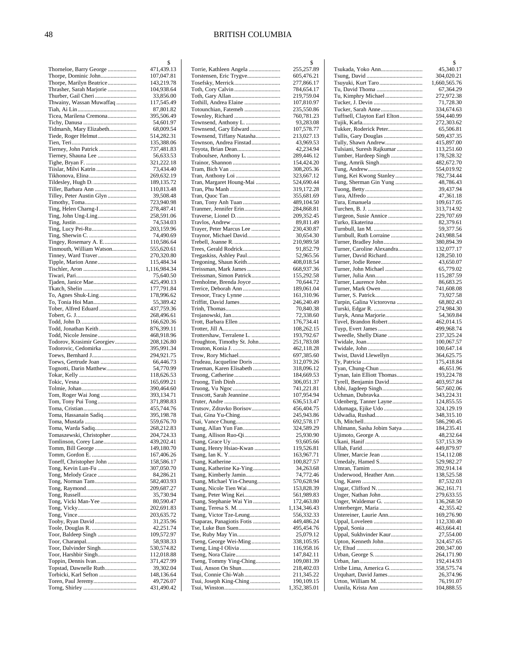|                                                   | \$                       |
|---------------------------------------------------|--------------------------|
| Thorneloe, Barry George                           | 471,439.13               |
| Thorpe, Dominic John                              | 107,047.81               |
| Thorpe, Marilyn Beatrice                          | 143,219.78               |
| Thrasher, Sarah Marjorie<br>Thurber, Gail Cheri   | 104,938.64<br>33,856.00  |
| Thwainy, Wassan Muwaffaq                          | 117,545.49               |
|                                                   | 87,801.82                |
| Ticea, Marilena Cremona                           | 395,506.49               |
|                                                   | 54,601.97                |
| Tidmarsh, Mary Elizabeth                          | 68,009.54                |
| Tiede, Roger Helmut                               | 514,282.31               |
|                                                   | 135,388.06               |
|                                                   | 737,481.83               |
| Tierney, Shauna Lee                               | 56,633.53                |
|                                                   | 321,222.18               |
| Tiislar, Milvi Katrin                             | 73,434.40<br>269,632.19  |
| Tildesley, Hugh D.                                | 189,135.72               |
| Tiller, Barbara Ann                               | 110,813.48               |
| Tilley, Peter Austin Glyn                         | 39,508.48                |
|                                                   | 723,940.98               |
| Ting, Helen Charng-I                              | 278,487.41               |
| Ting, John Ung-Ling                               | 258,591.06               |
|                                                   | 74,534.03                |
| Ting, Lucy Pei-Ru                                 | 203,159.96               |
|                                                   | 74,490.69                |
| Tingey, Rosemary A. E<br>Tinmouth, William Watson | 110,586.64               |
| Tinney, Ward Traver                               | 555,620.61<br>270,320.80 |
| Tipple, Marion Anne                               | 115,484.34               |
|                                                   | 1,116,984.34             |
|                                                   | 75,640.50                |
| Tjaden, Janice Mae                                | 425,490.13               |
|                                                   | 177,791.84               |
| To, Agnes Shuk-Ling                               | 178,996.62               |
| To, Tonia Hoi Man                                 | 55,389.42                |
| Tober, Alfred Eduard                              | 437,759.36<br>268,496.61 |
|                                                   | 166,620.36               |
| Todd, Jonathan Keith                              | 876,399.11               |
| Todd, Nicole Jensine                              | 468,918.96               |
| Todorov, Krasimir Georgiev                        | 208,126.80               |
| Todorovic, Cedomirka                              | 395,991.34               |
| Toews, Bernhard J                                 | 294,921.75               |
| Toews, Gertrude Joan<br>Tognotti, Darin Matthew   | 66,446.73<br>54,770.99   |
|                                                   | 118,626.53               |
|                                                   | 165,699.21               |
|                                                   | 390,464.60               |
|                                                   | 393,134.71               |
| Tom, Tony Pui Tong                                | 371,898.83               |
|                                                   | 455,744.76               |
| Toma, Hassanain Sadiq                             | 395,198.78<br>559,676.70 |
| Toma, Warda Sadiq                                 | 268,212.83               |
| Tomaszewski, Christopher                          | 204,724.33               |
| Tomlinson, Corey Lane                             | 439,202.41               |
|                                                   | 149,180.70               |
|                                                   | 167,406.26               |
| Toneff, Christopher John                          | 158,586.17               |
|                                                   | 307,050.70<br>84,286.21  |
|                                                   | 582,403.93               |
|                                                   | 209,687.27               |
|                                                   | 35,730.94                |
| Tong, Vicki Man-Yee                               | 80,590.47                |
|                                                   | 202,691.83               |
|                                                   | 203,635.72               |
| Tooby, Ryan David                                 | 31,235.96<br>42,251.74   |
| Toor, Baldeep Singh                               | 109,572.97               |
|                                                   | 58,938.33                |
| Toor, Dalvinder Singh                             | 530,574.82               |
| Toor, Harshbir Singh                              | 112,018.88               |
| Toppin, Dennis Ivan                               | 371,427.99               |
| Topstad, Dawnelle Ruth                            | 39,302.04                |
| Torbicki, Karl Sefton                             | 148,136.64<br>49,726.07  |
|                                                   | 431,490.42               |
|                                                   |                          |

|                                                       | \$                       |
|-------------------------------------------------------|--------------------------|
| Torrie, Kathleen Angela                               | 255,257.89               |
| Torstensen, Eric Trygve<br>Tosefsky, Merrick          | 605,476.21<br>277,866.17 |
|                                                       | 784,654.17               |
|                                                       | 219,759.04               |
| Tothill, Andrea Elaine                                | 107,810.97               |
| Totounchian, Fatemeh                                  | 235,550.86               |
|                                                       | 760,781.23               |
| Townsend, Anthony L.                                  | 93,283.08                |
| Townsend, Gary Edward                                 | 107,578.77               |
| Townsend, Tiffany Natasha<br>Townson, Andrea Finstad  | 213,027.13<br>43,969.53  |
| Toyota, Brian Dean                                    | 42,234.94                |
| Traboulsee, Anthony L.                                | 289,446.12               |
|                                                       | 154,424.20               |
|                                                       | 308,205.36               |
|                                                       | 323,667.12               |
| Tran, Margaret Houng-Mai                              | 524,690.44               |
|                                                       | 319,172.28               |
| Tran, Tony Anh Tuan                                   | 355,681.69<br>489,104.50 |
| Tranmer, Jennifer Erin                                | 284,868.81               |
| Traverse, Lionel D.                                   | 209,352.45               |
|                                                       | 89,811.49                |
| Trayer, Peter Marcus Lee                              | 230,430.87               |
| Traynor, Michael David                                | 30,654.30                |
|                                                       | 210,989.58               |
| Trees, Gerald Rodrick                                 | 91,852.79<br>52,965.56   |
| Tregaskiss, Ashley Paul<br>Tregoning, Shaun Keith     | 408,018.54               |
| Treissman, Mark James                                 | 668,937.36               |
| Treissman, Simon Patrick                              | 155,292.58               |
| Trenholme, Brenda Joyce                               | 70,644.72                |
| Trerice, Deborah Ann                                  | 189,061.04               |
|                                                       | 161,310.96               |
| Triffitt, David James                                 | 246,240.49               |
|                                                       | 70,840.38<br>72,338.60   |
| Trott, Barbara Ellen                                  | 176,734.41               |
|                                                       | 108,262.15               |
| Trottershaw, Terralene L.                             | 193,792.67               |
| Troughton, Timothy St. John                           | 251,783.08               |
|                                                       | 462,118.28               |
| Trow, Rory Michael                                    | 697,385.60               |
| Trudeau, Jacqueline Doris<br>Trueman, Karen Elisabeth | 312,079.26<br>318,096.12 |
|                                                       | 184,669.53               |
|                                                       | 306,051.37               |
|                                                       | 741,221.81               |
| Truscott, Sarah Jeannine                              | 107,954.94               |
|                                                       | 636,513.47               |
| Trutsov, Zdravko Borisov                              | 456,404.75               |
|                                                       | 245,943.86<br>692,578.17 |
| Tsang, Allan Yun Fan                                  | 324,589.29               |
| Tsang, Allison Ruo-Qi                                 | 25,930.90                |
|                                                       | 93,605.66                |
| Tsang, Henry Hsiao-Kwan                               | 119,526.81               |
|                                                       | 163,967.71               |
|                                                       | 100,827.57               |
| Tsang, Katherine Ka-Ying                              | 34,263.68                |
| Tsang, Kimberly Jamin<br>Tsang, Michael Yin-Cheung    | 74,772.46<br>570,628.94  |
| Tsang, Nicole Tien Wai                                | 153,828.39               |
|                                                       | 561,989.83               |
| Tsang, Stephanie Wai Yin                              | 172,463.80               |
|                                                       | 1,134,346.43             |
| Tsang, Victor Tze-Leung                               | 556,332.33               |
| Tsaparas, Panagiotis Fotis                            | 449,486.24               |
| Tse, Luke Bun Suen<br>Tse, Ruby May Yin               | 495,454.76<br>25,079.12  |
| Tseng, George Wei-Ming                                | 338,105.95               |
| Tseng, Ling-I Olivia                                  | 116,958.16               |
|                                                       | 147,842.11               |
| Tseng, Tommy Ying-Ching                               | 109,081.39               |
| Tsui, Anson On Shun                                   | 218,402.03               |
| Tsui, Connie Chi-Wah                                  | 211,345.22               |
| Tsui, Joseph King-Ching                               | 190,109.15               |
|                                                       | 1,352,385.01             |

|                                                     | \$                        |
|-----------------------------------------------------|---------------------------|
| Tsukada, Yoko Ann                                   | 45,340.17                 |
|                                                     | 304,020.21                |
| Tsuyuki, Kurt Taro<br>Tu, David Thoma               | 1,660,565.76<br>67,364.29 |
|                                                     | 272,972.38                |
|                                                     | 71,728.30                 |
| Tucker, Sarah Anne                                  | 334,674.63                |
| Tuffnell, Clayton Earl Elton                        | 594,440.99<br>272,303.62  |
| Tukker, Roderick Peter                              | 65,506.81                 |
| Tullis, Gary Douglas                                | 509,437.35                |
| Tully, Shawn Andrew                                 | 415,897.00                |
| Tulsiani, Suresh Rajkumar<br>Tumber, Hardeep Singh  | 113,251.60<br>178,528.32  |
|                                                     | 482,672.70                |
|                                                     | 554,019.92                |
| Tung, Kei Kwong Stanley                             | 782,734.44                |
| Tung, Sherman Gin Yung                              | 48,786.43<br>39,437.94    |
|                                                     | 47,361.18                 |
|                                                     | 109,617.05                |
|                                                     | 313,714.92                |
| Turgeon, Susie Annice                               | 229,707.69<br>82,379.61   |
|                                                     | 59,377.56                 |
| Turnbull, Ruth Lorraine                             | 243,988.54                |
|                                                     | 380,894.39                |
| Turner, Caroline Alexandra<br>Turner, David Richard | 132,077.17<br>128,250.10  |
| Turner, Jodie Renee                                 | 43,650.07                 |
| Turner, John Michael                                | 65,779.02                 |
|                                                     | 115,287.59                |
| Turner, Laurence John<br>Turner, Mark Owen          | 86,683.25<br>741,608.08   |
|                                                     | 73,927.58                 |
| Turpin, Galina Victorovna                           | 68,802.43                 |
| Turyk, Anna Marjorie                                | 274,984.30<br>54,369.84   |
| Tuvel, Brandon Robert                               | 462,014.15                |
|                                                     | 499,968.74                |
| Tweedle, Shelly Diane                               | 237,325.24                |
|                                                     | 100,067.57<br>100,647.14  |
| Twist, David Llewellyn                              | 364,625.75                |
|                                                     | 175,418.84                |
| Tynan, Iain Elliott Thomas                          | 46,651.96<br>193,224.78   |
| Tyrell, Benjamin David                              | 403,957.84                |
|                                                     | 567,602.06                |
|                                                     | 343,224.31<br>124,855.55  |
| Udenberg, Tanner Layne<br>Udumaga, Ejike Udo        | 324,129.19                |
| Udwadia, Rushad                                     | 348,315.10                |
|                                                     | 586,290.45                |
| Uhlmann, Sasha Jobim Satya                          | 184,235.41<br>48,232.64   |
|                                                     | 537,153.39                |
|                                                     | 449,879.97                |
| Ulmer, Marcie Jean                                  | 154,112.08                |
| Umedaly, Hamed S                                    | 529,982.27<br>392,914.14  |
| Underwood, Heather Ann                              | 138,525.58                |
|                                                     | 87,532.03                 |
|                                                     | 362,161.71                |
|                                                     | 279,633.55<br>136,268.50  |
|                                                     | 42,355.42                 |
| Untereiner, Laurie Ann                              | 169,276.90                |
|                                                     | 112,330.40<br>463,664.41  |
| Uppal, Sukhvinder Kaur                              | 27,554.00                 |
| Upton, Kenneth John                                 | 324,457.65                |
|                                                     | 200,347.00                |
|                                                     | 264,171.90<br>192,414.93  |
| Uribe Lima, America G                               | 358,575.74                |
| Urquhart, David James                               | 26,374.96                 |
| Urton, William M.<br>Uunila, Krista Ann             | 76,191.07<br>104,888.55   |
|                                                     |                           |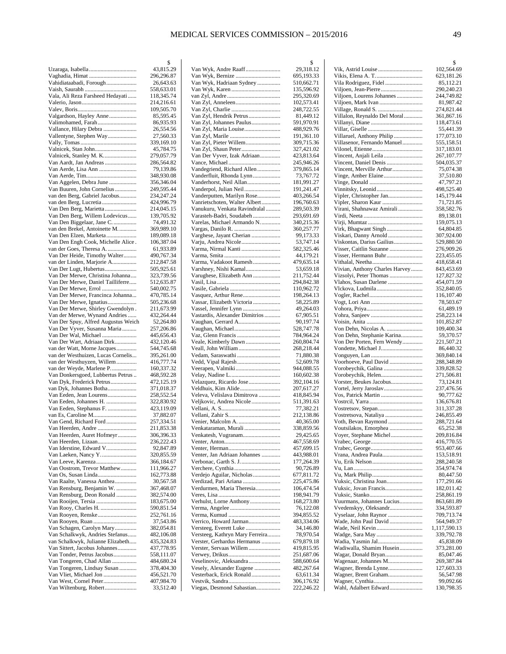|                                                                      | \$                       |
|----------------------------------------------------------------------|--------------------------|
| Uzaraga, Isabella                                                    | 43,815.29                |
|                                                                      | 296,296.87               |
| Vahidiataabadi, Forough                                              | 26,643.63                |
|                                                                      | 558,633.01               |
| Vala, Ali Reza Farsheed Hedayati                                     | 118,345.74               |
|                                                                      | 214,216.61               |
|                                                                      | 109,505.70               |
| Valgardson, Hayley Anne                                              | 85,595.45                |
| Valimohamed, Farah                                                   | 86,935.93                |
| Vallance, Hilary Debra                                               | 26,554.56                |
| Vallentyne, Stephen Way                                              | 27,560.33                |
|                                                                      | 339,169.10               |
| Valnicek, Stan John                                                  | 45,784.75                |
| Valnicek, Stanley M. K                                               | 279,057.79               |
| Van Aardt, Jan Andreas                                               | 286,564.82               |
| Van Aerde, Lisa Ann                                                  | 79,139.86                |
| Van Aggelen, Debra June                                              | 348,930.08<br>356,346.04 |
| Van Buuren, John Cornelius                                           | 249,595.44               |
| van den Berg, Gabriel Jacobus                                        | 234,247.24               |
| van den Berg, Lucretia                                               | 424,996.79               |
| Van Den Berg, Marietta                                               | 214,045.15               |
| Van Den Berg, Willem Lodevicus                                       | 139,705.92               |
| Van Den Biggelaar, Jane C                                            | 74,491.32                |
| van den Brekel, Antoinette M.                                        | 369,989.10               |
| Van Den Elzen, Marketa                                               | 189,089.18               |
| Van Den Engh Cook, Michelle Alice.                                   | 106,387.04               |
| van der Goes, Theresa A.                                             | 61,933.89                |
| Van Der Heide, Timothy Walter                                        | 490,767.34               |
| van der Linden, Marjorie A                                           | 212,847.58               |
| Van Der Lugt, Hubertus                                               | 505,925.61               |
| Van Der Merwe, Christina Johanna                                     | 323,739.56               |
| Van Der Merwe, Daniel Tailliferre                                    | 512,635.87               |
| Van Der Merwe, Errol                                                 | 540,002.75               |
| Van Der Merwe, Francinca Johanna                                     | 470,785.14               |
| Van Der Merwe, Ignatius                                              | 505,236.68               |
| Van Der Merwe, Shirley Gwendolyn.                                    | 211,673.99               |
| Van der Merwe, Wynand Andries                                        | 432,264.44               |
| Van Der Spuy, Alfred Augustus Weich                                  | 52,264.80                |
| Van Der Vyver, Susanna Maria                                         | 257,206.86               |
| Van Der Wal, Michael                                                 | 445,656.43               |
| Van Der Wart, Adriaan Dirk                                           | 432,120.46               |
| van der Watt, Morne Jacques                                          | 544,745.68               |
| van der Westhuizen, Lucas Cornelis                                   | 395,261.00               |
| van der Westhuyzen, Willem                                           | 416,777.74               |
| van der Weyde, Marlene P                                             | 160,337.32               |
| Van Donkersgoed, Lubbertus Petrus                                    | 468,592.28               |
| Van Dyk, Frederick Petrus                                            | 472,125.19               |
| van Dyk, Johannes Botha                                              | 371,018.37               |
| Van Eeden, Jean Lourens                                              | 258,552.54               |
| Van Eeden, Johannes H.                                               | 322,830.92               |
| Van Eeden, Stephanus F.                                              | 423,119.09               |
|                                                                      | 37,882.07                |
| Van Gend, Richard Ford                                               | 257,334.51               |
| Van Heerden, Andre                                                   | 211,853.38               |
| Van Heerden, Auret Hofmeyr                                           | 306,396.33               |
| Van Heerden, Lizaan                                                  | 236,222.43               |
| Van Iderstine, Edward V                                              | 92,847.89                |
|                                                                      | 320,855.59               |
| Van Leeve, Karenza                                                   | 366,184.67               |
| Van Oostrom, Trevor Matthew                                          | 111,966.27               |
|                                                                      | 162,773.88               |
| Van Raalte, Vanessa Anthea                                           | 30,567.58                |
| Van Rensburg, Benjamin W.                                            | 367,468.07               |
| Van Rensburg, Deon Ronald                                            | 382,574.00               |
|                                                                      | 183,675.00               |
| Van Rooy, Charles H.                                                 | 590,851.54               |
|                                                                      | 252,761.16               |
|                                                                      | 37,543.86                |
| Van Schagen, Carolyn Mary                                            | 382,054.81               |
| Van Schalkwyk, Andries Stefanus<br>van Schalkwyk, Julianne Elizabeth | 482,106.08               |
| Van Sittert, Jacobus Johannes                                        | 435,324.83               |
| Van Tonder, Petrus Jacobus                                           | 437,778.95               |
| Van Tongeren, Chad Allan                                             | 558,111.07               |
| Van Tongeren, Lindsay Susan                                          | 484,680.24<br>378,404.30 |
| Van Vliet, Michael Jon                                               | 456,521.70               |
| Van West, Cornel Peter                                               | 407,984.70               |
|                                                                      | 33,512.40                |

|                                 | \$                       |
|---------------------------------|--------------------------|
| Van Wyk, Andre Raaff            | 29,318.12                |
| Van Wyk, Bernize                | 695,193.33               |
| Van Wyk, Hadriaan Sydney        | 510,662.71               |
|                                 | 135,596.92               |
|                                 | 295,320.69<br>102,573.41 |
| Van Zyl, Charlie                | 248,722.55               |
| Van Zyl, Hendrik Petrus         | 81,449.12                |
| Van Zyl, Johannes Paulus        | 591,970.91               |
| Van Zyl, Maria Louise           | 488,929.76               |
| Van Zyl, Marile                 | 191,361.10               |
| Van Zyl, Pieter Willem          | 309,715.36               |
| Van Zyl, Shaun Peter            | 327,421.02               |
| Van Der Vyver, Izak Adriaan     | 423,813.64               |
|                                 | 245,946.26               |
| Vandegriend, Richard Allen      | 379,865.14               |
| Vanderfluit, Rhonda Lynn        | 73,767.72                |
| Vanderhorst, Neil Allan         | 181,991.27               |
| Vanderpol, Julian Neil          | 191,241.47               |
| Vanderputten, Marilyn Rose      | 403,266.54               |
| Vanrietschoten, Walter Albert   | 196,760.63               |
| Vanukuru, Venkata Ravindralal   | 289,503.39               |
| Varasteh-Badri, Soudabeh        | 293,691.69               |
| Varelas, Michael Armando N      | 340,215.36               |
|                                 | 360,257.77               |
| Varghese, Jayant Cherian        | 99,173.33                |
| Varju, Andrea Nicole            | 53,747.14                |
| Varma, Nirmal Kanti             | 582,325.46               |
|                                 | 44,179.21                |
| Varma, Vadakoot Ramesh          | 479,635.14               |
| Varshney, Nishi Kamal           | 53,659.18                |
| Varughese, Elizabeth Ann        | 211,752.44               |
|                                 | 294,842.38<br>110,962.72 |
| Vasquez, Arthur Rene            | 198,264.13               |
| Vassar, Elizabeth Victoria      | 58,225.89                |
| Vassel, Jennifer Lynn           | 49,264.03                |
| Vastardis, Alexander Dimitrios  | 67,905.51                |
| Vaughan, Gerrard A              | 90,197.74                |
| Vaughan, Michael                | 528,747.78               |
| Vaz, Glenn Francis              | 784,964.24               |
| Veale, Kimberly Dawn            | 260,804.74               |
| Veall, John William             | 268,218.44               |
| Vedam, Saraswathi               | 71,880.38                |
| Vedd, Vipal Rajesh              | 52,609.78                |
| Veerapen, Valmiki               | 944,088.55               |
|                                 | 160,602.38               |
| Velazquez, Ricardo Jose         | 392,104.16               |
| Veldhuis, Kim Alide             | 207,617.27               |
| Veleva, Velislava Dimitrova     | 418,845.94               |
| Veljkovic, Andrea Nicole        | 511,391.63               |
|                                 | 77,382.21                |
|                                 | 212,138.86               |
|                                 | 40,365.00                |
| Venkataraman, Murali            | 338,859.56               |
| Venkatesh, Vugranam             | 29,425.65<br>467,558.69  |
|                                 | 457,699.15               |
| Venter, Jan Adriaan Johannes    | 443,988.01               |
| Verbonac, Garth S. J            | 177,264.39               |
|                                 | 90,726.89                |
| Verdejo Aguilar, Nicholas       | 677,811.72               |
| Verdizad, Pari Ariana           | 225,475.86               |
| Verdurmen, Maria Theresia       | 106,474.54               |
|                                 | 198,941.79               |
| Verhulst, Lorne Anthony         | 168,273.80               |
|                                 | 76,122.08                |
|                                 | 394,855.52               |
| Verrico, Howard Jarman          | 483,334.06               |
| Versteeg, Everett Luke          | 34,146.80                |
| Versteeg, Kathryn Mary Ferreira | 78,970.54                |
| Verster, Gerhardus Hermanus     | 679,879.18               |
| Verster, Servaas Willem         | 419,815.95               |
|                                 | 251,687.06               |
| Veselinovic, Aleksandra         | 588,600.64               |
| Vesely, Alexander Eugene        | 482,267.64               |
| Vesterback, Erick Ronald        | 63,611.34                |
|                                 | 306,176.92               |
| Viegas, Desmond Sabastian       | 222,246.22               |

|                                                          | \$                         |
|----------------------------------------------------------|----------------------------|
|                                                          | 102,564.69                 |
|                                                          | 623,181.26                 |
| Vila Rodriguez, Fidel<br>Viljoen, Jean-Pierre            | 85,112.21<br>290,240.23    |
| Viljoen, Lourens Johannes                                | 244,749.82                 |
| Viljoen, Mark Ivan                                       | 81,987.42                  |
|                                                          | 274,821.44                 |
| Villalon, Reynaldo Del Moral                             | 361,867.16                 |
|                                                          | 118,473.61                 |
|                                                          | 55,441.39                  |
| Villaruel, Anthony Philip<br>Villasenor, Fernando Manuel | 177,073.10<br>555,158.51   |
|                                                          | 317,183.01                 |
| Vincent, Anjali Leila                                    | 267,107.77                 |
| Vincent, Daniel Denis                                    | 504,035.37                 |
| Vincent, Merville Arthur                                 | 75,074.38                  |
| Vinge, Amber Elaine                                      | 37,510.80                  |
|                                                          | 47,797.21<br>498,525.40    |
| Vipler, Christopher Jan                                  | 145,179.44                 |
|                                                          | 71,721.85                  |
| Virani, Shahnawaz Amirali                                | 358,582.76                 |
|                                                          | 89,138.01                  |
|                                                          | 159,075.13                 |
| Virk, Bhagwant Singh                                     | 64,804.85                  |
| Viskari, Danny Arnold<br>Viskontas, Darius Gailius       | 307,924.00<br>529,880.50   |
| Visser, Caitlin Suzanne                                  | 276,909.26                 |
| Visser, Hermann Buhr                                     | 223,455.05                 |
|                                                          | 418,658.41                 |
| Vivian, Anthony Charles Harvey                           | 843,453.69                 |
| Vizsolyi, Peter Thomas                                   | 127,827.32                 |
| Vlahos, Susan Darlene                                    | 454,071.59                 |
| Vlckova, Ludmila                                         | 352,840.05<br>116,107.40   |
|                                                          | 78,503.67                  |
|                                                          | 61,489.19                  |
|                                                          | 258,223.14                 |
|                                                          | 101,852.87                 |
| Von Dehn, Nicolas A.                                     | 109,400.34                 |
| Von Dehn, Stephanie Karina<br>Von Der Porten, Fern Wendy | 59,370.57                  |
|                                                          | 221,507.21<br>86,440.32    |
|                                                          | 369,840.14                 |
| Voorhoeve, Paul David                                    | 288,348.89                 |
| Vorobeychik, Galina                                      | 339,828.52                 |
| Vorobeychik, Helen                                       | 271,506.81                 |
| Vorster, Beukes Jacobus                                  | 73,124.81                  |
| Vos, Patrick Martin                                      | 237,476.56<br>90,777.62    |
|                                                          | 136,676.81                 |
|                                                          | 311,337.28                 |
| Vostretsova, Nataliya                                    | 246,855.49                 |
| Voth, Bevan Raymond                                      | 288,721.64                 |
| Voutsilakos, Emorphea                                    | 65,252.38                  |
| Voyer, Stephane Michel                                   | 209,816.84<br>416,770.55   |
|                                                          | 953,407.66                 |
| Vrana, Andrea Paula                                      | 153,518.91                 |
|                                                          | 288,240.58                 |
|                                                          | 354,974.74                 |
|                                                          | 80,447.50                  |
| Vuksic, Christina Joan<br>Vuksic, Jovan Francis          | 177,291.66<br>182,011.42   |
|                                                          | 258,861.19                 |
| Vuurmans, Johannes Lucius                                | 863,681.89                 |
| Vvedenskyy, Oleksandr                                    | 334,593.87                 |
| Vyselaar, John Raynor                                    | 709,713.74                 |
| Wade, John Paul David                                    | 564,949.37                 |
|                                                          | 1,117,590.13<br>339,792.78 |
|                                                          | 45,838.09                  |
| Wadiwalla, Shamim Husein                                 | 373,281.00                 |
| Wagar, Donald Bryan                                      | 85,047.46                  |
| Wagenaar, Johannes M                                     | 269,387.84                 |
| Wagner, Brenda Lynne                                     | 127,603.33                 |
| Wagner, Brent Graham                                     | 56,547.98<br>99,092.66     |
| Wahl, Adalbert Edward                                    | 130,798.35                 |
|                                                          |                            |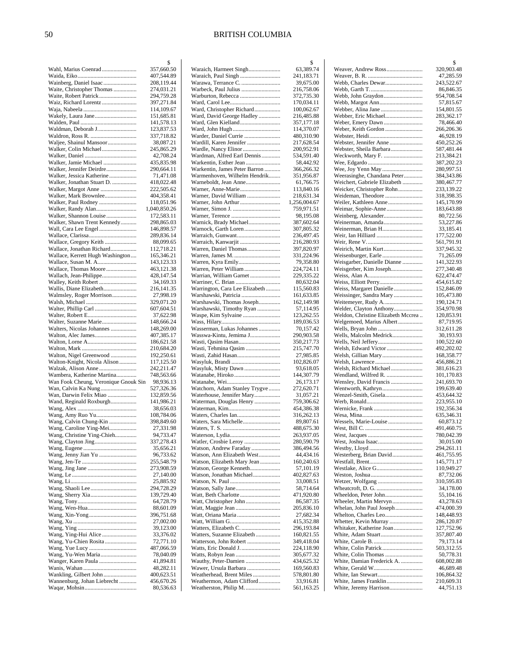| Wahl, Marius Coenrad                                | 2                        |
|-----------------------------------------------------|--------------------------|
|                                                     | 357,660.50               |
| Wainberg, Daniel Isaac                              | 407,544.89<br>208,119.44 |
| Waite, Christopher Thomas                           | 274,031.21               |
| Waite, Robert Patrick                               | 294,759.28               |
| Waiz, Richard Lorentz                               | 397,271.84               |
|                                                     | 114,109.67               |
| Wakely, Laura Jane                                  | 151,685.81               |
|                                                     | 141,578.13               |
| Waldman, Deborah J                                  | 123,837.53               |
| Waljee, Shainul Mansoor                             | 337,718.82<br>38,087.21  |
| Walker, Colin Michael                               | 245,865.29               |
|                                                     | 42,708.24                |
| Walker, Jamie Michael                               | 435,835.98               |
| Walker, Jennifer Deirdre                            | 290,664.11               |
| Walker, Jessica Katherine                           | 71,471.08                |
| Walker, Jonathan Stuart D.<br>Walker, Margot Anne   | 418,022.48<br>222,505.62 |
| Walker, Mark Brownlee                               | 404,358.41               |
| Walker, Paul Rodney                                 | 118,051.96               |
| Walker, Randy Alan                                  | 1,040,850.26             |
| Walker, Shannon Louise                              | 172,583.11               |
| Walker, Shawn Trent Kennedy                         | 298,865.03               |
| Wall, Cara Lee Engel                                | 146,898.57<br>289,836.14 |
| Wallace, Gregory Keith                              | 88,099.65                |
| Wallace, Jonathan Richard                           | 112,718.21               |
| Wallace, Kerrett Hugh Washington                    | 165,346.21               |
| Wallace, Susan M. A                                 | 143,123.33               |
| Wallace, Thomas Moore                               | 463,121.38               |
| Wallach, Jean-Philippe                              | 428,147.54               |
| Walley, Keith Robert                                | 34,169.33                |
| Wallis, Diane Elizabeth<br>Walmsley, Roger Morrison | 216,141.35<br>27,998.19  |
|                                                     | 329,071.20               |
| Walter, Phillip Carl                                | 607,604.51               |
| Walter, Robert E                                    | 37,622.98                |
| Walter, Suzanne Marie                               | 148,666.24               |
| Walters, Nicolas Johannes                           | 148,269.00               |
| Walton, Alec James                                  | 407,385.17<br>186,621.58 |
|                                                     | 210,684.20               |
| Walton, Nigel Greenwood                             | 192,250.61               |
| Walton-Knight, Nicola Alison                        | 117,125.50               |
| Walzak, Alison Anne                                 | 242,211.47               |
|                                                     |                          |
| Wambera, Katherine Martina                          | 748,563.66               |
| Wan Fook Cheung, Veronique Gnouk Sin                | 98,936.13                |
| Wan, Calvin Ka Nung                                 | 527,326.36               |
| Wan, Darwin Felix Miao                              | 132,859.56               |
| Wand, Reginald Roxburgh                             | 141,986.21<br>38,656.03  |
| Wang, Amy Ruo Yu                                    | 108,784.06               |
| Wang, Calvin Chung-Kin                              | 398,849.60               |
| Wang, Caroline Ying-Mei                             | 27,331.98                |
| Wang, Christine Ying-Chieh                          | 94,733.47                |
|                                                     | 337,278.43<br>35,656.21  |
|                                                     | 96,733.62                |
|                                                     | 255,548.79               |
|                                                     | 273,908.59               |
|                                                     | 27,140.00                |
|                                                     | 25,885.92                |
|                                                     | 294,728.29<br>139,729.40 |
|                                                     | 64,728.79                |
|                                                     | 88,601.09                |
|                                                     | 396,751.68               |
|                                                     | 27,002.00                |
|                                                     | 39,123.00                |
| Wang, Ying-Hui Alice<br>Wang, Yu-Chien Rosita       | 33,376.02<br>72,771.10   |
|                                                     | 487,066.59               |
| Wang, Yu-Wen Maria                                  | 78,040.09                |
| Wanger, Karen Paula                                 | 41,894.81                |
|                                                     | 48,282.11                |
| Wannenburg, Johan Liebrecht                         | 400,623.51<br>456,670.26 |

|                                                     | \$                       |
|-----------------------------------------------------|--------------------------|
| Waraich, Harmeet Singh                              | 63,389.74                |
| Warawa, Terrance C.                                 | 241,183.71<br>39,675.00  |
| Warbeck, Paul Julius                                | 216,758.06               |
| Warburton, Rebecca                                  | 372,735.30               |
|                                                     | 170,034.11               |
| Ward, Christopher Richard                           | 100,062.67               |
| Ward, David George Hadley                           | 216,485.88               |
| Ward, Glen Kielland                                 | 357,177.18               |
|                                                     | 114,370.07               |
| Warder, Daniel Currie                               | 480,310.90               |
| Wardill, Karen Jennifer                             | 217,628.54               |
| Wardle, Nancy Elinor<br>Wardman, Alfred Earl Dennis | 200,952.91               |
| Warkentin, Esther Jean                              | 534,591.40<br>58,442.92  |
| Warkentin, James Peter Barron                       | 366,266.32               |
| Warmenhoven, Wilhelm Hendrik                        | 351,956.87               |
| Warneboldt, Jean Anne                               | 61,766.75                |
|                                                     | 113,840.16               |
| Warner, David William                               | 218,631.34               |
|                                                     | 1,256,004.67             |
|                                                     | 759,971.51               |
|                                                     | 98,195.08                |
| Warnick, Brady Michael                              | 387,602.64               |
| Warnock, Garth Loren                                | 307,805.32               |
| Warraich, Gunwant                                   | 236,497.45               |
| Warraich, Kanwarjit<br>Warren, Daniel Thomas        | 216,280.93<br>397,820.97 |
|                                                     | 331,224.96               |
|                                                     | 79,358.80                |
| Warren, Peter William                               | 224,724.11               |
| Warrian, William Garnet                             | 229,335.22               |
| Warriner, C. Brian                                  | 80,632.04                |
| Warrington, Cara Lee Elizabeth                      | 115,560.83               |
| Warshawski, Patricia                                | 161,633.85               |
| Warshawski, Thomas Joseph                           | 162,149.98               |
| Warshawski, Timothy Ryan                            | 57,114.95                |
| Waspe, Kim Sylvaine                                 | 123,262.55               |
|                                                     | 189,036.53               |
| Wasserman, Lukas Johannes                           | 70,157.42                |
| Wasswa-Kintu, Jemima J<br>Wasti, Qasim Hasan        | 290,903.58<br>350,217.73 |
| Wasti, Tehmina Qasim                                | 215,747.70               |
| Wasti, Zahid Hasan                                  | 27,985.85                |
|                                                     | 102,826.07               |
| Wasyluk, Misty Dawn                                 | 93,618.05                |
| Watanabe, Hiroko                                    | 144,307.79               |
|                                                     | 26,173.17                |
| Watchorn, Adam Stanley Trygve                       | 272,620.71               |
| Waterhouse, Jennifer Mary                           | 31,057.21                |
| Waterman, Douglas Henry                             | 759,306.62               |
|                                                     | 454,386.38               |
| Waters, Sara Michelle                               | 316,262.13<br>89,807.61  |
|                                                     | 488,675.30               |
|                                                     | 263,937.05               |
| Watler, Crosbie Leroy                               | 280,590.79               |
| Watson, Andrew Faraday                              | 386,494.56               |
| Watson, Ann Elizabeth West                          | 44,434.16                |
| Watson, Elizabeth Mary Jean                         | 160,240.63               |
| Watson, George Kenneth                              | 57,101.19                |
| Watson, Jonathan Michael                            | 402,827.63               |
|                                                     | 33,008.51                |
|                                                     | 58,714.64                |
|                                                     | 471,920.80               |
| Watt, Christopher John                              | 86,587.35<br>205,836.10  |
| Watt, Oriana Maria                                  | 27,682.34                |
|                                                     | 415,352.88               |
| Watters, Elizabeth C.                               | 296,193.84               |
| Watters, Suzanne Elizabeth                          | 160,821.55               |
| Watterson, John Robert                              | 349,418.04               |
| Watts, Eric Donald J                                | 224,118.90               |
|                                                     | 305,677.32               |
| Wauthy, Peter-Damien                                | 434,625.32               |
| Wawer, Ursula Barbara                               | 169,560.83               |
| Weatherhead, Brent Miles                            | 578,801.80               |
| Weathermon, Adam Clifford<br>Weatherston, Philip M. | 33,916.81<br>561,163.25  |
|                                                     |                          |

|                                                       | \$                       |
|-------------------------------------------------------|--------------------------|
|                                                       | 320,903.48<br>47,285.59  |
|                                                       | 243,522.67               |
|                                                       | 86,846.35                |
|                                                       | 954,708.54               |
| Webb, Margot Ann<br>Webber, Alina Jane                | 57,815.67<br>154,801.55  |
| Webber, Eric Michael                                  | 283,362.17               |
|                                                       | 78,466.40                |
| Weber, Keith Gordon                                   | 266,206.36<br>46,928.19  |
| Webster, Jennifer Anne                                | 450,252.26               |
| Webster, Sheila Barbara                               | 587,481.44               |
| Weckworth, Mary F.                                    | 213,384.21               |
|                                                       | 387,202.23<br>280,997.51 |
| Weerasinghe, Chandana Peter                           | 384,343.86               |
| Weichert, Gabriele Elizabeth                          | 380,467.77               |
| Weicker, Christopher Rohn                             | 233,139.22               |
| Weideman, Theodore                                    | 318,398.35<br>145,170.99 |
|                                                       | 183,643.88               |
| Weinberg, Alexander                                   | 80,722.56                |
| Weinerman, Amanda                                     | 53,227.86                |
| Weinerman, Brian H                                    | 33,185.41<br>177,522.00  |
|                                                       | 561,791.91               |
|                                                       | 337,945.32               |
|                                                       | 71,265.09                |
| Weisgarber, Danielle Dianne<br>Weisgerber, Kim Joseph | 141,322.93<br>277,340.48 |
|                                                       | 622,474.47               |
| Weiss, Elliott Perry                                  | 454,615.82               |
| Weiss, Margaret Danielle<br>Weissinger, Sandra Mary   | 152,846.09<br>105,473.80 |
| Weitemeyer, Rudy A                                    | 190,124.71               |
| Welder, Clayton Anthony                               | 354,970.98               |
| Weldon, Christine Elizabeth Mccrea                    | 120,853.91               |
| Welgemoed, Marius Albert                              | 87,719.95<br>312,611.28  |
| Wells, Malcolm Medrick                                | 30,193.93                |
|                                                       | 100,522.60               |
| Welsh, Edward Victor                                  | 492,202.02<br>168,358.77 |
|                                                       | 456,886.21               |
| Welsh, Richard Michael                                | 381,616.23               |
| Wendland, Wilfred R.                                  | 101,170.83               |
| Wensley, David Francis                                | 241,693.70<br>199,639.40 |
|                                                       | 453,644.32               |
|                                                       | 223,955.10               |
|                                                       | 192,356.34               |
| Wessels, Marie-Louise                                 | 635,346.31<br>60,873.12  |
|                                                       | 491,460.75               |
|                                                       | 780,042.39               |
|                                                       | 30,015.00<br>294,261.11  |
| Westerberg, Brian David                               | 461,755.95               |
|                                                       | 145,771.17               |
| Westlake, Alice G                                     | 110,949.27               |
|                                                       | 87,732.06<br>310,595.83  |
|                                                       | 34,178.00                |
| Wheeldon, Peter John                                  | 55,104.16                |
| Wheeler, Martin Mervyn                                | 43,278.63                |
| Whelan, John Paul Joseph<br>Whelton, Charles Leo      | 474,000.39<br>148,448.93 |
| Whetter, Kevin Murray                                 | 286,120.87               |
| Whitaker, Katherine Joan                              | 127,752.96               |
| White, Adam Stuart                                    | 357,807.40               |
|                                                       | 79,173.14<br>503,312.55  |
| White, Colin Thomas                                   | 50,778.31                |
| White, Damian Frederick A.                            | 608,002.88               |
|                                                       | 46,689.48<br>106,864.32  |
|                                                       | 210,609.31               |
| White, Jeremy Harrison                                | 44,751.13                |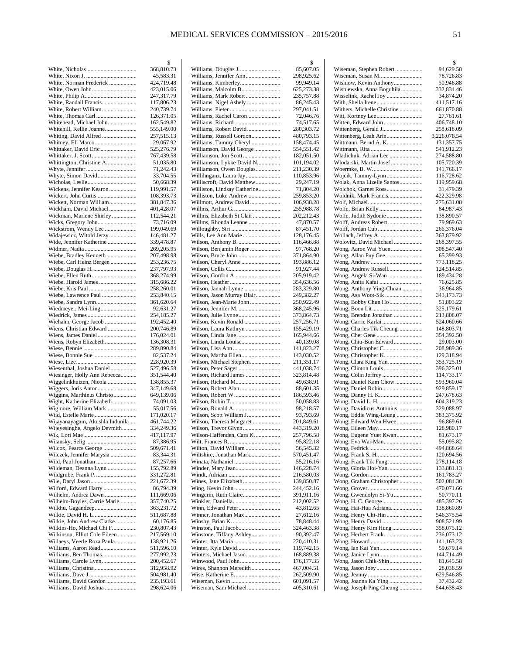|                                                  | \$                       |
|--------------------------------------------------|--------------------------|
|                                                  | 368,810.73               |
|                                                  | 45,583.31                |
| White, Norman Frederick                          | 424,719.48               |
| White, Owen John                                 | 423,015.06               |
| White, Randall Francis                           | 247,317.79<br>117,806.23 |
| White, Robert William                            | 240,739.74               |
| White, Thomas Carl                               | 126,371.05               |
| Whitehead, Michael John                          | 162,549.82               |
| Whitehill, Kellie Joanne                         | 555,149.00               |
| Whiting, David Alfred                            | 257,515.13               |
| Whitney, Eli Marco                               | 29,067.92                |
| Whittaker, David Eric                            | 525,276.79               |
|                                                  | 767,439.58               |
| Whittington, Christine A                         | 51,035.80<br>71,242.43   |
| Whyte, Simon David                               | 33,704.55                |
|                                                  | 50,668.39                |
| Wickens, Jennifer Kearon                         | 119,991.57               |
|                                                  | 108,393.73               |
| Wickett, Norman William                          | 381,847.36               |
| Wickham, David Michael                           | 401,428.07               |
| Wickman, Marlene Shirley                         | 112,544.21               |
| Wicks, Gregory John                              | 73,716.09                |
| Wickstrom, Wendy Lee<br>Widajewicz, Witold Jerzy | 199,049.69<br>146,481.27 |
| Wide, Jennifer Katherine                         | 339,478.87               |
|                                                  | 269,205.95               |
| Wiebe, Bradley Kenneth                           | 207,498.98               |
| Wiebe, Carl Heinz Bergen                         | 253,236.75               |
|                                                  | 237,797.93               |
| Wiebe, Ellen Ruth                                | 368,274.99               |
| Wiebe, Harold James                              | 315,686.22               |
| Wiebe, Kris Paul                                 | 258,260.01               |
| Wiebe, Lawrence Paul                             | 253,840.15<br>361,620.64 |
| Wiebe, Sandra Lynn<br>Wiedmeyer, Mei-Ling        | 92,631.27                |
|                                                  | 254,185.27               |
| Wiehahn, George Jacob                            | 192,452.40               |
| Wiens, Christian Edward                          | 200,746.89               |
|                                                  | 176,024.01               |
| Wiens, Robyn Elizabeth                           | 136,308.31               |
|                                                  | 289,890.84               |
| Wiese, Bonnie Sue                                | 82,537.24<br>228,920.39  |
| Wiesenthal, Joshua Daniel                        | 527,496.58               |
| Wiesinger, Holly Ann Rebecca                     | 351,544.40               |
| Wiggelinkhuizen, Nicola                          | 138,855.37               |
|                                                  | 347,149.68               |
| Wiggins, Marthinus Christo                       | 649,139.06               |
| Wight, Katherine Elizabeth                       | 74,091.03                |
| Wigmore, William Mark                            | 55,017.56                |
|                                                  | 171,020.17               |
| Wijayanayagam, Akushla Indunila                  | 461,744.22<br>334,249.36 |
| Wijeyesinghe, Angelo Devmith                     | 417,117.97               |
|                                                  | 87,386.95                |
| Wilcox, Pearce George                            | 509,671.41               |
| Wilczek, Jennifer Marysia                        | 83,344.31                |
|                                                  | 87,257.66                |
| Wildeman, Deanna Lynn                            | 155,792.89               |
| Wildgrube, Frank P.                              | 331,272.81               |
|                                                  | 221,672.39               |
| Wilford, Edward Harry<br>Wilhelm, Andrea Dawn    | 86,794.39<br>111,669.06  |
| Wilhelm-Boyles, Carrie Marie                     | 357,740.25               |
| Wilkhu, Gagandeep                                | 363,231.72               |
| Wilkie, David H. L                               | 511,687.88               |
| Wilkie, John Andrew Clarke                       | 60,176.85                |
| Wilkins-Ho, Michael Chi F                        | 230,807.43               |
| Wilkinson, Elliot Cole Eileen                    | 217,569.10               |
| Willaeys, Veerle Roza Paula                      | 138,921.26               |
| Williams, Aaron Read<br>Williams, Ben Thomas     | 511,596.10<br>277,992.23 |
| Williams, Carole Lynn                            | 200,452.67               |
| Williams, Christina                              | 312,958.92               |
|                                                  | 504,981.40               |
| Williams, David Gordon                           | 235,193.61               |
|                                                  | 298,624.06               |

|                                                   | \$                       |
|---------------------------------------------------|--------------------------|
| Williams, Douglas J………………………                      | 85,607.05                |
| Williams, Jennifer Ann<br>Williams, Kimberley     | 298,925.62<br>99,949.14  |
| Williams, Malcolm B                               | 625,273.38               |
| Williams, Mark Robert                             | 235,757.88               |
| Williams, Nigel Ashely                            | 86,245.43                |
|                                                   | 297,041.51               |
| Williams, Rachel Caron                            | 72,046.76                |
|                                                   | 74,517.65                |
| Williams, Robert David                            | 280,303.72               |
| Williams, Russell Gordon                          | 480,793.15               |
| Williams, Tammy Cheryl                            | 158,474.45               |
| Williamson, David George<br>Williamson, Jon Scott | 554,551.42<br>182,051.50 |
| Williamson, Lykke David N                         | 101,194.02               |
| Williamson, Owen Douglas                          | 211,230.39               |
| Willihnganz, Laura Jay                            | 110,853.96               |
| Williscroft, David Matthew                        | 29,247.19                |
| Williston, Lindsay Catherine                      | 71,804.20                |
| Williston, Luke Andrew                            | 259,853.20               |
| Willmott, Andrew David                            | 106,938.28               |
|                                                   | 255,988.78               |
| Willms, Elizabeth St Clair                        | 202,212.43               |
| Willms, Rhonda Leanne                             | 47,870.57                |
|                                                   | 87,451.70                |
| Wills, Lee Ann Marie                              | 128,176.45               |
|                                                   | 116,466.88               |
| Wilson, Benjamin Roger                            | 97,768.20                |
| Wilson, Bruce John<br>Wilson, Cheryl Anne         | 371,864.90<br>193,886.12 |
|                                                   | 91,927.44                |
| Wilson, Gordon A                                  | 205,919.42               |
|                                                   | 354,636.56               |
| Wilson, Jannah Lynne                              | 283,329.80               |
| Wilson, Jason Murray Blair                        | 249,382.27               |
| Wilson, Jean-Marie John                           | 250,922.49               |
|                                                   | 368,245.96               |
|                                                   | 373,864.73               |
| Wilson, Kevin Ronald                              | 257,256.71               |
| Wilson, Laura Kathryn                             | 155,429.19               |
|                                                   | 165,944.66               |
| Wilson, Linda Louise                              | 40,139.08                |
| Wilson, Lisa Ann                                  | 141,823.27               |
| Wilson, Martha Ellen                              | 143,030.52               |
| Wilson, Michael Stephen<br>Wilson, Peter Sager    | 211,351.17<br>441,038.74 |
| Wilson, Richard James                             | 323,814.48               |
|                                                   | 49,638.91                |
| Wilson, Robert Alan                               | 88,601.35                |
|                                                   | 186,593.46               |
|                                                   | 50,058.83                |
| Wilson, Ronald A.                                 | 98,218.57                |
| Wilson, Scott William J                           | 93,793.69                |
| Wilson, Theresa Margaret                          | 201,849.61               |
| Wilson, Trevor Glynn                              | 443,319.20               |
| Wilson-Haffenden, Cara K.                         | 257,796.58               |
|                                                   | 95,822.18                |
| Wilton, David William                             | 56,545.32                |
| Wiltshire, Jonathan Mark                          | 570,451.47               |
|                                                   | 55,216.16<br>146,228.74  |
|                                                   | 216,580.03               |
|                                                   | 139,850.87               |
|                                                   | 244,452.16               |
| Wingerin, Ruth Claire                             | 391,911.16               |
| Winkler, Daniella                                 | 212,002.52               |
| Winn, Edward Peter                                | 43,812.65                |
|                                                   | 27,612.16                |
|                                                   | 78,848.44                |
| Winston, Paul Jacob                               | 324,463.38               |
| Winstone, Tiffany Ashley                          | 90,392.47                |
|                                                   | 220,410.31               |
|                                                   | 119,742.15               |
| Winters, Michael Jason                            | 168,889.38               |
| Winwood, Paul John<br>Wires, Shannon Meredith     | 176,177.35<br>467,004.51 |
| Wise, Katherine E                                 | 262,509.90               |
|                                                   | 601,091.57               |
| Wiseman, Sam Michael                              | 405,310.61               |
|                                                   |                          |

|                                                 | \$                       |
|-------------------------------------------------|--------------------------|
| Wiseman, Stephen Robert                         | 94,629.58                |
| Wiseman, Susan M<br>Wishlow, Kevin Anthony      | 78,726.83<br>50,946.88   |
| Wisniewska, Anna Boguhila                       | 332,834.46               |
| Wisselink, Rachel Joy                           | 34,874.20                |
|                                                 | 411,517.16               |
| Withers, Michelle Christine                     | 661,870.88               |
|                                                 | 27,761.61                |
| Witten, Edward John                             | 406,748.10               |
| Wittenberg, Gerald J                            | 258,618.09               |
| Wittenberg, Leah Arin                           | 3,226,078.54             |
| Wittmann, Bernd A. K.                           | 131,357.75               |
| Wladichuk, Adrian Lee                           | 541,912.23<br>274,588.80 |
| Wlodarski, Martin Josef                         | 105,720.39               |
|                                                 | 141,766.17               |
| Wojcik, Tammy-Lynn                              | 116,728.62               |
| Wolak, Anna Lizelle Santos                      | 119,959.68               |
| Wolchok, Garnet Ross                            | 31,479.39                |
| Woldnik, Mark Francis                           | 422,329.98               |
|                                                 | 275,631.08               |
|                                                 | 84,987.43                |
| Wolfe, Judith Sydonie                           | 138,890.57               |
| Wolff, Andreas Robert                           | 79,969.63                |
| Wolff, Jordan Cub                               | 266,376.04               |
| Wollach, Jeffrey A.                             | 363,879.92<br>268,397.55 |
| Wolovitz, David Michael                         | 308,547.40               |
| Wong, Allan Puy Gee                             | 65,399.93                |
|                                                 | 773,118.25               |
| Wong, Andrew Russell                            | 124,514.85               |
| Wong, Angela Si-Wan                             | 189,434.28               |
|                                                 | 76,625.85                |
| Wong, Anthony Ying-Chuan                        | 36,964.85                |
| Wong, Asa Woot-Sik                              | 343,173.73               |
| Wong, Bobby Chun Ho                             | 51,803.22                |
|                                                 | 325,179.61               |
| Wong, Brendan Jonathan                          | 213,808.07               |
| Wong, Carrie Karlai                             | 524,060.66               |
| Wong, Charles Tik Cheung                        | 148,803.71               |
| Wong, Chiu-Bun Edward                           | 354,392.50<br>29,003.00  |
|                                                 | 208,989.36               |
| Wong, Christopher K.                            | 129,318.94               |
|                                                 | 353,725.19               |
|                                                 | 396,325.01               |
| Wong, Colin Jeffrey                             | 114,733.17               |
| Wong, Daniel Kam Chow                           | 593,960.04               |
|                                                 | 929,859.17               |
| Wong, Danny H. K                                | 247,678.63               |
| Wong, David L. H.                               | 604,319.23               |
| Wong, Davidicus Antonius                        | 329,088.97<br>383,375.92 |
| Wong, Eddie Wing-Leung<br>Wong, Edward Wen Hwee | 96,869.61                |
| Wong, Eileen May                                | 128,980.17               |
| Wong, Eugene Yuet Kwan                          | 81,673.17                |
| Wong, Eva Wai-Man                               | 55,095.82                |
|                                                 | 494,868.64               |
|                                                 | 120,694.56               |
| Wong, Frank Tik Fung                            | 278,114.18               |
| Wong, Gloria Hoi-Yan                            | 133,881.13               |
|                                                 | 161,783.27               |
| Wong, Graham Christopher                        | 502,084.30               |
|                                                 | 470,071.66               |
| Wong, Gwendolyn Si-Yu                           | 50,770.11<br>485,397.26  |
| Wong, Hai-Hua Adriana                           | 138,860.89               |
| Wong, Henry Chi-Hin                             | 546,375.54               |
| Wong, Henry David                               | 908,521.99               |
| Wong, Henry Kim Hung                            | 358,075.12               |
| Wong, Herbert Frank                             | 236,073.12               |
|                                                 | 141,163.23               |
|                                                 | 59,679.14                |
|                                                 | 144,714.49               |
| Wong, Jason Chik-Shin                           | 81,645.58                |
|                                                 | 28,036.59                |
| Wong, Joanna Ka Ying                            | 629,546.85<br>37,432.42  |
| Wong, Joseph Ping Cheung                        | 544,638.43               |
|                                                 |                          |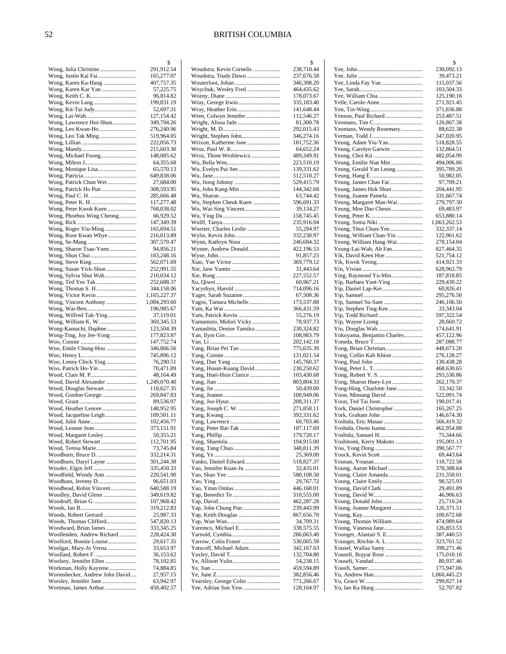|                                                          | \$                       |
|----------------------------------------------------------|--------------------------|
| Wong, Julia Christine                                    | 291,912.54               |
| Wong, Justin Kai Fai                                     | 165,277.07               |
| Wong, Karen Ka-Hang                                      | 407,757.35               |
|                                                          | 57,225.75<br>96,814.82   |
| Wong, Kevin Lang                                         | 199,831.19               |
| Wong, Kit-Tai Judy                                       | 52,697.31                |
| Wong, Lai-Wah                                            | 127,154.42               |
| Wong, Lawrence Hoi-Shun                                  | 349,794.26               |
| Wong, Leo Kwan-Ho                                        | 276,240.96               |
| Wong, Leo Tak Ming                                       | 519,964.05               |
|                                                          | 222,056.73               |
|                                                          | 215,603.30               |
| Wong, Michael Foong                                      | 148,085.62               |
|                                                          | 64,355.68                |
| Wong, Monique Lisa                                       | 65,570.13                |
| Wong, Patrick Chun Wei                                   | 649,838.06<br>27,684.00  |
|                                                          | 308,593.95               |
|                                                          | 285,666.48               |
|                                                          | 117,277.48               |
| Wong, Peter Kwok Kuen                                    | 768,038.02               |
| Wong, Phoebus Wing Cheong                                | 66,929.52                |
|                                                          | 147,349.39               |
| Wong, Roger Yiu-Ming                                     | 165,694.51               |
| Wong, Rose Kwan Whye                                     | 216,013.89               |
|                                                          | 307,570.47               |
| Wong, Sharon Tsau-Yuen                                   | 94,856.21<br>183,248.16  |
|                                                          | 562,071.69               |
| Wong, Susan Yick-Shun                                    | 252,991.55               |
| Wong, Sylvia Shui Wah                                    | 210,034.12               |
| Wong, Ted Yee Tak                                        | 252,688.37               |
|                                                          | 344,158.06               |
| Wong, Victor Kevin                                       | 1,165,227.37             |
| Wong, Vincent Anthony                                    | 1,084,293.60             |
|                                                          | 196,985.67<br>37,119.01  |
| Wong, Wilfred Tak-Ying<br>Wong, William K. W.            | 369,345.53               |
| Wong-Kamachi, Daphne                                     | 123,504.39               |
| Wong-Ting, Joy Jee-Yong                                  | 177,823.87               |
|                                                          | 147,752.74               |
| Woo, Emile Chung-Hou                                     | 346,866.56               |
|                                                          | 745,896.12               |
| Woo, Lenny Chick Ying<br>Woo, Patrick Ho-Yin             | 76,290.51<br>70,471.89   |
| Wood, Clare M. P                                         | 48,164.49                |
| Wood, David Alexander                                    | 1,249,070.40             |
| Wood, Douglas Stewart                                    | 118,627.35               |
| Wood, Gordon George                                      | 269,847.83               |
|                                                          | 89,536.97                |
| Wood, Heather Lenore                                     | 148,952.95               |
| Wood, Jacqueline Leigh                                   | 109,501.11<br>102,456.77 |
| Wood, Leanne Jean                                        | 373,151.91               |
| Wood, Margaret Lesley                                    | 50,355.21                |
| Wood, Robert Stewart                                     | 112,701.95               |
| Wood, Teresa Marie                                       | 73,745.84                |
| Woodburn, Bruce D.                                       | 332,214.31               |
| Woodburn, Daryl Layne                                    | 301,244.38               |
| Wooder, Elgin Jeff<br>Woodfield, Wendy Ann               | 335,450.33               |
|                                                          | 220,541.90<br>96,651.03  |
| Woodhead, Robin Vincent                                  | 640,588.19               |
| Woodley, David Glenn                                     | 349,619.82               |
| Woodruff, Brian G.                                       | 107,968.42               |
|                                                          | 319,212.83               |
| Woods, Robert Gerrard                                    | 25,987.33                |
| Woods, Thomas Clifford<br>Woodward, Brian James          | 547,820.13<br>333,345.25 |
| Woolfenden, Andrew Richard                               | 228,424.30               |
| Woolford, Bonnie Louise                                  | 29,617.35                |
| Woolgar, Mary-Jo Verna                                   | 33,653.97                |
| Woollard, Robert F.                                      | 36,153.62                |
| Woolsey, Jennifer Ellen                                  | 78,102.85                |
| Workman, Holly Kayrene                                   | 74,884.85                |
| Wormsbecker, Andrew John David<br>Worsley, Jennifer Jane | 27,957.15<br>63,942.97   |
| Wortman, James Arthur                                    | 458,402.57               |
|                                                          |                          |

|                                                | \$                       |
|------------------------------------------------|--------------------------|
| Woudstra, Kevin Cornelis                       | 238,710.44               |
| Woudstra, Trudy Dawn                           | 237,676.58<br>346,308.20 |
| Woychuk, Wesley Fred                           | 464,435.62               |
|                                                | 178,073.67               |
|                                                | 335,183.40               |
|                                                | 141,648.44               |
|                                                | 112,546.27               |
| Wright, Alissa Jade                            | 81,300.78                |
|                                                | 292,015.43               |
| Wright, Stephen John<br>Wrixon, Katherine Jane | 346,274.16<br>181,752.36 |
|                                                | 64,652.24                |
| Wroz, Thom Wroblewicz                          | 489,349.91               |
|                                                | 223,510.19               |
| Wu, Evelyn Pui See                             | 139,331.62               |
|                                                | 512,518.27               |
|                                                | 529,415.79               |
| Wu, John Kang-Min                              | 144,342.68<br>63,744.42  |
| Wu, Stephen Cheuk Kuen                         | 596,691.33               |
| Wu, Wai-Sing Vincent                           | 39,134.27                |
|                                                | 158,745.45               |
|                                                | 235,916.04               |
| Wurster, Charles Leslie                        | 55,294.97                |
|                                                | 332,230.97               |
| Wynn, Kathryn Nora                             | 246,684.32               |
| Wynne, Andrew Donald                           | 422,196.53               |
|                                                | 91,857.25<br>369,779.12  |
|                                                | 31,443.64                |
|                                                | 227,552.57               |
|                                                | 60,967.21                |
|                                                | 714,096.16               |
| Yager, Sarah Suzanne                           | 67,508.36                |
| Yagos, Tamara Michelle                         | 173,537.88               |
| Yam, Patrick Kevin                             | 366,431.59<br>55,276.19  |
| Yamamoto, Midori Vicky                         | 78,937.73                |
| Yamashita, Denise Tamiko                       | 230,324.82               |
|                                                | 108,983.79               |
|                                                | 202,142.18               |
|                                                | 775,635.39               |
|                                                | 131,021.54               |
| Yang, Hsuan-Kuang David                        | 145,760.37<br>230,250.62 |
| Yang, Huei-Hsin Clarice                        | 103,430.68               |
|                                                | 803,804.33               |
|                                                | 50,439.00                |
|                                                | 100,949.06               |
|                                                | 208,311.37               |
| Yang, Joseph C. W.                             | 271,858.11               |
|                                                | 392,331.62<br>60,703.46  |
| Yang, Peter Bat-Tak                            | 187,117.69               |
|                                                | 179,720.17               |
|                                                | 194,915.00               |
|                                                | 348,811.39               |
|                                                | 25,369.00                |
| Yanko, Daniel Edward                           | 518,827.37               |
| Yao, Jennifer Kuan-Ju                          | 32,435.01<br>580,108.50  |
|                                                | 29,767.72                |
|                                                | 446,168.01               |
|                                                | 310,555.00               |
|                                                | 462,287.28               |
|                                                | 239,443.99               |
|                                                | 867,656.70               |
| Yaremco, Michael E.                            | 34,709.31                |
|                                                | 338,575.55<br>286,063.40 |
|                                                | 530,005.59               |
| Yatscoff, Michael Adam                         | 342,167.63               |
|                                                | 132,704.80               |
|                                                | 54,238.15                |
|                                                | 459,594.89               |
|                                                | 382,856.46               |
| Yearsley, George Colin<br>Yee, Adrian Sun Yew  | 771,266.67<br>128,164.97 |
|                                                |                          |

|                                                   | \$                         |
|---------------------------------------------------|----------------------------|
|                                                   | 230,092.13                 |
| Yee, Linda Fay Yue                                | 39,473.21<br>115,037.56    |
|                                                   | 103,504.33                 |
|                                                   | 125,190.16                 |
| Yelle, Carole-Anne                                | 271,921.45                 |
|                                                   | 371,836.88<br>253,487.51   |
|                                                   | 126,867.38                 |
| Yeomans, Wendy Rosemary                           | 88,622.38                  |
| Yeung, Adam Yiu-Yan                               | 347,020.95<br>518,828.55   |
| Yeung, Carolyn Garwin                             | 132,864.51                 |
|                                                   | 482,054.99                 |
| Yeung, Emilie Niat Min<br>Yeung, Gerald Yan Leung | 494,006.86<br>395,789.20   |
|                                                   | 50,982.05                  |
|                                                   | 97,709.21                  |
| Yeung, James Hok Shun                             | 204,441.95                 |
| Yeung, Joanne Pamela<br>Yeung, Margaret Man-Wai   | 331,667.74<br>279,797.30   |
| Yeung, Moe Dao Cheun                              | 69,483.97                  |
|                                                   | 653,880.14                 |
| Yeung, Titus Chun-Yee                             | 1,063,262.53<br>332,337.14 |
| Yeung, William Chan-Yin                           | 122,961.62                 |
| Yeung, William Hang-Wai                           | 278,154.04                 |
| Yeung-Lai-Wah, Ah Fan                             | 827,464.35                 |
| Yik, David Keen Hoe<br>Yik, Kwok Yeong            | 521,754.12<br>414,921.33   |
|                                                   | 628,963.79                 |
| Ying, Raymond Yu-Min                              | 187,818.85                 |
| Yip, Barbara Yuet-Ying<br>Yip, Daniel Lap-Kei     | 229,430.22<br>60,826.41    |
|                                                   | 295,276.50                 |
| Yip, Samuel Su-Sam                                | 246,106.50                 |
| Yip, Todd Richard                                 | 33,343.04<br>597,322.54    |
| Yip, Wayne Loong                                  | 28,660.72                  |
| Yiu, Douglas Wah                                  | 174,641.91                 |
| Yokoyama, Benjamin Charles                        | 457,122.96                 |
| Yong, Brian Christian                             | 287,088.77<br>448,673.20   |
| Yong, Collin Kah Khion                            | 276,128.27                 |
|                                                   | 130,438.28                 |
|                                                   | 468,630.65<br>293,530.86   |
| Yong, Sharon Huey-Lyn                             | 262,170.37                 |
| Yong-Hing, Charlotte Jane                         | 33,342.50                  |
| Yoon, Minsang David<br>Yoon, Ted Tai Joon         | 522,091.74<br>190,017.41   |
| York, Daniel Christopher                          | 165,267.25                 |
| York, Graham John                                 | 146,674.30                 |
| Yoshida, Eric Masao                               | 566,419.32<br>462,954.88   |
| Yoshida, Owen Isamu<br>Yoshida, Samuel H          | 75,344.66                  |
| Yoshitomi, Kerry Makoto                           | 195,001.13                 |
|                                                   | 390,567.77                 |
|                                                   | 69,443.64<br>118,722.58    |
|                                                   | 378,388.64                 |
|                                                   | 231,350.01                 |
| Young, Claire Emily<br>Young, David Clark         | 98,525.93<br>29,491.89     |
|                                                   | 46,906.63                  |
|                                                   | 25,710.24                  |
| Young, Joanne Margaret                            | 126,371.51<br>100,672.68   |
| Young, Thomas William                             | 474,989.64                 |
|                                                   | 126,853.53                 |
| Younger, Alastair S. E<br>Younger, Ritchie A. L.  | 387,440.53                 |
| Yousef, Wallaa Samy                               | 323,761.52<br>399,271.46   |
| Yousefi, Rojyar Rose                              | 175,010.16                 |
|                                                   | 80,937.46                  |
|                                                   | 175,947.06<br>1,060,445.23 |
|                                                   | 299,827.14                 |
|                                                   | 52,707.82                  |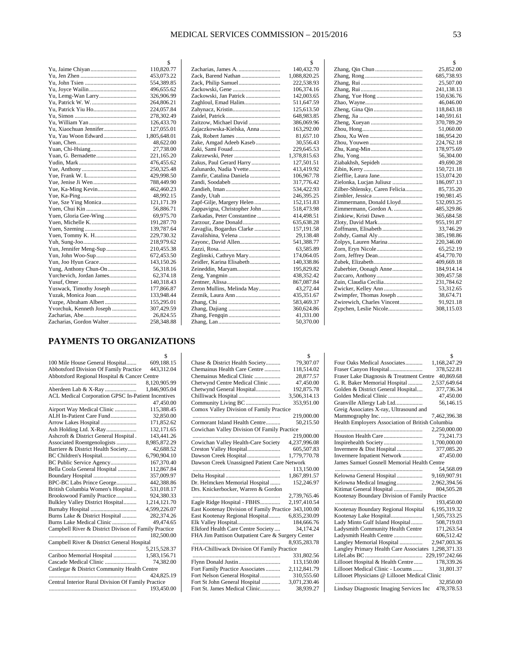|                          | \$           |
|--------------------------|--------------|
|                          | 110,820.77   |
|                          | 453,073.22   |
|                          | 554,389.85   |
|                          | 496,655.62   |
| Yu, Lemg-Wan Larry       | 326,906.99   |
|                          | 264,806.21   |
| Yu, Patrick Yiu Ho       | 224,057.84   |
|                          | 278,302.49   |
|                          | 126,433.70   |
| Yu, Xiaochuan Jennifer   | 127,055.01   |
| Yu, Yau Woon Edward      | 1,805,648.01 |
|                          | 48,622.00    |
|                          | 27,738.00    |
|                          | 221,165.20   |
|                          | 476,455.62   |
|                          | 250,325.48   |
|                          | 429,998.50   |
|                          | 788,449.90   |
|                          | 462,460.23   |
|                          | 48,992.15    |
| Yue, Sze Ying Monica     | 121,171.39   |
|                          | 56,886.71    |
| Yuen, Gloria Gee-Wing    | 69,975.70    |
|                          | 191,287.70   |
|                          | 139,787.64   |
|                          | 229,730.32   |
|                          | 218,979.62   |
| Yun, Jennifer Meng-Sup   | 210,455.38   |
|                          | 672,453.50   |
|                          | 143,150.26   |
| Yung, Anthony Chun-On    | 56,318.16    |
| Yurchevich, Jordan James | 62,374.18    |
|                          | 140,318.43   |
| Yuswack, Timothy Joseph  | 177,866.87   |
| Yuzak, Monica Joan       | 133,948.44   |
| Yuzpe, Abraham Albert    | 155,295.01   |
| Yvorchuk, Kenneth Joseph | 307,429.59   |
|                          | 26,824.55    |
| Zacharias, Gordon Walter | 258,348.88   |
|                          |              |

|                              | \$           |
|------------------------------|--------------|
|                              | 140,432.70   |
|                              | 1,088,820.25 |
| Zack, Philip Samuel          | 222,538.93   |
|                              | 106,374.16   |
| Zackowski, Jan Patrick       | 142,003.65   |
| Zaghloul, Emad Halim         | 511,647.59   |
|                              | 125,613.50   |
|                              | 648,983.85   |
| Zaitzow, Michael David       | 386,069.96   |
| Zajaczkowska-Kielska, Anna   | 163,292.00   |
|                              | 81,657.10    |
| Zake, Amgad Adeeb Kaseb      | 30,556.43    |
| Zaki, Sami Fouad             | 229,645.53   |
| Zakrzewski, Peter            | 1,378,815.63 |
| Zakus, Paul Gerard Harry     | 127,501.51   |
| Zalunardo, Nadia Yvette      | 413,419.92   |
| Zamfir, Catalina Daniela     | 106,967.78   |
|                              | 317,776.42   |
|                              | 534,422.93   |
|                              | 246,395.25   |
| Zapf-Gilje, Margery Helen    | 152,151.83   |
| Zappavigna, Christopher John | 518,473.98   |
| Zarkadas, Peter Constantine  | 414,498.51   |
| Zarzour, Zane Donald         | 635,638.28   |
| Zavaglia, Bogardus Clarke    | 157,191.58   |
| Zavalishina, Yelena          | 29,138.48    |
| Zayonc, David Allen          | 541,388.77   |
|                              | 63,585.89    |
| Zeglinski, Cathryn Mary      | 174,064.05   |
| Zeidler, Karina Elisabeth    | 140,338.86   |
| Zeineddin, Maryam            | 195,829.82   |
|                              | 438,352.42   |
|                              | 867,087.84   |
| Zeron Mullins, Melinda May   | 43,272.44    |
|                              | 435,351.67   |
|                              | 583,469.37   |
|                              | 360,624.86   |
|                              | 41,331.00    |
|                              | 50,370.00    |
|                              |              |

|                                | \$         |
|--------------------------------|------------|
|                                | 25,852.00  |
|                                | 685,738.93 |
|                                | 25,507.00  |
|                                | 241,138.13 |
| Zhang, Yue Hong                | 150,636.76 |
|                                | 46,046.00  |
|                                | 118,843.18 |
|                                | 140,591.61 |
|                                | 370,789.29 |
|                                | 51,060.00  |
|                                | 186,954.20 |
|                                | 224,762.18 |
|                                | 178,975.69 |
|                                | 56,304.00  |
| Ziabakhsh, Sepideh             | 49,690.28  |
|                                | 150,721.18 |
| Ziefflie, Laura Jane           | 153,074.20 |
| Zielonka, Lucjan Juliusz       | 186,097.13 |
| Zilber-Shlensky, Caren Felicia | 85,735.20  |
|                                | 190,981.45 |
| Zimmermann, Donald Lloyd       | 532,093.25 |
| Zimmermann, Gordon A.          | 485,329.86 |
| Zinkiew, Kristi Dawn           | 365,684.58 |
| Zloty, David Mark              | 955,191.87 |
| Zoffmann, Elisabeth            | 33,746.29  |
| Zohdy, Gamal Aly               | 385,198.86 |
| Zolpys, Lauren Marina          | 220,346.00 |
|                                | 65,252.19  |
|                                | 454,770.70 |
|                                | 409,669.18 |
| Zuberbier, Oonagh Anne         | 184,914.14 |
|                                | 309,457.58 |
| Zuin, Claudia Cecilia          | 231,784.62 |
| Zwicker, Kelley Ann            | 53,312.65  |
| Zwimpfer, Thomas Joseph        | 38,674.71  |
| Zwirewich, Charles Vincent     | 91,921.18  |
| Zypchen, Leslie Nicole         | 308,115.03 |
|                                |            |

## **PAYMENTS TO ORGANIZATIONS**

|                                                      | S            |
|------------------------------------------------------|--------------|
| 100 Mile House General Hospital                      | 609,188.15   |
| <b>Abbotsford Division Of Family Practice</b>        | 443,312.04   |
| Abbotsford Regional Hospital & Cancer Centre         |              |
|                                                      | 8,120,905.99 |
| Aberdeen Lab & X-Ray                                 | 1,846,905.04 |
| ACL Medical Corporation GPSC In-Patient Incentives   |              |
| .                                                    | 47,450.00    |
| Airport Way Medical Clinic                           | 115.388.45   |
| ALH In-Patient Care Fund                             | 32,850.00    |
| Arrow Lakes Hospital                                 | 171,852.62   |
| Ash Holding Ltd. X-Ray                               | 132,171.65   |
| Ashcroft & District General Hospital.                | 143,441.26   |
| Associated Roentgenologists                          | 8,985,872.29 |
| Barriere & District Health Society                   | 42,688.52    |
| BC Children's Hospital                               | 6,790,904.10 |
| BC Public Service Agency                             | 167,370.40   |
| Bella Coola General Hospital                         | 112,867.84   |
| Boundary Hospital                                    | 357,009.97   |
| BPC-BC Labs Prince George                            | 442,388.86   |
| British Columbia Women's Hospital                    | 531,018.17   |
| Brookswood Family Practice                           | 924,380.33   |
| Bulkley Valley District Hospital                     | 1,214,121.70 |
| Burnaby Hospital                                     | 4,599,226.07 |
| Burns Lake & District Hospital                       | 282,374.26   |
| Burns Lake Medical Clinic                            | 49,474.65    |
| Campbell River & District Divison of Family Practice |              |
| .                                                    | 182,500.00   |
| Campbell River & District General Hospital           |              |
|                                                      | 5,215,528.37 |
| Cariboo Memorial Hospital                            | 1,583,156.71 |
| Cascade Medical Clinic                               | 74.382.00    |
| Castlegar & District Community Health Centre         |              |
|                                                      | 424,825.19   |
| Central Interior Rural Division Of Family Practice   |              |
|                                                      | 193,450.00   |
|                                                      |              |

|                                                      | S            |
|------------------------------------------------------|--------------|
| Chase & District Health Society                      | 79,307.07    |
| Chemainus Health Care Centre                         | 118,514.02   |
| Chemainus Medical Clinic                             | 28,877.57    |
| Chetwynd Centre Medical Clinic                       | 47,450.00    |
| Chetwynd General Hospital                            | 192,875.78   |
| Chilliwack Hospital                                  | 3,506,314.13 |
| Community Living BC                                  | 353,951.00   |
| Comox Valley Division of Family Practice             |              |
|                                                      | 219,000.00   |
| Cormorant Island Health Centre                       | 50,215.50    |
| Cowichan Valley Division Of Family Practice          |              |
|                                                      | 219,000.00   |
| Cowichan Valley Health-Care Society                  | 4,237,996.08 |
| Creston Valley Hospital                              | 605,507.83   |
| Dawson Creek Hospital                                | 1,779,770.78 |
| Dawson Creek Unassigned Patient Care Network         |              |
|                                                      | 113,150.00   |
|                                                      | 1,867,891.57 |
| Dr. Helmcken Memorial Hospital                       | 152,246.97   |
| Drs. Knickerbocker, Warren & Gordon                  |              |
|                                                      | 2,739,765.46 |
| Eagle Ridge Hospital - FBHS                          | 2,197,410.54 |
| East Kootenay Division of Family Practice 343,100.00 |              |
| East Kootenay Regional Hospital                      | 6,835,230.09 |
| Elk Valley Hospital                                  | 184,666.76   |
| Elkford Health Care Centre Society                   | 34,174.24    |
| FHA Jim Pattison Outpatient Care & Surgery Center    |              |
|                                                      | 8,935,283.78 |
| FHA-Chilliwack Division Of Family Practice           |              |
|                                                      | 331,802.56   |
| Flynn Donald Justin                                  | 113,150.00   |
| Fort Family Practice Associates                      | 2,112,841.79 |
| Fort Nelson General Hospital                         | 310,555.60   |
| Fort St John General Hospital                        | 3,071,230.46 |
| Fort St. James Medical Clinic                        | 38.939.27    |
|                                                      |              |

|                                                    | S              |
|----------------------------------------------------|----------------|
| Four Oaks Medical Associates                       | 1,168,247.29   |
| Fraser Canyon Hospital                             | 378,522.81     |
| Fraser Lake Diagnosis & Treatment Centre 40,869.68 |                |
| G. R. Baker Memorial Hospital                      | 2,537,649.64   |
| Golden & District General Hospital                 | 377,736.34     |
| Golden Medical Clinic                              | 47,450.00      |
| Granville Allergy Lab Ltd                          | 56,146.15      |
| Greig Associates X-ray, Ultrasound and             |                |
| Mammography Inc.                                   | 7,462,396.38   |
| Health Employers Association of British Columbia   |                |
|                                                    | 2,250,000.00   |
|                                                    | 73,241.73      |
| Inspirehealth Society                              | 1,700,000.00   |
| Invermere & Dist Hospital                          | 377,085.20     |
| Invermere Inpatient Network                        | 47,450.00      |
| James Samuel Gosnell Memorial Health Centre        |                |
|                                                    | 54,568.09      |
| Kelowna General Hospital                           | 9,169,907.91   |
| Kelowna Medical Imaging                            | 2,962,394.56   |
| Kitimat General Hospital                           | 804,505.28     |
| Kootenay Boundary Division of Family Practice      |                |
|                                                    | 193,450.00     |
| Kootenay Boundary Regional Hospital                | 6,195,319.32   |
| Kootenay Lake Hospital                             | 1,505,733.25   |
| Lady Minto Gulf Island Hospital                    | 508,719.03     |
| Ladysmith Community Health Centre                  | 171,263.54     |
| Ladysmith Health Centre                            | 606,512.42     |
| Langley Memorial Hospital                          | 2,947,003.36   |
| Langley Primary Health Care Associates             | 1,298,371.33   |
|                                                    | 229,197,242.66 |
| Lillooet Hospital & Health Centre                  | 178,339.26     |
| Lillooet Medical Clinic - Locums                   | 31,801.37      |
| Lillooet Physicians @ Lillooet Medical Clinic      |                |
|                                                    | 32,850.00      |
| Lindsay Diagnostic Imaging Services Inc            | 478,378.53     |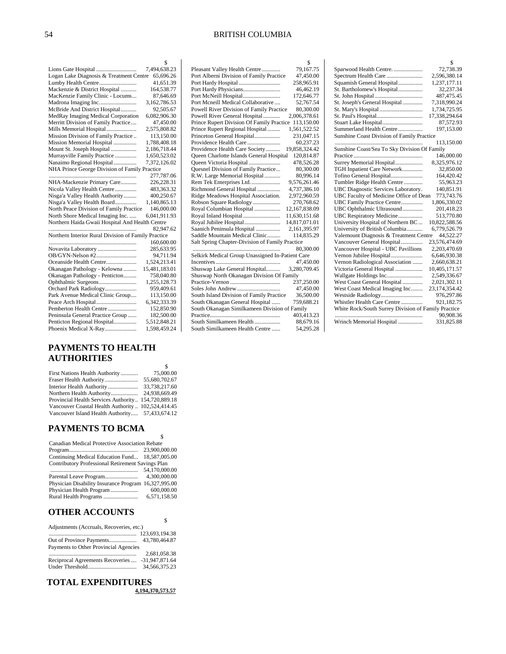$\mathcal{S}$ Pleasant Valley Health Centre ............. 79,167.75

|                                                     | \$           |
|-----------------------------------------------------|--------------|
|                                                     | 7,494,638.23 |
| Logan Lake Diagnosis & Treatment Centre             | 65,696.26    |
| Lumby Health Centre                                 | 41,651.39    |
| Mackenzie & District Hospital                       | 164,538.77   |
| MacKenzie Family Clinic - Locums                    | 87,646.69    |
|                                                     | 3,162,786.53 |
| McBride And District Hospital                       | 92,505.67    |
| MedRay Imaging Medical Corporation                  | 6,082,906.30 |
| Merritt Division of Family Practice                 | 47,450.00    |
| Mills Memorial Hospital                             | 2,575,808.82 |
| Mission Division of Family Practice                 | 113,150.00   |
| Mission Memorial Hospital                           | 1.788,408.18 |
| Mount St. Joseph Hospital                           | 2,186,718.44 |
| Murrayville Family Practice                         | 1,650,523.02 |
| Nanaimo Regional Hospital                           | 7,372,126.02 |
| NHA Prince George Division of Family Practice       |              |
|                                                     | 277,787.06   |
| NHA-Mackenzie Primary Care                          | 226,228.31   |
| Nicola Valley Health Centre                         | 483,363.32   |
| Nisga'a Valley Health Authority                     | 400,250.67   |
| Nisga'a Valley Health Board                         | 1.140.865.13 |
| North Peace Division of Family Practice             | 146,000.00   |
| North Shore Medical Imaging Inc.                    | 6.041.911.93 |
| Northern Haida Gwaii Hospital And Health Centre     |              |
|                                                     | 82,947.62    |
| Northern Interior Rural Division of Family Practice |              |
|                                                     | 160,600.00   |
| Novavita Laboratory                                 | 285,633.95   |
|                                                     | 94,711.94    |
| Oceanside Health Centre                             | 1.524.213.41 |

| 94.711.94     |
|---------------|
| 1.524.213.41  |
| 15,481,183.01 |
| 758,040.80    |
| 1,255,128.73  |
| 959,409.61    |
| 113,150.00    |
| 6.342.333.39  |
| 152,850.90    |
| 182,500.00    |
| 5,512,848.21  |
| 1,598,459.24  |
|               |

#### **PAYMENTS TO HEALTH AUTHORITIES**

| First Nations Health Authority                      | 75,000.00     |
|-----------------------------------------------------|---------------|
| Fraser Health Authority                             | 55,680,702.67 |
| Interior Health Authority                           | 33,738,217.60 |
| Northern Health Authority                           | 24.938.669.49 |
| Provincial Health Services Authority 154,720,889.18 |               |
| Vancouver Coastal Health Authority  102,524,414.45  |               |
| Vancouver Island Health Authority 57,433,674.12     |               |

#### **PAYMENTS TO BCMA**

| Canadian Medical Protective Association Rebate       |               |
|------------------------------------------------------|---------------|
|                                                      | 23,900,000,00 |
| Continuing Medical Education Fund 18,587,005.00      |               |
| Contributory Professional Retirement Savings Plan    |               |
|                                                      | 54,170,000.00 |
|                                                      | 4,300,000,00  |
| Physician Disability Insurance Program 16,327,995.00 |               |
| Physician Health Program                             | 600,000.00    |
| Rural Health Programs                                | 6,571,158.50  |
|                                                      |               |

\$

\$

#### **OTHER ACCOUNTS**

| Adjustments (Accruals, Recoveries, etc.)         |                  |  |
|--------------------------------------------------|------------------|--|
|                                                  |                  |  |
|                                                  |                  |  |
| Payments to Other Provincial Agencies            |                  |  |
|                                                  | 2.681.058.38     |  |
| Reciprocal Agreements Recoveries  -31,947,871.64 |                  |  |
|                                                  | 34, 566, 375, 23 |  |

#### **TOTAL EXPENDITURES 4,194,370,573.57**

Port Alberni Division of Family Practice 47,450.00 Port Hardy Hospital ............................. 258,965.91 Port Hardy Physicians.......................... 46,462.19 Port McNeill Hospital .......................... 172,646.77 Port Mcneill Medical Collaborative .... 52,767.54 Powell River Division of Family Practice 80,300.00 Powell River General Hospital ............ 2,006,378.61 Prince Rupert Division Of Family Practice 113,150.00 Prince Rupert Regional Hospital .......... 1,561,522.52 Princeton General Hospital .................. 231,047.15 Providence Health Care ....................... 60,237.23 Providence Health Care Society .......... 19,858,324.42 Queen Charlotte Islands General Hospital 120,814.87 Queen Victoria Hospital ...................... 478,526.28 Quesnel Division of Family Practice ... 80,300.00 R.W. Large Memorial Hospital ........... 80,996.14 Rem Tek Enterprises Ltd. .................... 9,576,261.46 Richmond General Hospital ................4,737,386.10 Ridge Meadows Hospital Association. 2,972,960.59 Robson Square Radiology ................... 270,768.62 Royal Columbian Hospital .................. 12,167,838.09 Royal Inland Hospital .......................... 11,630,151.68 Royal Jubilee Hospital ......................... 14,817,071.01 Saanich Peninsula Hospital ................. 2,161,395.97 Saddle Mountain Medical Clinic ......... Salt Spring Chapter-Division of Family Practice ............................................................. 80,300.00 Selkirk Medical Group Unassigned In-Patient Care Incentives ............................................. 47,450.00 Shuswap Lake General Hospital.......... 3,280,709.45 Shuswap North Okanagan Division Of Family Practice-Vernon ................................... 237,250.00 Soles John Andrew .............................. 47,450.00 South Island Division of Family Practice 36,500.00 South Okanagan General Hospital ...... 759,688.21 South Okanagan Similkameen Division of Family Practice................................................. 403,413.23

South Similkameen Health ..................

South Similkameen Health Centre ...... 54,295.28

|                                                     | \$.           |  |
|-----------------------------------------------------|---------------|--|
| Sparwood Health Centre.                             | 72,738.39     |  |
| Spectrum Health Care                                | 2,596,380.14  |  |
| Squamish General Hospital                           | 1,237,177.11  |  |
| St. Bartholomew's Hospital                          | 32,237.34     |  |
|                                                     | 487,475.45    |  |
| St. Joseph's General Hospital                       | 7,318,990.24  |  |
| St. Mary's Hospital                                 | 1,734,725.95  |  |
|                                                     | 17,338,294.64 |  |
| Stuart Lake Hospital                                | 87,572.93     |  |
| Summerland Health Centre                            | 197,153.00    |  |
| Sunshine Coast Division of Family Practice          |               |  |
|                                                     | 113,150.00    |  |
| Sunshine Coast/Sea To Sky Division Of Family        |               |  |
|                                                     | 146,000.00    |  |
| Surrey Memorial Hospital                            | 8,325,976.12  |  |
| TGH Inpatient Care Network                          | 32,850.00     |  |
| Tofino General Hospital                             | 164,420.42    |  |
| Tumbler Ridge Health Centre                         | 55,963.23     |  |
| UBC Diagnostic Services Laboratory.                 | 140,851.91    |  |
| UBC Faculty of Medicine Office of Dean              | 773,743.76    |  |
| UBC Family Practice Centre                          | 1,806,330.02  |  |
| UBC Ophthalmic Ultrasound                           | 201,418.23    |  |
| UBC Respiratory Medicine                            | 513,770.80    |  |
| University Hospital of Northern BC                  | 10,822,588.56 |  |
| University of British Columbia                      | 6,779,526.79  |  |
| Valemount Diagnosis & Treatment Centre              | 44,522.27     |  |
| Vancouver General Hospital                          | 23,576,474.69 |  |
| Vancouver Hospital - UBC Pavillions                 | 2,203,470.69  |  |
| Vernon Jubilee Hospital                             | 6,646,930.38  |  |
| Vernon Radiological Association                     | 2,660,638.21  |  |
| Victoria General Hospital                           | 10,405,171.57 |  |
| Wallgate Holdings Inc                               | 2,549,336.67  |  |
| West Coast General Hospital                         | 2,021,302.11  |  |
| West Coast Medical Imaging Inc                      | 23,174,354.42 |  |
| Westside Radiology                                  | 976,297.86    |  |
| Whistler Health Care Centre                         | 921,182.75    |  |
| White Rock/South Surrey Division of Family Practice |               |  |
|                                                     | 90,908.36     |  |
| Wrinch Memorial Hospital                            | 331,825.88    |  |